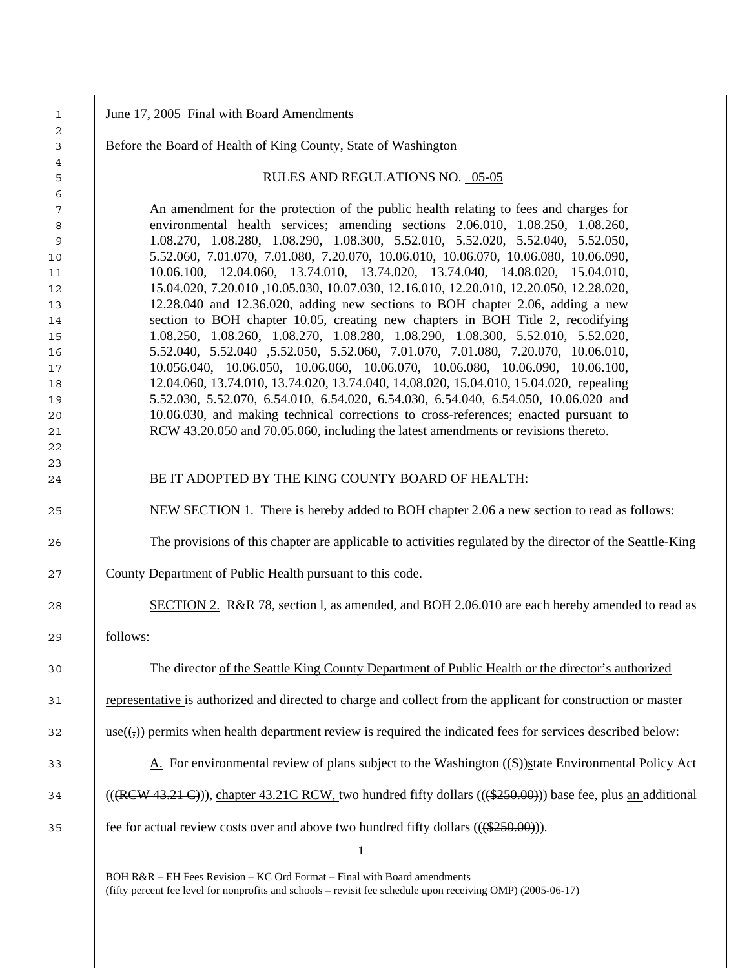| $\mathbf{1}$                                                                                   | June 17, 2005 Final with Board Amendments                                                                                                                                                                                                                                                                                                                                                                                                                                                                                                                                                                                                                                                                                                                                                                                                                                                                                                                                                                                                                                                                                                                                                                                                                                                                                    |  |  |
|------------------------------------------------------------------------------------------------|------------------------------------------------------------------------------------------------------------------------------------------------------------------------------------------------------------------------------------------------------------------------------------------------------------------------------------------------------------------------------------------------------------------------------------------------------------------------------------------------------------------------------------------------------------------------------------------------------------------------------------------------------------------------------------------------------------------------------------------------------------------------------------------------------------------------------------------------------------------------------------------------------------------------------------------------------------------------------------------------------------------------------------------------------------------------------------------------------------------------------------------------------------------------------------------------------------------------------------------------------------------------------------------------------------------------------|--|--|
| 2<br>3                                                                                         | Before the Board of Health of King County, State of Washington                                                                                                                                                                                                                                                                                                                                                                                                                                                                                                                                                                                                                                                                                                                                                                                                                                                                                                                                                                                                                                                                                                                                                                                                                                                               |  |  |
| 4<br>5                                                                                         | RULES AND REGULATIONS NO. 05-05                                                                                                                                                                                                                                                                                                                                                                                                                                                                                                                                                                                                                                                                                                                                                                                                                                                                                                                                                                                                                                                                                                                                                                                                                                                                                              |  |  |
| 6<br>7<br>8<br>9<br>10<br>11<br>12<br>13<br>14<br>15<br>16<br>17<br>18<br>19<br>20<br>21<br>22 | An amendment for the protection of the public health relating to fees and charges for<br>environmental health services; amending sections 2.06.010, 1.08.250, 1.08.260,<br>1.08.270, 1.08.280, 1.08.290, 1.08.300, 5.52.010, 5.52.020, 5.52.040, 5.52.050,<br>5.52.060, 7.01.070, 7.01.080, 7.20.070, 10.06.010, 10.06.070, 10.06.080, 10.06.090,<br>10.06.100, 12.04.060, 13.74.010, 13.74.020, 13.74.040, 14.08.020, 15.04.010,<br>15.04.020, 7.20.010, 10.05.030, 10.07.030, 12.16.010, 12.20.010, 12.20.050, 12.28.020,<br>$12.28.040$ and $12.36.020$ , adding new sections to BOH chapter 2.06, adding a new<br>section to BOH chapter 10.05, creating new chapters in BOH Title 2, recodifying<br>1.08.250, 1.08.260, 1.08.270, 1.08.280, 1.08.290, 1.08.300, 5.52.010, 5.52.020,<br>5.52.040, 5.52.040, 5.52.050, 5.52.060, 7.01.070, 7.01.080, 7.20.070, 10.06.010,<br>10.056.040, 10.06.050, 10.06.060, 10.06.070, 10.06.080, 10.06.090, 10.06.100,<br>12.04.060, 13.74.010, 13.74.020, 13.74.040, 14.08.020, 15.04.010, 15.04.020, repealing<br>5.52.030, 5.52.070, 6.54.010, 6.54.020, 6.54.030, 6.54.040, 6.54.050, 10.06.020 and<br>10.06.030, and making technical corrections to cross-references; enacted pursuant to<br>RCW 43.20.050 and 70.05.060, including the latest amendments or revisions thereto. |  |  |
| 23<br>24                                                                                       | BE IT ADOPTED BY THE KING COUNTY BOARD OF HEALTH:                                                                                                                                                                                                                                                                                                                                                                                                                                                                                                                                                                                                                                                                                                                                                                                                                                                                                                                                                                                                                                                                                                                                                                                                                                                                            |  |  |
| 25                                                                                             | NEW SECTION 1. There is hereby added to BOH chapter 2.06 a new section to read as follows:                                                                                                                                                                                                                                                                                                                                                                                                                                                                                                                                                                                                                                                                                                                                                                                                                                                                                                                                                                                                                                                                                                                                                                                                                                   |  |  |
| 26                                                                                             | The provisions of this chapter are applicable to activities regulated by the director of the Seattle-King                                                                                                                                                                                                                                                                                                                                                                                                                                                                                                                                                                                                                                                                                                                                                                                                                                                                                                                                                                                                                                                                                                                                                                                                                    |  |  |
| 27                                                                                             | County Department of Public Health pursuant to this code.                                                                                                                                                                                                                                                                                                                                                                                                                                                                                                                                                                                                                                                                                                                                                                                                                                                                                                                                                                                                                                                                                                                                                                                                                                                                    |  |  |
| 28                                                                                             | SECTION 2. R&R 78, section 1, as amended, and BOH 2.06.010 are each hereby amended to read as                                                                                                                                                                                                                                                                                                                                                                                                                                                                                                                                                                                                                                                                                                                                                                                                                                                                                                                                                                                                                                                                                                                                                                                                                                |  |  |
| 29                                                                                             | follows:                                                                                                                                                                                                                                                                                                                                                                                                                                                                                                                                                                                                                                                                                                                                                                                                                                                                                                                                                                                                                                                                                                                                                                                                                                                                                                                     |  |  |
| 30                                                                                             | The director of the Seattle King County Department of Public Health or the director's authorized                                                                                                                                                                                                                                                                                                                                                                                                                                                                                                                                                                                                                                                                                                                                                                                                                                                                                                                                                                                                                                                                                                                                                                                                                             |  |  |
| 31                                                                                             | representative is authorized and directed to charge and collect from the applicant for construction or master                                                                                                                                                                                                                                                                                                                                                                                                                                                                                                                                                                                                                                                                                                                                                                                                                                                                                                                                                                                                                                                                                                                                                                                                                |  |  |
| 32                                                                                             | $use((\tau))$ permits when health department review is required the indicated fees for services described below:                                                                                                                                                                                                                                                                                                                                                                                                                                                                                                                                                                                                                                                                                                                                                                                                                                                                                                                                                                                                                                                                                                                                                                                                             |  |  |
| 33                                                                                             | $\underline{A}$ . For environmental review of plans subject to the Washington ((S))state Environmental Policy Act                                                                                                                                                                                                                                                                                                                                                                                                                                                                                                                                                                                                                                                                                                                                                                                                                                                                                                                                                                                                                                                                                                                                                                                                            |  |  |
| 34                                                                                             | $(((REW 43.21 \text{ C})))$ , chapter 43.21C RCW, two hundred fifty dollars $(($250.00))$ base fee, plus an additional                                                                                                                                                                                                                                                                                                                                                                                                                                                                                                                                                                                                                                                                                                                                                                                                                                                                                                                                                                                                                                                                                                                                                                                                       |  |  |
| 35                                                                                             | fee for actual review costs over and above two hundred fifty dollars $((\frac{4250.00}{2})$ ).<br>1                                                                                                                                                                                                                                                                                                                                                                                                                                                                                                                                                                                                                                                                                                                                                                                                                                                                                                                                                                                                                                                                                                                                                                                                                          |  |  |
|                                                                                                | BOH R&R – EH Fees Revision – KC Ord Format – Final with Board amendments<br>(fifty percent fee level for nonprofits and schools – revisit fee schedule upon receiving OMP) (2005-06-17)                                                                                                                                                                                                                                                                                                                                                                                                                                                                                                                                                                                                                                                                                                                                                                                                                                                                                                                                                                                                                                                                                                                                      |  |  |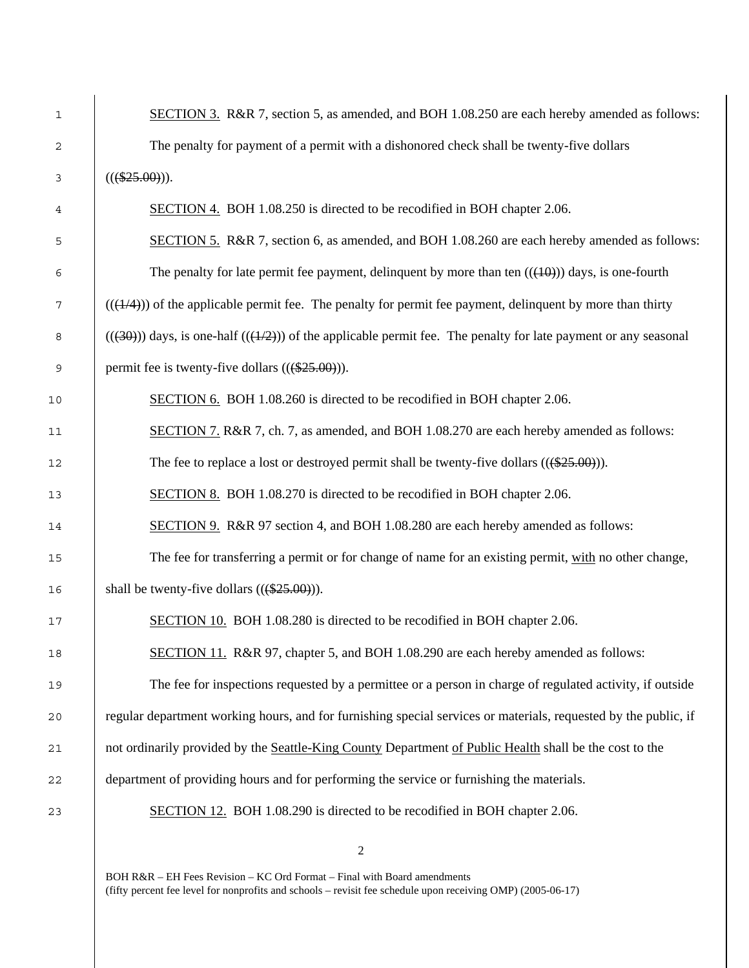| 1      | SECTION 3. R&R 7, section 5, as amended, and BOH 1.08.250 are each hereby amended as follows:                                             |
|--------|-------------------------------------------------------------------------------------------------------------------------------------------|
| 2      | The penalty for payment of a permit with a dishonored check shall be twenty-five dollars                                                  |
| 3      | $((\$25.00))$ .                                                                                                                           |
| 4      | <b>SECTION 4.</b> BOH 1.08.250 is directed to be recodified in BOH chapter 2.06.                                                          |
| 5      | SECTION 5. R&R 7, section 6, as amended, and BOH 1.08.260 are each hereby amended as follows:                                             |
| 6      | The penalty for late permit fee payment, delinquent by more than ten $((40))$ days, is one-fourth                                         |
| 7      | $((\frac{1}{4}))$ of the applicable permit fee. The penalty for permit fee payment, delinquent by more than thirty                        |
| 8      | $((\overline{(30)}))$ days, is one-half $((\overline{(4/2)}))$ of the applicable permit fee. The penalty for late payment or any seasonal |
| 9      | permit fee is twenty-five dollars $((\$25.00))$ .                                                                                         |
| 10     | SECTION 6. BOH 1.08.260 is directed to be recodified in BOH chapter 2.06.                                                                 |
| 11     | SECTION 7. R&R 7, ch. 7, as amended, and BOH 1.08.270 are each hereby amended as follows:                                                 |
| 12     | The fee to replace a lost or destroyed permit shall be twenty-five dollars $((\$25.00))$ .                                                |
| 13     | <b>SECTION 8.</b> BOH 1.08.270 is directed to be recodified in BOH chapter 2.06.                                                          |
| 14     | SECTION 9. R&R 97 section 4, and BOH 1.08.280 are each hereby amended as follows:                                                         |
| 15     | The fee for transferring a permit or for change of name for an existing permit, with no other change,                                     |
| 16     | shall be twenty-five dollars $((\$25.00))$ .                                                                                              |
| 17     | SECTION 10. BOH 1.08.280 is directed to be recodified in BOH chapter 2.06.                                                                |
| $18\,$ | SECTION 11. R&R 97, chapter 5, and BOH 1.08.290 are each hereby amended as follows:                                                       |
| 19     | The fee for inspections requested by a permittee or a person in charge of regulated activity, if outside                                  |
| 20     | regular department working hours, and for furnishing special services or materials, requested by the public, if                           |
| 21     | not ordinarily provided by the Seattle-King County Department of Public Health shall be the cost to the                                   |
| 22     | department of providing hours and for performing the service or furnishing the materials.                                                 |
| 23     | SECTION 12. BOH 1.08.290 is directed to be recodified in BOH chapter 2.06.                                                                |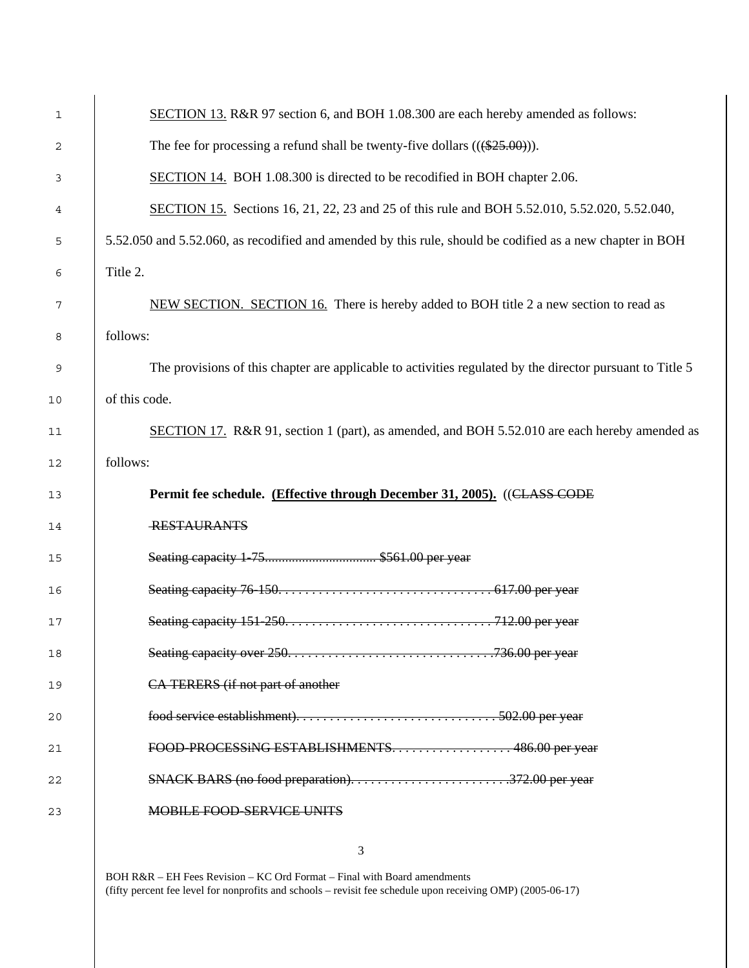| $\mathbf{1}$ | SECTION 13. R&R 97 section 6, and BOH 1.08.300 are each hereby amended as follows:                        |
|--------------|-----------------------------------------------------------------------------------------------------------|
| 2            | The fee for processing a refund shall be twenty-five dollars $((\$25.00))$ .                              |
| 3            | SECTION 14. BOH 1.08.300 is directed to be recodified in BOH chapter 2.06.                                |
| 4            | SECTION 15. Sections 16, 21, 22, 23 and 25 of this rule and BOH 5.52.010, 5.52.020, 5.52.040,             |
| 5            | 5.52.050 and 5.52.060, as recodified and amended by this rule, should be codified as a new chapter in BOH |
| 6            | Title 2.                                                                                                  |
| 7            | NEW SECTION. SECTION 16. There is hereby added to BOH title 2 a new section to read as                    |
| 8            | follows:                                                                                                  |
| 9            | The provisions of this chapter are applicable to activities regulated by the director pursuant to Title 5 |
| 10           | of this code.                                                                                             |
| 11           | SECTION 17. R&R 91, section 1 (part), as amended, and BOH 5.52.010 are each hereby amended as             |
| 12           | follows:                                                                                                  |
| 13           | Permit fee schedule. (Effective through December 31, 2005). ((CLASS CODE                                  |
| 14           | <b>RESTAURANTS</b>                                                                                        |
| 15           | Seating capacity 1-75 \$561.00 per year                                                                   |
| 16           |                                                                                                           |
| 17           |                                                                                                           |
| 18           |                                                                                                           |
| 19           | CA TERERS (if not part of another                                                                         |
| 20           |                                                                                                           |
| 21           | FOOD-PROCESSING ESTABLISHMENTS486.00 per year                                                             |
| 22           | SNACK BARS (no food preparation). 372.00 per year                                                         |
| 23           | MOBILE FOOD SERVICE UNITS                                                                                 |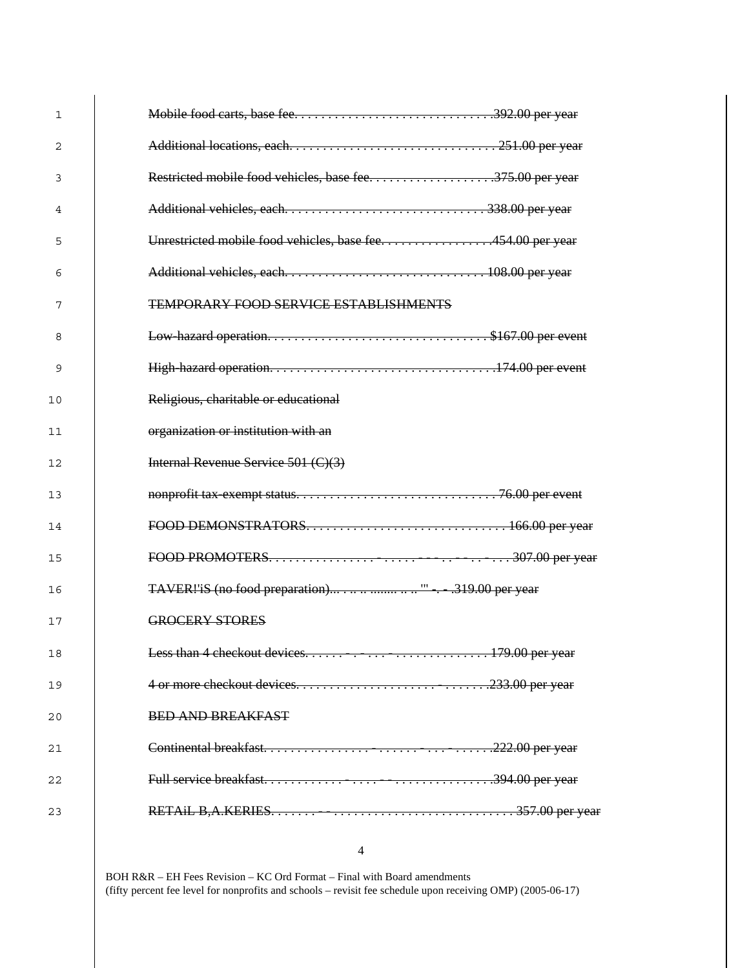| 1  |                                                            |  |
|----|------------------------------------------------------------|--|
| 2  |                                                            |  |
| 3  | Restricted mobile food vehicles, base fee375.00 per year   |  |
| 4  |                                                            |  |
| 5  | Unrestricted mobile food vehicles, base fee454.00 per year |  |
| 6  |                                                            |  |
| 7  | <b>TEMPORARY FOOD SERVICE ESTABLISHMENTS</b>               |  |
| 8  |                                                            |  |
| 9  |                                                            |  |
| 10 | Religious, charitable or educational                       |  |
| 11 | organization or institution with an                        |  |
| 12 | Internal Revenue Service 501 (C)(3)                        |  |
| 13 |                                                            |  |
| 14 |                                                            |  |
| 15 |                                                            |  |
| 16 | TAVER!'iS (no food preparation) "" -. -. 319.00 per year   |  |
| 17 | <b>GROCERY STORES</b>                                      |  |
| 18 |                                                            |  |
| 19 |                                                            |  |
| 20 | <b>BED AND BREAKFAST</b>                                   |  |
| 21 |                                                            |  |
| 22 |                                                            |  |
| 23 |                                                            |  |
|    |                                                            |  |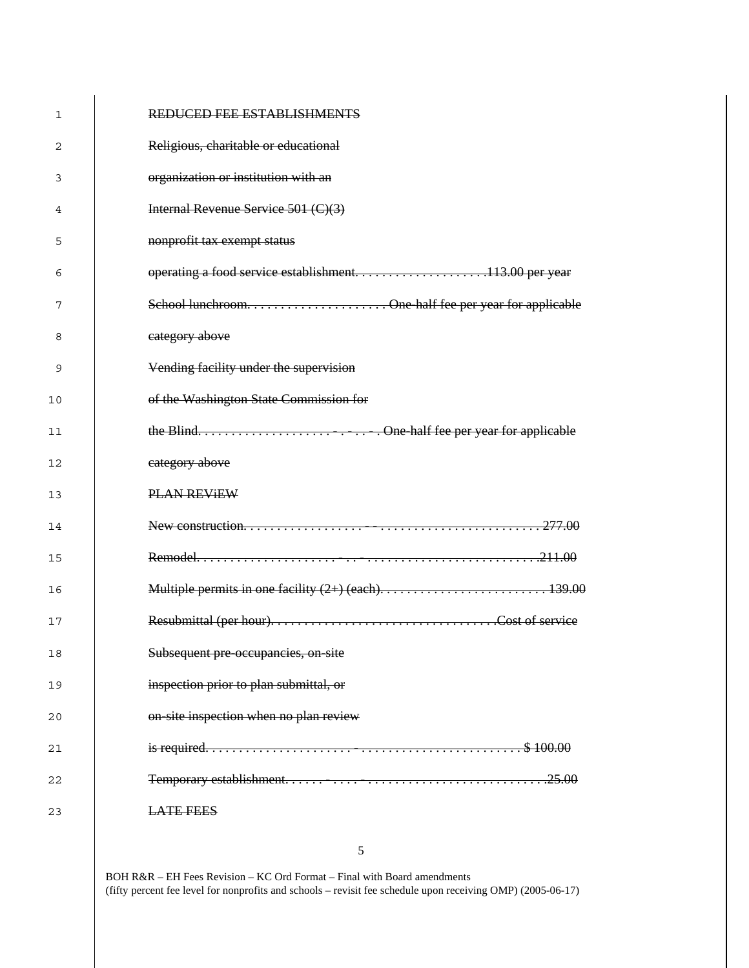| 1  | <b>REDUCED FEE ESTABLISHMENTS</b>                     |
|----|-------------------------------------------------------|
| 2  | Religious, charitable or educational                  |
| 3  | organization or institution with an                   |
| 4  | Internal Revenue Service 501 (C)(3)                   |
| 5  | nonprofit tax exempt status                           |
| 6  | operating a food service establishment113.00 per year |
| 7  | School lunchroom One-half fee per year for applicable |
| 8  | category above                                        |
| 9  | Vending facility under the supervision                |
| 10 | of the Washington State Commission for                |
| 11 | the BlindOne-half fee per year for applicable         |
| 12 | category above                                        |
| 13 | PLAN REVIEW                                           |
| 14 |                                                       |
| 15 |                                                       |
| 16 |                                                       |
| 17 |                                                       |
| 18 | Subsequent pre-occupancies, on-site                   |
| 19 | inspection prior to plan submittal, or                |
| 20 | on-site inspection when no plan review                |
| 21 |                                                       |
| 22 | <del>.25.00</del>                                     |
| 23 | <b>LATE FEES</b>                                      |
|    |                                                       |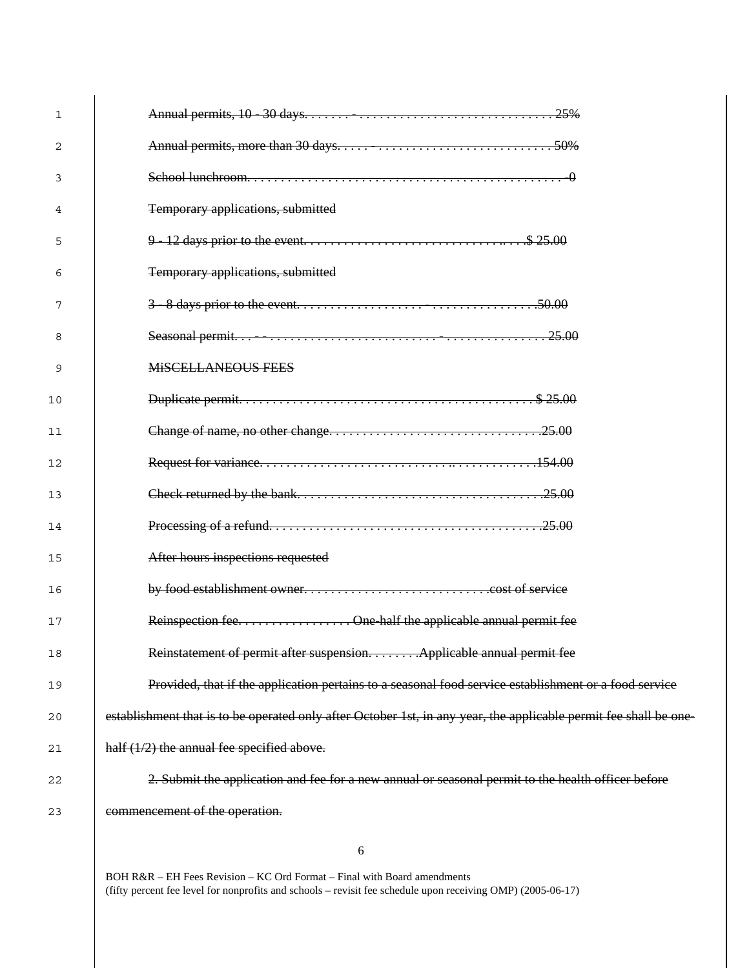| $\mathbf{1}$ |                                                                                                                   |
|--------------|-------------------------------------------------------------------------------------------------------------------|
| 2            |                                                                                                                   |
| 3            |                                                                                                                   |
| 4            | Temporary applications, submitted                                                                                 |
| 5            |                                                                                                                   |
| 6            | Temporary applications, submitted                                                                                 |
| 7            |                                                                                                                   |
| 8            |                                                                                                                   |
| 9            | <b>MISCELLANEOUS FEES</b>                                                                                         |
| 10           |                                                                                                                   |
| 11           |                                                                                                                   |
| 12           |                                                                                                                   |
| 13           |                                                                                                                   |
| 14           |                                                                                                                   |
| 15           | After hours inspections requested                                                                                 |
| 16           |                                                                                                                   |
| 17           | Reinspection feeOne-half the applicable annual permit fee                                                         |
| 18           | Reinstatement of permit after suspensionApplicable annual permit fee                                              |
| 19           | Provided, that if the application pertains to a seasonal food service establishment or a food service             |
| 20           | establishment that is to be operated only after October 1st, in any year, the applicable permit fee shall be one- |
| 21           | half $(1/2)$ the annual fee specified above.                                                                      |
| 22           | 2. Submit the application and fee for a new annual or seasonal permit to the health officer before                |
| 23           | commencement of the operation.                                                                                    |
|              |                                                                                                                   |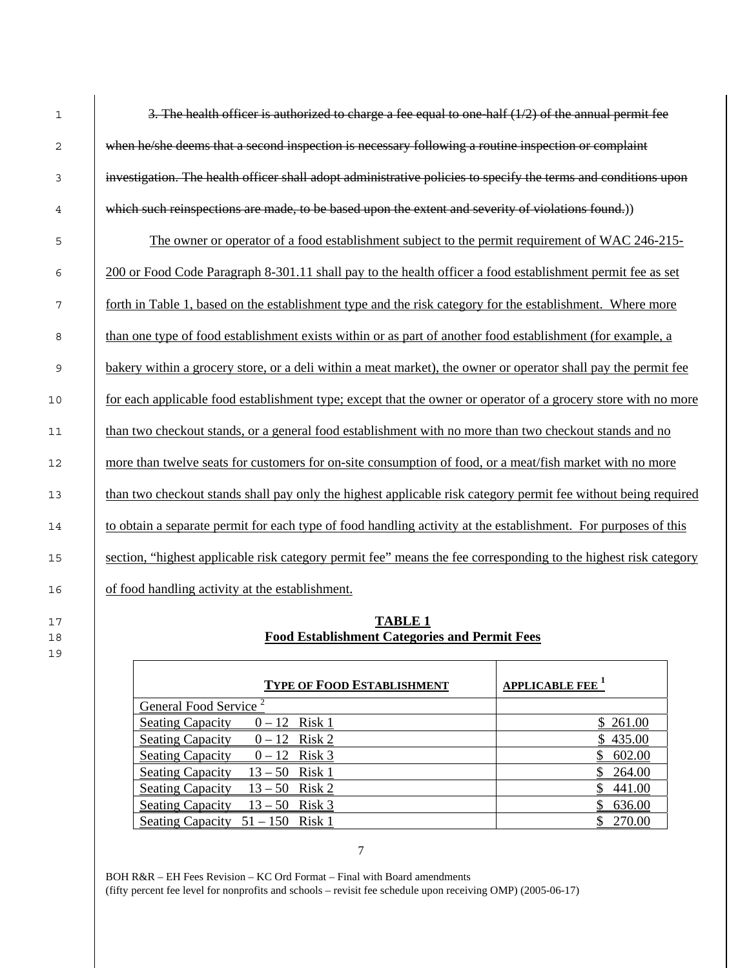| 1      | 3. The health officer is authorized to charge a fee equal to one-half $(1/2)$ of the annual permit fee          |
|--------|-----------------------------------------------------------------------------------------------------------------|
| 2      | when he/she deems that a second inspection is necessary following a routine inspection or complaint             |
| 3      | investigation. The health officer shall adopt administrative policies to specify the terms and conditions upon  |
| 4      | which such reinspections are made, to be based upon the extent and severity of violations found.)               |
| 5      | The owner or operator of a food establishment subject to the permit requirement of WAC 246-215-                 |
| 6      | 200 or Food Code Paragraph 8-301.11 shall pay to the health officer a food establishment permit fee as set      |
| 7      | forth in Table 1, based on the establishment type and the risk category for the establishment. Where more       |
| 8      | than one type of food establishment exists within or as part of another food establishment (for example, a      |
| 9      | bakery within a grocery store, or a deli within a meat market), the owner or operator shall pay the permit fee  |
| 10     | for each applicable food establishment type; except that the owner or operator of a grocery store with no more  |
| 11     | than two checkout stands, or a general food establishment with no more than two checkout stands and no          |
| 12     | more than twelve seats for customers for on-site consumption of food, or a meat/fish market with no more        |
| 13     | than two checkout stands shall pay only the highest applicable risk category permit fee without being required  |
| 14     | to obtain a separate permit for each type of food handling activity at the establishment. For purposes of this  |
| 15     | section, "highest applicable risk category permit fee" means the fee corresponding to the highest risk category |
| 16     | of food handling activity at the establishment.                                                                 |
| $\sim$ | <b>TADIE 1</b>                                                                                                  |

| 17 | TABLE 1                                              |
|----|------------------------------------------------------|
| 18 | <b>Food Establishment Categories and Permit Fees</b> |

| <b>TYPE OF FOOD ESTABLISHMENT</b>                 | <b>APPLICABLE FEE<sup>1</sup></b> |
|---------------------------------------------------|-----------------------------------|
| General Food Service <sup>2</sup>                 |                                   |
| <b>Seating Capacity</b><br>$0 - 12$ Risk 1        | \$ 261.00                         |
| <b>Seating Capacity</b><br>Risk 2<br>$0 - 12$     | \$435.00                          |
| $0 - 12$ Risk 3<br><b>Seating Capacity</b>        | 602.00                            |
| <b>Seating Capacity</b><br>$13 - 50$<br>Risk 1    | 264.00                            |
| <b>Seating Capacity</b><br>$13 - 50$ Risk 2       | 441.00                            |
| <b>Seating Capacity</b><br>Risk 3<br>$13 - 50$    | 636.00                            |
| <b>Seating Capacity</b><br>– Risk 1<br>$51 - 150$ | 270.00                            |

BOH R&R – EH Fees Revision – KC Ord Format – Final with Board amendments (fifty percent fee level for nonprofits and schools – revisit fee schedule upon receiving OMP) (2005-06-17)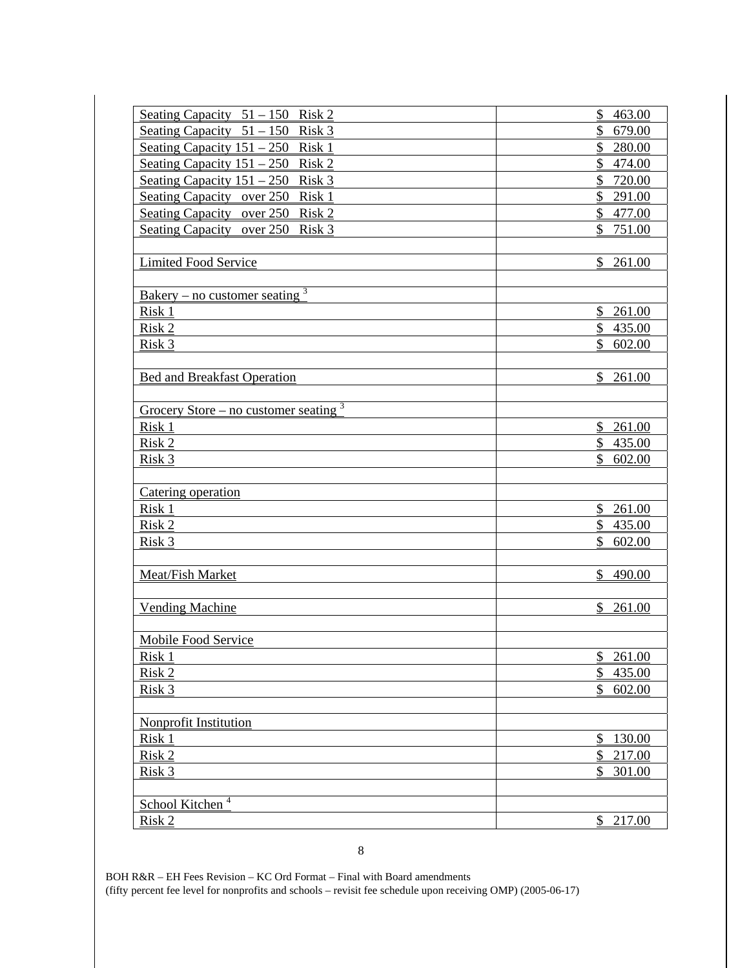| Seating Capacity $51 - 150$<br>Risk 2                        | \$<br>463.00           |
|--------------------------------------------------------------|------------------------|
| Seating Capacity $51 - 150$<br>Risk 3                        | \$<br>679.00           |
| Seating Capacity $151 - 250$ Risk 1                          | \$<br>280.00           |
| Seating Capacity $151 - 250$ Risk 2                          | \$<br>474.00           |
| Seating Capacity $151 - 250$ Risk 3                          | 720.00<br>\$           |
| Seating Capacity over 250 Risk 1                             | \$<br>291.00           |
| Seating Capacity over 250 Risk 2                             | \$477.00               |
| Seating Capacity over 250 Risk 3                             | \$751.00               |
|                                                              |                        |
| <b>Limited Food Service</b>                                  | \$<br>261.00           |
|                                                              |                        |
| <u>Bakery – no customer seating <math>\frac{3}{3}</math></u> |                        |
| Risk 1                                                       | \$<br>261.00           |
| Risk 2                                                       | \$435.00               |
| Risk 3                                                       | \$602.00               |
|                                                              |                        |
| <b>Bed and Breakfast Operation</b>                           | \$261.00               |
|                                                              |                        |
| Grocery Store – no customer seating $3$                      |                        |
| Risk 1                                                       | \$<br>261.00           |
| Risk 2                                                       | \$435.00               |
| Risk 3                                                       | \$602.00               |
|                                                              |                        |
| Catering operation                                           |                        |
|                                                              | $\mathbb{S}$           |
| Risk 1                                                       | 261.00                 |
| Risk 2                                                       | \$435.00               |
| Risk 3                                                       | \$<br>602.00           |
|                                                              |                        |
| Meat/Fish Market                                             | $\mathbb{S}$<br>490.00 |
|                                                              |                        |
| Vending Machine                                              | \$<br>261.00           |
|                                                              |                        |
| <b>Mobile Food Service</b>                                   |                        |
| Risk 1                                                       | 261.00<br>\$           |
| Risk 2                                                       | \$<br>435.00           |
| Risk 3                                                       | \$<br>602.00           |
|                                                              |                        |
| Nonprofit Institution                                        |                        |
| Risk 1                                                       | \$<br>130.00           |
| Risk 2                                                       | \$<br>217.00           |
| Risk 3                                                       | \$<br>301.00           |
|                                                              |                        |
| School Kitchen <sup>4</sup>                                  |                        |
| Risk 2                                                       | \$<br>217.00           |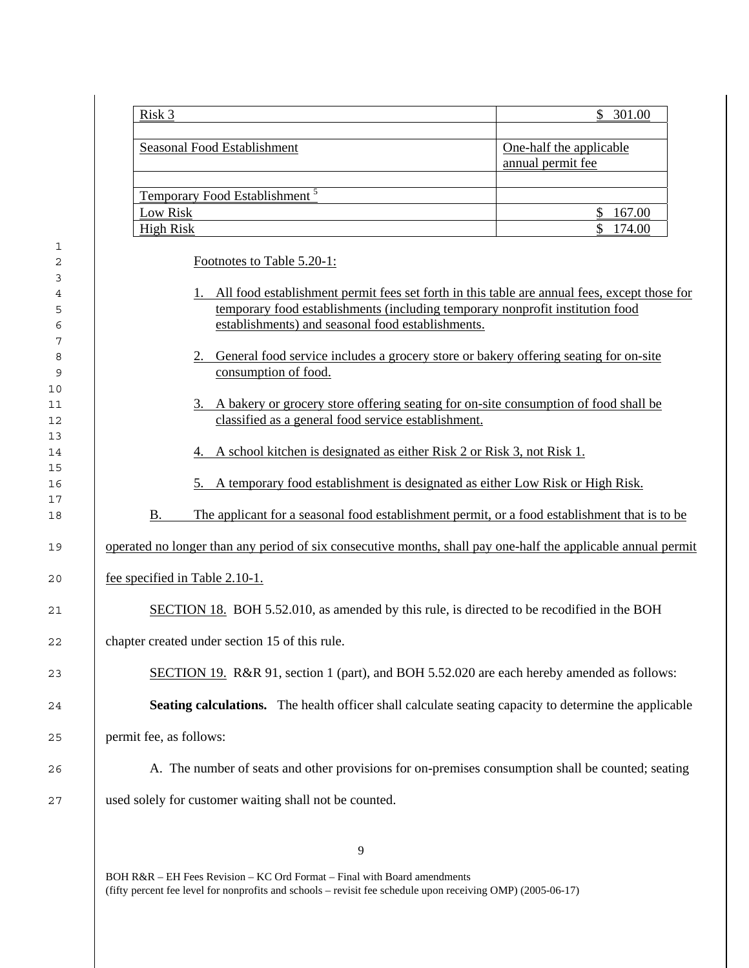| Risk 3                              |                                                                                                                                                                                                                                       | \$301.00                |
|-------------------------------------|---------------------------------------------------------------------------------------------------------------------------------------------------------------------------------------------------------------------------------------|-------------------------|
|                                     | Seasonal Food Establishment                                                                                                                                                                                                           | One-half the applicable |
|                                     |                                                                                                                                                                                                                                       | annual permit fee       |
|                                     |                                                                                                                                                                                                                                       |                         |
|                                     | Temporary Food Establishment <sup>5</sup>                                                                                                                                                                                             |                         |
| <b>Low Risk</b><br><b>High Risk</b> |                                                                                                                                                                                                                                       | 167.00<br>\$174.00      |
|                                     | Footnotes to Table 5.20-1:                                                                                                                                                                                                            |                         |
|                                     | 1. All food establishment permit fees set forth in this table are annual fees, except those for<br>temporary food establishments (including temporary nonprofit institution food<br>establishments) and seasonal food establishments. |                         |
|                                     | 2. General food service includes a grocery store or bakery offering seating for on-site<br>consumption of food.                                                                                                                       |                         |
|                                     | 3. A bakery or grocery store offering seating for on-site consumption of food shall be<br>classified as a general food service establishment.                                                                                         |                         |
|                                     | A school kitchen is designated as either Risk 2 or Risk 3, not Risk 1.                                                                                                                                                                |                         |
|                                     | A temporary food establishment is designated as either Low Risk or High Risk.                                                                                                                                                         |                         |
| Β.                                  | The applicant for a seasonal food establishment permit, or a food establishment that is to be                                                                                                                                         |                         |
|                                     | operated no longer than any period of six consecutive months, shall pay one-half the applicable annual permit                                                                                                                         |                         |
|                                     | fee specified in Table 2.10-1.                                                                                                                                                                                                        |                         |
|                                     | <b>SECTION 18. BOH 5.52.010, as amended by this rule, is directed to be recodified in the BOH</b>                                                                                                                                     |                         |
|                                     | chapter created under section 15 of this rule.                                                                                                                                                                                        |                         |
|                                     | SECTION 19. R&R 91, section 1 (part), and BOH 5.52.020 are each hereby amended as follows:                                                                                                                                            |                         |
|                                     | Seating calculations. The health officer shall calculate seating capacity to determine the applicable                                                                                                                                 |                         |
| permit fee, as follows:             |                                                                                                                                                                                                                                       |                         |
|                                     | A. The number of seats and other provisions for on-premises consumption shall be counted; seating                                                                                                                                     |                         |
|                                     | used solely for customer waiting shall not be counted.                                                                                                                                                                                |                         |
|                                     |                                                                                                                                                                                                                                       |                         |
|                                     | 9                                                                                                                                                                                                                                     |                         |
|                                     | BOH R&R - EH Fees Revision - KC Ord Format - Final with Board amendments                                                                                                                                                              |                         |

(fifty percent fee level for nonprofits and schools – revisit fee schedule upon receiving OMP) (2005-06-17)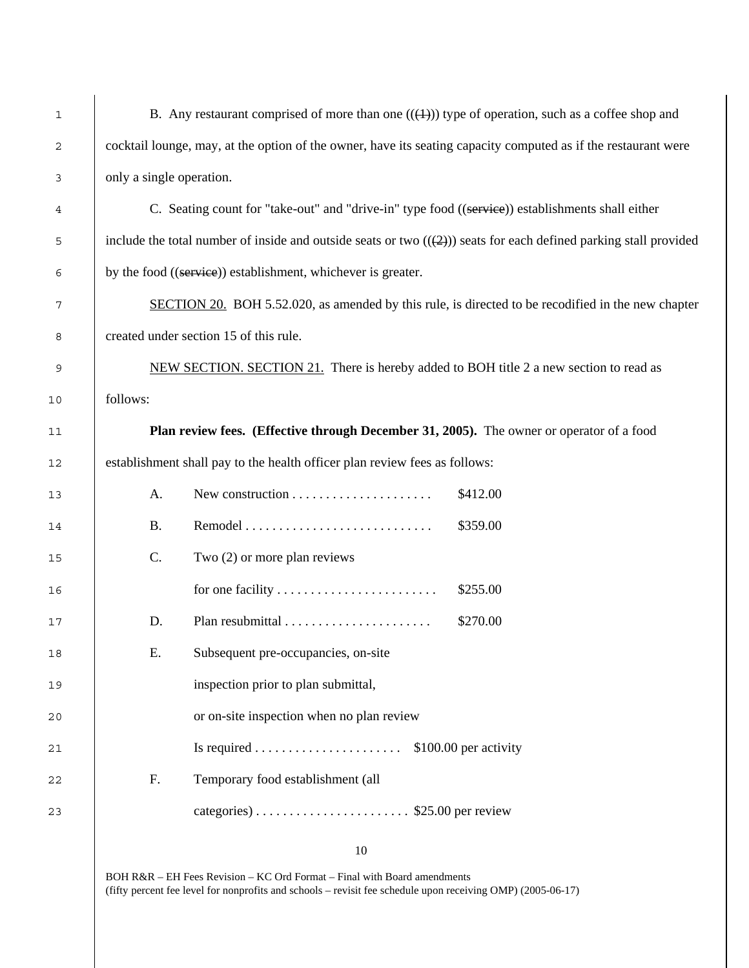| $\mathbf{1}$ | B. Any restaurant comprised of more than one $((4))$ type of operation, such as a coffee shop and                 |  |  |
|--------------|-------------------------------------------------------------------------------------------------------------------|--|--|
| 2            | cocktail lounge, may, at the option of the owner, have its seating capacity computed as if the restaurant were    |  |  |
| 3            | only a single operation.                                                                                          |  |  |
| 4            | C. Seating count for "take-out" and "drive-in" type food ((service)) establishments shall either                  |  |  |
| 5            | include the total number of inside and outside seats or two $((2))$ seats for each defined parking stall provided |  |  |
| 6            | by the food ((service)) establishment, whichever is greater.                                                      |  |  |
| 7            | <b>SECTION 20.</b> BOH 5.52.020, as amended by this rule, is directed to be recodified in the new chapter         |  |  |
| 8            | created under section 15 of this rule.                                                                            |  |  |
| 9            | NEW SECTION. SECTION 21. There is hereby added to BOH title 2 a new section to read as                            |  |  |
| 10           | follows:                                                                                                          |  |  |
| 11           | <b>Plan review fees.</b> (Effective through December 31, 2005). The owner or operator of a food                   |  |  |
| 12           | establishment shall pay to the health officer plan review fees as follows:                                        |  |  |
| 13           | \$412.00<br>A.                                                                                                    |  |  |
| 14           | \$359.00<br><b>B.</b>                                                                                             |  |  |
| 15           | C.<br>Two $(2)$ or more plan reviews                                                                              |  |  |
| 16           | \$255.00                                                                                                          |  |  |
| 17           | \$270.00<br>D.                                                                                                    |  |  |
| 18           | Ε.<br>Subsequent pre-occupancies, on-site                                                                         |  |  |
| 19           | inspection prior to plan submittal,                                                                               |  |  |
| 20           | or on-site inspection when no plan review                                                                         |  |  |
| 21           |                                                                                                                   |  |  |
| 22           | Temporary food establishment (all<br>F.                                                                           |  |  |
| 23           |                                                                                                                   |  |  |
|              |                                                                                                                   |  |  |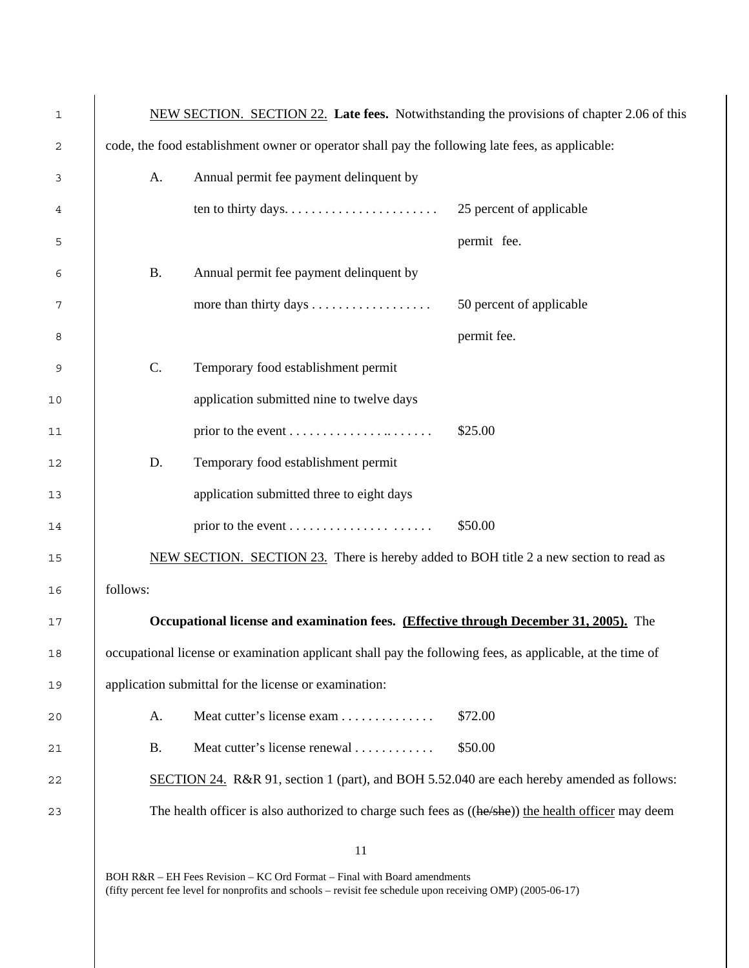| 1  |           | NEW SECTION. SECTION 22. Late fees. Notwithstanding the provisions of chapter 2.06 of this                |                          |
|----|-----------|-----------------------------------------------------------------------------------------------------------|--------------------------|
| 2  |           | code, the food establishment owner or operator shall pay the following late fees, as applicable:          |                          |
| 3  | A.        | Annual permit fee payment delinquent by                                                                   |                          |
| 4  |           | ten to thirty days. $\dots \dots \dots \dots \dots \dots \dots$                                           | 25 percent of applicable |
| 5  |           |                                                                                                           | permit fee.              |
| 6  | <b>B.</b> | Annual permit fee payment delinquent by                                                                   |                          |
| 7  |           |                                                                                                           | 50 percent of applicable |
| 8  |           |                                                                                                           | permit fee.              |
| 9  | C.        | Temporary food establishment permit                                                                       |                          |
| 10 |           | application submitted nine to twelve days                                                                 |                          |
| 11 |           |                                                                                                           | \$25.00                  |
| 12 | D.        | Temporary food establishment permit                                                                       |                          |
| 13 |           | application submitted three to eight days                                                                 |                          |
| 14 |           |                                                                                                           | \$50.00                  |
| 15 |           | NEW SECTION. SECTION 23. There is hereby added to BOH title 2 a new section to read as                    |                          |
| 16 | follows:  |                                                                                                           |                          |
| 17 |           | Occupational license and examination fees. (Effective through December 31, 2005). The                     |                          |
| 18 |           | occupational license or examination applicant shall pay the following fees, as applicable, at the time of |                          |
| 19 |           | application submittal for the license or examination:                                                     |                          |
| 20 | A.        | Meat cutter's license exam                                                                                | \$72.00                  |
| 21 | <b>B.</b> | Meat cutter's license renewal                                                                             | \$50.00                  |
| 22 |           | SECTION 24. R&R 91, section 1 (part), and BOH 5.52.040 are each hereby amended as follows:                |                          |
| 23 |           | The health officer is also authorized to charge such fees as ((he/she)) the health officer may deem       |                          |
|    |           |                                                                                                           |                          |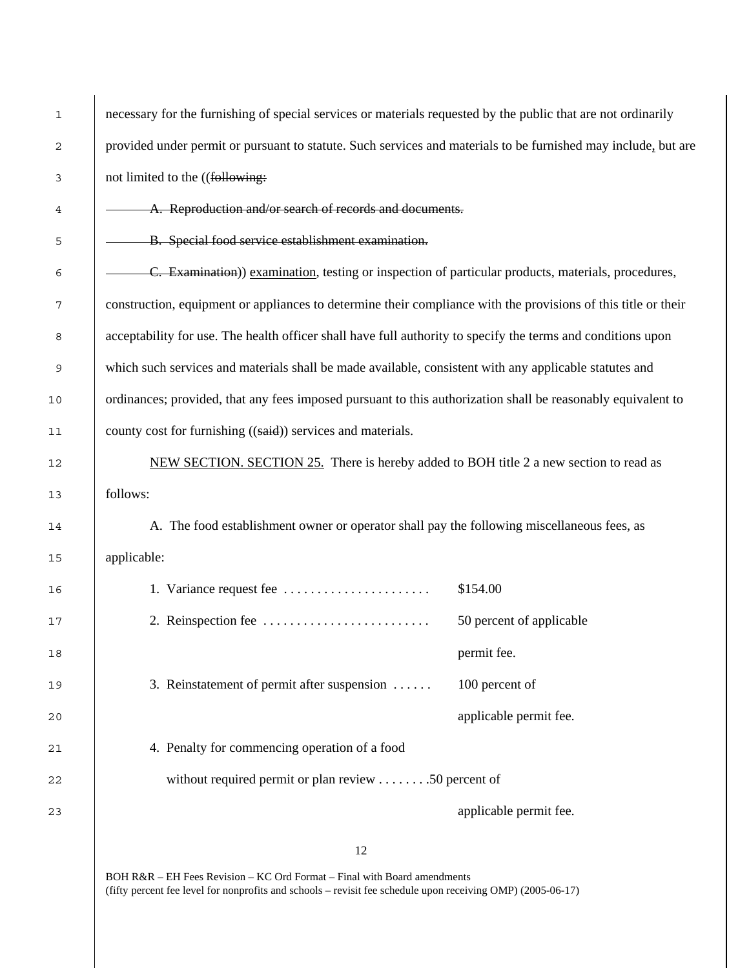| 1  | necessary for the furnishing of special services or materials requested by the public that are not ordinarily  |                          |  |
|----|----------------------------------------------------------------------------------------------------------------|--------------------------|--|
| 2  | provided under permit or pursuant to statute. Such services and materials to be furnished may include, but are |                          |  |
| 3  | not limited to the ((following:                                                                                |                          |  |
| 4  | A. Reproduction and/or search of records and documents.                                                        |                          |  |
| 5  | B. Special food service establishment examination.                                                             |                          |  |
| 6  | C. Examination) examination, testing or inspection of particular products, materials, procedures,              |                          |  |
| 7  | construction, equipment or appliances to determine their compliance with the provisions of this title or their |                          |  |
| 8  | acceptability for use. The health officer shall have full authority to specify the terms and conditions upon   |                          |  |
| 9  | which such services and materials shall be made available, consistent with any applicable statutes and         |                          |  |
| 10 | ordinances; provided, that any fees imposed pursuant to this authorization shall be reasonably equivalent to   |                          |  |
| 11 | county cost for furnishing ((said)) services and materials.                                                    |                          |  |
| 12 | NEW SECTION. SECTION 25. There is hereby added to BOH title 2 a new section to read as                         |                          |  |
| 13 | follows:                                                                                                       |                          |  |
| 14 | A. The food establishment owner or operator shall pay the following miscellaneous fees, as                     |                          |  |
| 15 | applicable:                                                                                                    |                          |  |
| 16 | 1. Variance request fee                                                                                        | \$154.00                 |  |
| 17 | 2. Reinspection fee                                                                                            | 50 percent of applicable |  |
| 18 |                                                                                                                | permit fee.              |  |
| 19 | 3. Reinstatement of permit after suspension                                                                    | 100 percent of           |  |
| 20 |                                                                                                                | applicable permit fee.   |  |
| 21 | 4. Penalty for commencing operation of a food                                                                  |                          |  |
| 22 | without required permit or plan review $\dots \dots \dots 50$ percent of                                       |                          |  |
| 23 |                                                                                                                | applicable permit fee.   |  |
|    |                                                                                                                |                          |  |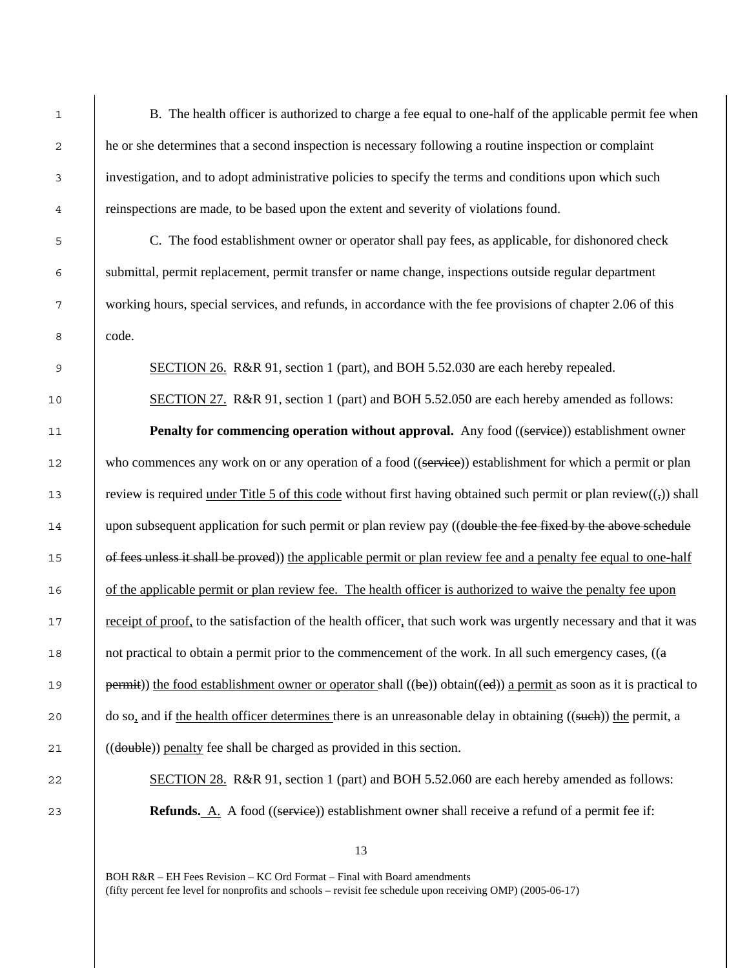1 B. The health officer is authorized to charge a fee equal to one-half of the applicable permit fee when 2 he or she determines that a second inspection is necessary following a routine inspection or complaint 3 investigation, and to adopt administrative policies to specify the terms and conditions upon which such 4 reinspections are made, to be based upon the extent and severity of violations found. 5 C. The food establishment owner or operator shall pay fees, as applicable, for dishonored check 6 submittal, permit replacement, permit transfer or name change, inspections outside regular department 7 working hours, special services, and refunds, in accordance with the fee provisions of chapter 2.06 of this 8 code. 9 SECTION 26. R&R 91, section 1 (part), and BOH 5.52.030 are each hereby repealed. 10 SECTION 27. R&R 91, section 1 (part) and BOH 5.52.050 are each hereby amended as follows: 11 **Penalty for commencing operation without approval.** Any food ((service)) establishment owner 12 who commences any work on or any operation of a food ((service)) establishment for which a permit or plan 13 review is required under Title 5 of this code without first having obtained such permit or plan review( $\zeta$ ) shall 14 upon subsequent application for such permit or plan review pay ((double the fee fixed by the above schedule 15 of fees unless it shall be proved)) the applicable permit or plan review fee and a penalty fee equal to one-half 16 of the applicable permit or plan review fee. The health officer is authorized to waive the penalty fee upon 17 receipt of proof, to the satisfaction of the health officer, that such work was urgently necessary and that it was 18 not practical to obtain a permit prior to the commencement of the work. In all such emergency cases, ((a) 19 permit)) the food establishment owner or operator shall  $((be))$  obtain $((ed))$  a permit as soon as it is practical to 20 do so, and if the health officer determines there is an unreasonable delay in obtaining ((such)) the permit, a 21 ((double)) penalty fee shall be charged as provided in this section. 22 SECTION 28. R&R 91, section 1 (part) and BOH 5.52.060 are each hereby amended as follows: **Refunds.** A. A food ((service)) establishment owner shall receive a refund of a permit fee if: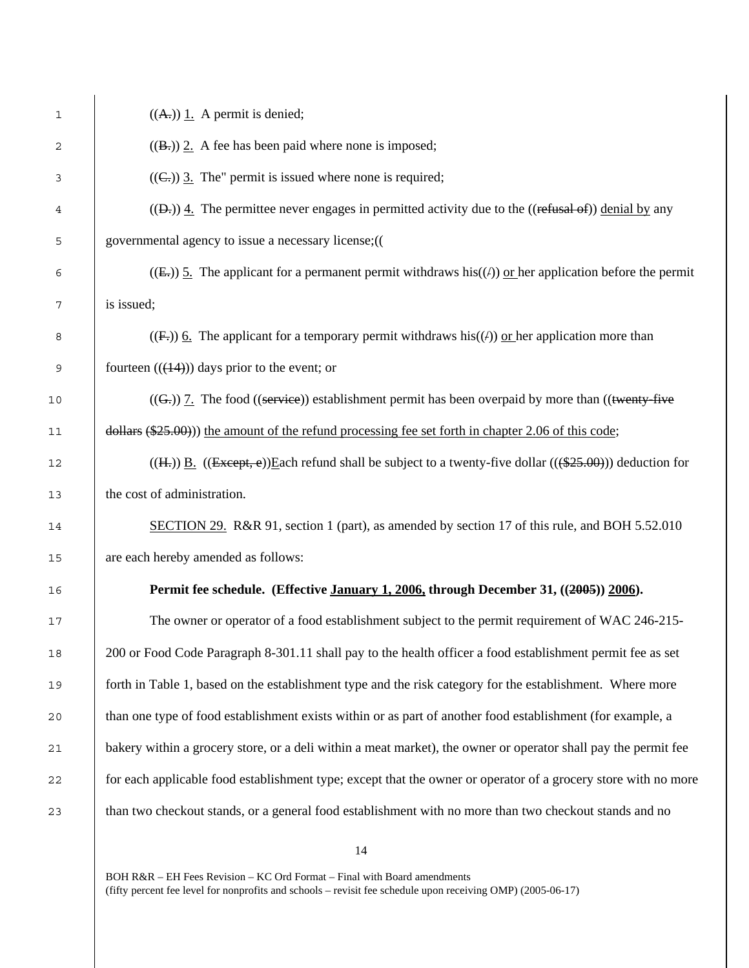| 1    | $((A))$ 1. A permit is denied;                                                                                     |
|------|--------------------------------------------------------------------------------------------------------------------|
| 2    | $((B))$ 2. A fee has been paid where none is imposed;                                                              |
| 3    | $((\text{C})\,3.$ The" permit is issued where none is required;                                                    |
| 4    | $((\theta)$ ) 4. The permittee never engages in permitted activity due to the ((refusal of)) denial by any         |
| 5    | governmental agency to issue a necessary license;((                                                                |
| 6    | $((E_r))$ 5. The applicant for a permanent permit withdraws his $((f_r))$ or her application before the permit     |
| 7    | is issued;                                                                                                         |
| 8    | $((Fz))$ 6. The applicant for a temporary permit withdraws his $((fz))$ or her application more than               |
| 9    | fourteen $((44))$ days prior to the event; or                                                                      |
| 10   | $((Gz))$ 7. The food ((service)) establishment permit has been overpaid by more than ((twenty-five                 |
| 11   | $\left(\frac{1}{25.00}\right)$ the amount of the refund processing fee set forth in chapter 2.06 of this code;     |
| 12   | $((H))$ B. $((\text{Except}, e))$ Each refund shall be subject to a twenty-five dollar $((\$25.00))$ deduction for |
| 13   | the cost of administration.                                                                                        |
| 14   | SECTION 29. R&R 91, section 1 (part), as amended by section 17 of this rule, and BOH 5.52.010                      |
| 15   | are each hereby amended as follows:                                                                                |
| 16   | Permit fee schedule. (Effective January 1, 2006, through December 31, ((2005)) 2006).                              |
| 17   | The owner or operator of a food establishment subject to the permit requirement of WAC 246-215-                    |
| $18$ | 200 or Food Code Paragraph 8-301.11 shall pay to the health officer a food establishment permit fee as set         |
| 19   | forth in Table 1, based on the establishment type and the risk category for the establishment. Where more          |
| 20   | than one type of food establishment exists within or as part of another food establishment (for example, a         |
| 21   | bakery within a grocery store, or a deli within a meat market), the owner or operator shall pay the permit fee     |
| 22   | for each applicable food establishment type; except that the owner or operator of a grocery store with no more     |
| 23   | than two checkout stands, or a general food establishment with no more than two checkout stands and no             |
|      |                                                                                                                    |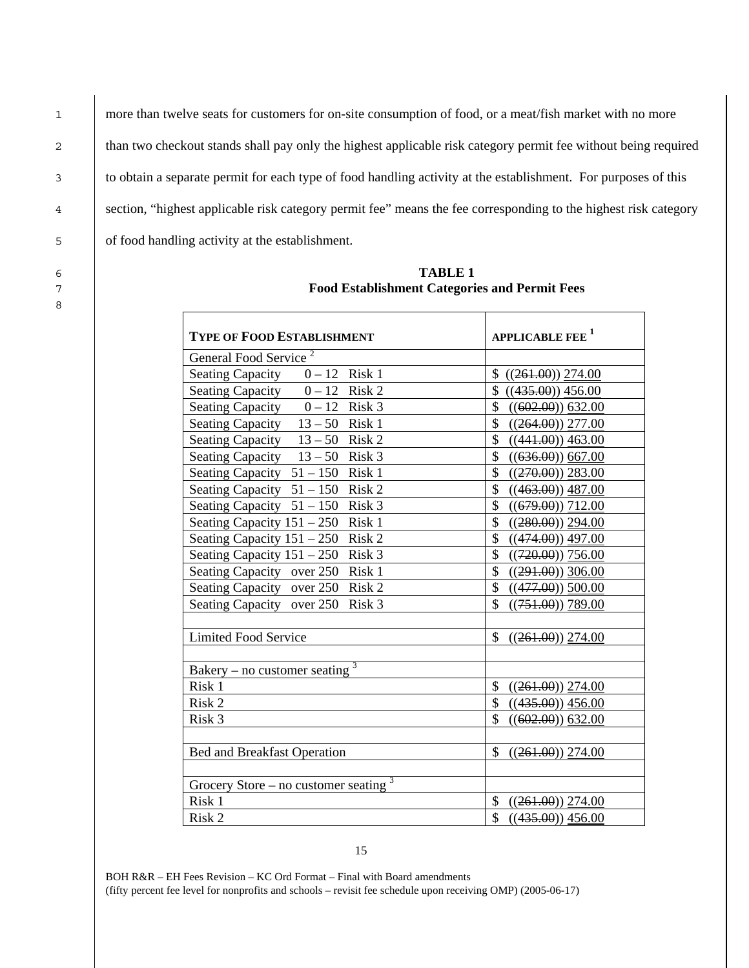1 more than twelve seats for customers for on-site consumption of food, or a meat/fish market with no more 2 than two checkout stands shall pay only the highest applicable risk category permit fee without being required 3 to obtain a separate permit for each type of food handling activity at the establishment. For purposes of this 4 section, "highest applicable risk category permit fee" means the fee corresponding to the highest risk category 5 of food handling activity at the establishment.

**TYPE OF FOOD ESTABLISHMENT APPLICABLE FEE <sup>1</sup>** General Food Service<sup>2</sup> Seating Capacity  $0 - 12$  Risk 1  $\frac{1}{2}$  ((261.00)) 274.00 Seating Capacity  $0 - 12$  Risk 2  $\left| \oint \right| \left( \frac{(435.00)}{25.00} \right)$  456.00 Seating Capacity  $0 - 12$  Risk 3  $\frac{(602.00)}{2}$  (602.00) 632.00 Seating Capacity  $13 - 50$  Risk 1  $\frac{(264.00)}{277.00}$ Seating Capacity  $13 - 50$  Risk 2  $\frac{(441.00)}{2} \frac{463.00}{2}$ Seating Capacity  $13 - 50$  Risk 3  $\frac{1}{5}$  ((636.00)) 667.00 Seating Capacity  $51 - 150$  Risk 1  $\frac{1}{10}$  ((270.00)) 283.00 Seating Capacity  $51 - 150$  Risk 2  $\left( \frac{\$ (463.00)}{2} \right) \frac{487.00}{487.00}$ Seating Capacity  $51 - 150$  Risk 3  $\frac{1}{1200}$  ((679.00)) 712.00 Seating Capacity  $151 - 250$  Risk 1  $\frac{1}{10}$  ((280.00)) 294.00 Seating Capacity  $151 - 250$  Risk 2  $\left| \frac{1}{2}(474.00) \right|$  497.00 Seating Capacity  $151 - 250$  Risk 3  $\left| \frac{1}{20.00} \right|$  ((720.00)) 756.00 Seating Capacity over 250 Risk 1  $\frac{(291.00)}{206.00}$ Seating Capacity over 250 Risk 2  $\frac{1}{5}$  ((477.00)) 500.00 Seating Capacity over 250 Risk 3  $\frac{1}{\sqrt{51.00}}$  ((751.00) 789.00 Limited Food Service  $\frac{1}{261.00}$  ((261.00)) 274.00 Bakery – no customer seating  $3$ Risk 1  $\left| \frac{\$}{\(261.00)} \right| \frac{274.00}{274.00}$ Risk 2  $\left| \frac{1}{2} \right| \left( \frac{(435.00)}{435.00} \right) 456.00$ Risk 3  $(602.00)$  632.00 Bed and Breakfast Operation  $\left| \int \frac{1}{\pi} \frac{1}{(261.00)} 274.00 \right|$ Grocery Store – no customer seating  $3$ Risk 1  $\left| \frac{1}{261.00} \right| \frac{274.00}{274.00}$ Risk 2  $\left| \frac{\$}{} \right| \left( \frac{(435.00)}{435.00} \right)$  456.00

6 **TABLE 1**  7 **Food Establishment Categories and Permit Fees** 

BOH R&R – EH Fees Revision – KC Ord Format – Final with Board amendments (fifty percent fee level for nonprofits and schools – revisit fee schedule upon receiving OMP) (2005-06-17)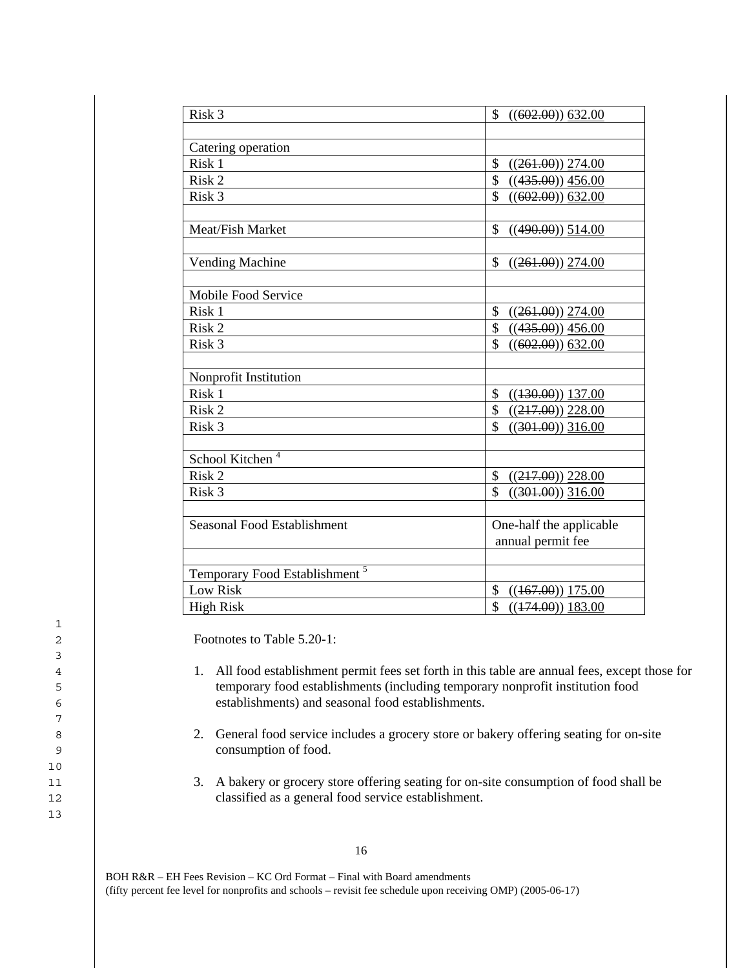| Risk 3                                    | \$<br>$((602.00))$ 632.00                 |
|-------------------------------------------|-------------------------------------------|
|                                           |                                           |
| Catering operation                        |                                           |
| Risk 1                                    | \$<br>$((261.00))$ 274.00                 |
| Risk 2                                    | $\mathbf{\hat{S}}$<br>$((435.00))$ 456.00 |
| Risk 3                                    | \$<br>$((602.00))$ 632.00                 |
|                                           |                                           |
| Meat/Fish Market                          | \$<br>$((490.00))$ 514.00                 |
|                                           |                                           |
| <b>Vending Machine</b>                    | \$<br>$((261.00))$ 274.00                 |
|                                           |                                           |
| Mobile Food Service                       |                                           |
| Risk 1                                    | \$<br>$((261.00))$ 274.00                 |
| Risk 2                                    | \$<br>$((435.00))$ 456.00                 |
| Risk 3                                    | \$<br>$((602.00))$ 632.00                 |
| Nonprofit Institution                     |                                           |
| Risk 1                                    | \$<br>$((130.00))$ 137.00                 |
| Risk 2                                    | \$<br>$((217.00))$ 228.00                 |
| Risk 3                                    | \$<br>$((301.00))$ 316.00                 |
|                                           |                                           |
| School Kitchen <sup>4</sup>               |                                           |
| Risk 2                                    | \$<br>$((217.00))$ 228.00                 |
| Risk 3                                    | $\mathbf{\hat{S}}$<br>$((301.00))$ 316.00 |
|                                           |                                           |
| Seasonal Food Establishment               | One-half the applicable                   |
|                                           | annual permit fee                         |
|                                           |                                           |
| Temporary Food Establishment <sup>5</sup> |                                           |
| <b>Low Risk</b>                           | \$<br>$((167.00))$ 175.00                 |
| <b>High Risk</b>                          | \$<br>$((174.00))$ 183.00                 |

2 Footnotes to Table 5.20-1:

- 4 1. All food establishment permit fees set forth in this table are annual fees, except those for 5 temporary food establishments (including temporary nonprofit institution food 6 establishments) and seasonal food establishments.
- 8 2. General food service includes a grocery store or bakery offering seating for on-site 9 consumption of food.
- 11 3. A bakery or grocery store offering seating for on-site consumption of food shall be 12 classified as a general food service establishment.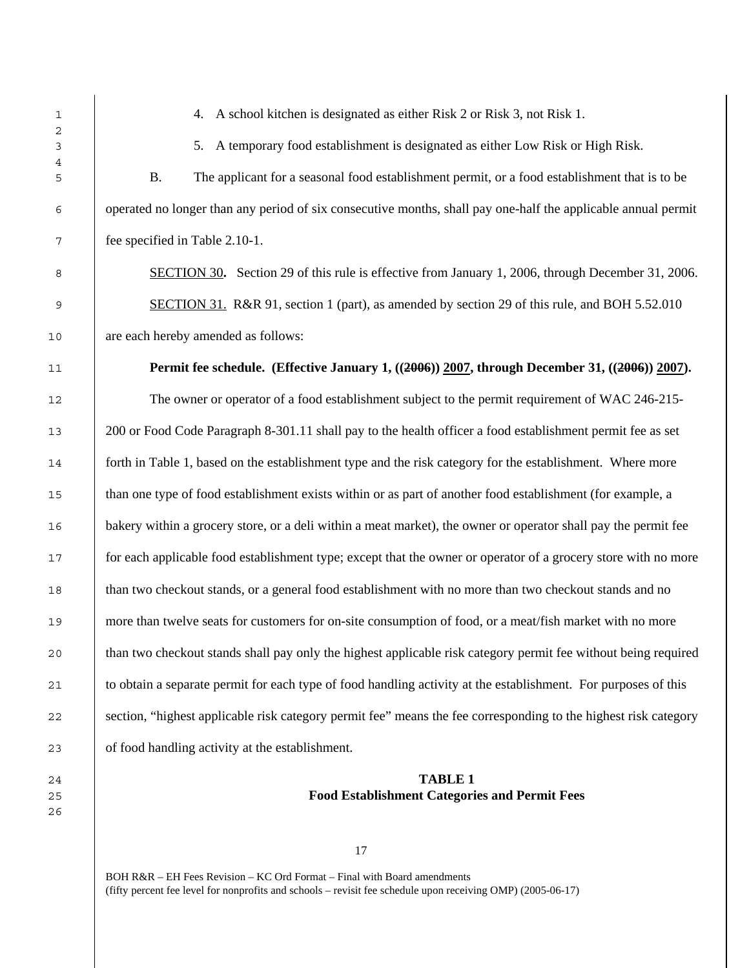4. A school kitchen is designated as either Risk 2 or Risk 3, not Risk 1.

5. A temporary food establishment is designated as either Low Risk or High Risk.

B. The applicant for a seasonal food establishment permit, or a food establishment that is to be operated no longer than any period of six consecutive months, shall pay one-half the applicable annual permit fee specified in Table 2.10-1.

SECTION 30**.** Section 29 of this rule is effective from January 1, 2006, through December 31, 2006. 9 SECTION 31. R&R 91, section 1 (part), as amended by section 29 of this rule, and BOH 5.52.010 10 are each hereby amended as follows:

**Permit fee schedule. (Effective January 1, ((2006)) 2007, through December 31, ((2006)) 2007).** 12 The owner or operator of a food establishment subject to the permit requirement of WAC 246-215-200 or Food Code Paragraph 8-301.11 shall pay to the health officer a food establishment permit fee as set 14 forth in Table 1, based on the establishment type and the risk category for the establishment. Where more than one type of food establishment exists within or as part of another food establishment (for example, a bakery within a grocery store, or a deli within a meat market), the owner or operator shall pay the permit fee 17 for each applicable food establishment type; except that the owner or operator of a grocery store with no more 18 than two checkout stands, or a general food establishment with no more than two checkout stands and no more than twelve seats for customers for on-site consumption of food, or a meat/fish market with no more 20 than two checkout stands shall pay only the highest applicable risk category permit fee without being required 21 to obtain a separate permit for each type of food handling activity at the establishment. For purposes of this 22 Section, "highest applicable risk category permit fee" means the fee corresponding to the highest risk category of food handling activity at the establishment.

## **TABLE 1 Food Establishment Categories and Permit Fees**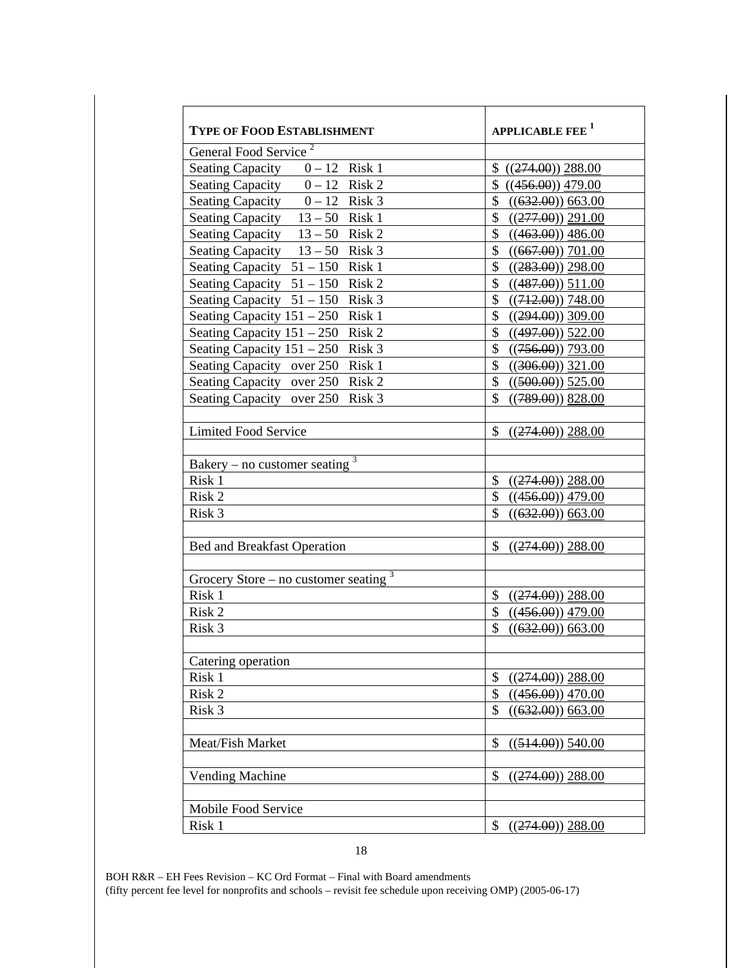| <b>TYPE OF FOOD ESTABLISHMENT</b>       | <b>APPLICABLE FEE<sup>1</sup></b>                |
|-----------------------------------------|--------------------------------------------------|
| General Food Service <sup>2</sup>       |                                                  |
| Seating Capacity $0-12$ Risk 1          | \$(274.00) 288.00                                |
| Seating Capacity $0-12$ Risk 2          | \$(456.00) 479.00                                |
| Seating Capacity $0 - 12$ Risk 3        | $% ((632.00))$ 663.00                            |
| Seating Capacity $13 - 50$ Risk 1       | \$(277.00) 291.00                                |
| Seating Capacity $13-50$ Risk 2         | \$<br>$((463.00))$ 486.00                        |
| Seating Capacity $13-50$ Risk 3         | $\boldsymbol{\mathsf{S}}$<br>$((667.00))$ 701.00 |
| Seating Capacity $51 - 150$ Risk 1      | \$<br>$((283.00))$ 298.00                        |
| Seating Capacity $51 - 150$ Risk 2      | \$<br>$((487.00))$ 511.00                        |
| Seating Capacity $51 - 150$ Risk 3      | \$<br>$((712.00))$ 748.00                        |
| Seating Capacity 151 - 250 Risk 1       | $\mathcal{S}$<br>$((294.00))$ 309.00             |
| Seating Capacity $151 - 250$ Risk 2     | \$<br>$((497.00))$ 522.00                        |
| Seating Capacity $151 - 250$ Risk 3     | \$(756.00) 793.00                                |
| Seating Capacity over 250 Risk 1        | \$(306.00) 321.00                                |
| Seating Capacity over 250 Risk 2        | $\mathcal{S}$<br>$((500.00))$ 525.00             |
| Seating Capacity over 250 Risk 3        | $\mathbb{S}$<br>$((789.00))$ 828.00              |
|                                         |                                                  |
| <b>Limited Food Service</b>             | \$(274.00) 288.00                                |
| Bakery – no customer seating $3$        |                                                  |
| Risk 1                                  | \$(274.00) 288.00                                |
| Risk 2                                  | \$(456.00) 479.00                                |
| Risk 3                                  | $\mathcal{S}$<br>$((632.00))$ 663.00             |
|                                         |                                                  |
| <b>Bed and Breakfast Operation</b>      | \$<br>$((274.00))$ 288.00                        |
| Grocery Store – no customer seating $3$ |                                                  |
| Risk 1                                  | \$(274.00) 288.00                                |
| Risk 2                                  | \$<br>$((456.00))$ 479.00                        |
| Risk 3                                  | \$<br>$((632.00))$ 663.00                        |
|                                         |                                                  |
| Catering operation                      |                                                  |
| Risk 1                                  | \$<br>$((274.00))$ 288.00                        |
| Risk 2                                  | \$<br>$((456.00))$ 470.00                        |
| Risk 3                                  | $\mathsf{\$}$<br>$((632.00))$ 663.00             |
| Meat/Fish Market                        | \$<br>$((514.00))$ 540.00                        |
| Vending Machine                         | \$<br>$((274.00))$ 288.00                        |
| Mobile Food Service                     |                                                  |
| Risk 1                                  | \$<br>$((274.00))$ 288.00                        |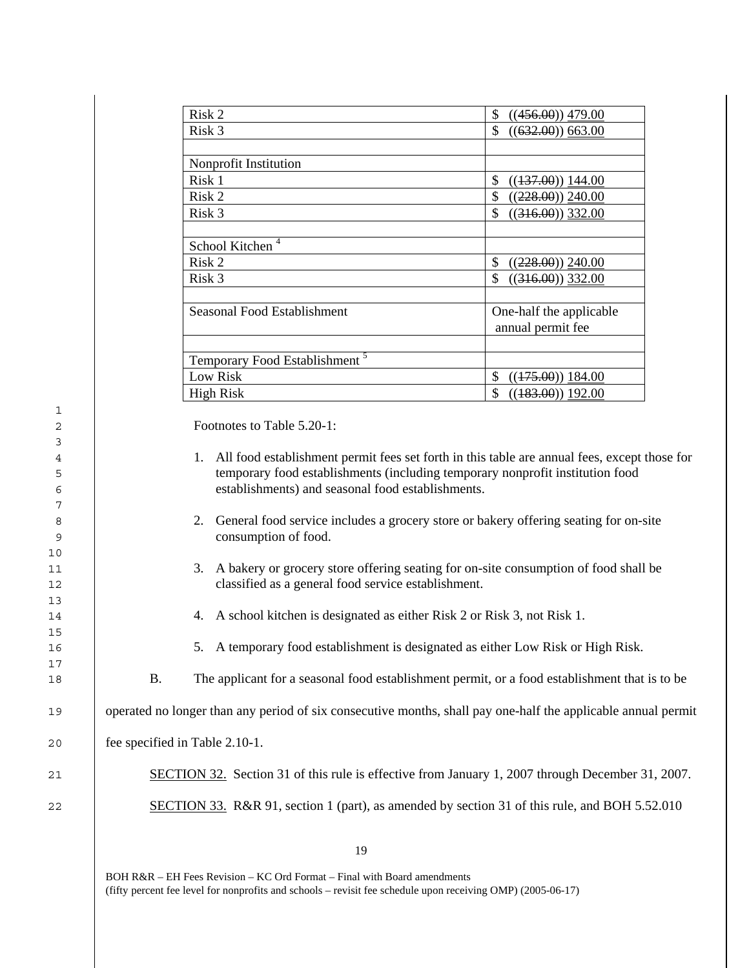|          |           | Risk 2                                                                                                                             | \$<br>$((456.00))$ 479.00            |
|----------|-----------|------------------------------------------------------------------------------------------------------------------------------------|--------------------------------------|
|          |           | Risk 3                                                                                                                             | \$<br>$((632.00))$ 663.00            |
|          |           |                                                                                                                                    |                                      |
|          |           | Nonprofit Institution                                                                                                              |                                      |
|          |           | Risk 1                                                                                                                             | \$<br>$((137.00))$ 144.00            |
|          |           | Risk 2                                                                                                                             | \$<br>$((228.00))$ 240.00            |
|          |           | Risk 3                                                                                                                             | \$                                   |
|          |           |                                                                                                                                    | $((316.00))$ 332.00                  |
|          |           | School Kitchen $4$                                                                                                                 |                                      |
|          |           | Risk 2                                                                                                                             | \$<br>$((228.00))$ 240.00            |
|          |           | Risk 3                                                                                                                             | $\mathcal{S}$<br>$((316.00))$ 332.00 |
|          |           |                                                                                                                                    |                                      |
|          |           | Seasonal Food Establishment                                                                                                        |                                      |
|          |           |                                                                                                                                    | One-half the applicable              |
|          |           |                                                                                                                                    | annual permit fee                    |
|          |           | Temporary Food Establishment <sup>5</sup>                                                                                          |                                      |
|          |           | Low Risk                                                                                                                           | \$<br>$((175.00))$ 184.00            |
|          |           | <b>High Risk</b>                                                                                                                   | \$<br>$((183.00))$ 192.00            |
|          |           |                                                                                                                                    |                                      |
| 1<br>2   |           | Footnotes to Table 5.20-1:                                                                                                         |                                      |
| 3        |           |                                                                                                                                    |                                      |
| 4        |           | All food establishment permit fees set forth in this table are annual fees, except those for<br>1.                                 |                                      |
| 5        |           | temporary food establishments (including temporary nonprofit institution food<br>establishments) and seasonal food establishments. |                                      |
| 6        |           |                                                                                                                                    |                                      |
| 7        |           | General food service includes a grocery store or bakery offering seating for on-site<br>2.                                         |                                      |
| 8        |           | consumption of food.                                                                                                               |                                      |
| 9        |           |                                                                                                                                    |                                      |
| 10<br>11 |           | 3. A bakery or grocery store offering seating for on-site consumption of food shall be                                             |                                      |
| 12       |           | classified as a general food service establishment.                                                                                |                                      |
| 13       |           |                                                                                                                                    |                                      |
| 14       |           | 4. A school kitchen is designated as either Risk 2 or Risk 3, not Risk 1.                                                          |                                      |
| 15       |           |                                                                                                                                    |                                      |
| 16       |           | 5. A temporary food establishment is designated as either Low Risk or High Risk.                                                   |                                      |
| 17       |           |                                                                                                                                    |                                      |
| 18       | <b>B.</b> | The applicant for a seasonal food establishment permit, or a food establishment that is to be                                      |                                      |
|          |           |                                                                                                                                    |                                      |
| 19       |           | operated no longer than any period of six consecutive months, shall pay one-half the applicable annual permit                      |                                      |
| 20       |           | fee specified in Table 2.10-1.                                                                                                     |                                      |
| 21       |           | SECTION 32. Section 31 of this rule is effective from January 1, 2007 through December 31, 2007.                                   |                                      |
| 22       |           | SECTION 33. R&R 91, section 1 (part), as amended by section 31 of this rule, and BOH 5.52.010                                      |                                      |
|          |           |                                                                                                                                    |                                      |
|          |           |                                                                                                                                    |                                      |

10

13

15

17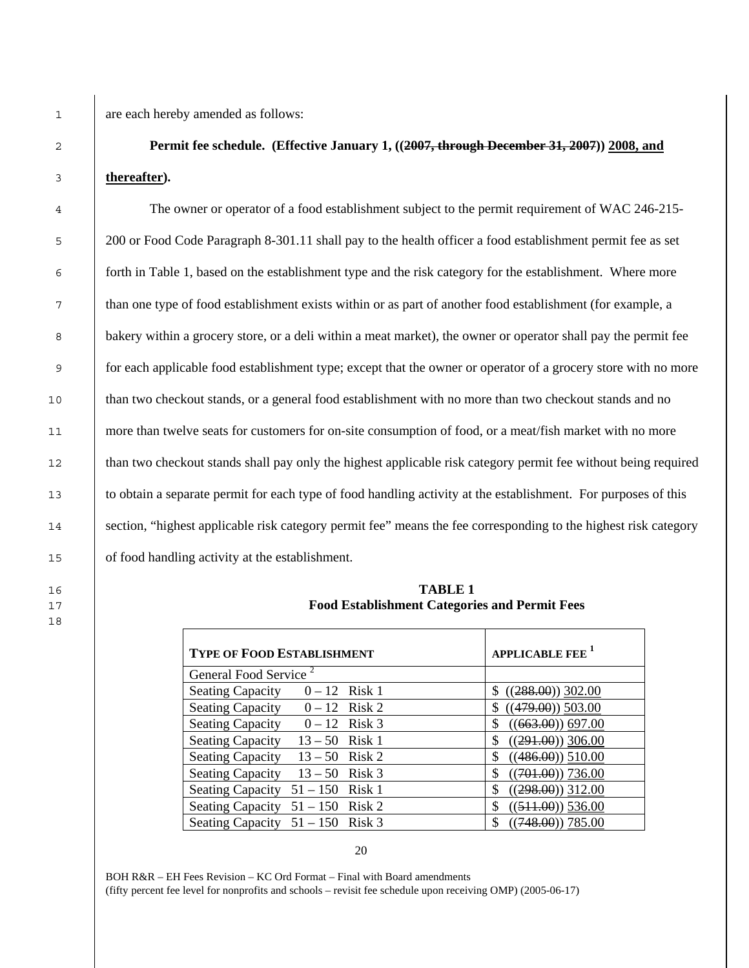1 are each hereby amended as follows:

2 **Permit fee schedule. (Effective January 1, ((2007, through December 31, 2007)) 2008, and**  3 **thereafter).**

The owner or operator of a food establishment subject to the permit requirement of WAC 246-215- 200 or Food Code Paragraph 8-301.11 shall pay to the health officer a food establishment permit fee as set forth in Table 1, based on the establishment type and the risk category for the establishment. Where more than one type of food establishment exists within or as part of another food establishment (for example, a bakery within a grocery store, or a deli within a meat market), the owner or operator shall pay the permit fee for each applicable food establishment type; except that the owner or operator of a grocery store with no more 10 than two checkout stands, or a general food establishment with no more than two checkout stands and no 11 more than twelve seats for customers for on-site consumption of food, or a meat/fish market with no more 12 than two checkout stands shall pay only the highest applicable risk category permit fee without being required to obtain a separate permit for each type of food handling activity at the establishment. For purposes of this 14 section, "highest applicable risk category permit fee" means the fee corresponding to the highest risk category of food handling activity at the establishment.

| <b>TYPE OF FOOD ESTABLISHMENT</b>           | <b>APPLICABLE FEE<sup>1</sup></b> |
|---------------------------------------------|-----------------------------------|
| General Food Service <sup>2</sup>           |                                   |
| Seating Capacity $0 - 12$ Risk 1            | $$(288.00)$ 302.00                |
| Seating Capacity $0 - 12$ Risk 2            | \$(479.00) 503.00                 |
| Seating Capacity $0 - 12$ Risk 3            | $((663.00))$ 697.00               |
| <b>Seating Capacity</b><br>$13 - 50$ Risk 1 | $((291.00))$ 306.00               |
| <b>Seating Capacity</b><br>$13 - 50$ Risk 2 | $((486.00))$ 510.00               |
| Seating Capacity $13-50$ Risk 3             | $((701.00))$ 736.00               |
| Seating Capacity $51 - 150$ Risk 1          | $((298.00))$ 312.00               |
| Seating Capacity $51 - 150$ Risk 2          | $((511.00))$ 536.00               |
| Seating Capacity $51 - 150$ Risk 3          | $((748.00))$ 785.00               |

16 **TABLE 1**  17 **Food Establishment Categories and Permit Fees** 

<sup>20</sup>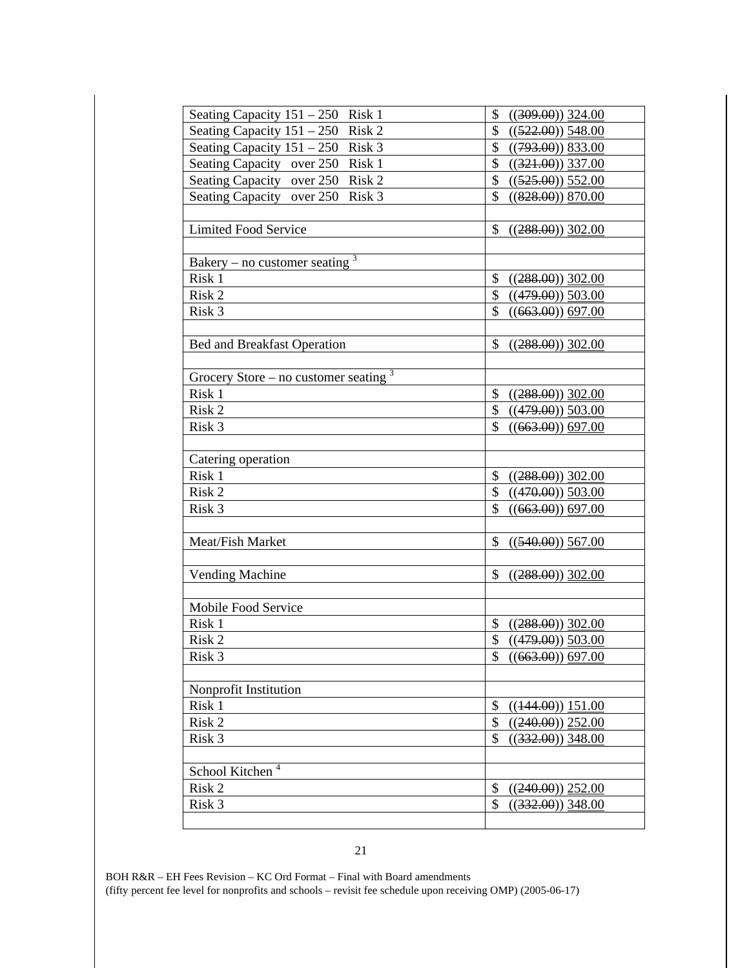| Seating Capacity 151 - 250 Risk 1       | \$<br>$((309.00))$ 324.00            |
|-----------------------------------------|--------------------------------------|
| Seating Capacity $151 - 250$ Risk 2     | \$<br>$((522.00))$ 548.00            |
| Seating Capacity $151 - 250$ Risk 3     | \$<br>$((793.00))$ 833.00            |
| Seating Capacity over 250 Risk 1        | \$(321.00) 337.00                    |
| Seating Capacity over 250 Risk 2        | \$((525.00)) 552.00                  |
| Seating Capacity over 250 Risk 3        | $\mathbb{S}$<br>$((828.00))$ 870.00  |
|                                         |                                      |
| <b>Limited Food Service</b>             | \$<br>$((288.00))$ 302.00            |
|                                         |                                      |
| Bakery – no customer seating $3$        |                                      |
| Risk 1                                  | \$<br>$((288.00))$ 302.00            |
| Risk 2                                  | \$<br>$((479.00))$ 503.00            |
| Risk 3                                  | \$<br>$((663.00))$ 697.00            |
|                                         |                                      |
| <b>Bed and Breakfast Operation</b>      | \$<br>$((288.00))$ 302.00            |
|                                         |                                      |
| Grocery Store – no customer seating $3$ |                                      |
| Risk 1                                  | \$<br>$((288.00))$ 302.00            |
| Risk 2                                  | \$<br>$((479.00))$ 503.00            |
| Risk 3                                  | \$<br>$((663.00))$ 697.00            |
|                                         |                                      |
| Catering operation                      |                                      |
| Risk 1                                  | \$<br>$((288.00))$ 302.00            |
| Risk 2                                  | \$<br>$((470.00))$ 503.00            |
| Risk 3                                  | \$<br>$((663.00))$ 697.00            |
|                                         |                                      |
| Meat/Fish Market                        | $\mathcal{S}$<br>$((540.00))$ 567.00 |
|                                         |                                      |
| <b>Vending Machine</b>                  | \$<br>$((288.00))$ 302.00            |
|                                         |                                      |
| Mobile Food Service                     |                                      |
| Risk 1                                  | \$<br>$((288.00))$ 302.00            |
| Risk 2                                  | \$<br>$((479.00))$ 503.00            |
| Risk 3                                  | \$<br>$((663.00))$ 697.00            |
|                                         |                                      |
| Nonprofit Institution                   |                                      |
| Risk 1                                  | \$<br>$((144.00))$ 151.00            |
| Risk 2                                  | \$<br>$((240.00))$ 252.00            |
| Risk 3                                  | \$<br>$((332.00))$ 348.00            |
|                                         |                                      |
| School Kitchen <sup>4</sup>             |                                      |
| Risk 2                                  | \$<br>$((240.00))$ 252.00            |
| Risk 3                                  | \$<br>$((332.00))$ 348.00            |
|                                         |                                      |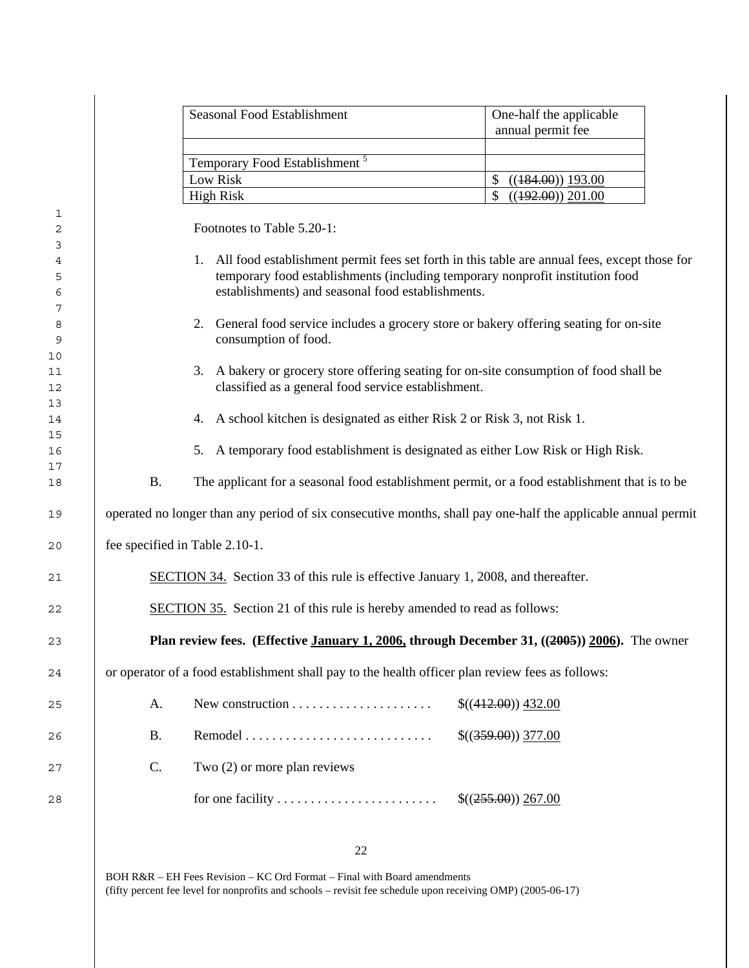|                                                                                         |           | Seasonal Food Establishment                                                                                                                                                                                                                                                                                                                                                                                                                                                                                                                                                                                                                                                                                          | One-half the applicable<br>annual permit fee |
|-----------------------------------------------------------------------------------------|-----------|----------------------------------------------------------------------------------------------------------------------------------------------------------------------------------------------------------------------------------------------------------------------------------------------------------------------------------------------------------------------------------------------------------------------------------------------------------------------------------------------------------------------------------------------------------------------------------------------------------------------------------------------------------------------------------------------------------------------|----------------------------------------------|
|                                                                                         |           |                                                                                                                                                                                                                                                                                                                                                                                                                                                                                                                                                                                                                                                                                                                      |                                              |
|                                                                                         |           | Temporary Food Establishment <sup>5</sup><br>Low Risk                                                                                                                                                                                                                                                                                                                                                                                                                                                                                                                                                                                                                                                                | $\mathcal{S}$<br>$((184.00))$ 193.00         |
|                                                                                         |           | <b>High Risk</b>                                                                                                                                                                                                                                                                                                                                                                                                                                                                                                                                                                                                                                                                                                     | $\mathcal{S}$<br>$((192.00))$ 201.00         |
| 1<br>2<br>3<br>4<br>5<br>6<br>7<br>8<br>9<br>10<br>$11\,$<br>12<br>13<br>14<br>15<br>16 |           | Footnotes to Table 5.20-1:<br>All food establishment permit fees set forth in this table are annual fees, except those for<br>1.<br>temporary food establishments (including temporary nonprofit institution food<br>establishments) and seasonal food establishments.<br>General food service includes a grocery store or bakery offering seating for on-site<br>2.<br>consumption of food.<br>3. A bakery or grocery store offering seating for on-site consumption of food shall be<br>classified as a general food service establishment.<br>A school kitchen is designated as either Risk 2 or Risk 3, not Risk 1.<br>4.<br>A temporary food establishment is designated as either Low Risk or High Risk.<br>5. |                                              |
| $17$                                                                                    |           |                                                                                                                                                                                                                                                                                                                                                                                                                                                                                                                                                                                                                                                                                                                      |                                              |
| 18                                                                                      | <b>B.</b> | The applicant for a seasonal food establishment permit, or a food establishment that is to be                                                                                                                                                                                                                                                                                                                                                                                                                                                                                                                                                                                                                        |                                              |
| 19                                                                                      |           | operated no longer than any period of six consecutive months, shall pay one-half the applicable annual permit                                                                                                                                                                                                                                                                                                                                                                                                                                                                                                                                                                                                        |                                              |
| 20                                                                                      |           | fee specified in Table 2.10-1.                                                                                                                                                                                                                                                                                                                                                                                                                                                                                                                                                                                                                                                                                       |                                              |
| 21                                                                                      |           | SECTION 34. Section 33 of this rule is effective January 1, 2008, and thereafter.                                                                                                                                                                                                                                                                                                                                                                                                                                                                                                                                                                                                                                    |                                              |
| 22                                                                                      |           | <b>SECTION 35.</b> Section 21 of this rule is hereby amended to read as follows:                                                                                                                                                                                                                                                                                                                                                                                                                                                                                                                                                                                                                                     |                                              |
| 23                                                                                      |           | Plan review fees. (Effective January 1, 2006, through December 31, ((2005)) 2006). The owner                                                                                                                                                                                                                                                                                                                                                                                                                                                                                                                                                                                                                         |                                              |
| 24                                                                                      |           | or operator of a food establishment shall pay to the health officer plan review fees as follows:                                                                                                                                                                                                                                                                                                                                                                                                                                                                                                                                                                                                                     |                                              |
| 25                                                                                      | A.        | New construction                                                                                                                                                                                                                                                                                                                                                                                                                                                                                                                                                                                                                                                                                                     | \$(412.00) 432.00                            |
| 26                                                                                      | <b>B.</b> |                                                                                                                                                                                                                                                                                                                                                                                                                                                                                                                                                                                                                                                                                                                      | \$(359.00) 377.00                            |
| 27                                                                                      | C.        | Two $(2)$ or more plan reviews                                                                                                                                                                                                                                                                                                                                                                                                                                                                                                                                                                                                                                                                                       |                                              |
| 28                                                                                      |           |                                                                                                                                                                                                                                                                                                                                                                                                                                                                                                                                                                                                                                                                                                                      |                                              |
|                                                                                         |           |                                                                                                                                                                                                                                                                                                                                                                                                                                                                                                                                                                                                                                                                                                                      |                                              |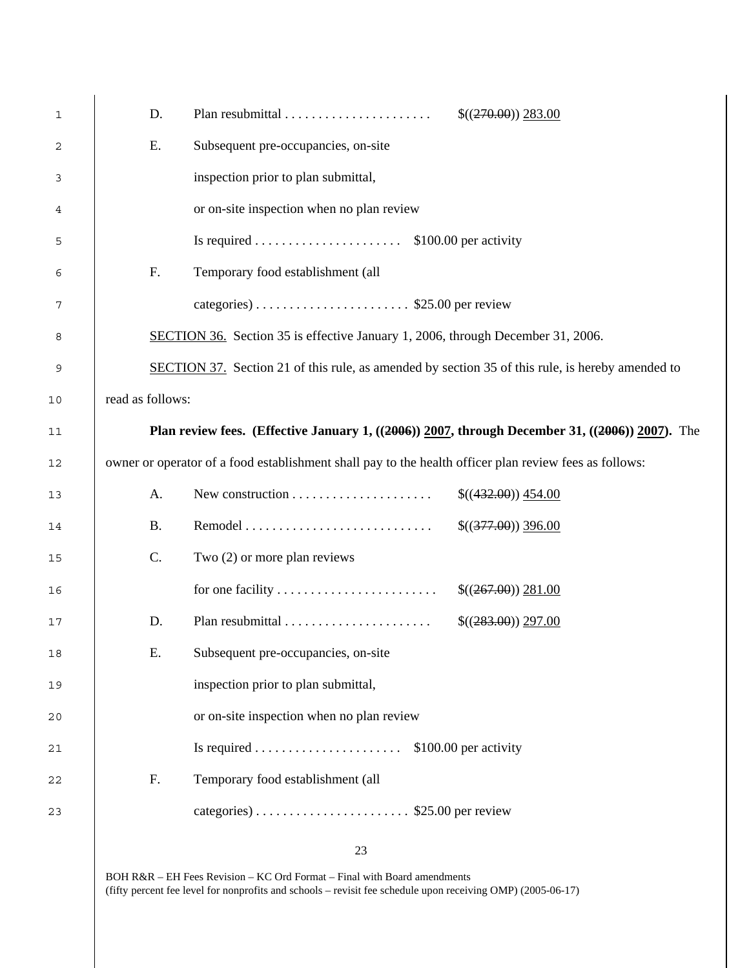| 1  | D.               | \$((270.00)) 283.00                                                                                     |
|----|------------------|---------------------------------------------------------------------------------------------------------|
| 2  | Ε.               | Subsequent pre-occupancies, on-site                                                                     |
| 3  |                  | inspection prior to plan submittal,                                                                     |
| 4  |                  | or on-site inspection when no plan review                                                               |
| 5  |                  |                                                                                                         |
| 6  | F.               | Temporary food establishment (all                                                                       |
| 7  |                  |                                                                                                         |
| 8  |                  | SECTION 36. Section 35 is effective January 1, 2006, through December 31, 2006.                         |
| 9  |                  | <b>SECTION 37.</b> Section 21 of this rule, as amended by section 35 of this rule, is hereby amended to |
| 10 | read as follows: |                                                                                                         |
| 11 |                  | Plan review fees. (Effective January 1, $((2006))$ 2007, through December 31, $((2006))$ 2007). The     |
| 12 |                  | owner or operator of a food establishment shall pay to the health officer plan review fees as follows:  |
| 13 | A.               | New construction $\dots\dots\dots\dots\dots\dots\dots$<br>\$(432.00) 454.00                             |
| 14 | <b>B.</b>        | $$(377.00)$ 396.00                                                                                      |
| 15 | C.               | Two $(2)$ or more plan reviews                                                                          |
| 16 |                  | \$((267.00)) 281.00                                                                                     |
| 17 | D.               | \$((283.00)) 297.00                                                                                     |
| 18 | E.               | Subsequent pre-occupancies, on-site                                                                     |
| 19 |                  | inspection prior to plan submittal,                                                                     |
| 20 |                  | or on-site inspection when no plan review                                                               |
| 21 |                  |                                                                                                         |
| 22 | F.               | Temporary food establishment (all                                                                       |
| 23 |                  |                                                                                                         |
|    |                  |                                                                                                         |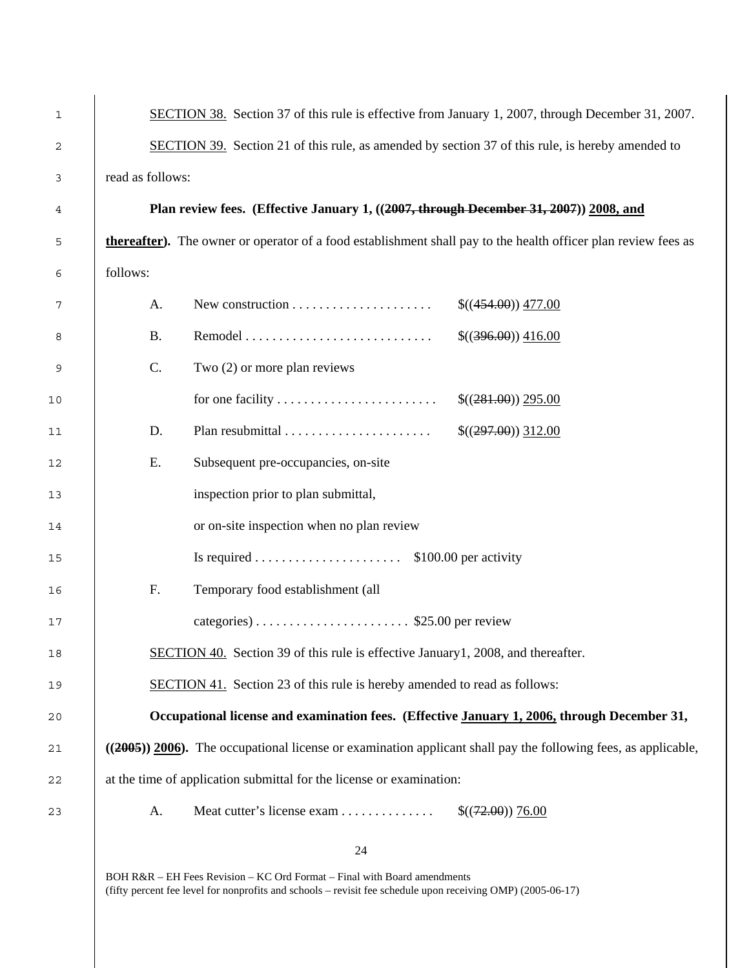| 1    |                                                                                                         | SECTION 38. Section 37 of this rule is effective from January 1, 2007, through December 31, 2007.                |
|------|---------------------------------------------------------------------------------------------------------|------------------------------------------------------------------------------------------------------------------|
| 2    | <b>SECTION 39.</b> Section 21 of this rule, as amended by section 37 of this rule, is hereby amended to |                                                                                                                  |
| 3    | read as follows:                                                                                        |                                                                                                                  |
| 4    |                                                                                                         | Plan review fees. (Effective January 1, ((2007, through December 31, 2007)) 2008, and                            |
| 5    |                                                                                                         | thereafter). The owner or operator of a food establishment shall pay to the health officer plan review fees as   |
| 6    | follows:                                                                                                |                                                                                                                  |
| 7    | A.                                                                                                      | \$(454.00) 477.00                                                                                                |
| 8    | <b>B.</b>                                                                                               | \$(396.00) 416.00                                                                                                |
| 9    | C.                                                                                                      | Two (2) or more plan reviews                                                                                     |
| 10   |                                                                                                         | \$((281.00)) 295.00                                                                                              |
| 11   | D.                                                                                                      | $$(297.00)$ 312.00                                                                                               |
| 12   | Ε.                                                                                                      | Subsequent pre-occupancies, on-site                                                                              |
| 13   |                                                                                                         | inspection prior to plan submittal,                                                                              |
| 14   |                                                                                                         | or on-site inspection when no plan review                                                                        |
| 15   |                                                                                                         |                                                                                                                  |
| 16   | F.                                                                                                      | Temporary food establishment (all                                                                                |
| 17   |                                                                                                         |                                                                                                                  |
| $18$ |                                                                                                         | SECTION 40. Section 39 of this rule is effective January1, 2008, and thereafter.                                 |
| 19   |                                                                                                         | SECTION 41. Section 23 of this rule is hereby amended to read as follows:                                        |
| 20   |                                                                                                         | Occupational license and examination fees. (Effective January 1, 2006, through December 31,                      |
| 21   |                                                                                                         | $((2005))$ 2006). The occupational license or examination applicant shall pay the following fees, as applicable, |
| 22   |                                                                                                         | at the time of application submittal for the license or examination:                                             |
| 23   | A.                                                                                                      | Meat cutter's license exam<br>\$(72.00) 76.00                                                                    |
|      |                                                                                                         |                                                                                                                  |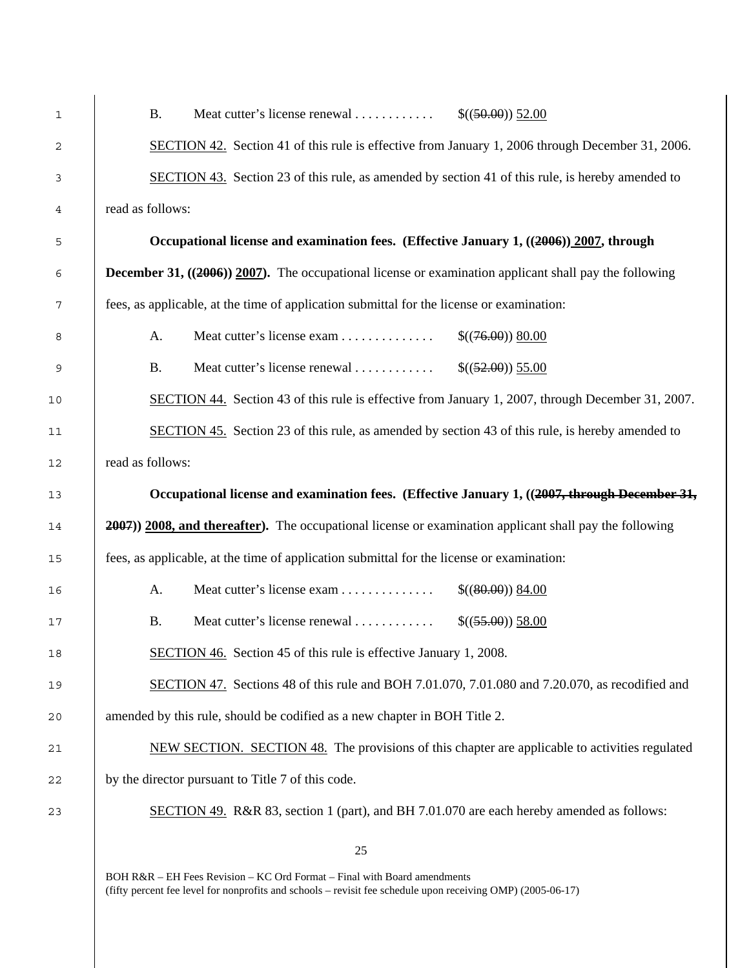| 1  | <b>B.</b><br>Meat cutter's license renewal<br>\$((50.00)) 52.00                                                        |  |  |
|----|------------------------------------------------------------------------------------------------------------------------|--|--|
| 2  | SECTION 42. Section 41 of this rule is effective from January 1, 2006 through December 31, 2006.                       |  |  |
| 3  | <b>SECTION 43.</b> Section 23 of this rule, as amended by section 41 of this rule, is hereby amended to                |  |  |
| 4  | read as follows:                                                                                                       |  |  |
| 5  | Occupational license and examination fees. (Effective January 1, ((2006)) 2007, through                                |  |  |
| 6  | December 31, ((2006)) 2007). The occupational license or examination applicant shall pay the following                 |  |  |
| 7  | fees, as applicable, at the time of application submittal for the license or examination:                              |  |  |
| 8  | Meat cutter's license exam<br>$$((76.00))$ 80.00<br>A.                                                                 |  |  |
| 9  | <b>B.</b><br>Meat cutter's license renewal<br>\$((52.00)) 55.00                                                        |  |  |
| 10 | SECTION 44. Section 43 of this rule is effective from January 1, 2007, through December 31, 2007.                      |  |  |
| 11 | <b>SECTION 45.</b> Section 23 of this rule, as amended by section 43 of this rule, is hereby amended to                |  |  |
| 12 | read as follows:                                                                                                       |  |  |
| 13 | Occupational license and examination fees. (Effective January 1, ((2007, through December 31,                          |  |  |
| 14 | <b>2007</b> ) <b>2008, and thereafter</b> ). The occupational license or examination applicant shall pay the following |  |  |
| 15 | fees, as applicable, at the time of application submittal for the license or examination:                              |  |  |
| 16 | Meat cutter's license exam<br>A.<br>$$(80.00)$ 84.00                                                                   |  |  |
| 17 | Meat cutter's license renewal<br><b>B.</b><br>\$((55.00)) 58.00                                                        |  |  |
| 18 | <b>SECTION 46.</b> Section 45 of this rule is effective January 1, 2008.                                               |  |  |
| 19 | SECTION 47. Sections 48 of this rule and BOH 7.01.070, 7.01.080 and 7.20.070, as recodified and                        |  |  |
| 20 | amended by this rule, should be codified as a new chapter in BOH Title 2.                                              |  |  |
| 21 | NEW SECTION. SECTION 48. The provisions of this chapter are applicable to activities regulated                         |  |  |
| 22 | by the director pursuant to Title 7 of this code.                                                                      |  |  |
| 23 | SECTION 49. R&R 83, section 1 (part), and BH 7.01.070 are each hereby amended as follows:                              |  |  |
|    | 25                                                                                                                     |  |  |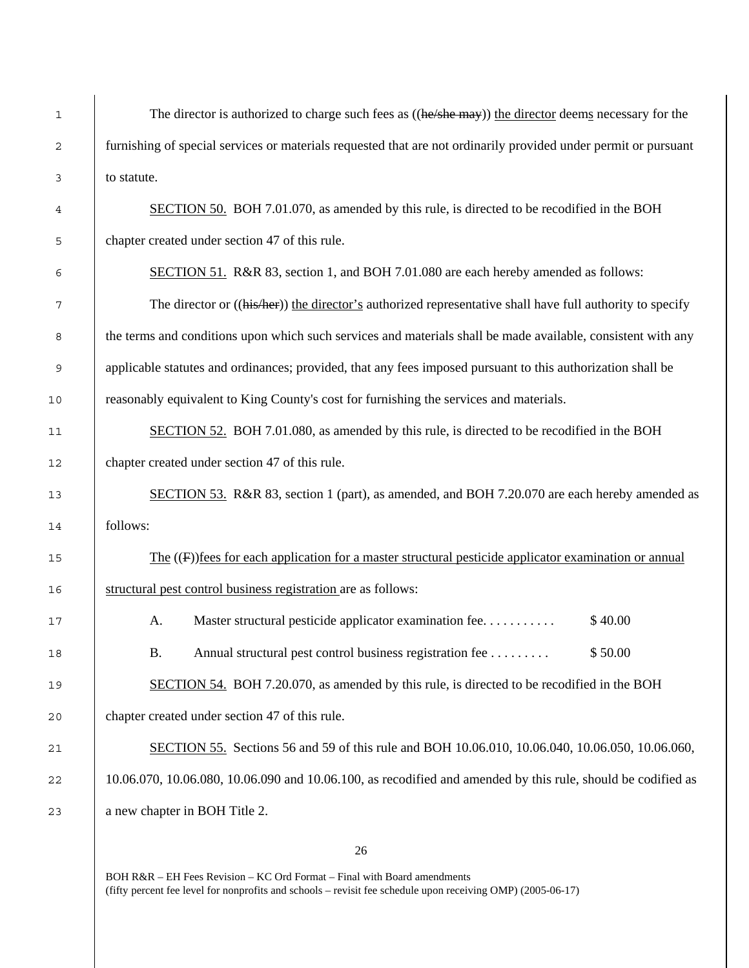1 The director is authorized to charge such fees as ((he/she may)) the director deems necessary for the 2 furnishing of special services or materials requested that are not ordinarily provided under permit or pursuant 3 to statute. 4 SECTION 50. BOH 7.01.070, as amended by this rule, is directed to be recodified in the BOH 5 chapter created under section 47 of this rule. 6 SECTION 51. R&R 83, section 1, and BOH 7.01.080 are each hereby amended as follows: 7 The director or ((his/her)) the director's authorized representative shall have full authority to specify 8 the terms and conditions upon which such services and materials shall be made available, consistent with any 9 applicable statutes and ordinances; provided, that any fees imposed pursuant to this authorization shall be 10 reasonably equivalent to King County's cost for furnishing the services and materials. 11 SECTION 52. BOH 7.01.080, as amended by this rule, is directed to be recodified in the BOH 12 chapter created under section 47 of this rule. 13 SECTION 53. R&R 83, section 1 (part), as amended, and BOH 7.20.070 are each hereby amended as 14 follows: 15 The ((F))fees for each application for a master structural pesticide applicator examination or annual 16 structural pest control business registration are as follows: 17 A. Master structural pesticide applicator examination fee. . . . . . . . . . . \$40.00 18 B. Annual structural pest control business registration fee . . . . . . . . . \$ 50.00 19 SECTION 54. BOH 7.20.070, as amended by this rule, is directed to be recodified in the BOH 20 chapter created under section 47 of this rule. 21 SECTION 55. Sections 56 and 59 of this rule and BOH 10.06.010, 10.06.040, 10.06.050, 10.06.060, 22 10.06.070, 10.06.080, 10.06.090 and 10.06.100, as recodified and amended by this rule, should be codified as 23 a new chapter in BOH Title 2.

26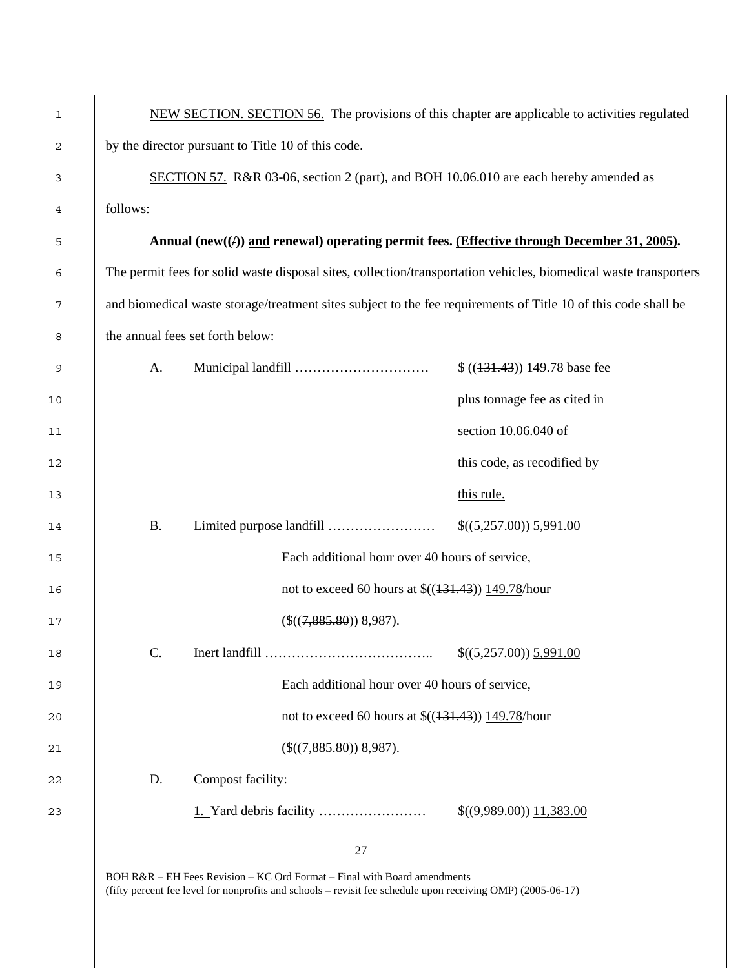| 1  | NEW SECTION. SECTION 56. The provisions of this chapter are applicable to activities regulated |                                                                                                                   |                              |  |
|----|------------------------------------------------------------------------------------------------|-------------------------------------------------------------------------------------------------------------------|------------------------------|--|
| 2  |                                                                                                | by the director pursuant to Title 10 of this code.                                                                |                              |  |
| 3  |                                                                                                | SECTION 57. R&R 03-06, section 2 (part), and BOH 10.06.010 are each hereby amended as                             |                              |  |
| 4  | follows:                                                                                       |                                                                                                                   |                              |  |
| 5  |                                                                                                | Annual $(new((A))$ and renewal) operating permit fees. (Effective through December 31, 2005).                     |                              |  |
| 6  |                                                                                                | The permit fees for solid waste disposal sites, collection/transportation vehicles, biomedical waste transporters |                              |  |
| 7  |                                                                                                | and biomedical waste storage/treatment sites subject to the fee requirements of Title 10 of this code shall be    |                              |  |
| 8  |                                                                                                | the annual fees set forth below:                                                                                  |                              |  |
| 9  | A.                                                                                             |                                                                                                                   | $$(131.43))$ 149.78 base fee |  |
| 10 |                                                                                                |                                                                                                                   | plus tonnage fee as cited in |  |
| 11 |                                                                                                |                                                                                                                   | section 10.06.040 of         |  |
| 12 |                                                                                                |                                                                                                                   | this code, as recodified by  |  |
| 13 |                                                                                                |                                                                                                                   | this rule.                   |  |
| 14 | <b>B.</b>                                                                                      |                                                                                                                   | \$((5,257.00)) 5,991.00      |  |
| 15 |                                                                                                | Each additional hour over 40 hours of service,                                                                    |                              |  |
| 16 |                                                                                                | not to exceed 60 hours at $\$((131.43))$ 149.78/hour                                                              |                              |  |
| 17 |                                                                                                | (\$((7,885.80)) 8,987).                                                                                           |                              |  |
| 18 | C.                                                                                             |                                                                                                                   | \$((5,257.00)) 5,991.00      |  |
| 19 |                                                                                                | Each additional hour over 40 hours of service,                                                                    |                              |  |
| 20 |                                                                                                | not to exceed 60 hours at $$((131.43)) 149.78/hour$                                                               |                              |  |
| 21 |                                                                                                | (\$((7,885.80)) 8,987).                                                                                           |                              |  |
| 22 | D.                                                                                             | Compost facility:                                                                                                 |                              |  |
| 23 |                                                                                                |                                                                                                                   |                              |  |
|    |                                                                                                | 27                                                                                                                |                              |  |
|    |                                                                                                |                                                                                                                   |                              |  |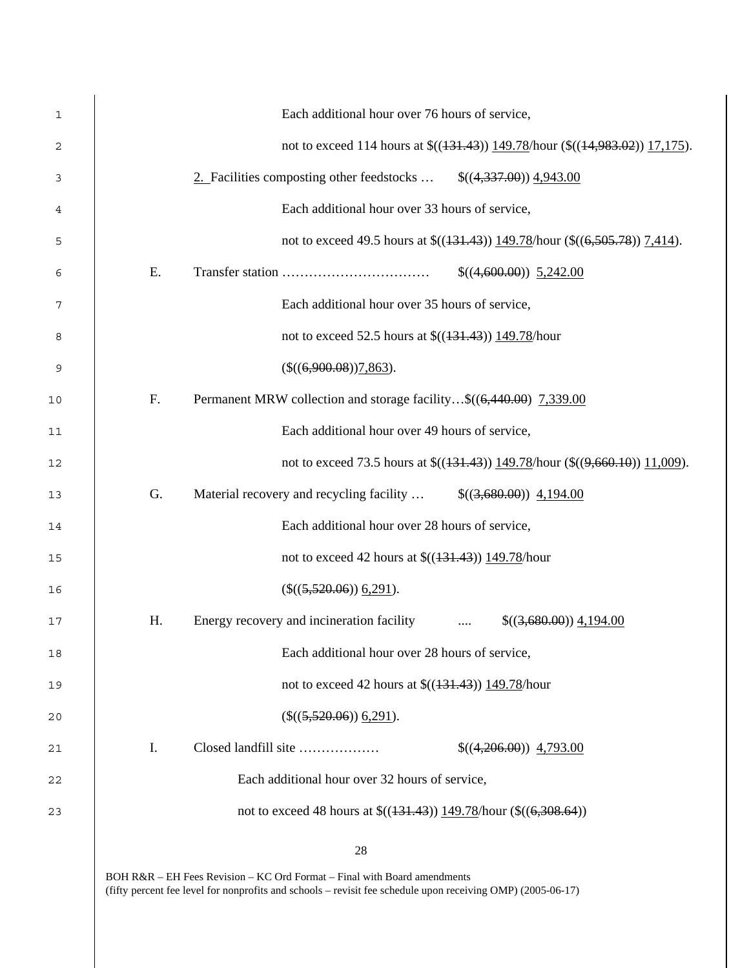| 1  |    | Each additional hour over 76 hours of service,                                                                                                              |
|----|----|-------------------------------------------------------------------------------------------------------------------------------------------------------------|
| 2  |    | not to exceed 114 hours at \$((131.43)) 149.78/hour (\$((14,983.02)) 17,175).                                                                               |
| 3  |    | 2. Facilities composting other feedstocks $\$(4,337.00)$ $\frac{4,943.00}{2}$                                                                               |
| 4  |    | Each additional hour over 33 hours of service,                                                                                                              |
| 5  |    | not to exceed 49.5 hours at \$((431.43)) 149.78/hour (\$((6,505.78)) 7,414).                                                                                |
| 6  | E. | $$(4,600.00)$ $5,242.00$                                                                                                                                    |
| 7  |    | Each additional hour over 35 hours of service,                                                                                                              |
| 8  |    | not to exceed 52.5 hours at $\frac{\left(\frac{131.43}{124.43}\right)149.78}{h}$ hour                                                                       |
| 9  |    | (\$((6,900.08))7,863).                                                                                                                                      |
| 10 | F. | Permanent MRW collection and storage facility\$((6,440.00) 7,339.00                                                                                         |
| 11 |    | Each additional hour over 49 hours of service,                                                                                                              |
| 12 |    | not to exceed 73.5 hours at $\frac{\left(\frac{131.43}{124.43}\right)149.78}{\text{hour }(\frac{\left(\frac{9660.10}{126.660.10}\right)11,009}{11.009)}}$ . |
| 13 | G. | Material recovery and recycling facility $\$((3,680.00)) \ 4,194.00)$                                                                                       |
| 14 |    | Each additional hour over 28 hours of service,                                                                                                              |
| 15 |    | not to exceed 42 hours at $$((131.43)) 149.78/hour$                                                                                                         |
| 16 |    | (\$((5,520.06)) 6,291).                                                                                                                                     |
| 17 | Н. | Energy recovery and incineration facility<br>\$((3,680.00)) 4,194.00<br>$\cdots$                                                                            |
| 18 |    | Each additional hour over 28 hours of service,                                                                                                              |
| 19 |    | not to exceed 42 hours at $\frac{\left(\frac{131.43}{124.43}\right)149.78}{h}$ hour                                                                         |
| 20 |    | (\$((5,520.06)) 6,291).                                                                                                                                     |
| 21 | I. | Closed landfill site<br>$$(4,206.00)$ 4,793.00                                                                                                              |
| 22 |    | Each additional hour over 32 hours of service,                                                                                                              |
| 23 |    | not to exceed 48 hours at $\frac{\left(\frac{131.43}{124.43}\right)149.78}{h}$ hour $\left(\frac{\left(\frac{6}{308.64}\right)}{h} \right)$                 |
|    |    |                                                                                                                                                             |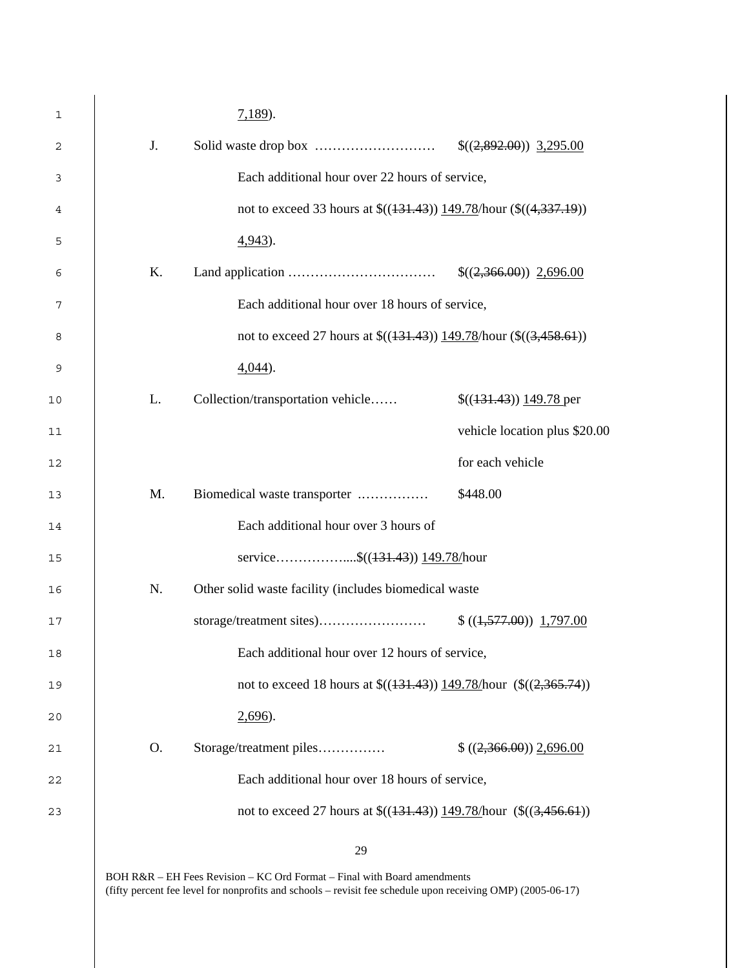| 1  |    | $7,189$ ).                                                                                                                                         |                                                  |
|----|----|----------------------------------------------------------------------------------------------------------------------------------------------------|--------------------------------------------------|
| 2  | J. |                                                                                                                                                    |                                                  |
| 3  |    | Each additional hour over 22 hours of service,                                                                                                     |                                                  |
| 4  |    | not to exceed 33 hours at $\frac{\frac{1}{3}(131.43)}{149.78}$ /hour $\frac{\frac{1}{3}(4337.19)}{149.78}$                                         |                                                  |
| 5  |    | $4,943$ ).                                                                                                                                         |                                                  |
| 6  | K. |                                                                                                                                                    |                                                  |
| 7  |    | Each additional hour over 18 hours of service,                                                                                                     |                                                  |
| 8  |    | not to exceed 27 hours at $\frac{\frac{1}{3}(1.43)}{149.78}$ /hour $\frac{\frac{1}{3}(3.458.61)}{149.78}$                                          |                                                  |
| 9  |    | $4,044$ ).                                                                                                                                         |                                                  |
| 10 | L. | Collection/transportation vehicle                                                                                                                  | $\frac{\{(131.43)\}\,149.78 \,\text{per}}{1000}$ |
| 11 |    |                                                                                                                                                    | vehicle location plus \$20.00                    |
| 12 |    |                                                                                                                                                    | for each vehicle                                 |
| 13 | M. | Biomedical waste transporter                                                                                                                       | \$448.00                                         |
| 14 |    | Each additional hour over 3 hours of                                                                                                               |                                                  |
| 15 |    | service\$((131.43)) 149.78/hour                                                                                                                    |                                                  |
| 16 | N. | Other solid waste facility (includes biomedical waste                                                                                              |                                                  |
| 17 |    |                                                                                                                                                    |                                                  |
| 18 |    | Each additional hour over 12 hours of service,                                                                                                     |                                                  |
| 19 |    | not to exceed 18 hours at $\frac{\left(\frac{131.43}{124.43}\right)149.78}{\text{hour}}$ (\\eta \text{(\ftext{2,365.74))}                          |                                                  |
| 20 |    | $2,696$ ).                                                                                                                                         |                                                  |
| 21 | O. | Storage/treatment piles                                                                                                                            | $$(2,366.00))$ 2,696.00                          |
| 22 |    | Each additional hour over 18 hours of service,                                                                                                     |                                                  |
| 23 |    | not to exceed 27 hours at $\frac{\left(\frac{131.43}{124.43}\right)149.78}{h}$ hour $\left(\frac{\left(\frac{3456.61}{124.456.61}\right)}{249.78}$ |                                                  |
|    |    |                                                                                                                                                    |                                                  |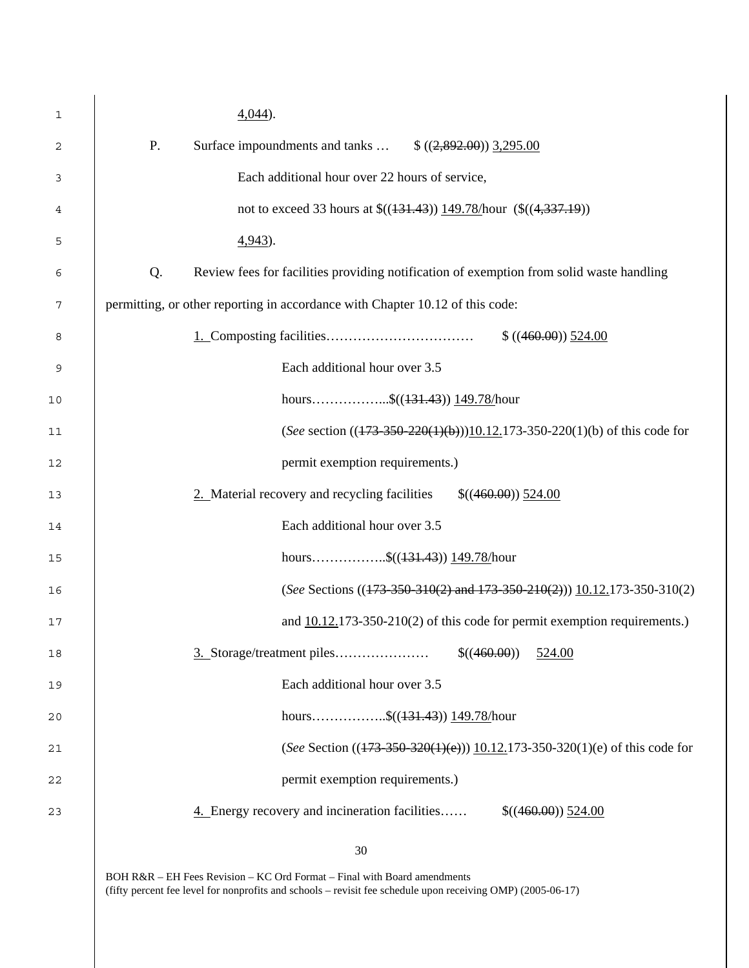| 1  | $4,044$ ).                                                                                               |
|----|----------------------------------------------------------------------------------------------------------|
| 2  | P.<br>Surface impoundments and tanks $\$ ((2,892.00)) \; 3,295.00$                                       |
| 3  | Each additional hour over 22 hours of service,                                                           |
| 4  | not to exceed 33 hours at $\frac{\left(\frac{131.43}{124.43}\right)149.78}{\text{hour}}$ (\f((4,337.19)) |
| 5  | $4,943$ .                                                                                                |
| 6  | Q.<br>Review fees for facilities providing notification of exemption from solid waste handling           |
| 7  | permitting, or other reporting in accordance with Chapter 10.12 of this code:                            |
| 8  |                                                                                                          |
| 9  | Each additional hour over 3.5                                                                            |
| 10 | hours\$( $(131.43)$ ) 149.78/hour                                                                        |
| 11 | (See section $((173-350-220(1)(b))10.12.173-350-220(1)(b))$ of this code for                             |
| 12 | permit exemption requirements.)                                                                          |
| 13 | 2. Material recovery and recycling facilities<br>$$(460.00)$ 524.00                                      |
| 14 | Each additional hour over 3.5                                                                            |
| 15 | hours\$ $((131.43))$ 149.78/hour                                                                         |
| 16 | (See Sections ( $(173-350-310(2)$ and $173-350-210(2))$ ) $10.12.173-350-310(2)$                         |
| 17 | and $10.12.173-350-210(2)$ of this code for permit exemption requirements.)                              |
| 18 | \$(460.00))<br>524.00                                                                                    |
|    | Each additional hour over 3.5                                                                            |
| 19 |                                                                                                          |
| 20 | hours\$( $(131.43)$ ) 149.78/hour                                                                        |
| 21 | (See Section $((173-350-320(1)(e)))$ 10.12.173-350-320(1)(e) of this code for                            |
| 22 | permit exemption requirements.)                                                                          |
| 23 | 4. Energy recovery and incineration facilities<br>\$(460.00) 524.00                                      |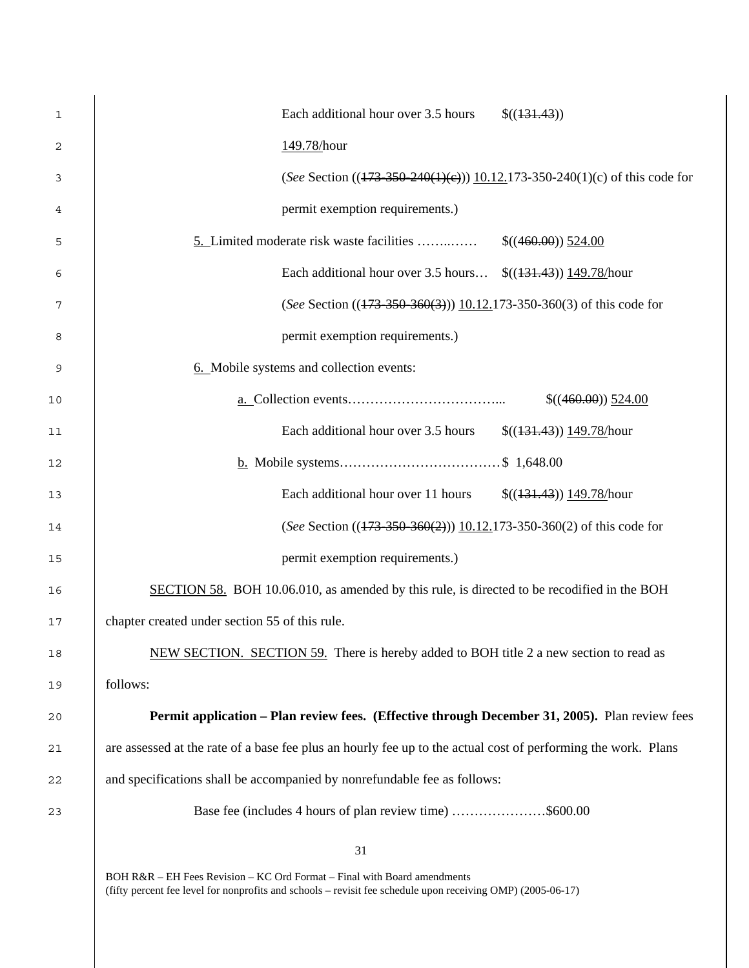| 1  | Each additional hour over 3.5 hours<br>\$(131.43))                                                            |  |  |  |
|----|---------------------------------------------------------------------------------------------------------------|--|--|--|
| 2  | 149.78/hour                                                                                                   |  |  |  |
| 3  | (See Section $((173-350-240(1)(e)))$ 10.12.173-350-240(1)(c) of this code for                                 |  |  |  |
| 4  | permit exemption requirements.)                                                                               |  |  |  |
| 5  | 5. Limited moderate risk waste facilities<br>$$(460.00)$ 524.00                                               |  |  |  |
| 6  | Each additional hour over 3.5 hours $\frac{\frac{1}{3}(131.43)}{149.78/h}$ hour                               |  |  |  |
| 7  | (See Section $((173-350-360(3)))$ 10.12.173-350-360(3) of this code for                                       |  |  |  |
| 8  | permit exemption requirements.)                                                                               |  |  |  |
| 9  | 6. Mobile systems and collection events:                                                                      |  |  |  |
| 10 | \$(460.00) 524.00                                                                                             |  |  |  |
| 11 | Each additional hour over 3.5 hours $\frac{\frac{1}{3}(131.43)}{149.78/h}$ hour                               |  |  |  |
| 12 |                                                                                                               |  |  |  |
| 13 | Each additional hour over 11 hours<br>$((131.43))$ 149.78/hour                                                |  |  |  |
| 14 | (See Section $((173-350-360(2)))$ 10.12.173-350-360(2) of this code for                                       |  |  |  |
| 15 | permit exemption requirements.)                                                                               |  |  |  |
| 16 | SECTION 58. BOH 10.06.010, as amended by this rule, is directed to be recodified in the BOH                   |  |  |  |
| 17 | chapter created under section 55 of this rule.                                                                |  |  |  |
| 18 | NEW SECTION. SECTION 59. There is hereby added to BOH title 2 a new section to read as                        |  |  |  |
| 19 | follows:                                                                                                      |  |  |  |
| 20 | Permit application – Plan review fees. (Effective through December 31, 2005). Plan review fees                |  |  |  |
| 21 | are assessed at the rate of a base fee plus an hourly fee up to the actual cost of performing the work. Plans |  |  |  |
| 22 | and specifications shall be accompanied by nonrefundable fee as follows:                                      |  |  |  |
| 23 | Base fee (includes 4 hours of plan review time) \$600.00                                                      |  |  |  |
|    | 31                                                                                                            |  |  |  |
|    | BOH R&R – EH Fees Revision – KC Ord Format – Final with Board amendments                                      |  |  |  |
|    | (fifty percent fee level for nonprofits and schools – revisit fee schedule upon receiving OMP) (2005-06-17)   |  |  |  |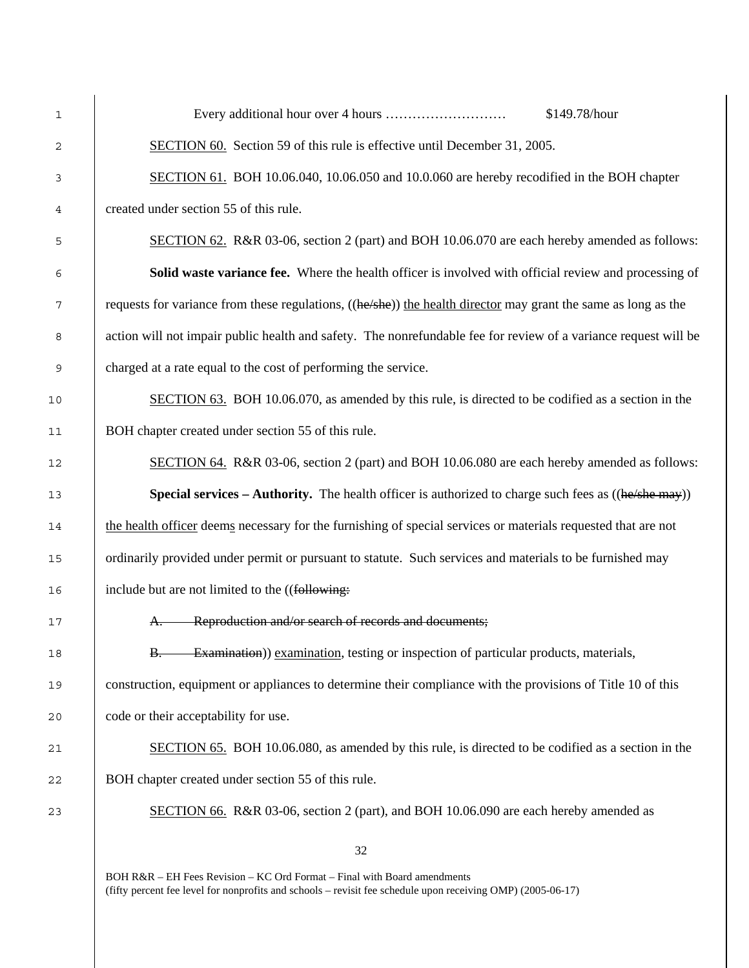| $\mathbf{1}$ | \$149.78/hour                                                                                                   |
|--------------|-----------------------------------------------------------------------------------------------------------------|
| 2            | SECTION 60. Section 59 of this rule is effective until December 31, 2005.                                       |
| 3            | SECTION 61. BOH 10.06.040, 10.06.050 and 10.0.060 are hereby recodified in the BOH chapter                      |
| 4            | created under section 55 of this rule.                                                                          |
| 5            | SECTION 62. R&R 03-06, section 2 (part) and BOH 10.06.070 are each hereby amended as follows:                   |
| 6            | Solid waste variance fee. Where the health officer is involved with official review and processing of           |
| 7            | requests for variance from these regulations, ((he/she)) the health director may grant the same as long as the  |
| 8            | action will not impair public health and safety. The nonrefundable fee for review of a variance request will be |
| 9            | charged at a rate equal to the cost of performing the service.                                                  |
| 10           | <b>SECTION 63.</b> BOH 10.06.070, as amended by this rule, is directed to be codified as a section in the       |
| 11           | BOH chapter created under section 55 of this rule.                                                              |
| 12           | SECTION 64. R&R 03-06, section 2 (part) and BOH 10.06.080 are each hereby amended as follows:                   |
| 13           | <b>Special services – Authority.</b> The health officer is authorized to charge such fees as $((he/she may))$   |
| 14           | the health officer deems necessary for the furnishing of special services or materials requested that are not   |
| 15           | ordinarily provided under permit or pursuant to statute. Such services and materials to be furnished may        |
| 16           | include but are not limited to the ((following:                                                                 |
| 17           | Reproduction and/or search of records and documents;<br>А.                                                      |
| $18\,$       | Examination)) examination, testing or inspection of particular products, materials,<br><b>B.</b>                |
| 19           | construction, equipment or appliances to determine their compliance with the provisions of Title 10 of this     |
| 20           | code or their acceptability for use.                                                                            |
| 21           | SECTION 65. BOH 10.06.080, as amended by this rule, is directed to be codified as a section in the              |
| 22           | BOH chapter created under section 55 of this rule.                                                              |
| 23           | <b>SECTION 66.</b> R&R 03-06, section 2 (part), and BOH 10.06.090 are each hereby amended as                    |
|              | 32                                                                                                              |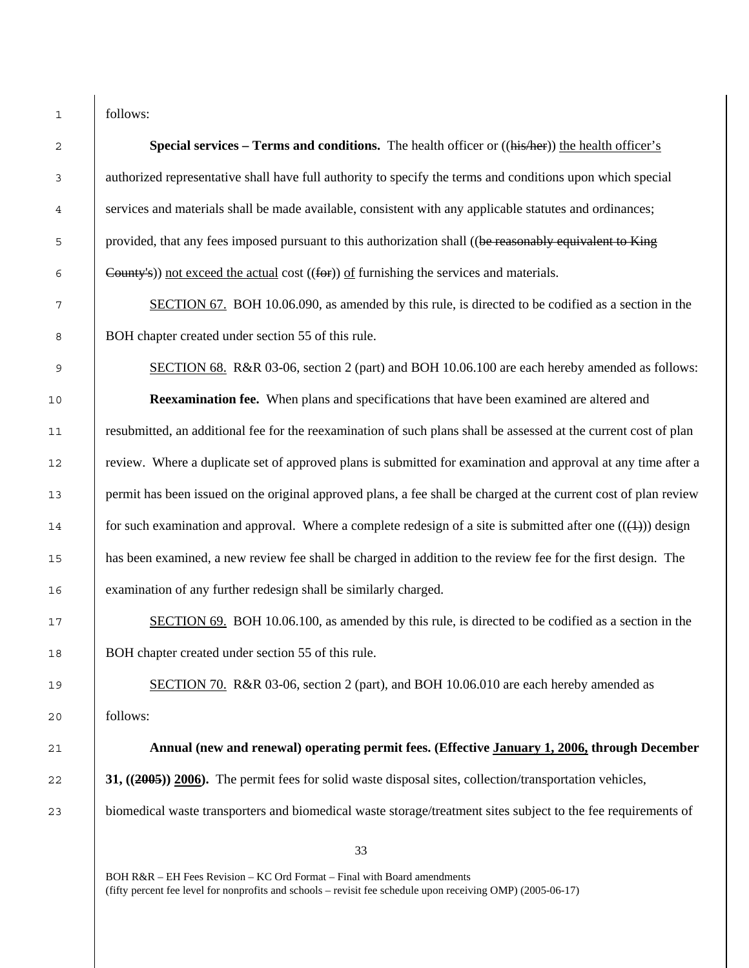follows:

| 2  | Special services – Terms and conditions. The health officer or ((his/her)) the health officer's                     |
|----|---------------------------------------------------------------------------------------------------------------------|
| 3  | authorized representative shall have full authority to specify the terms and conditions upon which special          |
| 4  | services and materials shall be made available, consistent with any applicable statutes and ordinances;             |
| 5  | provided, that any fees imposed pursuant to this authorization shall ((be reasonably equivalent to King             |
| 6  | County's)) not exceed the actual cost $((for))$ of furnishing the services and materials.                           |
| 7  | SECTION 67. BOH 10.06.090, as amended by this rule, is directed to be codified as a section in the                  |
| 8  | BOH chapter created under section 55 of this rule.                                                                  |
| 9  | SECTION 68. R&R 03-06, section 2 (part) and BOH 10.06.100 are each hereby amended as follows:                       |
| 10 | <b>Reexamination fee.</b> When plans and specifications that have been examined are altered and                     |
| 11 | resubmitted, an additional fee for the reexamination of such plans shall be assessed at the current cost of plan    |
| 12 | review. Where a duplicate set of approved plans is submitted for examination and approval at any time after a       |
| 13 | permit has been issued on the original approved plans, a fee shall be charged at the current cost of plan review    |
| 14 | for such examination and approval. Where a complete redesign of a site is submitted after one $((\text{+}))$ design |
| 15 | has been examined, a new review fee shall be charged in addition to the review fee for the first design. The        |
| 16 | examination of any further redesign shall be similarly charged.                                                     |
| 17 | SECTION 69. BOH 10.06.100, as amended by this rule, is directed to be codified as a section in the                  |
| 18 | BOH chapter created under section 55 of this rule.                                                                  |
| 19 | SECTION 70. R&R 03-06, section 2 (part), and BOH 10.06.010 are each hereby amended as                               |
| 20 | follows:                                                                                                            |
| 21 | Annual (new and renewal) operating permit fees. (Effective January 1, 2006, through December                        |
| 22 | 31, ((2005)) 2006). The permit fees for solid waste disposal sites, collection/transportation vehicles,             |
| 23 | biomedical waste transporters and biomedical waste storage/treatment sites subject to the fee requirements of       |
|    | 33                                                                                                                  |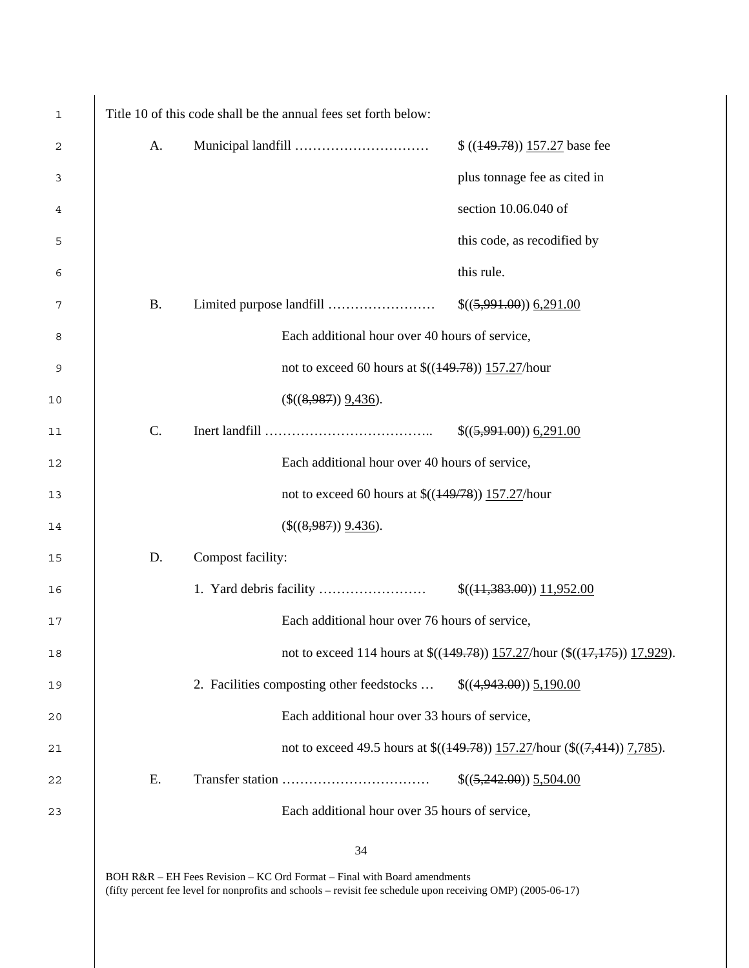| $\mathbf{1}$ |           | Title 10 of this code shall be the annual fees set forth below: |                                                                                                                                                     |
|--------------|-----------|-----------------------------------------------------------------|-----------------------------------------------------------------------------------------------------------------------------------------------------|
| 2            | А.        |                                                                 | $$(149.78))$ 157.27 base fee                                                                                                                        |
| 3            |           |                                                                 | plus tonnage fee as cited in                                                                                                                        |
| 4            |           |                                                                 | section 10.06.040 of                                                                                                                                |
| 5            |           |                                                                 | this code, as recodified by                                                                                                                         |
| 6            |           |                                                                 | this rule.                                                                                                                                          |
| 7            | <b>B.</b> |                                                                 | \$((5,991.00)) 6,291.00                                                                                                                             |
| 8            |           | Each additional hour over 40 hours of service,                  |                                                                                                                                                     |
| 9            |           | not to exceed 60 hours at $$((149.78)) 157.27/hour$             |                                                                                                                                                     |
| 10           |           | $($((8,987))\,9,436).$                                          |                                                                                                                                                     |
| 11           | C.        |                                                                 | \$((5,991.00)) 6,291.00                                                                                                                             |
| 12           |           | Each additional hour over 40 hours of service,                  |                                                                                                                                                     |
| 13           |           | not to exceed 60 hours at $$((149/78))$ 157.27/hour             |                                                                                                                                                     |
| 14           |           | $($((8,987))\,9.436).$                                          |                                                                                                                                                     |
| 15           | D.        | Compost facility:                                               |                                                                                                                                                     |
| 16           |           |                                                                 |                                                                                                                                                     |
| 17           |           | Each additional hour over 76 hours of service,                  |                                                                                                                                                     |
| 18           |           |                                                                 | not to exceed 114 hours at $\frac{\left(\frac{149.78}{15}\right)157.27}{$ hour $\left(\frac{\left(\frac{17.175}{15}\right)17.929}{17.929}\right)$ . |
| 19           |           | 2. Facilities composting other feedstocks                       | $$(4,943.00)$ $5,190.00$                                                                                                                            |
| 20           |           | Each additional hour over 33 hours of service,                  |                                                                                                                                                     |
| 21           |           |                                                                 | not to exceed 49.5 hours at $\frac{\left(\frac{149.78}{127.27}\right)157.27}{27}$ hour $\left(\frac{\left(\frac{7444}{14}\right)}{7.785}\right)$ .  |
| 22           | Ε.        |                                                                 | \$((5,242.00)) 5,504.00)                                                                                                                            |
| 23           |           | Each additional hour over 35 hours of service,                  |                                                                                                                                                     |
|              |           |                                                                 |                                                                                                                                                     |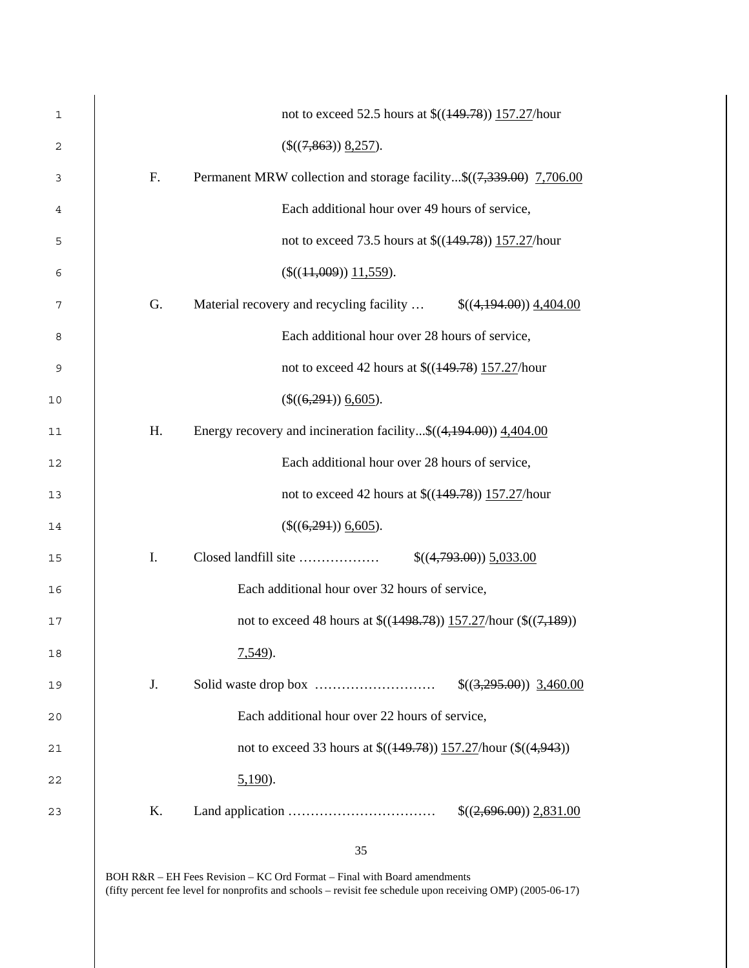| 1  |                                                                           | not to exceed 52.5 hours at $\frac{\left(\frac{149.78}{157.27}\right)}{157.27}$ hour                                                               |  |
|----|---------------------------------------------------------------------------|----------------------------------------------------------------------------------------------------------------------------------------------------|--|
| 2  | $(\$((7,863))\,8,257).$                                                   |                                                                                                                                                    |  |
| 3  | F.<br>Permanent MRW collection and storage facility\$((7,339.00) 7,706.00 |                                                                                                                                                    |  |
| 4  |                                                                           | Each additional hour over 49 hours of service,                                                                                                     |  |
| 5  |                                                                           | not to exceed 73.5 hours at $\frac{\left(\frac{149.78}{157.27}\right)}{157.27}$ hour                                                               |  |
| 6  |                                                                           | (\$((11,009)) 11,559).                                                                                                                             |  |
| 7  | G.                                                                        | Material recovery and recycling facility $\$((4,194.00))\ 4,404.00)$                                                                               |  |
| 8  |                                                                           | Each additional hour over 28 hours of service,                                                                                                     |  |
| 9  |                                                                           | not to exceed 42 hours at \$((149.78) 157.27/hour                                                                                                  |  |
| 10 |                                                                           | $(\$((6,291)) 6,605).$                                                                                                                             |  |
| 11 | Η.                                                                        | Energy recovery and incineration facility $\$((4,194.00))$ 4,404.00                                                                                |  |
| 12 |                                                                           | Each additional hour over 28 hours of service,                                                                                                     |  |
| 13 |                                                                           | not to exceed 42 hours at $$((149.78)) 157.27/hour$                                                                                                |  |
| 14 |                                                                           | (\$((6,291)) 6,605).                                                                                                                               |  |
| 15 | I.                                                                        |                                                                                                                                                    |  |
| 16 |                                                                           | Each additional hour over 32 hours of service,                                                                                                     |  |
| 17 |                                                                           | not to exceed 48 hours at $\frac{\left(\frac{1498.78}{157.27}\right)}{157.27}$ hour $\left(\frac{\left(\frac{7189}{157.27}\right)}{157.27}\right)$ |  |
| 18 |                                                                           | $7,549$ .                                                                                                                                          |  |
| 19 | J.                                                                        | $$(3,295.00)$ 3,460.00                                                                                                                             |  |
| 20 |                                                                           | Each additional hour over 22 hours of service,                                                                                                     |  |
| 21 |                                                                           | not to exceed 33 hours at $\frac{\left(\frac{149.78}{12}\right)157.27}{h}$ hour $\left(\frac{\left(\frac{4.943}{12}\right)}{h} \right)$            |  |
| 22 |                                                                           | $5,190$ ).                                                                                                                                         |  |
| 23 | K.                                                                        |                                                                                                                                                    |  |
|    |                                                                           |                                                                                                                                                    |  |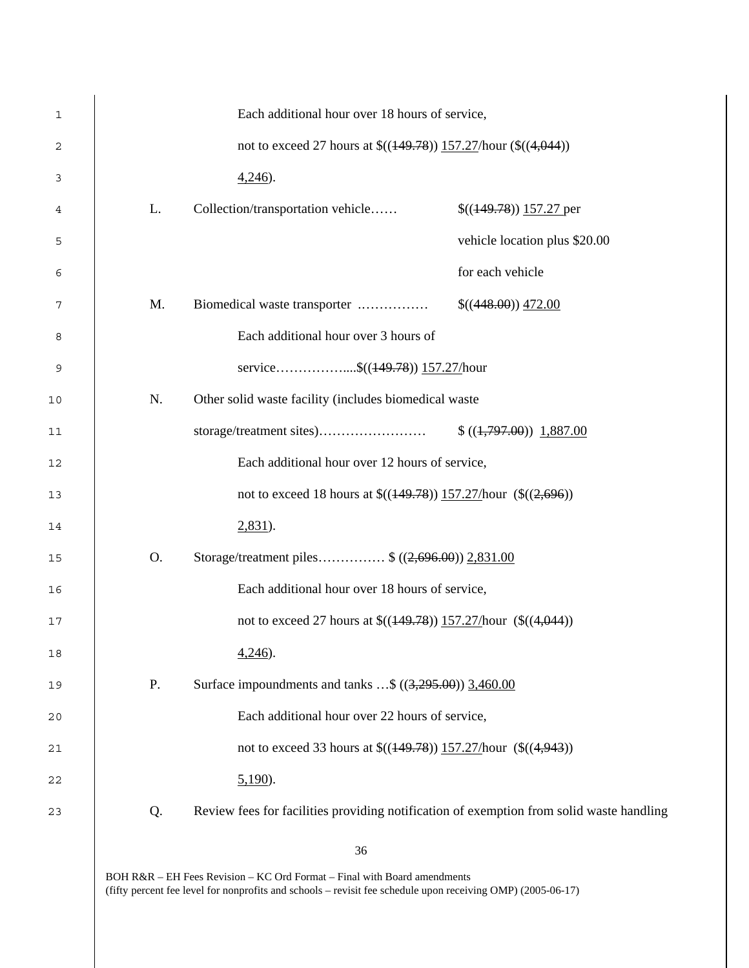| 1  | Each additional hour over 18 hours of service, |                                                                                                                                                   |                               |
|----|------------------------------------------------|---------------------------------------------------------------------------------------------------------------------------------------------------|-------------------------------|
| 2  |                                                | not to exceed 27 hours at $\frac{\left(\frac{149.78}{12}\right)157.27}{$ hour ( $\left(\frac{\left(\frac{4,044}{12}\right)}{4}\right)$            |                               |
| 3  |                                                | $4,246$ ).                                                                                                                                        |                               |
| 4  | L.                                             | Collection/transportation vehicle                                                                                                                 | $$(149.78))$ 157.27 per       |
| 5  |                                                |                                                                                                                                                   | vehicle location plus \$20.00 |
| 6  |                                                |                                                                                                                                                   | for each vehicle              |
| 7  | M.                                             | Biomedical waste transporter                                                                                                                      | \$(448.00) 472.00             |
| 8  |                                                | Each additional hour over 3 hours of                                                                                                              |                               |
| 9  |                                                | service\$((149.78)) 157.27/hour                                                                                                                   |                               |
| 10 | N.                                             | Other solid waste facility (includes biomedical waste                                                                                             |                               |
| 11 |                                                |                                                                                                                                                   |                               |
| 12 |                                                | Each additional hour over 12 hours of service,                                                                                                    |                               |
| 13 |                                                | not to exceed 18 hours at $\frac{\left(\frac{149.78}{157.27}\right)0.000 \times \left(\frac{\left(\frac{2}{5696}\right)}{157.27}\right)}{157.27}$ |                               |
| 14 |                                                | $2,831$ ).                                                                                                                                        |                               |
| 15 | O.                                             | Storage/treatment piles \$ ((2,696.00)) 2,831.00                                                                                                  |                               |
| 16 |                                                | Each additional hour over 18 hours of service,                                                                                                    |                               |
| 17 |                                                | not to exceed 27 hours at $\frac{\left(\frac{149.78}{157.27}\right)0.157.27}{0.001}$ (\$((4,044))                                                 |                               |
| 18 |                                                | $4,246$ ).                                                                                                                                        |                               |
| 19 | P.                                             | Surface impoundments and tanks $\frac{295.00}{3.460.00}$                                                                                          |                               |
| 20 |                                                | Each additional hour over 22 hours of service,                                                                                                    |                               |
| 21 |                                                | not to exceed 33 hours at $\frac{\left(\frac{149.78}{157.27}\right)}{157.27}$ hour $\left(\frac{\left(\frac{49.43}{157.27}\right)}{157.27}$       |                               |
| 22 |                                                | $5,190$ .                                                                                                                                         |                               |
| 23 | Q.                                             | Review fees for facilities providing notification of exemption from solid waste handling                                                          |                               |
|    |                                                |                                                                                                                                                   |                               |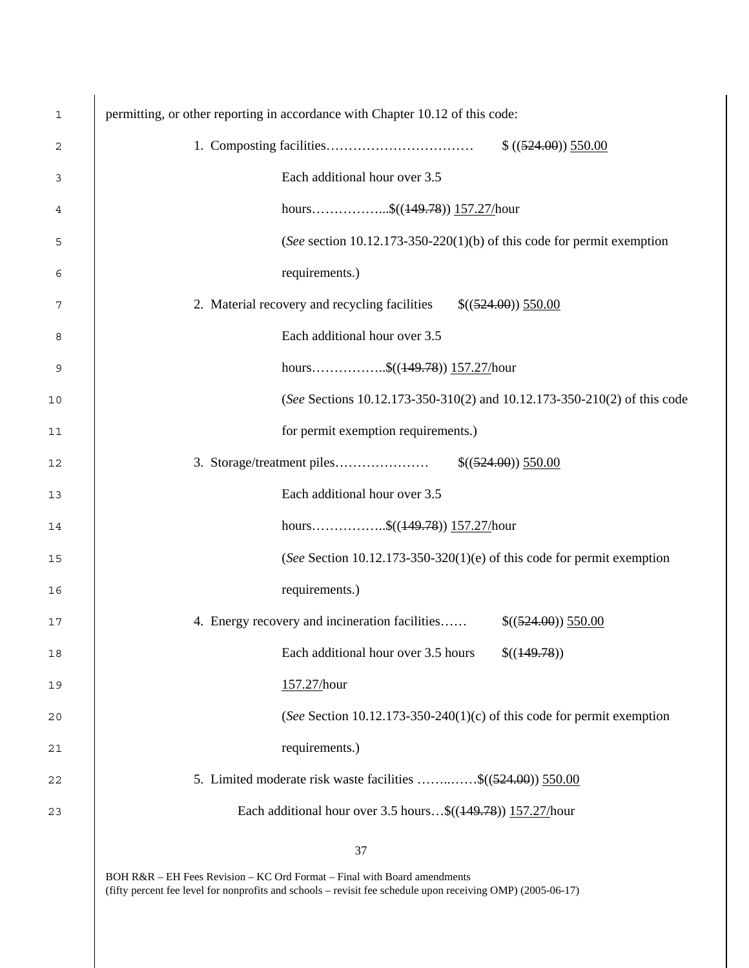| 1  | permitting, or other reporting in accordance with Chapter 10.12 of this code:   |
|----|---------------------------------------------------------------------------------|
| 2  |                                                                                 |
| 3  | Each additional hour over 3.5                                                   |
| 4  | hours\$( $(149.78)$ ) 157.27/hour                                               |
| 5  | (See section 10.12.173-350-220(1)(b) of this code for permit exemption          |
| 6  | requirements.)                                                                  |
| 7  | 2. Material recovery and recycling facilities $\$((524.00))\] 550.00$           |
| 8  | Each additional hour over 3.5                                                   |
| 9  | hours\$( $(149.78)$ ) 157.27/hour                                               |
| 10 | (See Sections 10.12.173-350-310(2) and 10.12.173-350-210(2) of this code        |
| 11 | for permit exemption requirements.)                                             |
| 12 |                                                                                 |
| 13 | Each additional hour over 3.5                                                   |
| 14 | hours\$( $(149.78)$ ) 157.27/hour                                               |
| 15 | (See Section 10.12.173-350-320(1)(e) of this code for permit exemption          |
| 16 | requirements.)                                                                  |
| 17 | 4. Energy recovery and incineration facilities $\frac{\sqrt{(524.00)}}{550.00}$ |
| 18 | Each additional hour over 3.5 hours<br>\$( (149.78))                            |
| 19 | 157.27/hour                                                                     |
| 20 | (See Section 10.12.173-350-240(1)(c) of this code for permit exemption          |
| 21 | requirements.)                                                                  |
| 22 | 5. Limited moderate risk waste facilities \$((524.00)) 550.00                   |
| 23 | Each additional hour over 3.5 hours\$((449.78)) 157.27/hour                     |
|    |                                                                                 |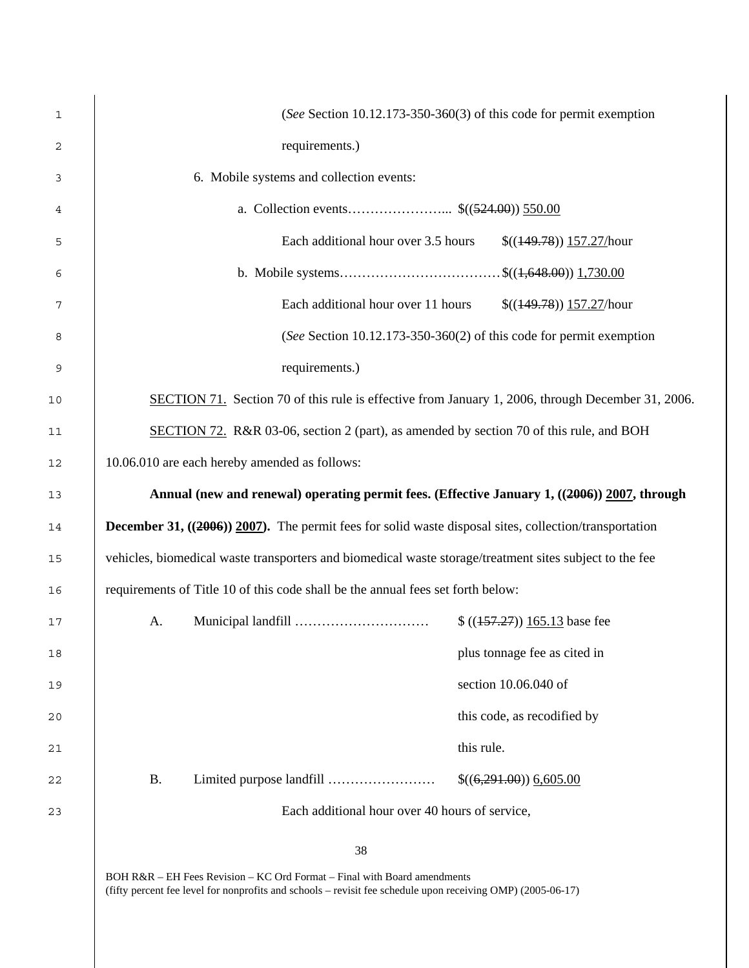| 1                    | (See Section 10.12.173-350-360(3) of this code for permit exemption                                           |  |
|----------------------|---------------------------------------------------------------------------------------------------------------|--|
| 2                    | requirements.)                                                                                                |  |
| 3                    | 6. Mobile systems and collection events:                                                                      |  |
| 4                    |                                                                                                               |  |
| 5                    | Each additional hour over 3.5 hours $\frac{\frac{1}{3}(149.78)}{27.27/h}$ hour                                |  |
| 6                    |                                                                                                               |  |
| 7                    | Each additional hour over 11 hours<br>$$(149.78))$ 157.27/hour                                                |  |
| 8                    | (See Section 10.12.173-350-360(2) of this code for permit exemption                                           |  |
| 9                    | requirements.)                                                                                                |  |
| 10                   | SECTION 71. Section 70 of this rule is effective from January 1, 2006, through December 31, 2006.             |  |
| 11                   | SECTION 72. R&R 03-06, section 2 (part), as amended by section 70 of this rule, and BOH                       |  |
| 12                   | 10.06.010 are each hereby amended as follows:                                                                 |  |
| 13                   | Annual (new and renewal) operating permit fees. (Effective January 1, ((2006)) 2007, through                  |  |
| 14                   | <b>December 31, ((2006)) 2007).</b> The permit fees for solid waste disposal sites, collection/transportation |  |
| 15                   | vehicles, biomedical waste transporters and biomedical waste storage/treatment sites subject to the fee       |  |
|                      |                                                                                                               |  |
|                      | requirements of Title 10 of this code shall be the annual fees set forth below:                               |  |
|                      | $((157.27))$ 165.13 base fee<br>A.                                                                            |  |
|                      | plus tonnage fee as cited in                                                                                  |  |
| 16<br>17<br>18<br>19 | section 10.06.040 of                                                                                          |  |
| 20                   | this code, as recodified by                                                                                   |  |
|                      | this rule.                                                                                                    |  |
| 21<br>22             | \$((6,291.00)) 6,605.00<br><b>B.</b>                                                                          |  |
| 23                   | Each additional hour over 40 hours of service,                                                                |  |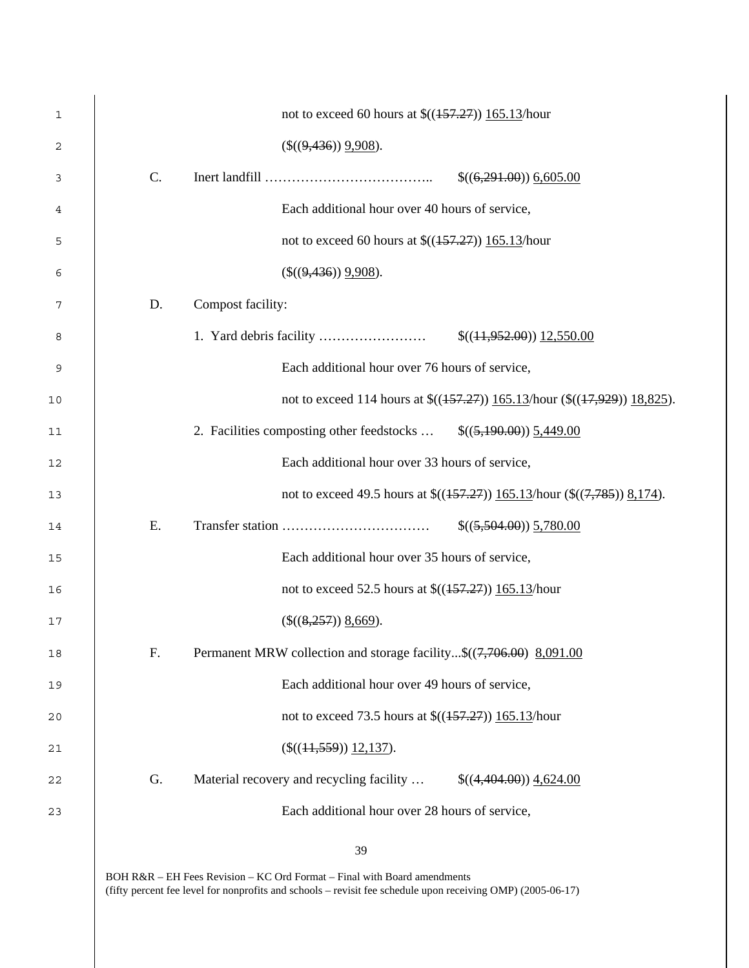| 1  |    | not to exceed 60 hours at $\frac{\left(\frac{157.27}{157.27}\right)165.13}{h}$ hour                                                                 |
|----|----|-----------------------------------------------------------------------------------------------------------------------------------------------------|
| 2  |    | $($((9,436))\ 9,908).$                                                                                                                              |
| 3  | C. |                                                                                                                                                     |
| 4  |    | Each additional hour over 40 hours of service,                                                                                                      |
| 5  |    | not to exceed 60 hours at $\frac{\left(\frac{157.27}{157.27}\right)165.13}{h}$ hour                                                                 |
| 6  |    | $(\$(9,436))$ $9,908)$ .                                                                                                                            |
| 7  | D. | Compost facility:                                                                                                                                   |
| 8  |    |                                                                                                                                                     |
| 9  |    | Each additional hour over 76 hours of service,                                                                                                      |
| 10 |    | not to exceed 114 hours at $\frac{\left(\frac{157.27}{157.27}\right)165.13}{\text{hour }(\frac{\left(\frac{17.929}{15.27}\right)18.825}{16.625}}$ . |
| 11 |    | 2. Facilities composting other feedstocks $\$((5,190.00)) \ 5,449.00)$                                                                              |
| 12 |    | Each additional hour over 33 hours of service,                                                                                                      |
| 13 |    | not to exceed 49.5 hours at $\frac{\mathcal{S}((157.27))}{165.13}$ hour $\left(\frac{\mathcal{S}((7,785))}{8.174}\right)$ .                         |
| 14 | Ε. |                                                                                                                                                     |
| 15 |    | Each additional hour over 35 hours of service,                                                                                                      |
| 16 |    | not to exceed 52.5 hours at $\frac{\left(\frac{157.27}{157.27}\right)165.13}{h}$ hour                                                               |
| 17 |    | $(\$(\$(\&\{257\})\&\{669\})$ .                                                                                                                     |
| 18 | F. | Permanent MRW collection and storage facility\$((7,706.00) 8,091.00                                                                                 |
| 19 |    | Each additional hour over 49 hours of service,                                                                                                      |
| 20 |    | not to exceed 73.5 hours at $\frac{\left(\frac{157.27}{157.27}\right)165.13}{h}$ hour                                                               |
| 21 |    | $($((11,559))$ 12,137).                                                                                                                             |
| 22 | G. | Material recovery and recycling facility<br>$$(4,404,00))$ 4,624.00                                                                                 |
| 23 |    | Each additional hour over 28 hours of service,                                                                                                      |
|    |    |                                                                                                                                                     |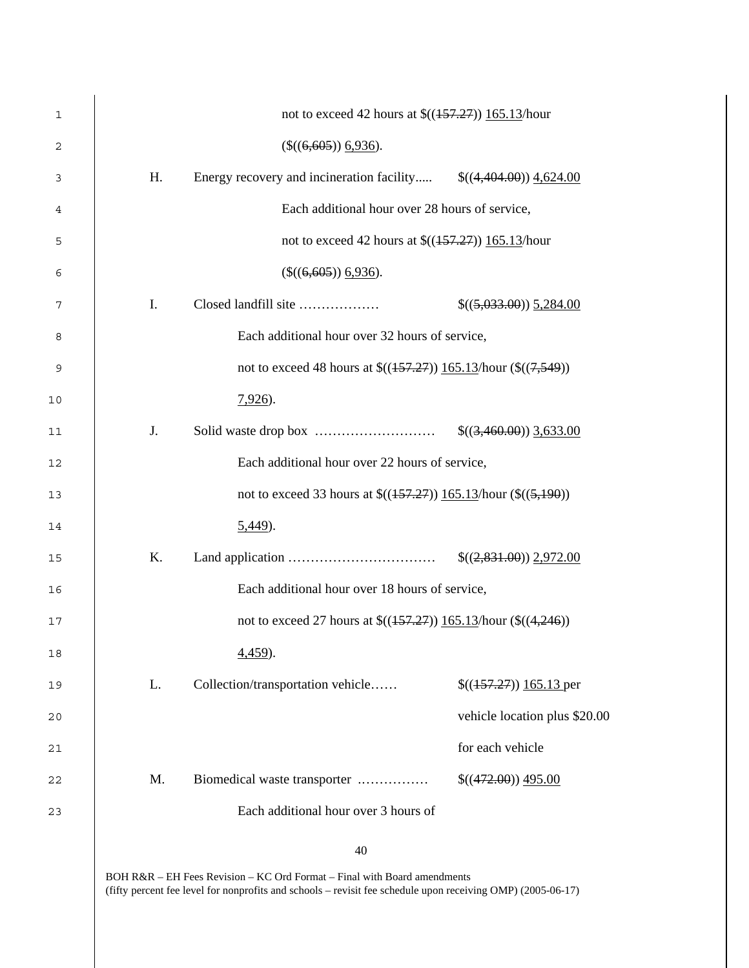| 1  |    | not to exceed 42 hours at $\frac{\left(\frac{157.27}{157.27}\right)165.13}{h}$ our                                                                |                               |
|----|----|---------------------------------------------------------------------------------------------------------------------------------------------------|-------------------------------|
| 2  |    | (\$((6,605)) 6,936).                                                                                                                              |                               |
| 3  | H. | Energy recovery and incineration facility $\$((4,404.00))\ 4,624.00)$                                                                             |                               |
| 4  |    | Each additional hour over 28 hours of service,                                                                                                    |                               |
| 5  |    | not to exceed 42 hours at $\frac{\left(\frac{157.27}{157.27}\right)165.13}{h}$ hour                                                               |                               |
| 6  |    | (\$((6,605)) 6,936).                                                                                                                              |                               |
| 7  | I. | Closed landfill site                                                                                                                              | \$((5,033.00)) 5,284.00       |
| 8  |    | Each additional hour over 32 hours of service,                                                                                                    |                               |
| 9  |    | not to exceed 48 hours at $\frac{\left(\frac{157.27}{157.27}\right)165.13}{h}$ hour $\left(\frac{\left(\frac{7549}{1549}\right)}{h} \right)$      |                               |
| 10 |    | $7,926$ .                                                                                                                                         |                               |
| 11 | J. |                                                                                                                                                   |                               |
| 12 |    | Each additional hour over 22 hours of service,                                                                                                    |                               |
| 13 |    | not to exceed 33 hours at $\frac{\left(\frac{157.27}{157.27}\right)165.13}{h}$ hour ( $\left(\frac{\left(\frac{5}{190}\right)}{2000}\right)$      |                               |
| 14 |    | $5,449$ .                                                                                                                                         |                               |
| 15 | K. |                                                                                                                                                   |                               |
| 16 |    | Each additional hour over 18 hours of service,                                                                                                    |                               |
| 17 |    | not to exceed 27 hours at $\frac{\left(\frac{157.27}{157.27}\right)165.13}{h}$ hour ( $\left(\frac{\left(\frac{4.246}{15.246}\right)}{h} \right)$ |                               |
| 18 |    | $4,459$ .                                                                                                                                         |                               |
| 19 | L. | Collection/transportation vehicle                                                                                                                 | $$(157.27))$ 165.13 per       |
| 20 |    |                                                                                                                                                   | vehicle location plus \$20.00 |
| 21 |    |                                                                                                                                                   | for each vehicle              |
| 22 | M. | Biomedical waste transporter                                                                                                                      | \$(472.00) 495.00             |
| 23 |    | Each additional hour over 3 hours of                                                                                                              |                               |
|    |    |                                                                                                                                                   |                               |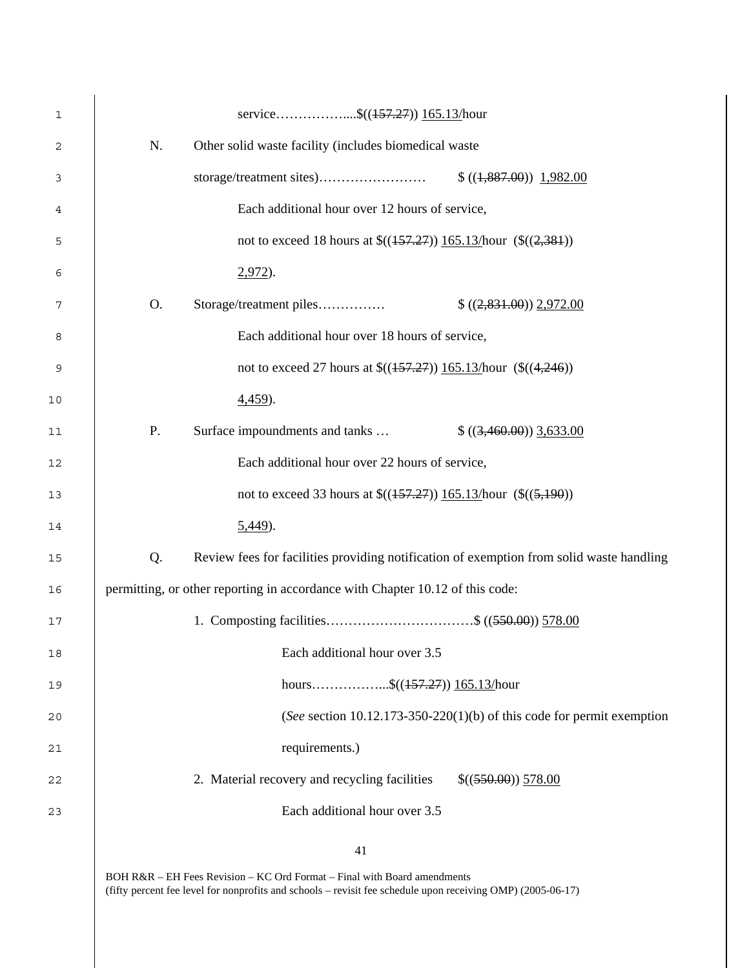| 1      | service\$( $(157.27)$ ) 165.13/hour                                                                                                        |
|--------|--------------------------------------------------------------------------------------------------------------------------------------------|
| 2      | N.<br>Other solid waste facility (includes biomedical waste                                                                                |
| 3      |                                                                                                                                            |
| 4      | Each additional hour over 12 hours of service,                                                                                             |
| 5      | not to exceed 18 hours at $\frac{\left(\frac{157.27}{157.27}\right)165.13}{h}$ (\$((2,381))                                                |
| 6      | $2,972$ ).                                                                                                                                 |
| 7      | O.                                                                                                                                         |
| 8      | Each additional hour over 18 hours of service,                                                                                             |
| 9      | not to exceed 27 hours at $\frac{\left(\frac{157.27}{165.13}\right)}{165.13}$ hour $\left(\frac{\left(\frac{4246}{165.13}\right)}{165.13}$ |
| 10     | $4,459$ .                                                                                                                                  |
| 11     | P.<br>Surface impoundments and tanks<br>$$((3,460.00))$ 3,633.00                                                                           |
| 12     | Each additional hour over 22 hours of service,                                                                                             |
| 13     | not to exceed 33 hours at $\frac{\left(\frac{157.27}{157.27}\right)165.13}{\text{hour}}$ (\$((5,190))                                      |
| 14     | $5,449$ .                                                                                                                                  |
| 15     | Review fees for facilities providing notification of exemption from solid waste handling<br>Q.                                             |
| 16     | permitting, or other reporting in accordance with Chapter 10.12 of this code:                                                              |
| 17     | 1. Composting facilities\$ ((550.00)) 578.00                                                                                               |
| $18\,$ | Each additional hour over 3.5                                                                                                              |
| 19     | hours\$( $(157.27)$ ) 165.13/hour                                                                                                          |
| 20     | (See section 10.12.173-350-220(1)(b) of this code for permit exemption                                                                     |
| 21     | requirements.)                                                                                                                             |
| 22     | 2. Material recovery and recycling facilities<br>\$((550.00)) 578.00                                                                       |
| 23     | Each additional hour over 3.5                                                                                                              |
|        |                                                                                                                                            |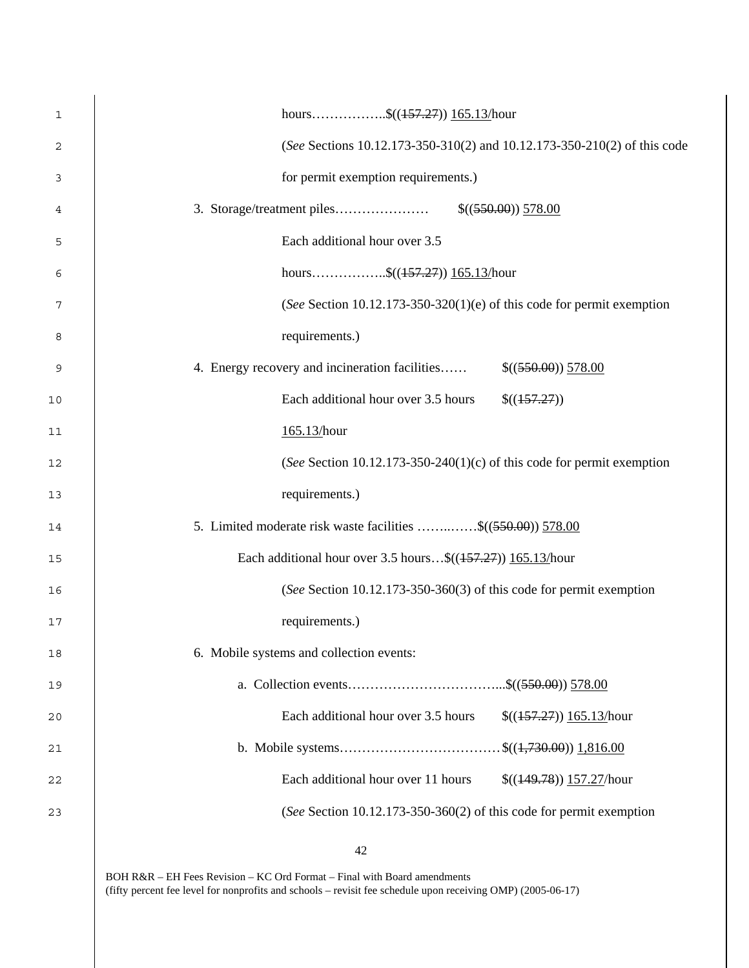| 1  | hours\$( $(157.27)$ ) 165.13/hour                                        |  |
|----|--------------------------------------------------------------------------|--|
| 2  | (See Sections 10.12.173-350-310(2) and 10.12.173-350-210(2) of this code |  |
| 3  | for permit exemption requirements.)                                      |  |
| 4  |                                                                          |  |
| 5  | Each additional hour over 3.5                                            |  |
| 6  | hours\$( $(\frac{157.27}{165.13/h}$ our                                  |  |
| 7  | (See Section 10.12.173-350-320(1)(e) of this code for permit exemption   |  |
| 8  | requirements.)                                                           |  |
| 9  | 4. Energy recovery and incineration facilities<br>\$((550.00)) 578.00    |  |
| 10 | Each additional hour over 3.5 hours<br>\$(157.27))                       |  |
| 11 | 165.13/hour                                                              |  |
| 12 | (See Section 10.12.173-350-240(1)(c) of this code for permit exemption   |  |
| 13 | requirements.)                                                           |  |
| 14 | 5. Limited moderate risk waste facilities \$((550.00)) 578.00            |  |
| 15 | Each additional hour over 3.5 hours $\$((157.27))$ 165.13/hour           |  |
| 16 | (See Section 10.12.173-350-360(3) of this code for permit exemption      |  |
| 17 | requirements.)                                                           |  |
| 18 | 6. Mobile systems and collection events:                                 |  |
| 19 |                                                                          |  |
| 20 | Each additional hour over 3.5 hours<br>$$(157.27))$ 165.13/hour          |  |
| 21 |                                                                          |  |
| 22 | Each additional hour over 11 hours<br>$$(149.78))$ 157.27/hour           |  |
| 23 | (See Section 10.12.173-350-360(2) of this code for permit exemption      |  |
|    |                                                                          |  |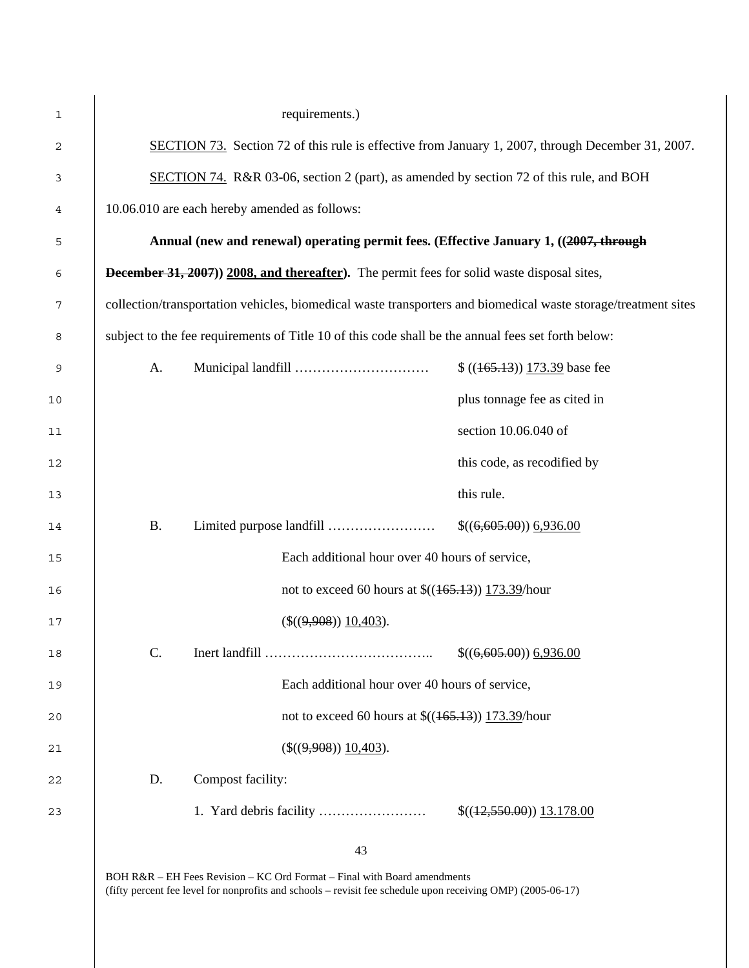| 1  |                                                                                                   | requirements.)                                                                                                                                                                          |                                                                                                                |
|----|---------------------------------------------------------------------------------------------------|-----------------------------------------------------------------------------------------------------------------------------------------------------------------------------------------|----------------------------------------------------------------------------------------------------------------|
| 2  | SECTION 73. Section 72 of this rule is effective from January 1, 2007, through December 31, 2007. |                                                                                                                                                                                         |                                                                                                                |
| 3  |                                                                                                   |                                                                                                                                                                                         | <b>SECTION 74.</b> R&R 03-06, section 2 (part), as amended by section 72 of this rule, and BOH                 |
| 4  | 10.06.010 are each hereby amended as follows:                                                     |                                                                                                                                                                                         |                                                                                                                |
| 5  |                                                                                                   |                                                                                                                                                                                         | Annual (new and renewal) operating permit fees. (Effective January 1, ((2007, through                          |
| 6  |                                                                                                   | <b>December 31, 2007</b> ) 2008, and thereafter). The permit fees for solid waste disposal sites,                                                                                       |                                                                                                                |
| 7  |                                                                                                   |                                                                                                                                                                                         | collection/transportation vehicles, biomedical waste transporters and biomedical waste storage/treatment sites |
| 8  |                                                                                                   | subject to the fee requirements of Title 10 of this code shall be the annual fees set forth below:                                                                                      |                                                                                                                |
| 9  | A.                                                                                                |                                                                                                                                                                                         | $$(165.13))$ 173.39 base fee                                                                                   |
| 10 |                                                                                                   |                                                                                                                                                                                         | plus tonnage fee as cited in                                                                                   |
| 11 |                                                                                                   |                                                                                                                                                                                         | section 10.06.040 of                                                                                           |
| 12 |                                                                                                   |                                                                                                                                                                                         | this code, as recodified by                                                                                    |
| 13 |                                                                                                   |                                                                                                                                                                                         | this rule.                                                                                                     |
| 14 | <b>B.</b>                                                                                         |                                                                                                                                                                                         | $$(6,605.00)$ 6,936.00                                                                                         |
| 15 |                                                                                                   | Each additional hour over 40 hours of service,                                                                                                                                          |                                                                                                                |
| 16 |                                                                                                   | not to exceed 60 hours at $\frac{\left(\frac{165.13}{173.39}\right)}{173.39}$ hour                                                                                                      |                                                                                                                |
| 17 |                                                                                                   | (\$((9,908)) 10,403).                                                                                                                                                                   |                                                                                                                |
| 18 | C.                                                                                                |                                                                                                                                                                                         | \$(6,605.00) 6,936.00                                                                                          |
| 19 |                                                                                                   | Each additional hour over 40 hours of service,                                                                                                                                          |                                                                                                                |
| 20 |                                                                                                   | not to exceed 60 hours at \$((465.13)) 173.39/hour                                                                                                                                      |                                                                                                                |
| 21 |                                                                                                   | $($((9,908))$ $10,403)$ .                                                                                                                                                               |                                                                                                                |
| 22 | Compost facility:<br>D.                                                                           |                                                                                                                                                                                         |                                                                                                                |
| 23 |                                                                                                   |                                                                                                                                                                                         | \$(12,550.00) 13.178.00                                                                                        |
|    |                                                                                                   | 43                                                                                                                                                                                      |                                                                                                                |
|    |                                                                                                   | BOH R&R – EH Fees Revision – KC Ord Format – Final with Board amendments<br>(fifty percent fee level for nonprofits and schools – revisit fee schedule upon receiving OMP) (2005-06-17) |                                                                                                                |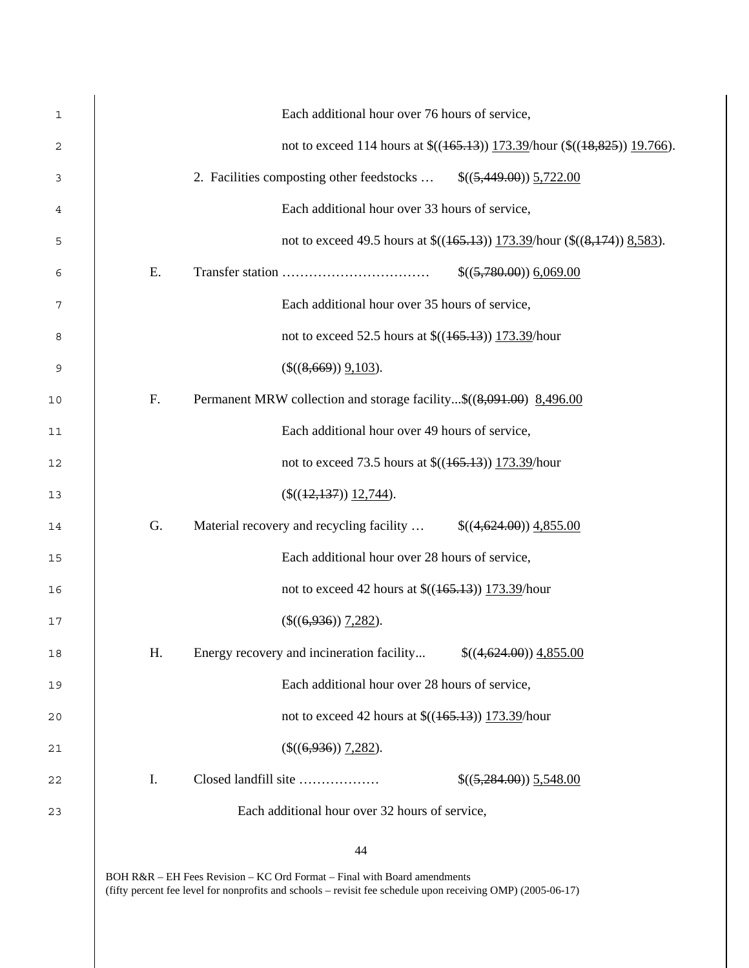| 1    | Each additional hour over 76 hours of service,                                                                                                         |
|------|--------------------------------------------------------------------------------------------------------------------------------------------------------|
| 2    | not to exceed 114 hours at $\frac{\left(\frac{165.13}{173.39}\right)}{173.39}$ hour $\left(\frac{\left(\frac{18,825}{18,825}\right)}{19.766}\right)$ . |
| 3    | 2. Facilities composting other feedstocks $\$((5,449.00))\ 5,722.00$                                                                                   |
| 4    | Each additional hour over 33 hours of service,                                                                                                         |
| 5    | not to exceed 49.5 hours at \$((165.13)) 173.39/hour (\$((8,174)) 8,583).                                                                              |
| 6    | E.<br>\$((5,780.00)) 6,069.00                                                                                                                          |
| 7    | Each additional hour over 35 hours of service,                                                                                                         |
| 8    | not to exceed 52.5 hours at $\frac{\left(\frac{165.13}{173.39}\right)}{173.39}$ hour                                                                   |
| 9    | $(\$(\$(8,669))\ 9,103)$ .                                                                                                                             |
| $10$ | F.<br>Permanent MRW collection and storage facility\$((8,091.00) 8,496.00                                                                              |
| 11   | Each additional hour over 49 hours of service,                                                                                                         |
| 12   | not to exceed 73.5 hours at $\frac{\left(\frac{165.13}{173.39}\right)}{173.39}$ hour                                                                   |
| 13   | $$(\$(\{(12,137))\ 12,744).$                                                                                                                           |
| 14   | G.<br>Material recovery and recycling facility<br>$$(4,624.00))$ 4,855.00                                                                              |
| 15   | Each additional hour over 28 hours of service,                                                                                                         |
| 16   | not to exceed 42 hours at $\frac{\left(\frac{165.13}{173.39}\right)}{173.39}$ hour                                                                     |
| 17   | $(\$((6,936)) 7,282).$                                                                                                                                 |
| 18   | Η.<br>Energy recovery and incineration facility<br>$$(4,624.00)$ $4,855.00$                                                                            |
| 19   | Each additional hour over 28 hours of service,                                                                                                         |
| 20   | not to exceed 42 hours at $\frac{\left(\frac{165.13}{125.13}\right)173.39}{h}$ hour                                                                    |
| 21   | $(\$((6,936)) 7,282).$                                                                                                                                 |
| 22   | Closed landfill site<br>I.<br>\$((5,284.00)) 5,548.00                                                                                                  |
| 23   | Each additional hour over 32 hours of service,                                                                                                         |
|      |                                                                                                                                                        |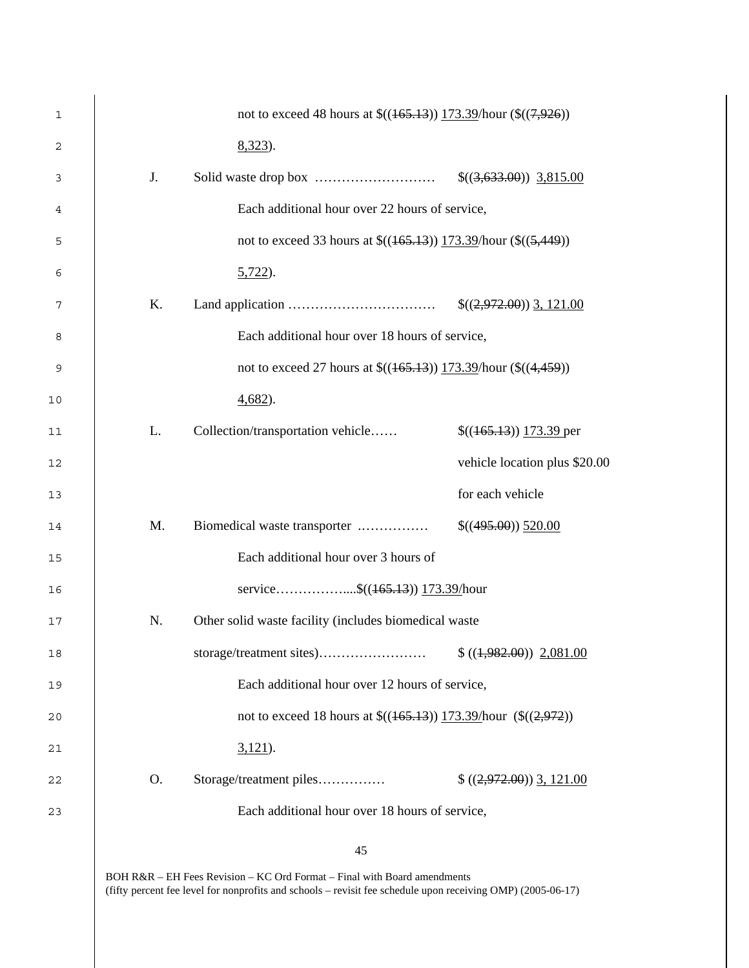| $\mathbf{1}$ |    | not to exceed 48 hours at $\frac{\mathcal{S}((165.13)) 173.39}{\text{hour } (\mathcal{S}((7,926))}$                                        |                                                               |
|--------------|----|--------------------------------------------------------------------------------------------------------------------------------------------|---------------------------------------------------------------|
| 2            |    | $8,323$ ).                                                                                                                                 |                                                               |
| 3            | J. |                                                                                                                                            |                                                               |
| 4            |    | Each additional hour over 22 hours of service,                                                                                             |                                                               |
| 5            |    | not to exceed 33 hours at $\frac{\left(\frac{165.13}{123.39}\right)}{173.39}$ hour $\left(\frac{\left(\frac{5449}{125.13}\right)}{173.39}$ |                                                               |
| 6            |    | $5,722$ ).                                                                                                                                 |                                                               |
| 7            | Κ. |                                                                                                                                            |                                                               |
| 8            |    | Each additional hour over 18 hours of service,                                                                                             |                                                               |
| 9            |    | not to exceed 27 hours at $\frac{\left(\frac{165.13}{173.39}\right)}{173.39}$ hour $\left(\frac{\left(\frac{4459}{175.13}\right)}{173.39}$ |                                                               |
| 10           |    | $4,682$ ).                                                                                                                                 |                                                               |
| 11           | L. | Collection/transportation vehicle                                                                                                          | $\frac{\{(165.13)\}\,173.39\,\text{per}}{173.39\,\text{per}}$ |
| 12           |    |                                                                                                                                            | vehicle location plus \$20.00                                 |
| 13           |    |                                                                                                                                            | for each vehicle                                              |
| 14           | M. | Biomedical waste transporter                                                                                                               | \$(495.00) 520.00                                             |
| 15           |    | Each additional hour over 3 hours of                                                                                                       |                                                               |
| 16           |    | service\$((165.13)) 173.39/hour                                                                                                            |                                                               |
| 17           | N. | Other solid waste facility (includes biomedical waster                                                                                     |                                                               |
| 18           |    |                                                                                                                                            | $$(1,982.00))$ 2,081.00                                       |
| 19           |    | Each additional hour over 12 hours of service,                                                                                             |                                                               |
| 20           |    | not to exceed 18 hours at $\frac{\left(\frac{465.13}{105.13}\right)}{173.39/h}$ (\$((2,972))                                               |                                                               |
| 21           |    | $3,121$ .                                                                                                                                  |                                                               |
| 22           | Ο. | Storage/treatment piles                                                                                                                    | $$(2,972.00))$ 3, 121.00                                      |
| 23           |    | Each additional hour over 18 hours of service,                                                                                             |                                                               |
|              |    |                                                                                                                                            |                                                               |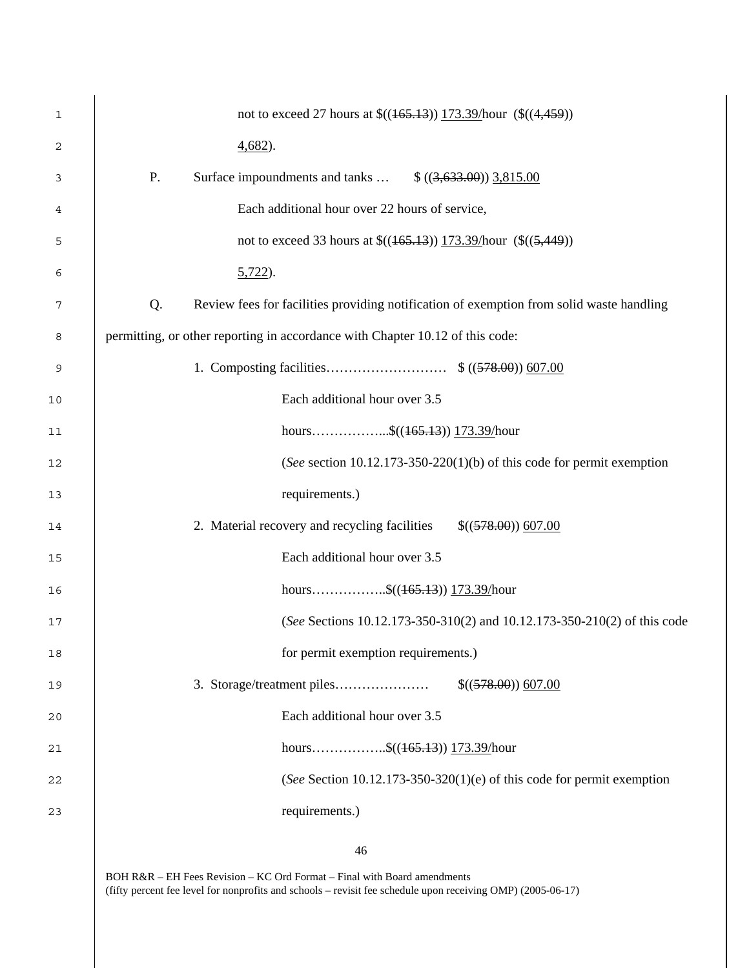| 1  | not to exceed 27 hours at $\frac{\mathcal{S}((165.13)) 173.39}{\text{hour}} (\mathcal{S}((4,459)))$ |
|----|-----------------------------------------------------------------------------------------------------|
| 2  | $4,682$ ).                                                                                          |
| 3  | P.<br>Surface impoundments and tanks $\$ ((3,633.00)) \; 3,815.00$                                  |
| 4  | Each additional hour over 22 hours of service,                                                      |
| 5  | not to exceed 33 hours at $\frac{\mathcal{S}((165.13)) 173.39}{\text{hour}} (\mathcal{S}((5,449))$  |
| 6  | $5,722$ ).                                                                                          |
| 7  | Q.<br>Review fees for facilities providing notification of exemption from solid waste handling      |
| 8  | permitting, or other reporting in accordance with Chapter 10.12 of this code:                       |
| 9  |                                                                                                     |
| 10 | Each additional hour over 3.5                                                                       |
| 11 | hours\$( $(165.13)$ ) 173.39/hour                                                                   |
| 12 | (See section 10.12.173-350-220(1)(b) of this code for permit exemption                              |
| 13 | requirements.)                                                                                      |
| 14 | 2. Material recovery and recycling facilities<br>\$((578.00)) 607.00                                |
| 15 | Each additional hour over 3.5                                                                       |
| 16 | hours\$( $(165.13)$ ) 173.39/hour                                                                   |
| 17 | (See Sections 10.12.173-350-310(2) and 10.12.173-350-210(2) of this code                            |
| 18 | for permit exemption requirements.)                                                                 |
| 19 | \$((578.00)) 607.00                                                                                 |
| 20 | Each additional hour over 3.5                                                                       |
| 21 | hours\$( $(165.13)$ ) 173.39/hour                                                                   |
| 22 | (See Section 10.12.173-350-320(1)(e) of this code for permit exemption                              |
| 23 | requirements.)                                                                                      |
|    |                                                                                                     |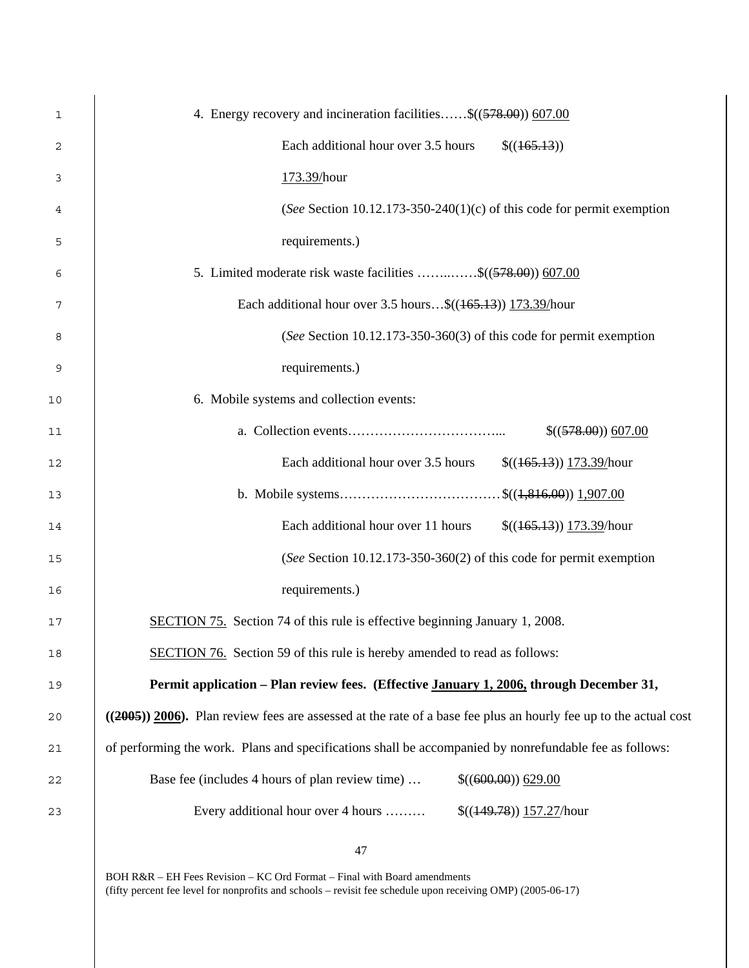| 1  | 4. Energy recovery and incineration facilities\$((578.00)) 607.00                                                  |
|----|--------------------------------------------------------------------------------------------------------------------|
| 2  | Each additional hour over 3.5 hours<br>\$(165.13))                                                                 |
| 3  | 173.39/hour                                                                                                        |
| 4  | (See Section 10.12.173-350-240(1)(c) of this code for permit exemption                                             |
| 5  | requirements.)                                                                                                     |
| 6  | 5. Limited moderate risk waste facilities \$((578.00)) 607.00                                                      |
| 7  | Each additional hour over 3.5 hours $\$((165.13))$ 173.39/hour                                                     |
| 8  | (See Section 10.12.173-350-360(3) of this code for permit exemption                                                |
| 9  | requirements.)                                                                                                     |
| 10 | 6. Mobile systems and collection events:                                                                           |
| 11 | \$((578.00)) 607.00                                                                                                |
| 12 | Each additional hour over 3.5 hours<br>\$(165.13) 173.39/hour                                                      |
| 13 |                                                                                                                    |
| 14 | Each additional hour over 11 hours<br>$$(165.13))$ 173.39/hour                                                     |
| 15 | (See Section 10.12.173-350-360(2) of this code for permit exemption                                                |
| 16 | requirements.)                                                                                                     |
| 17 | <b>SECTION 75.</b> Section 74 of this rule is effective beginning January 1, 2008.                                 |
| 18 | SECTION 76. Section 59 of this rule is hereby amended to read as follows:                                          |
| 19 | Permit application - Plan review fees. (Effective January 1, 2006, through December 31,                            |
| 20 | $((2005))$ 2006). Plan review fees are assessed at the rate of a base fee plus an hourly fee up to the actual cost |
| 21 | of performing the work. Plans and specifications shall be accompanied by nonrefundable fee as follows:             |
| 22 | Base fee (includes 4 hours of plan review time)<br>\$(600.00) 629.00                                               |
| 23 | Every additional hour over 4 hours<br>\$(149.78) 157.27/hour                                                       |
|    |                                                                                                                    |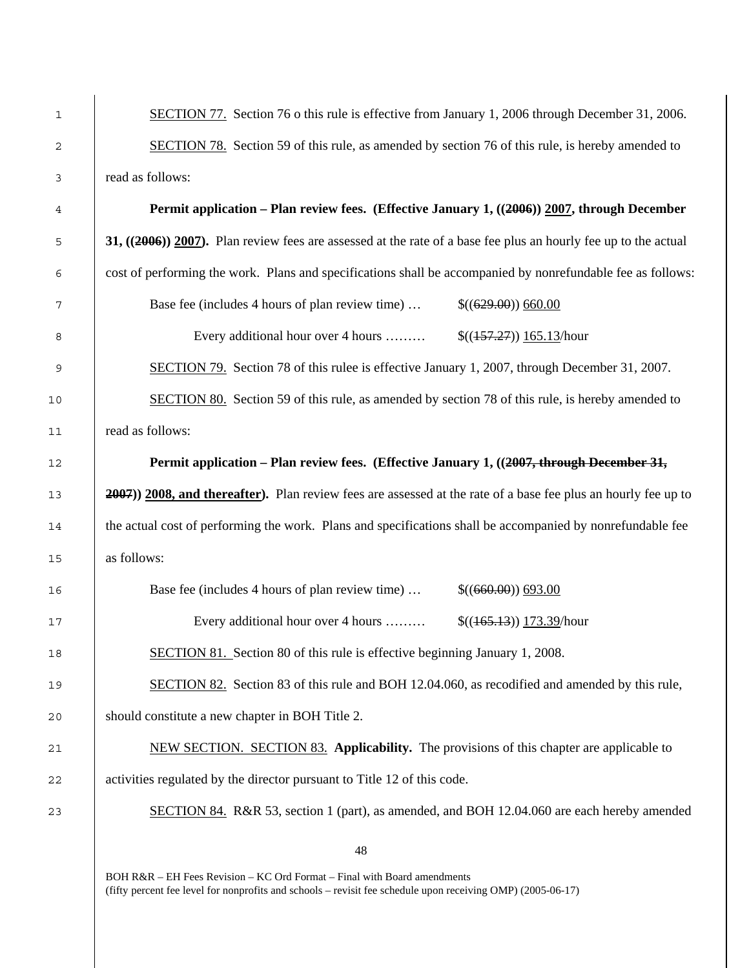| 1  | SECTION 77. Section 76 o this rule is effective from January 1, 2006 through December 31, 2006.                               |  |
|----|-------------------------------------------------------------------------------------------------------------------------------|--|
| 2  | <b>SECTION 78.</b> Section 59 of this rule, as amended by section 76 of this rule, is hereby amended to                       |  |
| 3  | read as follows:                                                                                                              |  |
| 4  | Permit application – Plan review fees. (Effective January 1, ((2006)) 2007, through December                                  |  |
| 5  | 31, ((2006)) 2007). Plan review fees are assessed at the rate of a base fee plus an hourly fee up to the actual               |  |
| 6  | cost of performing the work. Plans and specifications shall be accompanied by nonrefundable fee as follows:                   |  |
| 7  | Base fee (includes 4 hours of plan review time)<br>\$(629.00) 660.00                                                          |  |
| 8  | Every additional hour over 4 hours<br>$$(157.27))$ 165.13/hour                                                                |  |
| 9  | SECTION 79. Section 78 of this rulee is effective January 1, 2007, through December 31, 2007.                                 |  |
| 10 | <b>SECTION 80.</b> Section 59 of this rule, as amended by section 78 of this rule, is hereby amended to                       |  |
| 11 | read as follows:                                                                                                              |  |
| 12 | Permit application – Plan review fees. (Effective January 1, ((2007, through December 31,                                     |  |
| 13 | <b>2007</b> ) <b>2008, and thereafter</b> ). Plan review fees are assessed at the rate of a base fee plus an hourly fee up to |  |
| 14 | the actual cost of performing the work. Plans and specifications shall be accompanied by nonrefundable fee                    |  |
| 15 | as follows:                                                                                                                   |  |
| 16 | Base fee (includes 4 hours of plan review time)<br>\$(660.00) 693.00                                                          |  |
| 17 | Every additional hour over 4 hours<br>$$(165.13)$ 173.39/hour                                                                 |  |
| 18 | SECTION 81. Section 80 of this rule is effective beginning January 1, 2008.                                                   |  |
| 19 | SECTION 82. Section 83 of this rule and BOH 12.04.060, as recodified and amended by this rule,                                |  |
| 20 | should constitute a new chapter in BOH Title 2.                                                                               |  |
| 21 | NEW SECTION. SECTION 83. Applicability. The provisions of this chapter are applicable to                                      |  |
| 22 | activities regulated by the director pursuant to Title 12 of this code.                                                       |  |
| 23 | <b>SECTION 84.</b> R&R 53, section 1 (part), as amended, and BOH 12.04.060 are each hereby amended                            |  |
|    | 48                                                                                                                            |  |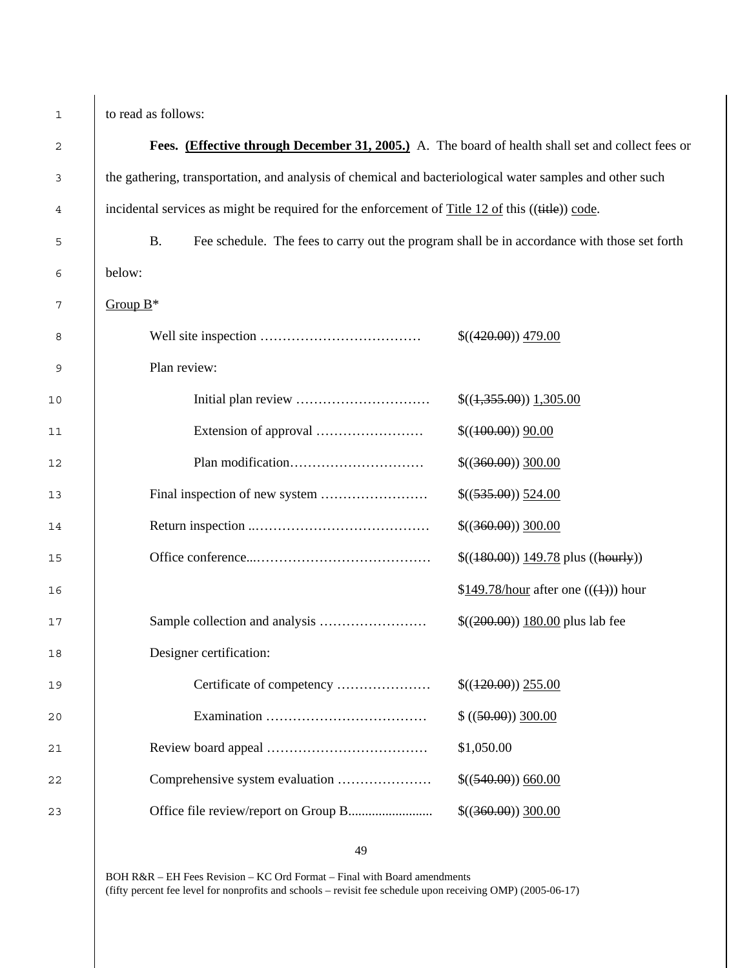1 to read as follows:

| 2  | Fees. (Effective through December 31, 2005.) A. The board of health shall set and collect fees or        |                                        |  |  |  |
|----|----------------------------------------------------------------------------------------------------------|----------------------------------------|--|--|--|
| 3  | the gathering, transportation, and analysis of chemical and bacteriological water samples and other such |                                        |  |  |  |
| 4  | incidental services as might be required for the enforcement of Title 12 of this ((title)) code.         |                                        |  |  |  |
| 5  | <b>B.</b><br>Fee schedule. The fees to carry out the program shall be in accordance with those set forth |                                        |  |  |  |
| 6  | below:                                                                                                   |                                        |  |  |  |
| 7  | Group $B^*$                                                                                              |                                        |  |  |  |
| 8  |                                                                                                          | \$(420.00) 479.00                      |  |  |  |
| 9  | Plan review:                                                                                             |                                        |  |  |  |
| 10 |                                                                                                          | \$(4,355.00) 1,305.00                  |  |  |  |
| 11 |                                                                                                          | $$((100.00))$ 90.00                    |  |  |  |
| 12 |                                                                                                          | $$(360.00)$ 300.00                     |  |  |  |
| 13 |                                                                                                          | \$((535.00)) 524.00                    |  |  |  |
| 14 |                                                                                                          | $$(360.00)$ 300.00                     |  |  |  |
| 15 |                                                                                                          | $$((180.00))$ 149.78 plus $((hourly))$ |  |  |  |
| 16 |                                                                                                          | \$149.78/hour after one $((4))$ hour   |  |  |  |
| 17 |                                                                                                          | $$((200.00))$ 180.00 plus lab fee      |  |  |  |
| 18 | Designer certification:                                                                                  |                                        |  |  |  |
| 19 | Certificate of competency                                                                                | \$( (120.00) ) 255.00                  |  |  |  |
| 20 |                                                                                                          | \$((50.00)) 300.00                     |  |  |  |
| 21 |                                                                                                          | \$1,050.00                             |  |  |  |
| 22 |                                                                                                          | \$((540.00)) 660.00                    |  |  |  |
| 23 |                                                                                                          | \$(360.00) 300.00                      |  |  |  |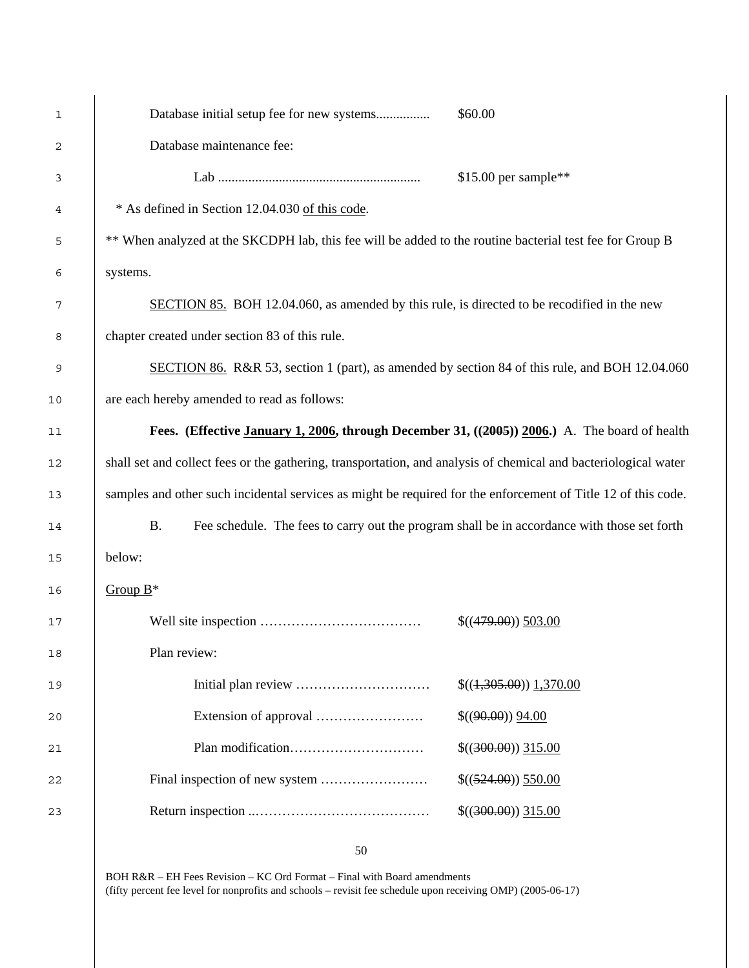| 1  | \$60.00<br>Database initial setup fee for new systems                                                           |
|----|-----------------------------------------------------------------------------------------------------------------|
| 2  | Database maintenance fee:                                                                                       |
| 3  | $$15.00$ per sample**                                                                                           |
| 4  | * As defined in Section 12.04.030 of this code.                                                                 |
| 5  | ** When analyzed at the SKCDPH lab, this fee will be added to the routine bacterial test fee for Group B        |
| 6  | systems.                                                                                                        |
| 7  | <b>SECTION 85.</b> BOH 12.04.060, as amended by this rule, is directed to be recodified in the new              |
| 8  | chapter created under section 83 of this rule.                                                                  |
| 9  | SECTION 86. R&R 53, section 1 (part), as amended by section 84 of this rule, and BOH 12.04.060                  |
| 10 | are each hereby amended to read as follows:                                                                     |
| 11 | Fees. (Effective January 1, 2006, through December 31, ((2005)) 2006.) A. The board of health                   |
| 12 | shall set and collect fees or the gathering, transportation, and analysis of chemical and bacteriological water |
| 13 | samples and other such incidental services as might be required for the enforcement of Title 12 of this code.   |
| 14 | Fee schedule. The fees to carry out the program shall be in accordance with those set forth<br><b>B.</b>        |
| 15 | below:                                                                                                          |
| 16 | Group $B^*$                                                                                                     |
| 17 | \$(479.00) 503.00                                                                                               |
| 18 | Plan review:                                                                                                    |
| 19 | \$(4,305.00) 1,370.00                                                                                           |
| 20 | \$(90.00) 94.00                                                                                                 |
| 21 | \$(300.00) 315.00                                                                                               |
| 22 | \$((524.00)) 550.00                                                                                             |
| 23 | \$(300.00) 315.00                                                                                               |
|    |                                                                                                                 |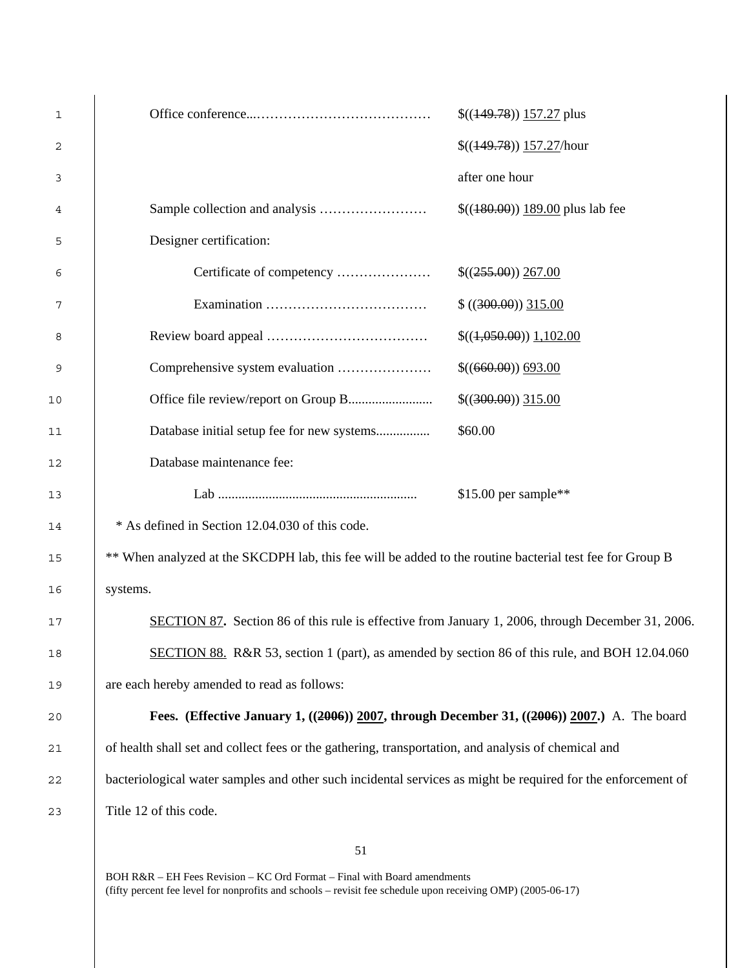| 1      |                                                                                                              | $$(149.78))$ 157.27 plus        |  |
|--------|--------------------------------------------------------------------------------------------------------------|---------------------------------|--|
| 2      |                                                                                                              | $$(149.78))$ 157.27/hour        |  |
| 3      |                                                                                                              | after one hour                  |  |
| 4      |                                                                                                              | $$(180.00) 189.00$ plus lab fee |  |
| 5      | Designer certification:                                                                                      |                                 |  |
| 6      | Certificate of competency                                                                                    | $$(255.00)$ $267.00$            |  |
| 7      |                                                                                                              | \$(300.00) 315.00               |  |
| 8      |                                                                                                              | $$(4,050,00))$ $1,102,00$       |  |
| 9      |                                                                                                              | \$(660.00) 693.00               |  |
| 10     |                                                                                                              | \$(300.00) 315.00               |  |
| 11     | Database initial setup fee for new systems                                                                   | \$60.00                         |  |
| 12     | Database maintenance fee:                                                                                    |                                 |  |
| 13     |                                                                                                              | $$15.00$ per sample**           |  |
| 14     | * As defined in Section 12.04.030 of this code.                                                              |                                 |  |
| 15     | ** When analyzed at the SKCDPH lab, this fee will be added to the routine bacterial test fee for Group B     |                                 |  |
| 16     | systems.                                                                                                     |                                 |  |
| 17     | SECTION 87. Section 86 of this rule is effective from January 1, 2006, through December 31, 2006.            |                                 |  |
| $18\,$ | SECTION 88. R&R 53, section 1 (part), as amended by section 86 of this rule, and BOH 12.04.060               |                                 |  |
| 19     | are each hereby amended to read as follows:                                                                  |                                 |  |
| 20     | <b>Fees.</b> (Effective January 1, $((2996))$ 2007, through December 31, $((2996))$ 2007.) A. The board      |                                 |  |
| 21     | of health shall set and collect fees or the gathering, transportation, and analysis of chemical and          |                                 |  |
| 22     | bacteriological water samples and other such incidental services as might be required for the enforcement of |                                 |  |
| 23     | Title 12 of this code.                                                                                       |                                 |  |
|        | 51                                                                                                           |                                 |  |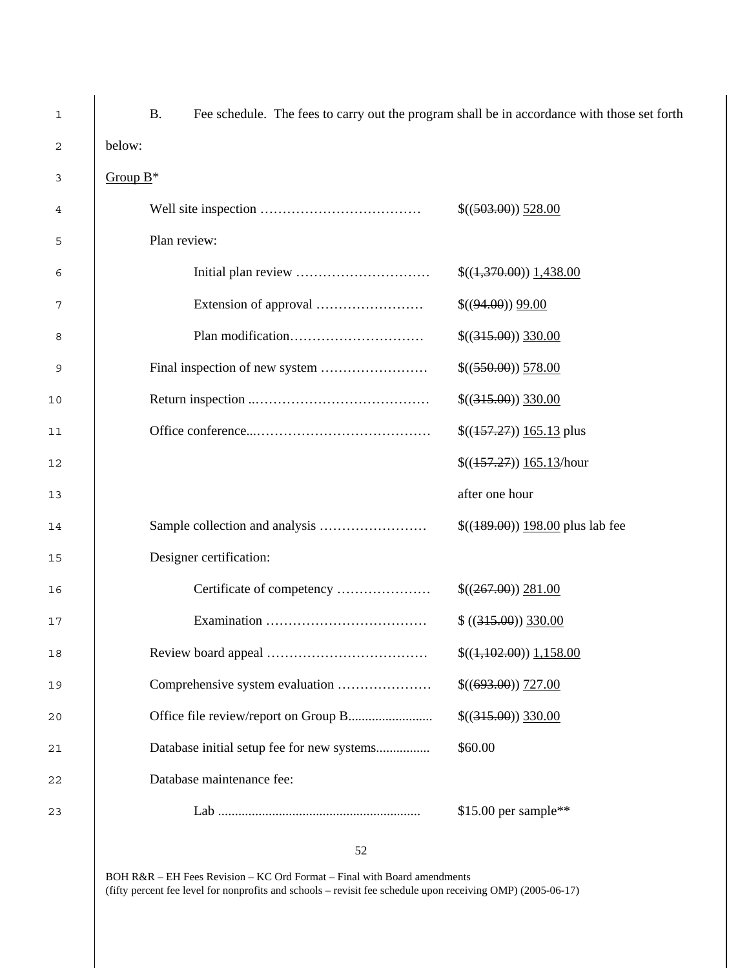| 1      | <b>B.</b><br>Fee schedule. The fees to carry out the program shall be in accordance with those set forth |                                 |
|--------|----------------------------------------------------------------------------------------------------------|---------------------------------|
| 2      | below:                                                                                                   |                                 |
| 3      | Group $B^*$                                                                                              |                                 |
| 4      |                                                                                                          | \$((503.00)) 528.00             |
| 5      | Plan review:                                                                                             |                                 |
| 6      |                                                                                                          | \$(4,370.00) 1,438.00           |
| 7      |                                                                                                          | \$(94.00) 99.00                 |
| 8      |                                                                                                          | $$((315.00))$ 330.00            |
| 9      |                                                                                                          | \$((550.00)) 578.00             |
| 10     |                                                                                                          | $$((315.00))$ 330.00            |
| 11     |                                                                                                          | $$(157.27))$ 165.13 plus        |
| 12     |                                                                                                          | $$(157.27))$ 165.13/hour        |
| 13     |                                                                                                          | after one hour                  |
| 14     |                                                                                                          | $$(189.00) 198.00$ plus lab fee |
| 15     | Designer certification:                                                                                  |                                 |
| 16     |                                                                                                          | \$(267.00) 281.00               |
| 17     |                                                                                                          | $$((315.00))$ 330.00            |
| $18\,$ |                                                                                                          | $$(4,102,00)$ $1,158.00$        |
| 19     | Comprehensive system evaluation                                                                          | $$((693.00))$ 727.00            |
| 20     |                                                                                                          | \$(315.00) 330.00               |
| 21     | Database initial setup fee for new systems                                                               | \$60.00                         |
| 22     | Database maintenance fee:                                                                                |                                 |
| 23     |                                                                                                          | \$15.00 per sample**            |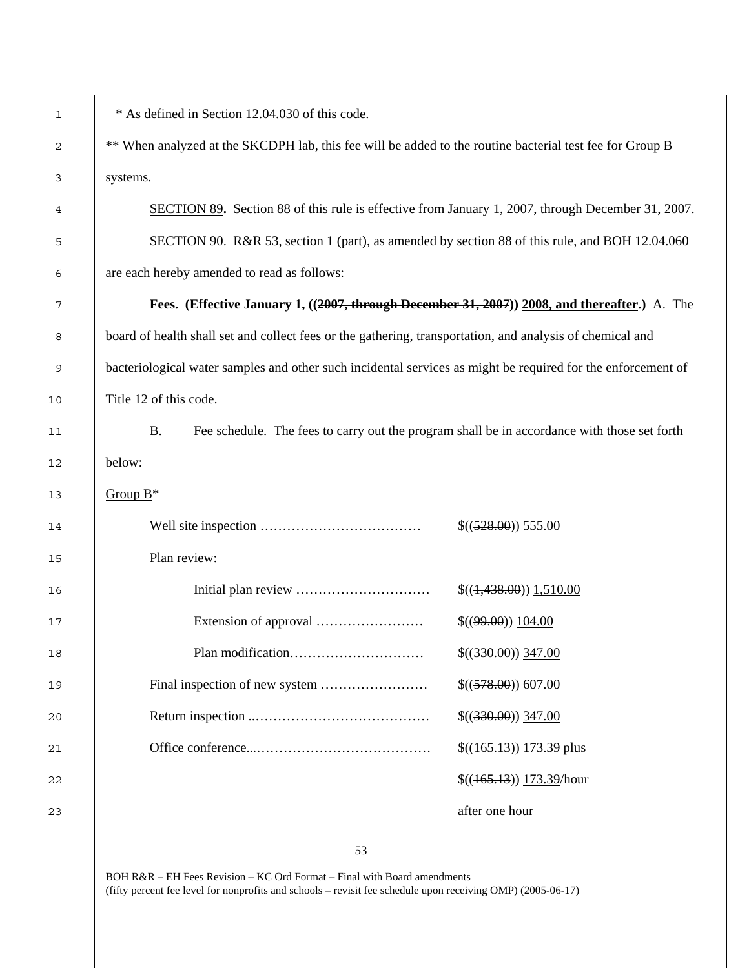| * As defined in Section 12.04.030 of this code. |  |
|-------------------------------------------------|--|

<sup>2</sup> \*\* When analyzed at the SKCDPH lab, this fee will be added to the routine bacterial test fee for Group B systems.

SECTION 89**.** Section 88 of this rule is effective from January 1, 2007, through December 31, 2007. 5 SECTION 90. R&R 53, section 1 (part), as amended by section 88 of this rule, and BOH 12.04.060 are each hereby amended to read as follows:

**Fees. (Effective January 1, ((2007, through December 31, 2007)) 2008, and thereafter.)** A. The board of health shall set and collect fees or the gathering, transportation, and analysis of chemical and bacteriological water samples and other such incidental services as might be required for the enforcement of 10 Title 12 of this code.

11 B. Fee schedule. The fees to carry out the program shall be in accordance with those set forth

13  $Group B*$ 

below:

| 14 |              | \$((528.00)) 555.00                  |
|----|--------------|--------------------------------------|
| 15 | Plan review: |                                      |
| 16 |              | $$(4,438,00)$ $1,510.00$             |
| 17 |              | \$(99.00) 104.00                     |
| 18 |              | \$(330.00) 347.00                    |
| 19 |              | \$((578.00)) 607.00                  |
| 20 |              | $$(330.00)$ 347.00                   |
| 21 |              | $$(165.13))$ 173.39 plus             |
| 22 |              | $\frac{\{(165.13)\}}{173.39/h}$ hour |
| 23 |              | after one hour                       |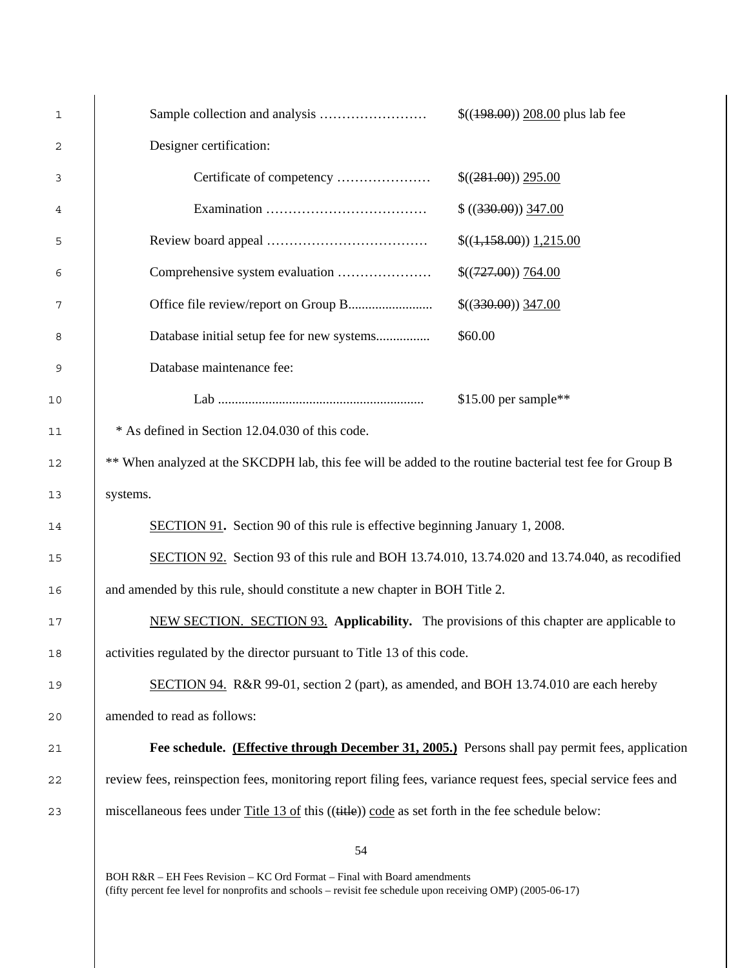| $\mathbf{1}$ |                                                                                                                | $\$((198.00))$ 208.00 plus lab fee |  |  |
|--------------|----------------------------------------------------------------------------------------------------------------|------------------------------------|--|--|
| 2            | Designer certification:                                                                                        |                                    |  |  |
| 3            |                                                                                                                | \$(281.00) 295.00                  |  |  |
| 4            |                                                                                                                | \$(330.00) 347.00                  |  |  |
| 5            |                                                                                                                | $$(4,158,00)$ $1,215.00$           |  |  |
| 6            |                                                                                                                | \$(727.00) 764.00                  |  |  |
| 7            |                                                                                                                | $$(330.00)$ 347.00                 |  |  |
| 8            | Database initial setup fee for new systems                                                                     | \$60.00                            |  |  |
| 9            | Database maintenance fee:                                                                                      |                                    |  |  |
| 10           |                                                                                                                | $$15.00$ per sample**              |  |  |
| 11           | * As defined in Section 12.04.030 of this code.                                                                |                                    |  |  |
| 12           | ** When analyzed at the SKCDPH lab, this fee will be added to the routine bacterial test fee for Group B       |                                    |  |  |
| 13           | systems.                                                                                                       |                                    |  |  |
| 14           | <b>SECTION 91.</b> Section 90 of this rule is effective beginning January 1, 2008.                             |                                    |  |  |
| 15           | SECTION 92. Section 93 of this rule and BOH 13.74.010, 13.74.020 and 13.74.040, as recodified                  |                                    |  |  |
| 16           | and amended by this rule, should constitute a new chapter in BOH Title 2.                                      |                                    |  |  |
| 17           | NEW SECTION. SECTION 93. Applicability. The provisions of this chapter are applicable to                       |                                    |  |  |
| 18           | activities regulated by the director pursuant to Title 13 of this code.                                        |                                    |  |  |
| 19           | SECTION 94. R&R 99-01, section 2 (part), as amended, and BOH 13.74.010 are each hereby                         |                                    |  |  |
| 20           | amended to read as follows:                                                                                    |                                    |  |  |
| 21           | Fee schedule. (Effective through December 31, 2005.) Persons shall pay permit fees, application                |                                    |  |  |
| 22           | review fees, reinspection fees, monitoring report filing fees, variance request fees, special service fees and |                                    |  |  |
| 23           | miscellaneous fees under Title 13 of this (( $\frac{t}{t}$ ) code as set forth in the fee schedule below:      |                                    |  |  |
|              | 54                                                                                                             |                                    |  |  |
|              | BOH R&R – EH Fees Revision – KC Ord Format – Final with Board amendments                                       |                                    |  |  |
|              | (fifty percent fee level for nonprofits and schools – revisit fee schedule upon receiving OMP) (2005-06-17)    |                                    |  |  |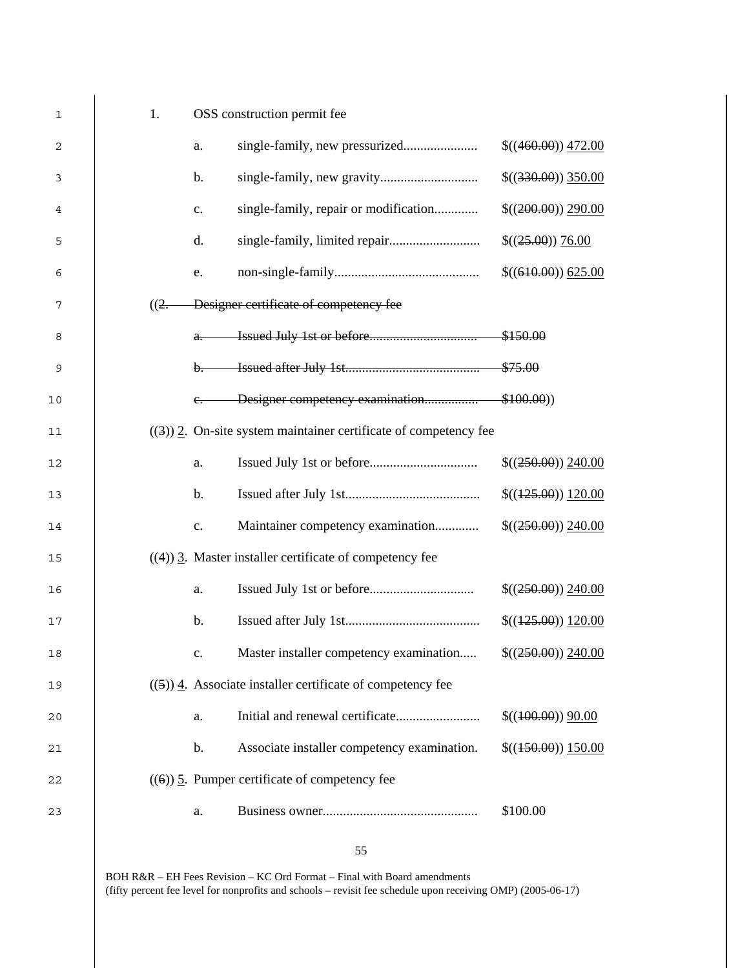| 1  | 1.       |                | OSS construction permit fee                                        |                     |
|----|----------|----------------|--------------------------------------------------------------------|---------------------|
| 2  |          | a.             |                                                                    | \$(460.00) 472.00   |
| 3  |          | $\mathbf b$ .  |                                                                    | \$(330.00) 350.00   |
| 4  |          | $\mathbf{c}$ . | single-family, repair or modification                              | \$((200.00)) 290.00 |
| 5  |          | d.             |                                                                    | \$((25.00)) 76.00   |
| 6  |          | e.             |                                                                    | \$(610.00) 625.00   |
| 7  | $((2,-)$ |                | Designer certificate of competency fee                             |                     |
| 8  |          |                |                                                                    |                     |
| 9  |          |                |                                                                    |                     |
| 10 |          |                |                                                                    |                     |
| 11 |          |                | $((3))$ 2. On-site system maintainer certificate of competency fee |                     |
| 12 |          | a.             |                                                                    | \$(250.00) 240.00   |
| 13 |          | b.             |                                                                    | \$(425.00) 120.00   |
| 14 |          | $\mathbf{c}.$  | Maintainer competency examination                                  | \$(250.00) 240.00   |
| 15 |          |                | $((4))$ 3. Master installer certificate of competency fee          |                     |
| 16 |          | a.             |                                                                    | \$((250.00)) 240.00 |
| 17 |          | b.             |                                                                    | \$(125.00) 120.00   |
| 18 |          | $\mathbf{c}$ . | Master installer competency examination                            | \$((250.00)) 240.00 |
| 19 |          |                | $((5))$ 4. Associate installer certificate of competency fee       |                     |
| 20 |          | a.             |                                                                    | $$(400.00)$ $90.00$ |
| 21 |          | $\mathbf b$ .  | Associate installer competency examination.                        | \$(150.00) 150.00   |
| 22 |          |                | $((6))$ 5. Pumper certificate of competency fee                    |                     |
| 23 |          | a.             |                                                                    | \$100.00            |
|    |          |                |                                                                    |                     |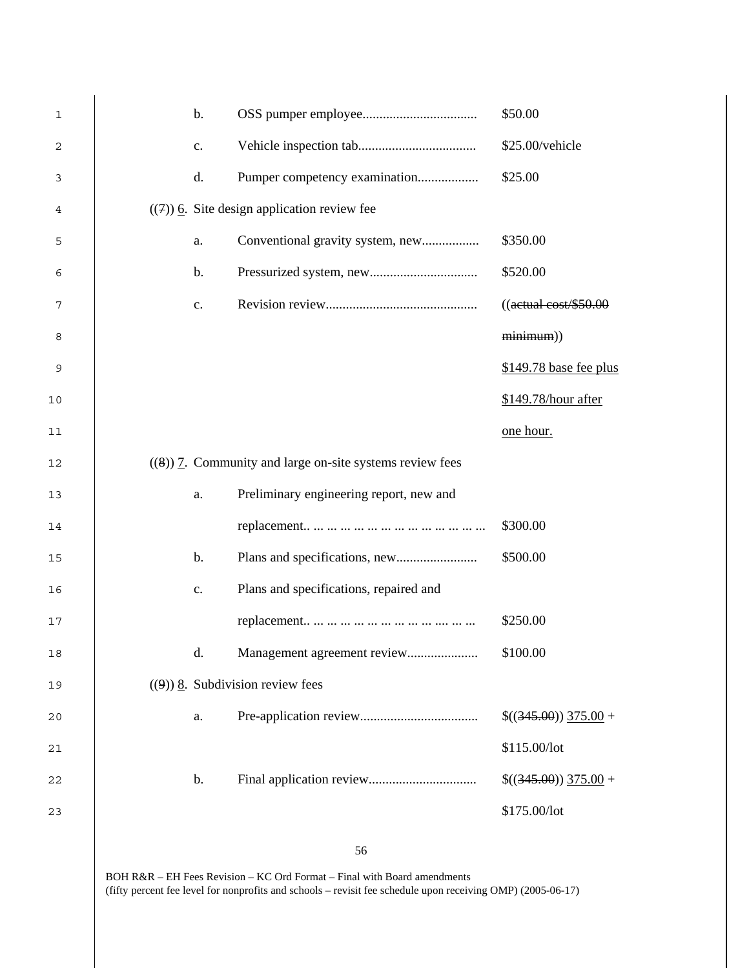| $\mathbf{1}$ | b.             |                                                            | \$50.00                 |
|--------------|----------------|------------------------------------------------------------|-------------------------|
| 2            | c.             |                                                            | \$25.00/vehicle         |
| 3            | d.             | Pumper competency examination                              | \$25.00                 |
| 4            |                | $((7))$ 6. Site design application review fee              |                         |
| 5            | a.             | Conventional gravity system, new                           | \$350.00                |
| 6            | b.             |                                                            | \$520.00                |
| 7            | $\mathbf{c}$ . |                                                            | $((aetual cost/\$50.00$ |
| 8            |                |                                                            | $minimum)$ )            |
| 9            |                |                                                            | \$149.78 base fee plus  |
| 10           |                |                                                            | \$149.78/hour after     |
| 11           |                |                                                            | one hour.               |
| 12           |                | $((8))$ 7. Community and large on-site systems review fees |                         |
| 13           | a.             | Preliminary engineering report, new and                    |                         |
| 14           |                |                                                            | \$300.00                |
| 15           | $\mathbf b$ .  |                                                            | \$500.00                |
| 16           | c.             | Plans and specifications, repaired and                     |                         |
| 17           |                |                                                            | \$250.00                |
| 18           | d.             | Management agreement review                                | \$100.00                |
| 19           |                | $(9)$ ) 8. Subdivision review fees                         |                         |
| 20           | a.             |                                                            | $$(345.00)$ $375.00 +$  |
| 21           |                |                                                            | \$115.00/lot            |
| 22           | b.             |                                                            | $$(345.00)$ $375.00 +$  |
| 23           |                |                                                            | \$175.00/lot            |
|              |                |                                                            |                         |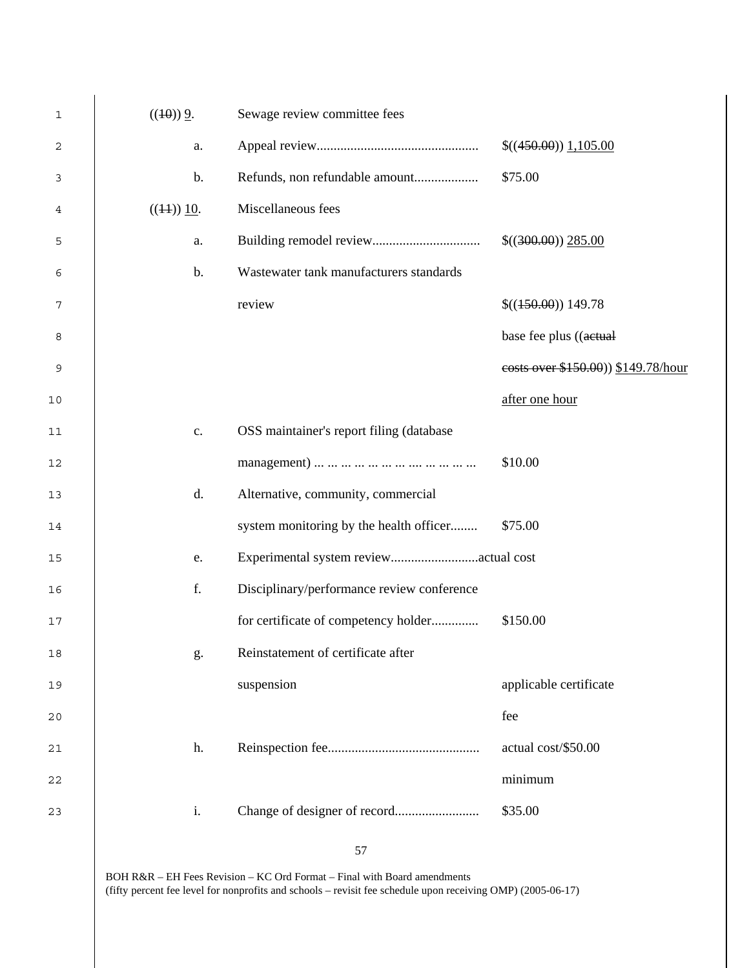| 1  | $((10))$ 9.    | Sewage review committee fees               |                                     |
|----|----------------|--------------------------------------------|-------------------------------------|
| 2  | a.             |                                            | \$(450.00) 1,105.00                 |
| 3  | b.             | Refunds, non refundable amount             | \$75.00                             |
| 4  | $((11))$ 10.   | Miscellaneous fees                         |                                     |
| 5  | ${\bf a}.$     |                                            | \$(300.00) 285.00                   |
| 6  | b.             | Wastewater tank manufacturers standards    |                                     |
| 7  |                | review                                     | \$(150.00) 149.78                   |
| 8  |                |                                            | base fee plus ((aetual              |
| 9  |                |                                            | costs over \$150.00)) \$149.78/hour |
| 10 |                |                                            | after one hour                      |
| 11 | $\mathbf{c}$ . | OSS maintainer's report filing (database   |                                     |
| 12 |                |                                            | \$10.00                             |
| 13 | d.             | Alternative, community, commercial         |                                     |
| 14 |                | system monitoring by the health officer    | \$75.00                             |
| 15 | e.             |                                            |                                     |
| 16 | f.             | Disciplinary/performance review conference |                                     |
| 17 |                | for certificate of competency holder       | \$150.00                            |
| 18 | g.             | Reinstatement of certificate after         |                                     |
| 19 |                | suspension                                 | applicable certificate              |
| 20 |                |                                            | fee                                 |
| 21 | h.             |                                            | actual cost/\$50.00                 |
| 22 |                |                                            | minimum                             |
| 23 | i.             |                                            | \$35.00                             |
|    |                |                                            |                                     |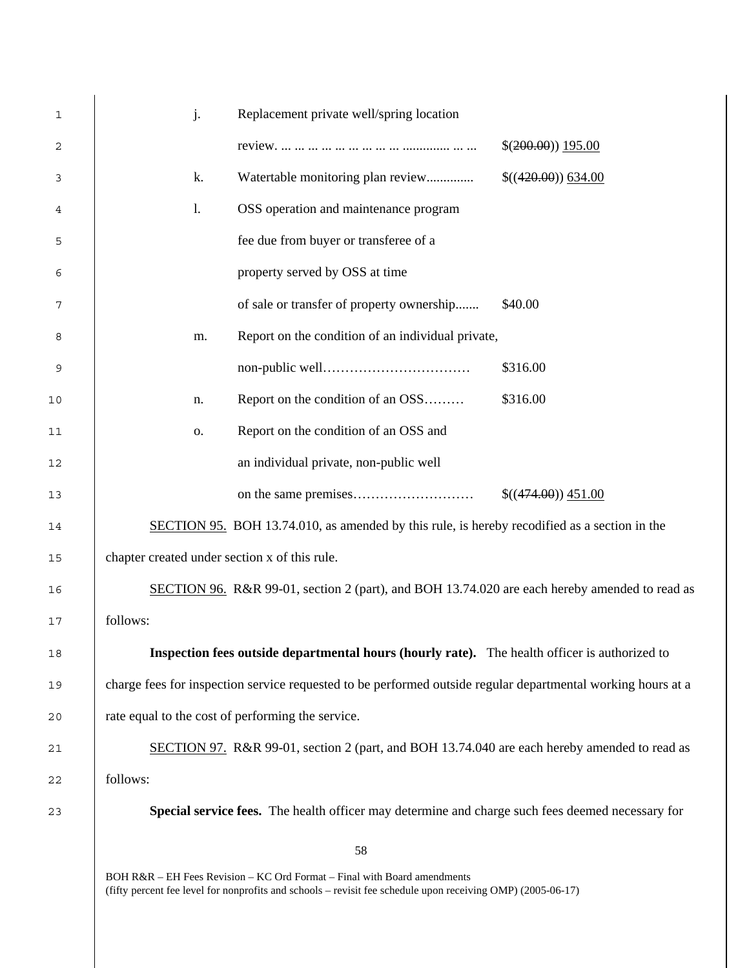| 1  | j.                                                | Replacement private well/spring location                                                                                                                                                |                   |
|----|---------------------------------------------------|-----------------------------------------------------------------------------------------------------------------------------------------------------------------------------------------|-------------------|
| 2  |                                                   |                                                                                                                                                                                         | \$(200.00) 195.00 |
| 3  | k.                                                | Watertable monitoring plan review                                                                                                                                                       | \$(420.00) 634.00 |
| 4  | $\mathbf{1}$ .                                    | OSS operation and maintenance program                                                                                                                                                   |                   |
| 5  |                                                   | fee due from buyer or transferee of a                                                                                                                                                   |                   |
| 6  |                                                   | property served by OSS at time                                                                                                                                                          |                   |
| 7  |                                                   | of sale or transfer of property ownership                                                                                                                                               | \$40.00           |
| 8  | m.                                                | Report on the condition of an individual private,                                                                                                                                       |                   |
| 9  |                                                   |                                                                                                                                                                                         | \$316.00          |
| 10 | n.                                                | Report on the condition of an OSS                                                                                                                                                       | \$316.00          |
| 11 | 0.                                                | Report on the condition of an OSS and                                                                                                                                                   |                   |
| 12 |                                                   | an individual private, non-public well                                                                                                                                                  |                   |
| 13 |                                                   |                                                                                                                                                                                         | \$(474.00) 451.00 |
| 14 |                                                   | <b>SECTION 95.</b> BOH 13.74.010, as amended by this rule, is hereby recodified as a section in the                                                                                     |                   |
| 15 | chapter created under section x of this rule.     |                                                                                                                                                                                         |                   |
| 16 |                                                   | SECTION 96. R&R 99-01, section 2 (part), and BOH 13.74.020 are each hereby amended to read as                                                                                           |                   |
| 17 | follows:                                          |                                                                                                                                                                                         |                   |
| 18 |                                                   | Inspection fees outside departmental hours (hourly rate). The health officer is authorized to                                                                                           |                   |
| 19 |                                                   | charge fees for inspection service requested to be performed outside regular departmental working hours at a                                                                            |                   |
| 20 | rate equal to the cost of performing the service. |                                                                                                                                                                                         |                   |
| 21 |                                                   | SECTION 97. R&R 99-01, section 2 (part, and BOH 13.74.040 are each hereby amended to read as                                                                                            |                   |
| 22 | follows:                                          |                                                                                                                                                                                         |                   |
| 23 |                                                   | Special service fees. The health officer may determine and charge such fees deemed necessary for                                                                                        |                   |
|    |                                                   | 58                                                                                                                                                                                      |                   |
|    |                                                   | BOH R&R - EH Fees Revision - KC Ord Format - Final with Board amendments<br>(fifty percent fee level for nonprofits and schools – revisit fee schedule upon receiving OMP) (2005-06-17) |                   |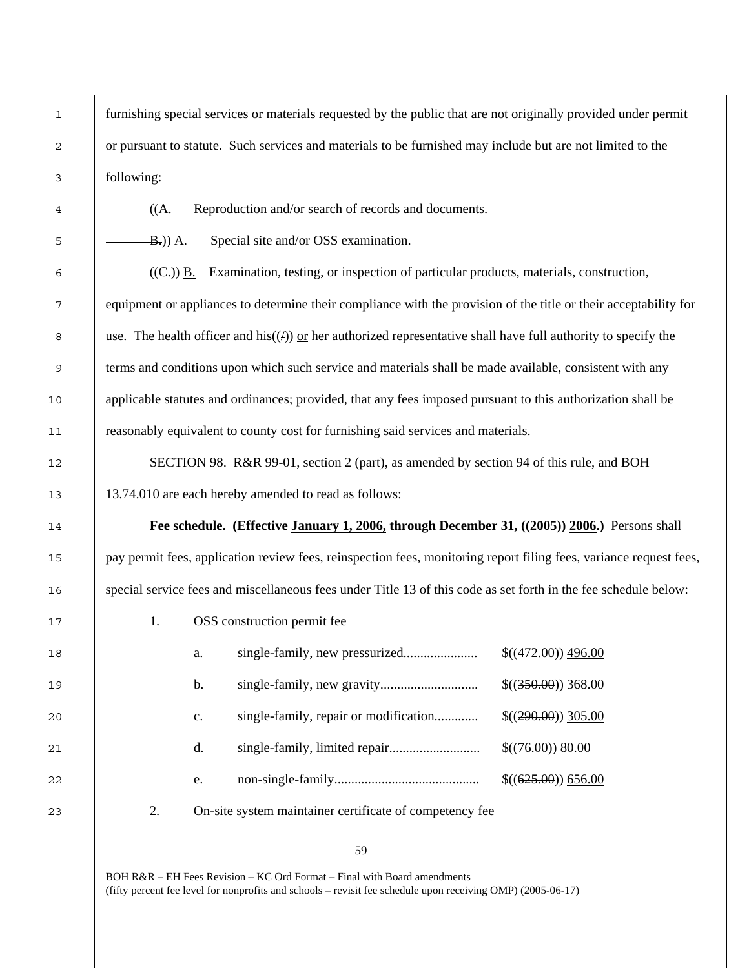1 furnishing special services or materials requested by the public that are not originally provided under permit or pursuant to statute. Such services and materials to be furnished may include but are not limited to the following:

((A. Reproduction and/or search of records and documents.

 $\leftarrow$  B.)) A. Special site and/or OSS examination.

 $(6 \quad (C))$  B. Examination, testing, or inspection of particular products, materials, construction, equipment or appliances to determine their compliance with the provision of the title or their acceptability for 8 use. The health officer and his( $(f)$ ) or her authorized representative shall have full authority to specify the terms and conditions upon which such service and materials shall be made available, consistent with any applicable statutes and ordinances; provided, that any fees imposed pursuant to this authorization shall be reasonably equivalent to county cost for furnishing said services and materials.

## 12 SECTION 98. R&R 99-01, section 2 (part), as amended by section 94 of this rule, and BOH

13.74.010 are each hereby amended to read as follows:

**Fee schedule. (Effective January 1, 2006, through December 31, ((2005)) 2006.)** Persons shall pay permit fees, application review fees, reinspection fees, monitoring report filing fees, variance request fees, special service fees and miscellaneous fees under Title 13 of this code as set forth in the fee schedule below:

- 
- 17 1. OSS construction permit fee

| 18 | a.             | $$(472.00)$ 496.00 |
|----|----------------|--------------------|
| 19 | b.             | \$(350.00) 368.00  |
| 20 | $\mathbf{c}$ . | \$(290.00) 305.00  |
| 21 | d.             | $$(76.00)$ 80.00   |
| 22 | e.             | \$(625.00) 656.00  |
|    |                |                    |

23 2. On-site system maintainer certificate of competency fee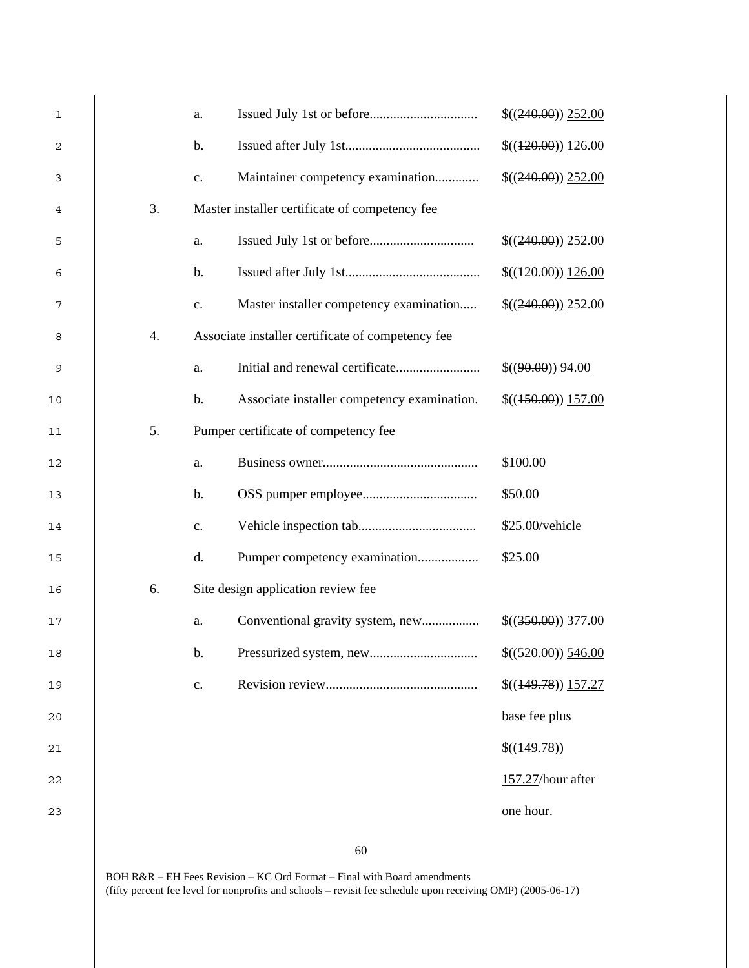| 1  |    | a.             |                                                   | \$((240.00)) 252.00 |
|----|----|----------------|---------------------------------------------------|---------------------|
| 2  |    | b.             |                                                   | \$((120.00)) 126.00 |
| 3  |    | c.             | Maintainer competency examination                 | \$(240.00) 252.00   |
| 4  | 3. |                | Master installer certificate of competency fee    |                     |
| 5  |    | a.             |                                                   | \$(240.00) 252.00   |
| 6  |    | $\mathbf b$ .  |                                                   | \$(120.00) 126.00   |
| 7  |    | c.             | Master installer competency examination           | \$(240.00) 252.00   |
| 8  | 4. |                | Associate installer certificate of competency fee |                     |
| 9  |    | a.             |                                                   | \$((90.00)) 94.00   |
| 10 |    | $\mathbf b$ .  | Associate installer competency examination.       | \$((150.00)) 157.00 |
| 11 | 5. |                | Pumper certificate of competency fee              |                     |
| 12 |    | a.             |                                                   | \$100.00            |
| 13 |    | $\mathbf b$ .  |                                                   | \$50.00             |
| 14 |    | $\mathbf{c}$ . |                                                   | \$25.00/vehicle     |
| 15 |    | d.             | Pumper competency examination                     | \$25.00             |
| 16 | 6. |                | Site design application review fee                |                     |
| 17 |    | a.             | Conventional gravity system, new                  | $$(350.00)$ 377.00  |
| 18 |    | b.             |                                                   | \$((520.00)) 546.00 |
| 19 |    | $\mathbf{c}$ . |                                                   | \$(149.78)) 157.27  |
| 20 |    |                |                                                   | base fee plus       |
| 21 |    |                |                                                   | \$(149.78))         |
| 22 |    |                |                                                   | 157.27/hour after   |
| 23 |    |                |                                                   | one hour.           |
|    |    |                |                                                   |                     |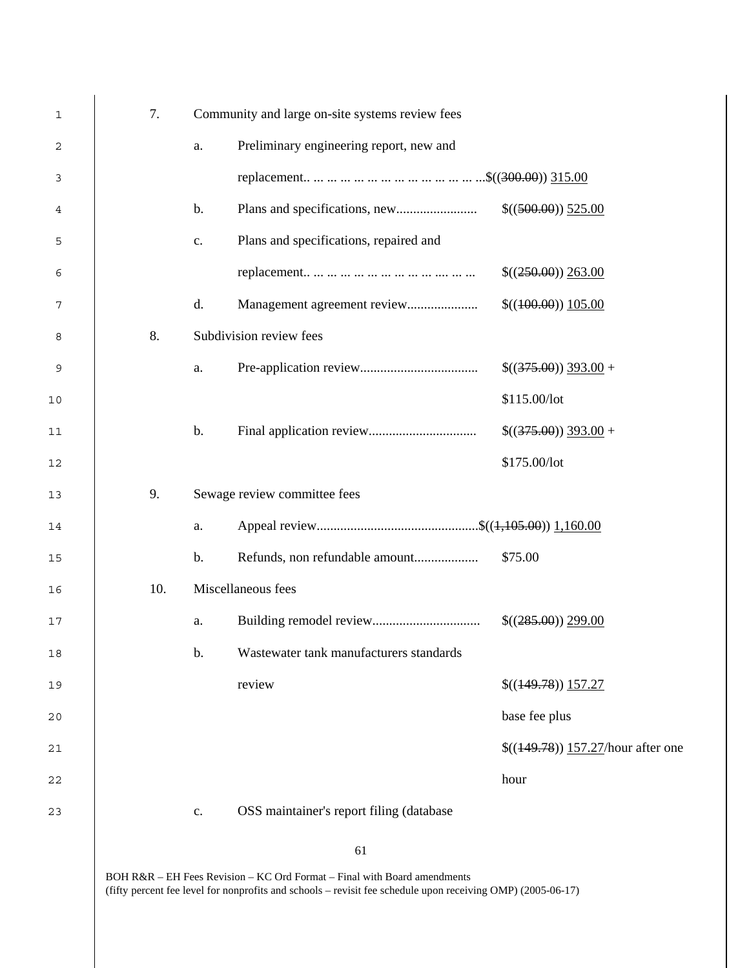| 1           | 7.  |               | Community and large on-site systems review fees |                                    |
|-------------|-----|---------------|-------------------------------------------------|------------------------------------|
| 2           |     | a.            | Preliminary engineering report, new and         |                                    |
| 3           |     |               |                                                 |                                    |
| 4           |     | b.            |                                                 |                                    |
| 5           |     | $\mathbf{c}.$ | Plans and specifications, repaired and          |                                    |
| 6           |     |               |                                                 | \$((250.00)) 263.00                |
| 7           |     | d.            |                                                 |                                    |
| 8           | 8.  |               | Subdivision review fees                         |                                    |
| 9           |     | a.            |                                                 | $$(375.00)$ 393.00 +               |
| 10          |     |               |                                                 | \$115.00/lot                       |
| 11          |     | b.            |                                                 | $$(375.00)$ 393.00 +               |
| 12          |     |               |                                                 | \$175.00/lot                       |
| 13          | 9.  |               | Sewage review committee fees                    |                                    |
| 14          |     | a.            |                                                 |                                    |
| 15          |     | b.            |                                                 | \$75.00                            |
| 16          | 10. |               | Miscellaneous fees                              |                                    |
| 17          |     | a.            |                                                 |                                    |
| 18          |     | b.            | Wastewater tank manufacturers standards         |                                    |
| 19          |     |               | review                                          | \$(149.78)) 157.27                 |
| 20          |     |               |                                                 | base fee plus                      |
| 21          |     |               |                                                 | $$(149.78))$ 157.27/hour after one |
| $2\sqrt{2}$ |     |               |                                                 | hour                               |
| 23          |     | c.            | OSS maintainer's report filing (database        |                                    |
|             |     |               |                                                 |                                    |
|             |     |               | 61                                              |                                    |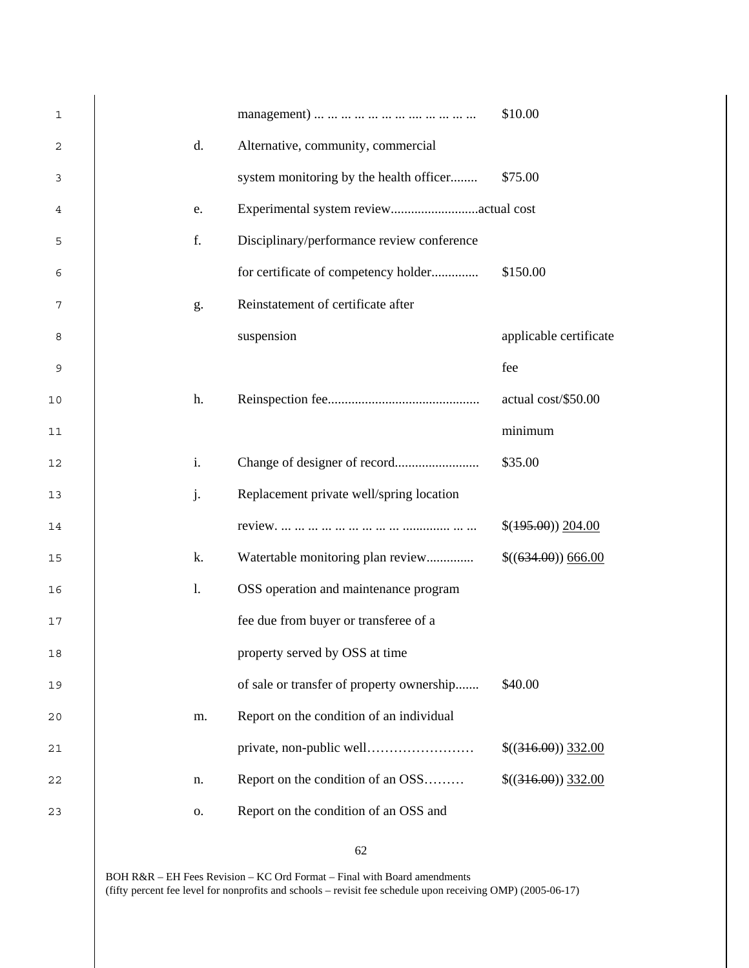| 1  |                |                                            | \$10.00                |
|----|----------------|--------------------------------------------|------------------------|
| 2  | d.             | Alternative, community, commercial         |                        |
| 3  |                | system monitoring by the health officer    | \$75.00                |
| 4  | e.             |                                            |                        |
| 5  | f.             | Disciplinary/performance review conference |                        |
| 6  |                | for certificate of competency holder       | \$150.00               |
| 7  | g.             | Reinstatement of certificate after         |                        |
| 8  |                | suspension                                 | applicable certificate |
| 9  |                |                                            | fee                    |
| 10 | h.             |                                            | actual cost/\$50.00    |
| 11 |                |                                            | minimum                |
| 12 | i.             |                                            | \$35.00                |
| 13 | j.             | Replacement private well/spring location   |                        |
| 14 |                |                                            | $$(195.00)$ $204.00$   |
| 15 | k.             | Watertable monitoring plan review          | \$(634.00) 666.00      |
| 16 | $\mathbf{l}$ . | OSS operation and maintenance program      |                        |
| 17 |                | fee due from buyer or transferee of a      |                        |
| 18 |                | property served by OSS at time             |                        |
| 19 |                | of sale or transfer of property ownership  | \$40.00                |
| 20 | m.             | Report on the condition of an individual   |                        |
| 21 |                |                                            | \$(316.00) 332.00      |
| 22 | n.             | Report on the condition of an OSS          | \$(316.00) 332.00      |
| 23 | О.             | Report on the condition of an OSS and      |                        |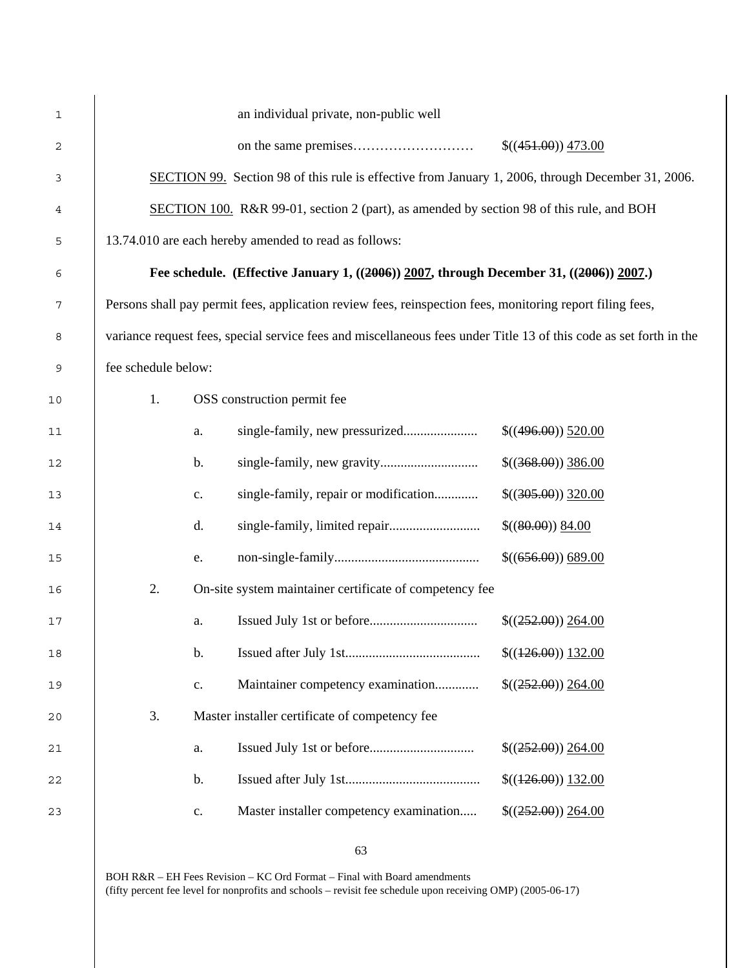|    |               | an individual private, non-public well  |                                                                                                                                                                                                                                                                                                                                                                                                                                                                                                                                                                                                                                                                                                                                      |
|----|---------------|-----------------------------------------|--------------------------------------------------------------------------------------------------------------------------------------------------------------------------------------------------------------------------------------------------------------------------------------------------------------------------------------------------------------------------------------------------------------------------------------------------------------------------------------------------------------------------------------------------------------------------------------------------------------------------------------------------------------------------------------------------------------------------------------|
|    |               |                                         | \$(451.00) 473.00                                                                                                                                                                                                                                                                                                                                                                                                                                                                                                                                                                                                                                                                                                                    |
|    |               |                                         |                                                                                                                                                                                                                                                                                                                                                                                                                                                                                                                                                                                                                                                                                                                                      |
|    |               |                                         |                                                                                                                                                                                                                                                                                                                                                                                                                                                                                                                                                                                                                                                                                                                                      |
|    |               |                                         |                                                                                                                                                                                                                                                                                                                                                                                                                                                                                                                                                                                                                                                                                                                                      |
|    |               |                                         |                                                                                                                                                                                                                                                                                                                                                                                                                                                                                                                                                                                                                                                                                                                                      |
|    |               |                                         |                                                                                                                                                                                                                                                                                                                                                                                                                                                                                                                                                                                                                                                                                                                                      |
|    |               |                                         |                                                                                                                                                                                                                                                                                                                                                                                                                                                                                                                                                                                                                                                                                                                                      |
|    |               |                                         |                                                                                                                                                                                                                                                                                                                                                                                                                                                                                                                                                                                                                                                                                                                                      |
| 1. |               |                                         |                                                                                                                                                                                                                                                                                                                                                                                                                                                                                                                                                                                                                                                                                                                                      |
|    | a.            |                                         | \$(496.00) 520.00                                                                                                                                                                                                                                                                                                                                                                                                                                                                                                                                                                                                                                                                                                                    |
|    | b.            |                                         | \$(368.00) 386.00                                                                                                                                                                                                                                                                                                                                                                                                                                                                                                                                                                                                                                                                                                                    |
|    | c.            | single-family, repair or modification   | $$(305.00)$ 320.00                                                                                                                                                                                                                                                                                                                                                                                                                                                                                                                                                                                                                                                                                                                   |
|    | d.            |                                         | $$(80.00)$ 84.00                                                                                                                                                                                                                                                                                                                                                                                                                                                                                                                                                                                                                                                                                                                     |
|    | e.            |                                         | \$(656.00) 689.00                                                                                                                                                                                                                                                                                                                                                                                                                                                                                                                                                                                                                                                                                                                    |
| 2. |               |                                         |                                                                                                                                                                                                                                                                                                                                                                                                                                                                                                                                                                                                                                                                                                                                      |
|    | a.            |                                         | $$(252.00)$ $264.00$                                                                                                                                                                                                                                                                                                                                                                                                                                                                                                                                                                                                                                                                                                                 |
|    | b.            |                                         | \$(126.00) 132.00                                                                                                                                                                                                                                                                                                                                                                                                                                                                                                                                                                                                                                                                                                                    |
|    | $\mathbf{c}.$ | Maintainer competency examination       | $$(252.00)$ $264.00$                                                                                                                                                                                                                                                                                                                                                                                                                                                                                                                                                                                                                                                                                                                 |
| 3. |               |                                         |                                                                                                                                                                                                                                                                                                                                                                                                                                                                                                                                                                                                                                                                                                                                      |
|    | a.            |                                         | $$(252.00)$ $264.00$                                                                                                                                                                                                                                                                                                                                                                                                                                                                                                                                                                                                                                                                                                                 |
|    | b.            |                                         | \$(126.00) 132.00                                                                                                                                                                                                                                                                                                                                                                                                                                                                                                                                                                                                                                                                                                                    |
|    | c.            | Master installer competency examination | \$(252.00) 264.00                                                                                                                                                                                                                                                                                                                                                                                                                                                                                                                                                                                                                                                                                                                    |
|    |               | fee schedule below:                     | SECTION 99. Section 98 of this rule is effective from January 1, 2006, through December 31, 2006.<br>SECTION 100. R&R 99-01, section 2 (part), as amended by section 98 of this rule, and BOH<br>13.74.010 are each hereby amended to read as follows:<br>Fee schedule. (Effective January 1, $((2006))$ 2007, through December 31, $((2006))$ 2007.)<br>Persons shall pay permit fees, application review fees, reinspection fees, monitoring report filing fees,<br>variance request fees, special service fees and miscellaneous fees under Title 13 of this code as set forth in the<br>OSS construction permit fee<br>On-site system maintainer certificate of competency fee<br>Master installer certificate of competency fee |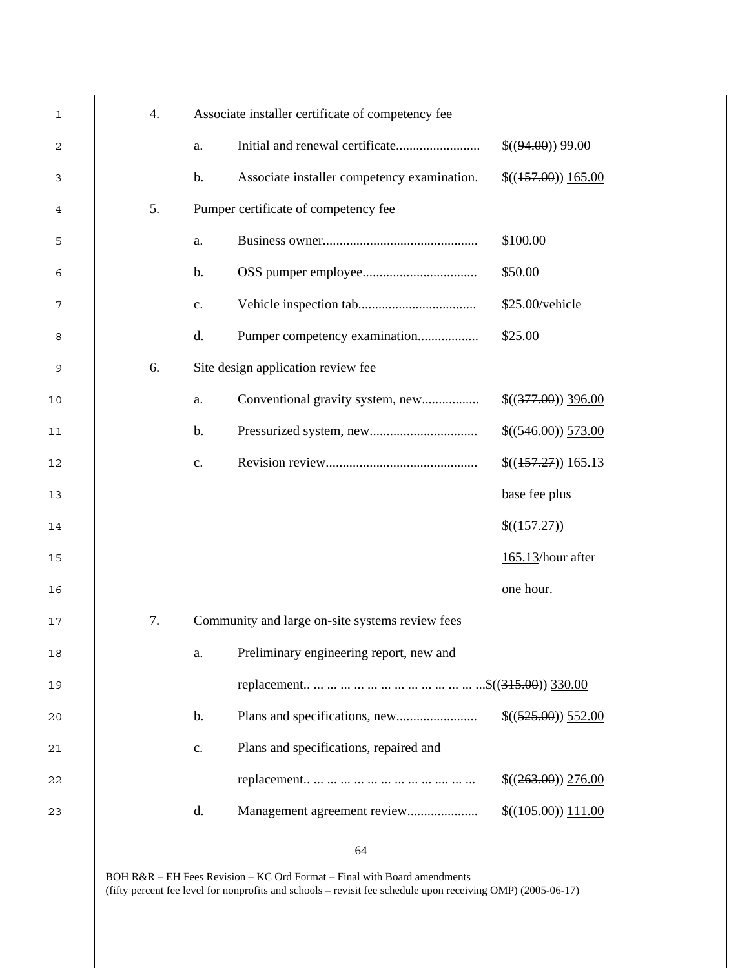| 1  | 4. |                | Associate installer certificate of competency fee |                      |
|----|----|----------------|---------------------------------------------------|----------------------|
| 2  |    | a.             |                                                   | \$(94.00) 99.00      |
| 3  |    | $\mathbf{b}$ . | Associate installer competency examination.       | \$(457.00) 165.00    |
| 4  | 5. |                | Pumper certificate of competency fee              |                      |
| 5  |    | a.             |                                                   | \$100.00             |
| 6  |    | $\mathbf{b}$ . |                                                   | \$50.00              |
| 7  |    | $\mathbf{c}$ . |                                                   | \$25.00/vehicle      |
| 8  |    | d.             | Pumper competency examination                     | \$25.00              |
| 9  | 6. |                | Site design application review fee                |                      |
| 10 |    | a.             | Conventional gravity system, new                  | $$(377.00)$ 396.00   |
| 11 |    | b.             |                                                   | \$((546.00)) 573.00  |
| 12 |    | c.             |                                                   | $$(157.27))$ 165.13  |
| 13 |    |                |                                                   | base fee plus        |
| 14 |    |                |                                                   | \$(157.27))          |
| 15 |    |                |                                                   | $165.13$ /hour after |
| 16 |    |                |                                                   | one hour.            |
| 17 | 7. |                | Community and large on-site systems review fees   |                      |
| 18 |    | a.             | Preliminary engineering report, new and           |                      |
| 19 |    |                |                                                   |                      |
| 20 |    | $\mathbf{b}$ . |                                                   | \$((525.00)) 552.00  |
| 21 |    | c.             | Plans and specifications, repaired and            |                      |
| 22 |    |                |                                                   | \$(263.00) 276.00    |
| 23 |    | d.             | Management agreement review                       | \$(105.00) 111.00    |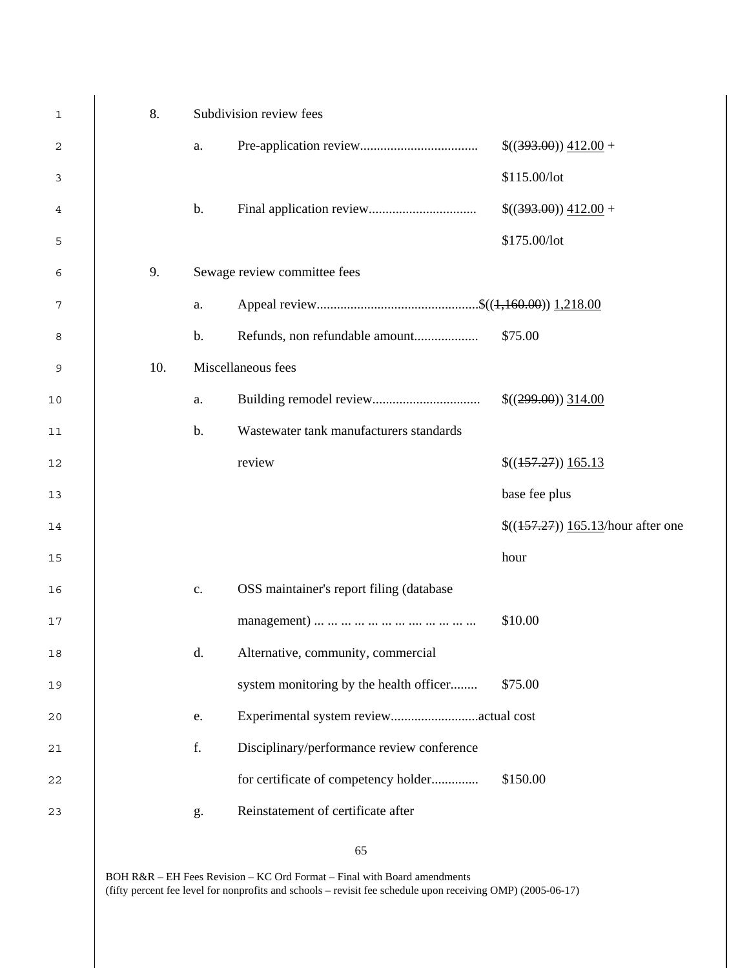| $\mathbf{1}$ | 8.  |               | Subdivision review fees                    |                                    |
|--------------|-----|---------------|--------------------------------------------|------------------------------------|
| 2            |     | a.            |                                            | $$(393.00)$ $412.00 +$             |
| 3            |     |               |                                            | \$115.00/lot                       |
| 4            |     | $b$ .         |                                            | $$(393.00) 412.00 +$               |
| 5            |     |               |                                            | \$175.00/lot                       |
| 6            | 9.  |               | Sewage review committee fees               |                                    |
| 7            |     | a.            |                                            |                                    |
| 8            |     | $b$ .         |                                            | \$75.00                            |
| 9            | 10. |               | Miscellaneous fees                         |                                    |
| 10           |     | a.            |                                            |                                    |
| 11           |     | $b$ .         | Wastewater tank manufacturers standards    |                                    |
| 12           |     |               | review                                     | $\frac{\{(157.27)\}}{165.13}$      |
| 13           |     |               |                                            | base fee plus                      |
| 14           |     |               |                                            | $$(157.27))$ 165.13/hour after one |
| 15           |     |               |                                            | hour                               |
| 16           |     | $\mathbf{c}.$ | OSS maintainer's report filing (database   |                                    |
| 17           |     |               |                                            | \$10.00                            |
| 18           |     | d.            | Alternative, community, commercial         |                                    |
| 19           |     |               | system monitoring by the health officer    | \$75.00                            |
| 20           |     | e.            |                                            |                                    |
| 21           |     | f.            | Disciplinary/performance review conference |                                    |
| 22           |     |               | for certificate of competency holder       | \$150.00                           |
| 23           |     | g.            | Reinstatement of certificate after         |                                    |
|              |     |               |                                            |                                    |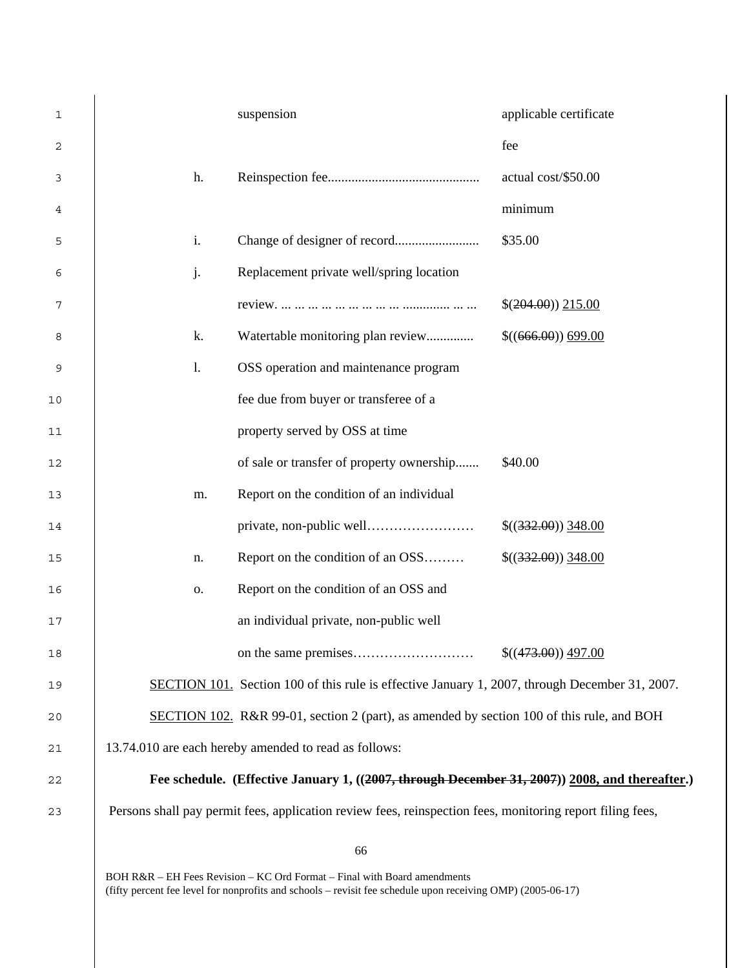| $\mathbf{1}$ |                | suspension                                                                                                | applicable certificate |
|--------------|----------------|-----------------------------------------------------------------------------------------------------------|------------------------|
| 2            |                |                                                                                                           | fee                    |
| 3            | h.             |                                                                                                           | actual cost/\$50.00    |
| 4            |                |                                                                                                           | minimum                |
| 5            | i.             |                                                                                                           | \$35.00                |
| 6            | j.             | Replacement private well/spring location                                                                  |                        |
| 7            |                |                                                                                                           | $$(204.00)$ $215.00$   |
| 8            | k.             | Watertable monitoring plan review                                                                         | \$(666.00) 699.00      |
| 9            | $\mathbf{1}$ . | OSS operation and maintenance program                                                                     |                        |
| 10           |                | fee due from buyer or transferee of a                                                                     |                        |
| 11           |                | property served by OSS at time                                                                            |                        |
| 12           |                | of sale or transfer of property ownership                                                                 | \$40.00                |
| 13           | m.             | Report on the condition of an individual                                                                  |                        |
| 14           |                |                                                                                                           | \$(332.00) 348.00      |
| 15           | n.             | Report on the condition of an OSS                                                                         | $$(332.00)$ 348.00     |
| 16           | О.             | Report on the condition of an OSS and                                                                     |                        |
| 17           |                | an individual private, non-public well                                                                    |                        |
| $18\,$       |                |                                                                                                           | \$(473.00) 497.00      |
| 19           |                | SECTION 101. Section 100 of this rule is effective January 1, 2007, through December 31, 2007.            |                        |
| 20           |                | SECTION 102. R&R 99-01, section 2 (part), as amended by section 100 of this rule, and BOH                 |                        |
| 21           |                | 13.74.010 are each hereby amended to read as follows:                                                     |                        |
| 22           |                | Fee schedule. (Effective January 1, ((2007, through December 31, 2007)) 2008, and thereafter.)            |                        |
| 23           |                | Persons shall pay permit fees, application review fees, reinspection fees, monitoring report filing fees, |                        |
|              |                | 66                                                                                                        |                        |
|              |                | BOH R&R - EH Fees Revision - KC Ord Format - Final with Board amendments                                  |                        |

(fifty percent fee level for nonprofits and schools – revisit fee schedule upon receiving OMP) (2005-06-17)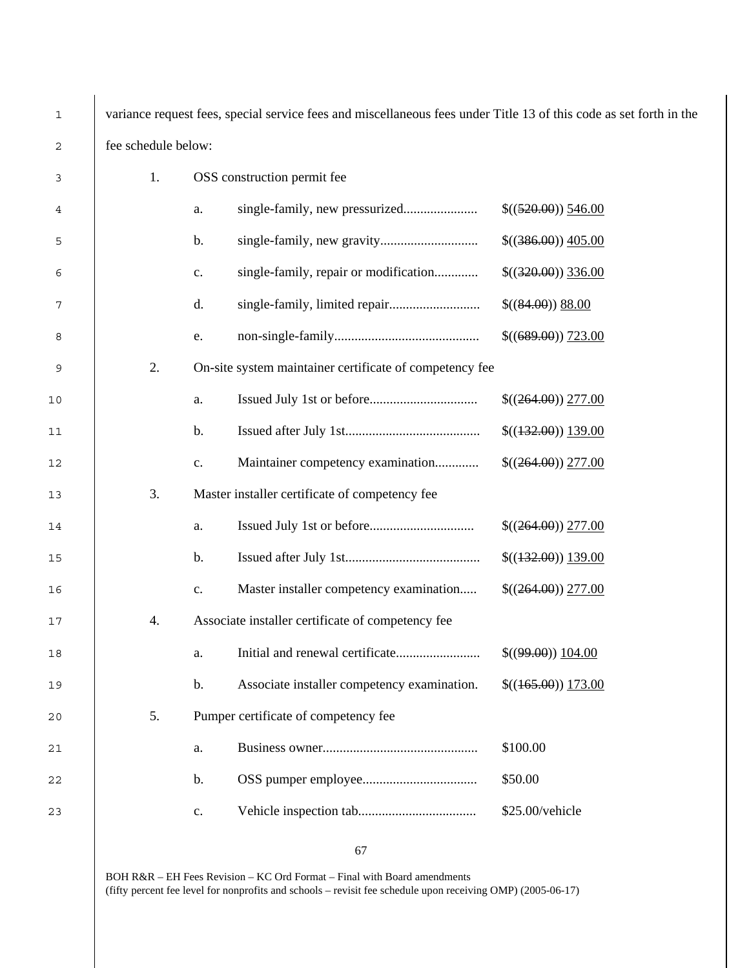1 variance request fees, special service fees and miscellaneous fees under Title 13 of this code as set forth in the fee schedule below:

| $\mathbf{3}$ | 1. |    | OSS construction permit fee                             |                     |
|--------------|----|----|---------------------------------------------------------|---------------------|
| 4            |    | a. |                                                         | \$((520.00)) 546.00 |
| 5            |    | b. |                                                         | \$(386.00) 405.00   |
| 6            |    | c. | single-family, repair or modification                   | \$(320.00) 336.00   |
| 7            |    | d. |                                                         | \$(84.00) 88.00     |
| 8            |    | e. |                                                         | \$(689.00) 723.00   |
| 9            | 2. |    | On-site system maintainer certificate of competency fee |                     |
| 10           |    | a. |                                                         | \$((264.00)) 277.00 |
| 11           |    | b. |                                                         | \$(432.00) 139.00   |
| 12           |    | c. | Maintainer competency examination                       | \$(264.00) 277.00   |
| 13           | 3. |    | Master installer certificate of competency fee          |                     |
| 14           |    | a. |                                                         | \$((264.00)) 277.00 |
| 15           |    | b. |                                                         | \$(432.00) 139.00   |
| 16           |    | c. | Master installer competency examination                 | \$(264.00) 277.00   |
| 17           | 4. |    | Associate installer certificate of competency fee       |                     |
| 18           |    | a. |                                                         | \$(99.00) 104.00    |
| 19           |    | b. | Associate installer competency examination.             | \$(165.00) 173.00   |
| $20$         | 5. |    | Pumper certificate of competency fee                    |                     |
| 21           |    | a. |                                                         | \$100.00            |
| 22           |    | b. |                                                         | \$50.00             |
| 23           |    | c. |                                                         | \$25.00/vehicle     |

BOH R&R – EH Fees Revision – KC Ord Format – Final with Board amendments (fifty percent fee level for nonprofits and schools – revisit fee schedule upon receiving OMP) (2005-06-17)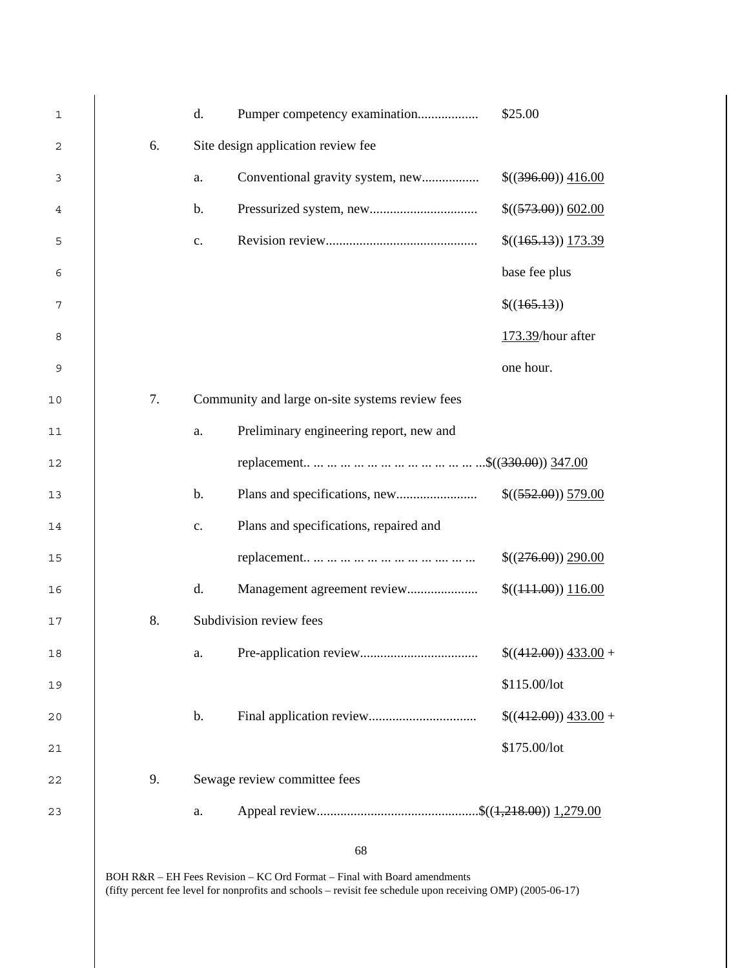| 1  |    | d.            | Pumper competency examination                   | \$25.00              |
|----|----|---------------|-------------------------------------------------|----------------------|
| 2  | 6. |               | Site design application review fee              |                      |
| 3  |    | a.            |                                                 | \$(396.00) 416.00    |
| 4  |    | $\mathbf b$ . |                                                 | \$((573.00)) 602.00  |
| 5  |    | c.            |                                                 | $$(165.13))$ 173.39  |
| 6  |    |               |                                                 | base fee plus        |
| 7  |    |               |                                                 | \$(165.13))          |
| 8  |    |               |                                                 | 173.39/hour after    |
| 9  |    |               |                                                 | one hour.            |
| 10 | 7. |               | Community and large on-site systems review fees |                      |
| 11 |    | a.            | Preliminary engineering report, new and         |                      |
| 12 |    |               |                                                 |                      |
| 13 |    | $\mathbf b$ . |                                                 | \$((552.00)) 579.00  |
| 14 |    | c.            | Plans and specifications, repaired and          |                      |
| 15 |    |               |                                                 | \$(276.00) 290.00    |
| 16 |    | d.            |                                                 | \$((111.00)) 116.00  |
| 17 | 8. |               | Subdivision review fees                         |                      |
| 18 |    | a.            |                                                 | $$(412.00) 433.00 +$ |
| 19 |    |               |                                                 | \$115.00/lot         |
| 20 |    | b.            |                                                 | $$(442.00) 433.00 +$ |
| 21 |    |               |                                                 | \$175.00/lot         |
| 22 | 9. |               | Sewage review committee fees                    |                      |
| 23 |    | a.            |                                                 |                      |
|    |    |               |                                                 |                      |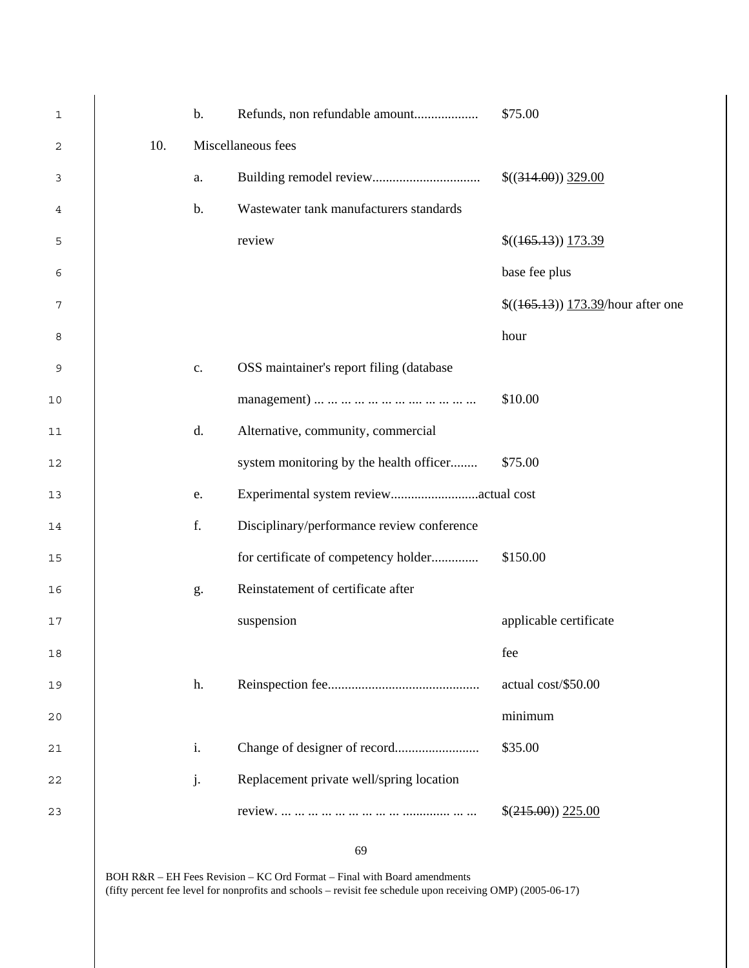| 1      |     | $b$ .         |                                            | \$75.00                            |
|--------|-----|---------------|--------------------------------------------|------------------------------------|
| 2      | 10. |               | Miscellaneous fees                         |                                    |
| 3      |     | a.            |                                            | \$(314.00) 329.00                  |
| 4      |     | $b$ .         | Wastewater tank manufacturers standards    |                                    |
| 5      |     |               | review                                     | \$(465.13) 173.39                  |
| 6      |     |               |                                            | base fee plus                      |
| 7      |     |               |                                            | $$(165.13))$ 173.39/hour after one |
| 8      |     |               |                                            | hour                               |
| 9      |     | $\mathbf{c}.$ | OSS maintainer's report filing (database   |                                    |
| $10$   |     |               |                                            | \$10.00                            |
| 11     |     | d.            | Alternative, community, commercial         |                                    |
| $12\,$ |     |               | system monitoring by the health officer    | \$75.00                            |
| 13     |     | e.            |                                            |                                    |
| 14     |     | f.            | Disciplinary/performance review conference |                                    |
| 15     |     |               | for certificate of competency holder       | \$150.00                           |
| 16     |     | g.            | Reinstatement of certificate after         |                                    |
| 17     |     |               | suspension                                 | applicable certificate             |
| 18     |     |               |                                            | fee                                |
| 19     |     | h.            |                                            | actual cost/\$50.00                |
| 20     |     |               |                                            | minimum                            |
| 21     |     | i.            |                                            | \$35.00                            |
| 22     |     | j.            | Replacement private well/spring location   |                                    |
| 23     |     |               |                                            | $$(245.00)$ $225.00$               |
|        |     |               |                                            |                                    |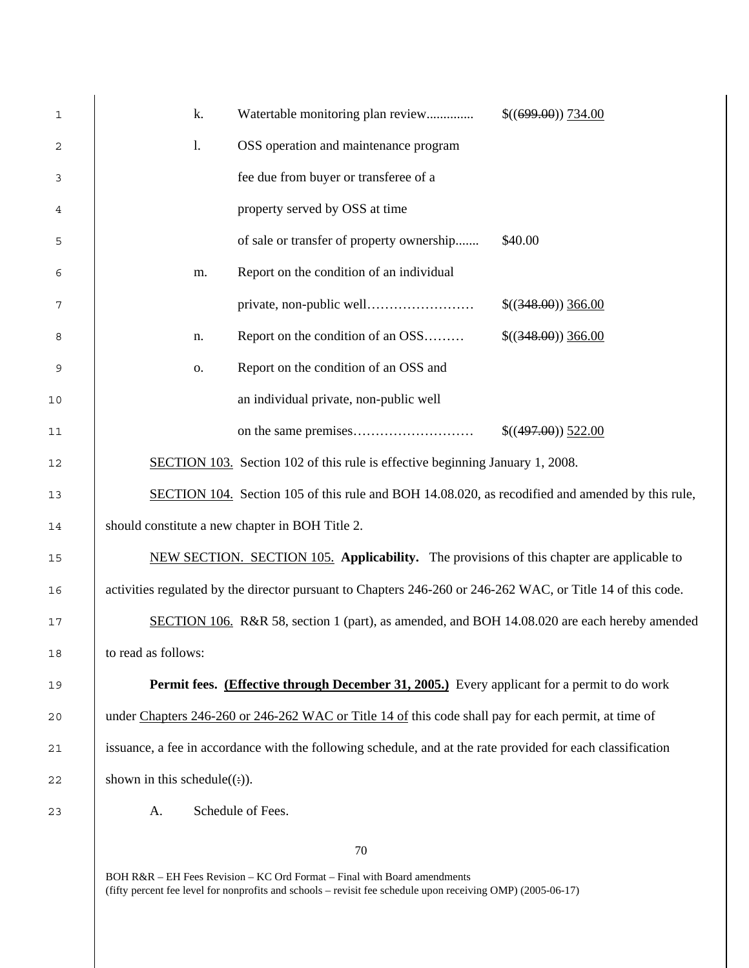| $\mathbf{1}$ | k.                                              | Watertable monitoring plan review                                                                           | \$(699.00) 734.00  |
|--------------|-------------------------------------------------|-------------------------------------------------------------------------------------------------------------|--------------------|
| 2            | 1.                                              | OSS operation and maintenance program                                                                       |                    |
| 3            |                                                 | fee due from buyer or transferee of a                                                                       |                    |
| 4            |                                                 | property served by OSS at time                                                                              |                    |
| 5            |                                                 | of sale or transfer of property ownership                                                                   | \$40.00            |
| 6            | m.                                              | Report on the condition of an individual                                                                    |                    |
| 7            |                                                 |                                                                                                             | $$(348.00)$ 366.00 |
| 8            | n.                                              | Report on the condition of an OSS                                                                           | $$(348.00)$ 366.00 |
| 9            | 0.                                              | Report on the condition of an OSS and                                                                       |                    |
| $10$         |                                                 | an individual private, non-public well                                                                      |                    |
| 11           |                                                 |                                                                                                             | $$(497.00)$ 522.00 |
| 12           |                                                 | SECTION 103. Section 102 of this rule is effective beginning January 1, 2008.                               |                    |
| 13           |                                                 | SECTION 104. Section 105 of this rule and BOH 14.08.020, as recodified and amended by this rule,            |                    |
| 14           | should constitute a new chapter in BOH Title 2. |                                                                                                             |                    |
| 15           |                                                 | NEW SECTION. SECTION 105. Applicability. The provisions of this chapter are applicable to                   |                    |
| 16           |                                                 | activities regulated by the director pursuant to Chapters 246-260 or 246-262 WAC, or Title 14 of this code. |                    |
| 17           |                                                 | SECTION 106. R&R 58, section 1 (part), as amended, and BOH 14.08.020 are each hereby amended                |                    |
| $18\,$       | to read as follows:                             |                                                                                                             |                    |
| 19           |                                                 | Permit fees. (Effective through December 31, 2005.) Every applicant for a permit to do work                 |                    |
| 20           |                                                 | under Chapters 246-260 or 246-262 WAC or Title 14 of this code shall pay for each permit, at time of        |                    |
| 21           |                                                 | issuance, a fee in accordance with the following schedule, and at the rate provided for each classification |                    |
| 22           | shown in this schedule( $(\div)$ ).             |                                                                                                             |                    |
| 23           | A.                                              | Schedule of Fees.                                                                                           |                    |
|              |                                                 |                                                                                                             |                    |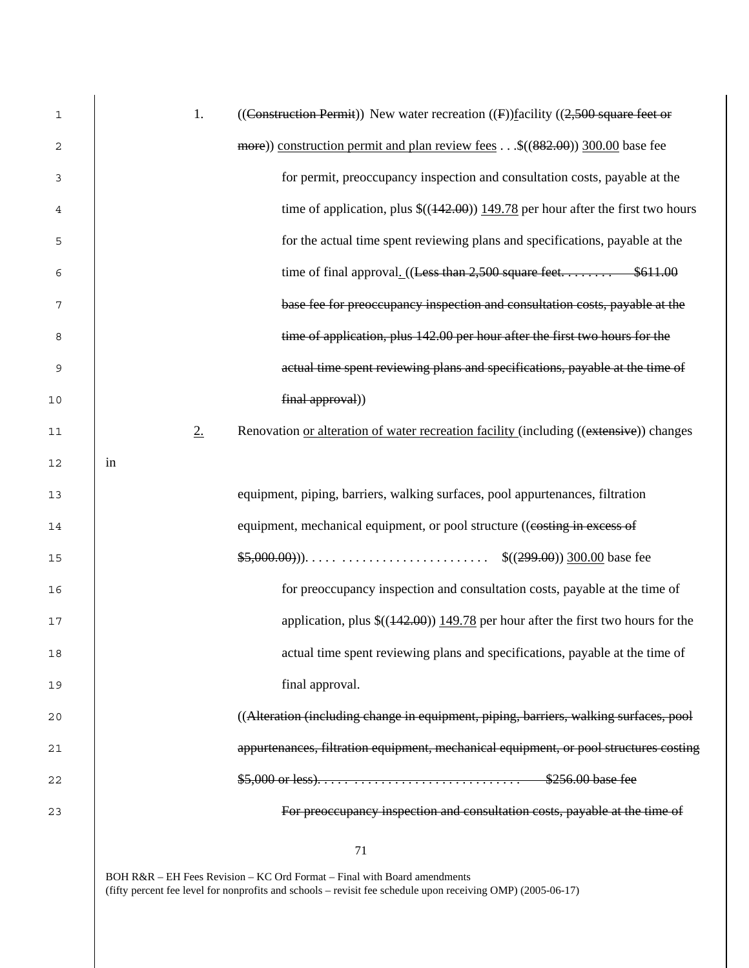| 1      | 1.<br>((Construction Permit)) New water recreation ((F))facility ( $(2,500)$ square feet or          |
|--------|------------------------------------------------------------------------------------------------------|
| 2      | more)) construction permit and plan review fees \$((882.00)) 300.00 base fee                         |
| 3      | for permit, preoccupancy inspection and consultation costs, payable at the                           |
| 4      | time of application, plus $\$((142.00))$ 149.78 per hour after the first two hours                   |
| 5      | for the actual time spent reviewing plans and specifications, payable at the                         |
| 6      | time of final approval. $((\text{Less than } 2,500 \text{ square feet.} \dots \dots \text{ $611.00}$ |
| 7      | base fee for preoccupancy inspection and consultation costs, payable at the                          |
| 8      | time of application, plus 142.00 per hour after the first two hours for the                          |
| 9      | actual time spent reviewing plans and specifications, payable at the time of                         |
| 10     | final approval))                                                                                     |
| 11     | 2.<br>Renovation or alteration of water recreation facility (including ((extensive)) changes         |
| 12     | in                                                                                                   |
| 13     | equipment, piping, barriers, walking surfaces, pool appurtenances, filtration                        |
| 14     | equipment, mechanical equipment, or pool structure ((costing in excess of                            |
| 15     | $$5,000.00)$ )\$ ((299.00)) 300.00 base fee                                                          |
| 16     | for preoccupancy inspection and consultation costs, payable at the time of                           |
| 17     | application, plus $\$((142.00))$ 149.78 per hour after the first two hours for the                   |
| $18\,$ | actual time spent reviewing plans and specifications, payable at the time of                         |
| 19     | final approval.                                                                                      |
| 20     | ((Alteration (including change in equipment, piping, barriers, walking surfaces, pool                |
| 21     | appurtenances, filtration equipment, mechanical equipment, or pool structures costing                |
|        | \$256.00 base fee                                                                                    |
| 22     |                                                                                                      |
| 23     | For preoccupancy inspection and consultation costs, payable at the time of                           |
|        |                                                                                                      |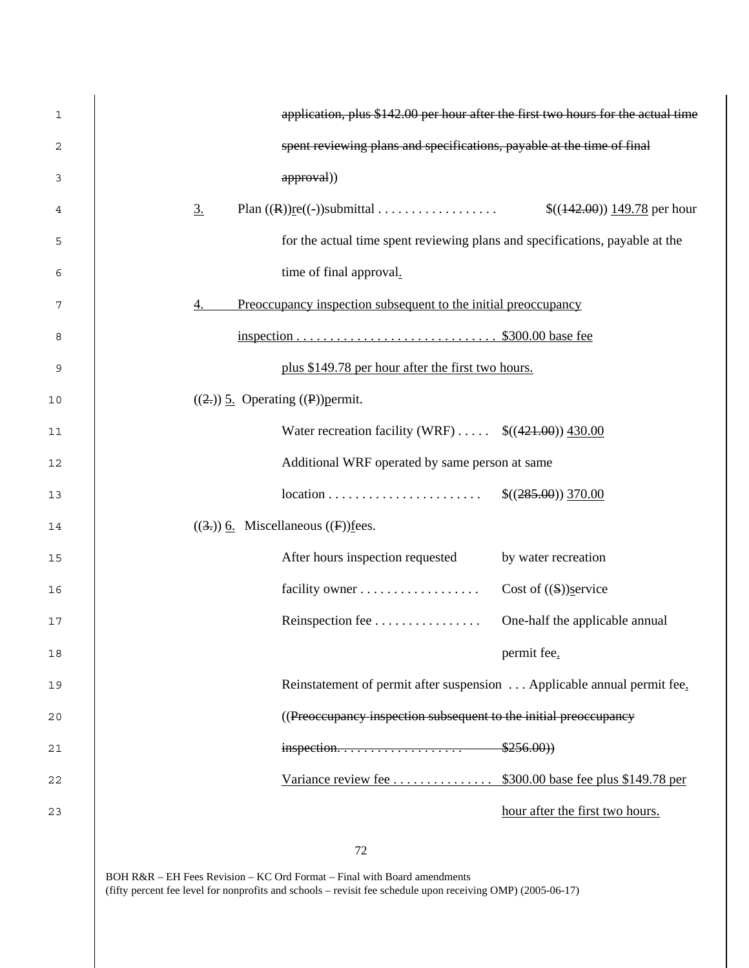| 1  | application, plus \$142.00 per hour after the first two hours for the actual time |
|----|-----------------------------------------------------------------------------------|
| 2  | spent reviewing plans and specifications, payable at the time of final            |
| 3  | approval))                                                                        |
| 4  | $\underline{3}$ .                                                                 |
| 5  | for the actual time spent reviewing plans and specifications, payable at the      |
| 6  | time of final approval.                                                           |
| 7  | Preoccupancy inspection subsequent to the initial preoccupancy<br>4.              |
| 8  | $\frac{\text{insection}}{\text{insection}}$ \$300.00 base fee                     |
| 9  | plus \$149.78 per hour after the first two hours.                                 |
| 10 | $((2))$ 5. Operating $((P))$ permit.                                              |
| 11 | Water recreation facility (WRF) $\dots$ \$((421.00)) 430.00                       |
| 12 | Additional WRF operated by same person at same                                    |
| 13 |                                                                                   |
| 14 | $((3))$ 6. Miscellaneous ((F)) fees.                                              |
| 15 | After hours inspection requested<br>by water recreation                           |
| 16 | Cost of $((S))$ service                                                           |
| 17 | Reinspection fee<br>One-half the applicable annual                                |
| 18 | permit fee.                                                                       |
| 19 | Reinstatement of permit after suspension  Applicable annual permit fee.           |
| 20 | ((Preoccupancy inspection subsequent to the initial preoccupancy                  |
| 21 | \$256.00)                                                                         |
| 22 | Variance review fee \$300.00 base fee plus \$149.78 per                           |
| 23 | hour after the first two hours.                                                   |
|    |                                                                                   |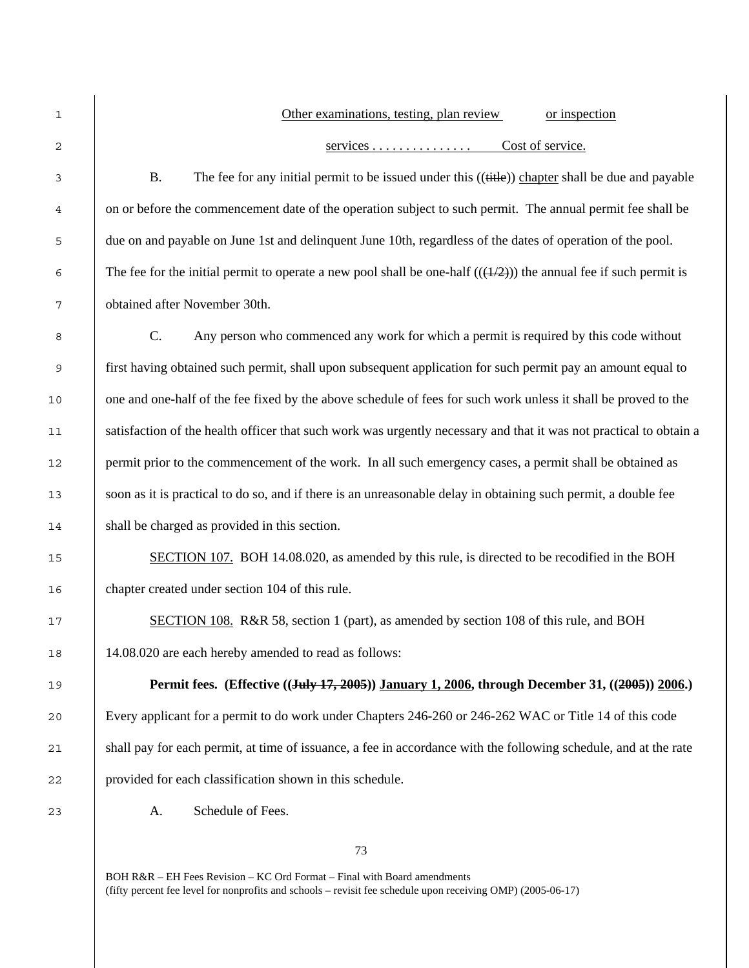## 2 | services . . . . . . . . . . . . . . . Cost of service.

 $\overline{B}$ . The fee for any initial permit to be issued under this ((title)) chapter shall be due and payable <sup>4</sup> on or before the commencement date of the operation subject to such permit. The annual permit fee shall be 5 due on and payable on June 1st and delinquent June 10th, regardless of the dates of operation of the pool. 6 The fee for the initial permit to operate a new pool shall be one-half  $((\frac{1}{2}))$  the annual fee if such permit is 7 obtained after November 30th.

C. Any person who commenced any work for which a permit is required by this code without first having obtained such permit, shall upon subsequent application for such permit pay an amount equal to one and one-half of the fee fixed by the above schedule of fees for such work unless it shall be proved to the 11 satisfaction of the health officer that such work was urgently necessary and that it was not practical to obtain a 12 permit prior to the commencement of the work. In all such emergency cases, a permit shall be obtained as soon as it is practical to do so, and if there is an unreasonable delay in obtaining such permit, a double fee shall be charged as provided in this section.

15 SECTION 107. BOH 14.08.020, as amended by this rule, is directed to be recodified in the BOH 16 chapter created under section 104 of this rule.

17 SECTION 108. R&R 58, section 1 (part), as amended by section 108 of this rule, and BOH 18 14.08.020 are each hereby amended to read as follows:

**Permit fees. (Effective ((July 17, 2005)) January 1, 2006, through December 31, ((2005)) 2006.)** Every applicant for a permit to do work under Chapters 246-260 or 246-262 WAC or Title 14 of this code 21 shall pay for each permit, at time of issuance, a fee in accordance with the following schedule, and at the rate provided for each classification shown in this schedule.

23 A. Schedule of Fees.

73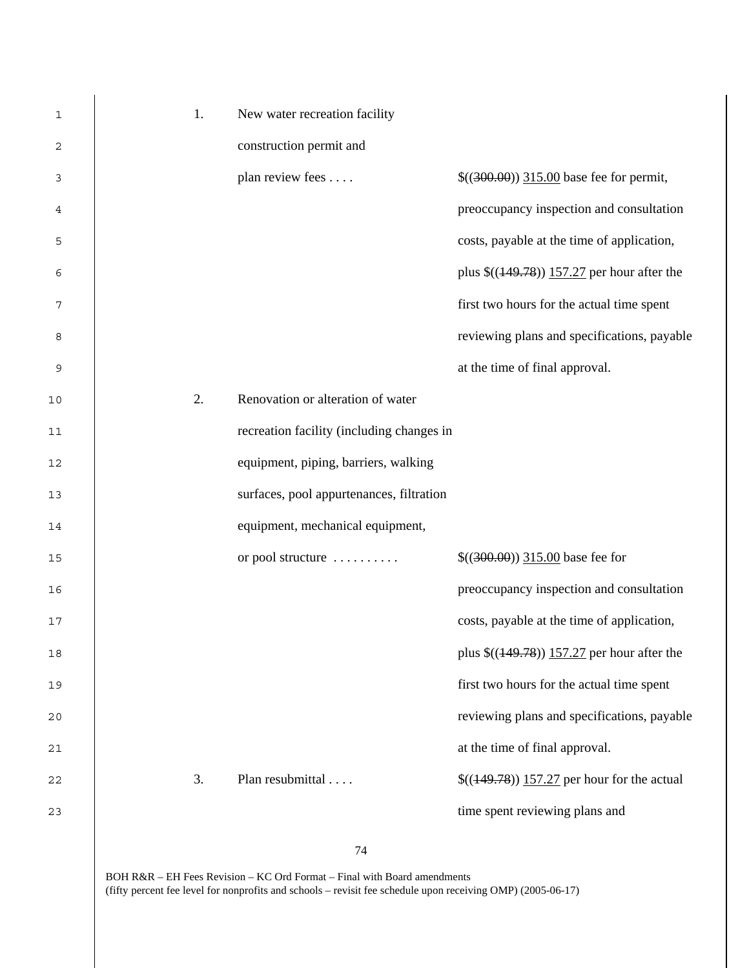| 1  | 1. | New water recreation facility             |                                                              |
|----|----|-------------------------------------------|--------------------------------------------------------------|
| 2  |    | construction permit and                   |                                                              |
| 3  |    | plan review fees                          | $$((300.00))$ 315.00 base fee for permit,                    |
| 4  |    |                                           | preoccupancy inspection and consultation                     |
| 5  |    |                                           | costs, payable at the time of application,                   |
| 6  |    |                                           | plus $\frac{\left(149.78\right)}{157.27}$ per hour after the |
| 7  |    |                                           | first two hours for the actual time spent                    |
| 8  |    |                                           | reviewing plans and specifications, payable                  |
| 9  |    |                                           | at the time of final approval.                               |
| 10 | 2. | Renovation or alteration of water         |                                                              |
| 11 |    | recreation facility (including changes in |                                                              |
| 12 |    | equipment, piping, barriers, walking      |                                                              |
| 13 |    | surfaces, pool appurtenances, filtration  |                                                              |
| 14 |    | equipment, mechanical equipment,          |                                                              |
| 15 |    | or pool structure                         | $$(300.00)$ 315.00 base fee for                              |
| 16 |    |                                           | preoccupancy inspection and consultation                     |
| 17 |    |                                           | costs, payable at the time of application,                   |
| 18 |    |                                           | plus $\frac{\left(149.78\right)}{157.27}$ per hour after the |
| 19 |    |                                           | first two hours for the actual time spent                    |
| 20 |    |                                           | reviewing plans and specifications, payable                  |
| 21 |    |                                           | at the time of final approval.                               |
| 22 | 3. | Plan resubmittal                          | $$((149.78))$ 157.27 per hour for the actual                 |
| 23 |    |                                           | time spent reviewing plans and                               |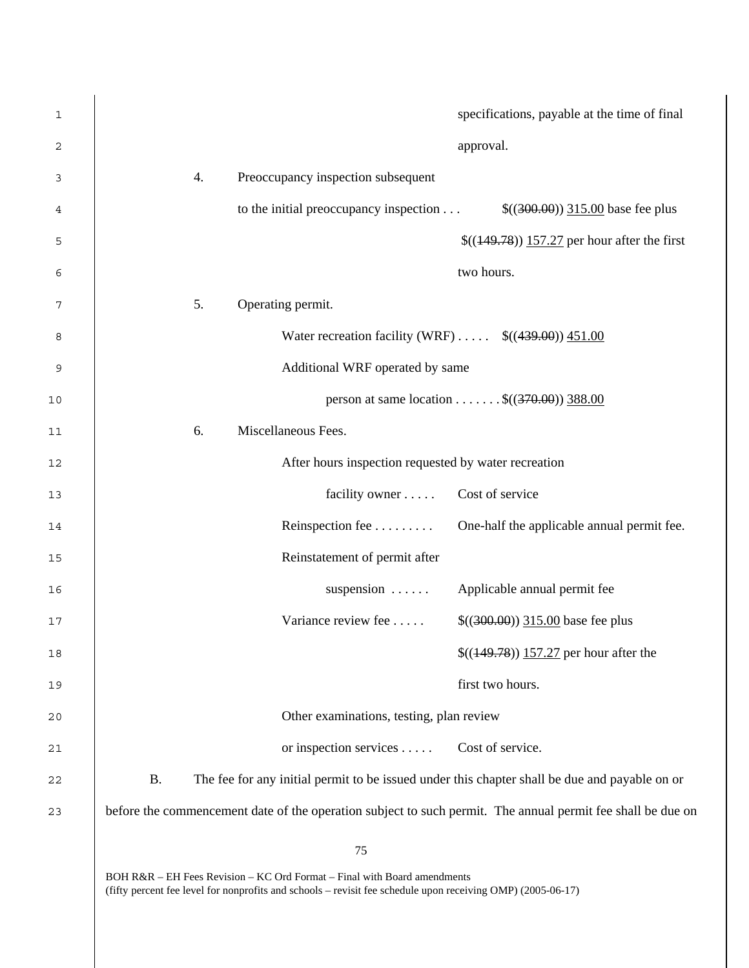| 1  | specifications, payable at the time of final                                                                |
|----|-------------------------------------------------------------------------------------------------------------|
| 2  | approval.                                                                                                   |
| 3  | 4.<br>Preoccupancy inspection subsequent                                                                    |
| 4  | to the initial preoccupancy inspection<br>$$((300.00))$ 315.00 base fee plus                                |
| 5  | $$((149.78))$ 157.27 per hour after the first                                                               |
| 6  | two hours.                                                                                                  |
| 7  | 5.<br>Operating permit.                                                                                     |
| 8  | Water recreation facility (WRF) $\$((439.00))\ 451.00$                                                      |
| 9  | Additional WRF operated by same                                                                             |
| 10 | person at same location \$ $((370.00))$ 388.00                                                              |
| 11 | Miscellaneous Fees.<br>6.                                                                                   |
| 12 | After hours inspection requested by water recreation                                                        |
| 13 | Cost of service<br>facility owner $\dots$ .                                                                 |
| 14 | Reinspection fee<br>One-half the applicable annual permit fee.                                              |
| 15 | Reinstatement of permit after                                                                               |
| 16 | Applicable annual permit fee<br>suspension $\ldots$                                                         |
| 17 | Variance review fee<br>$$(300.00) 315.00$ base fee plus                                                     |
| 18 | $$((149.78))$ 157.27 per hour after the                                                                     |
| 19 | first two hours.                                                                                            |
| 20 | Other examinations, testing, plan review                                                                    |
| 21 | Cost of service.<br>or inspection services                                                                  |
| 22 | <b>B.</b><br>The fee for any initial permit to be issued under this chapter shall be due and payable on or  |
| 23 | before the commencement date of the operation subject to such permit. The annual permit fee shall be due on |
|    | 75                                                                                                          |
|    | BOH R&R - EH Fees Revision - KC Ord Format - Final with Board amendments                                    |

(fifty percent fee level for nonprofits and schools – revisit fee schedule upon receiving OMP) (2005-06-17)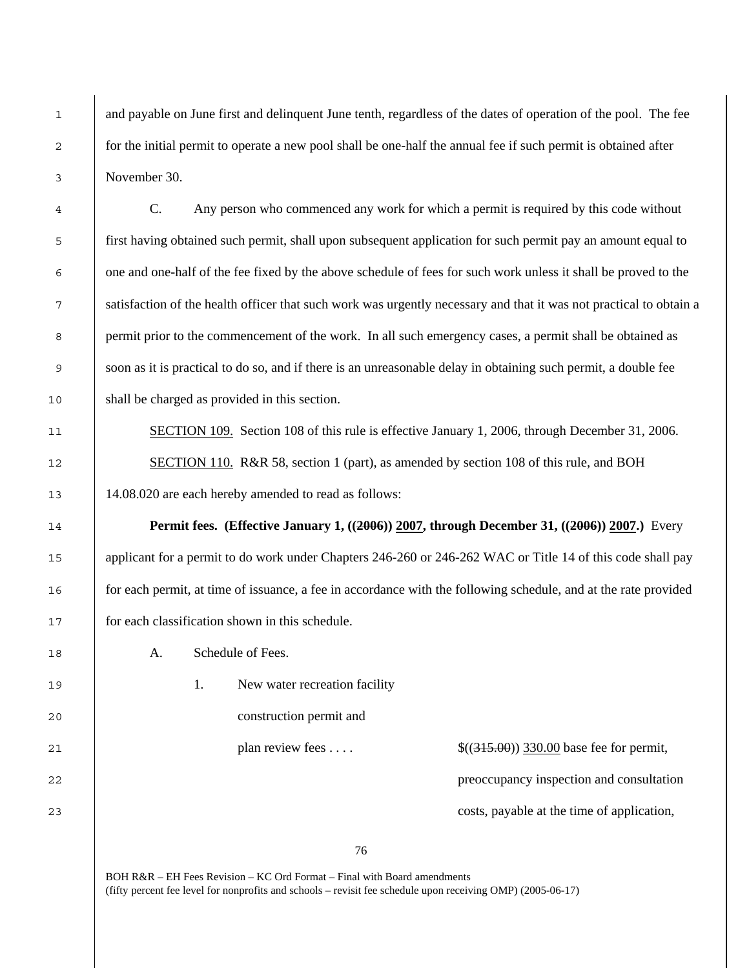1 and payable on June first and delinquent June tenth, regardless of the dates of operation of the pool. The fee 2 for the initial permit to operate a new pool shall be one-half the annual fee if such permit is obtained after 3 November 30.

C. Any person who commenced any work for which a permit is required by this code without first having obtained such permit, shall upon subsequent application for such permit pay an amount equal to one and one-half of the fee fixed by the above schedule of fees for such work unless it shall be proved to the satisfaction of the health officer that such work was urgently necessary and that it was not practical to obtain a 8 permit prior to the commencement of the work. In all such emergency cases, a permit shall be obtained as soon as it is practical to do so, and if there is an unreasonable delay in obtaining such permit, a double fee shall be charged as provided in this section.

11 SECTION 109. Section 108 of this rule is effective January 1, 2006, through December 31, 2006. 12 SECTION 110. R&R 58, section 1 (part), as amended by section 108 of this rule, and BOH 13 14.08.020 are each hereby amended to read as follows:

**Permit fees. (Effective January 1, ((2006)) 2007, through December 31, ((2006)) 2007.)** Every 15 applicant for a permit to do work under Chapters 246-260 or 246-262 WAC or Title 14 of this code shall pay for each permit, at time of issuance, a fee in accordance with the following schedule, and at the rate provided for each classification shown in this schedule.

18 A. Schedule of Fees.

19 1. New water recreation facility

20 construction permit and

21 **plan review fees ....**  $\frac{\{(315,00)\}\,330.00\,\text{base}}{\{(315,00)\}\,330.00\,\text{base}}$  fee for permit, 22 preoccupancy inspection and consultation 23 costs, payable at the time of application,

76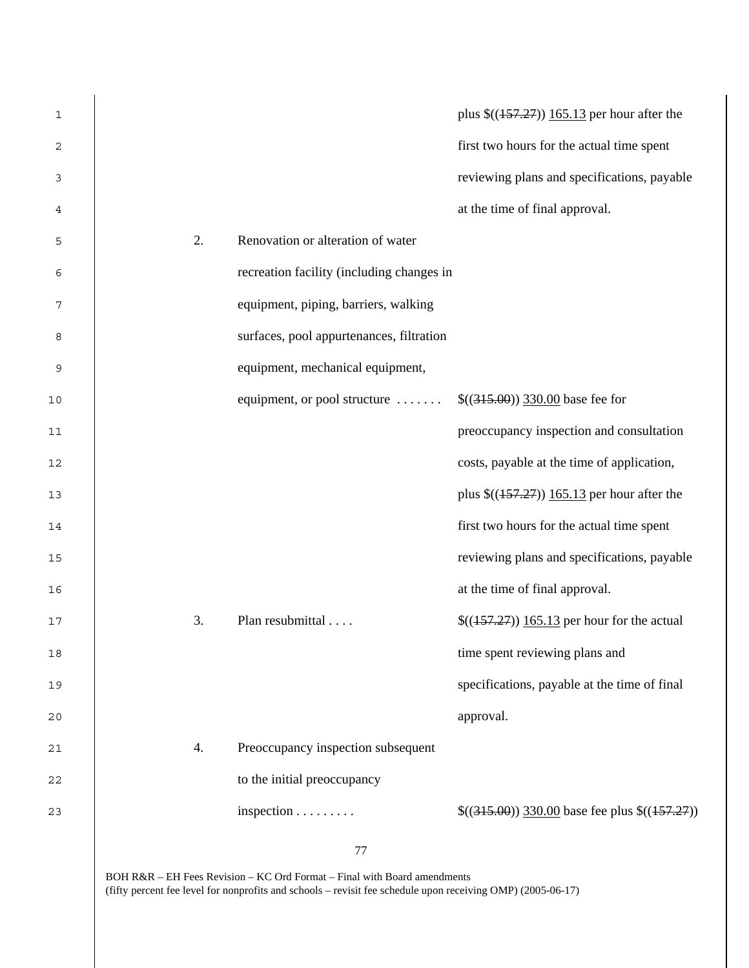| 1  |    |                                           | plus $\frac{\left(157.27\right)}{165.13}$ per hour after the |
|----|----|-------------------------------------------|--------------------------------------------------------------|
| 2  |    |                                           | first two hours for the actual time spent                    |
| 3  |    |                                           | reviewing plans and specifications, payable                  |
| 4  |    |                                           | at the time of final approval.                               |
| 5  | 2. | Renovation or alteration of water         |                                                              |
| 6  |    | recreation facility (including changes in |                                                              |
| 7  |    | equipment, piping, barriers, walking      |                                                              |
| 8  |    | surfaces, pool appurtenances, filtration  |                                                              |
| 9  |    | equipment, mechanical equipment,          |                                                              |
| 10 |    | equipment, or pool structure              | $$((315.00))$ 330.00 base fee for                            |
| 11 |    |                                           | preoccupancy inspection and consultation                     |
| 12 |    |                                           | costs, payable at the time of application,                   |
| 13 |    |                                           | plus $\frac{\left(157.27\right)}{165.13}$ per hour after the |
| 14 |    |                                           | first two hours for the actual time spent                    |
| 15 |    |                                           | reviewing plans and specifications, payable                  |
| 16 |    |                                           | at the time of final approval.                               |
| 17 | 3. | Plan resubmittal                          | $$(157.27))$ 165.13 per hour for the actual                  |
| 18 |    |                                           | time spent reviewing plans and                               |
| 19 |    |                                           | specifications, payable at the time of final                 |
| 20 |    |                                           | approval.                                                    |
| 21 | 4. | Preoccupancy inspection subsequent        |                                                              |
| 22 |    | to the initial preoccupancy               |                                                              |
| 23 |    | inspection $\dots \dots$                  | $\$((315.00))$ 330.00 base fee plus $\$((157.27))$           |
|    |    | 77                                        |                                                              |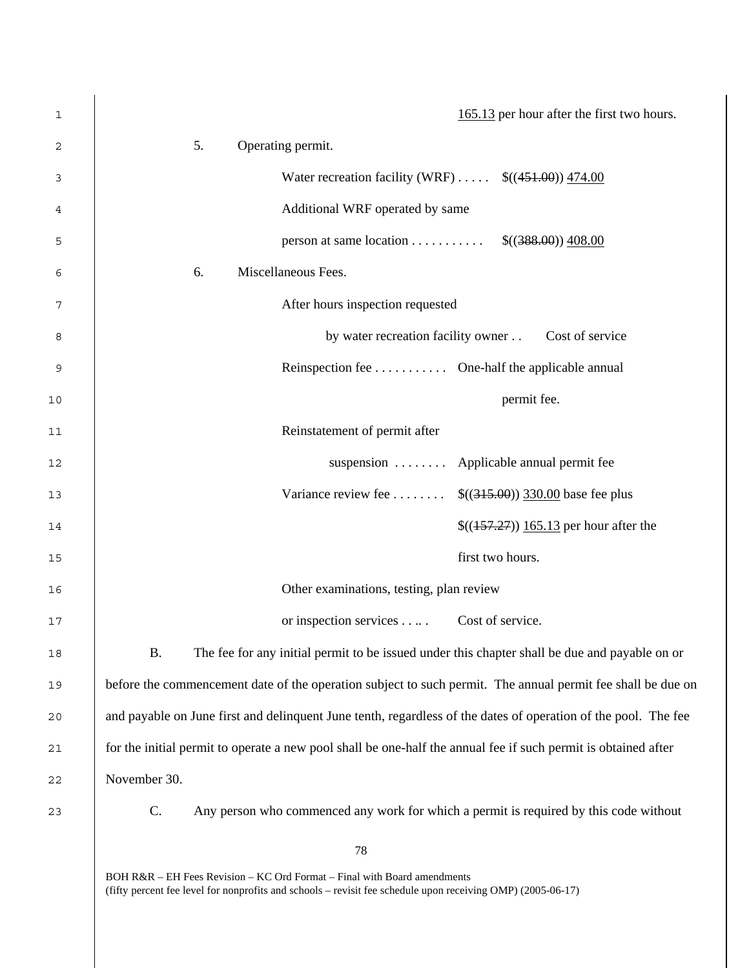| 1  | 165.13 per hour after the first two hours.                                                                                                                                              |  |  |
|----|-----------------------------------------------------------------------------------------------------------------------------------------------------------------------------------------|--|--|
| 2  | 5.<br>Operating permit.                                                                                                                                                                 |  |  |
| 3  | Water recreation facility (WRF) $\dots$ \$((451.00)) 474.00                                                                                                                             |  |  |
| 4  | Additional WRF operated by same                                                                                                                                                         |  |  |
| 5  | person at same location \$ $((388.00))$ 408.00                                                                                                                                          |  |  |
| 6  | Miscellaneous Fees.<br>6.                                                                                                                                                               |  |  |
| 7  | After hours inspection requested                                                                                                                                                        |  |  |
| 8  | by water recreation facility owner<br>Cost of service                                                                                                                                   |  |  |
| 9  | Reinspection fee One-half the applicable annual                                                                                                                                         |  |  |
| 10 | permit fee.                                                                                                                                                                             |  |  |
| 11 | Reinstatement of permit after                                                                                                                                                           |  |  |
| 12 | suspension Applicable annual permit fee                                                                                                                                                 |  |  |
| 13 | Variance review fee $\$((315.00))$ 330.00 base fee plus                                                                                                                                 |  |  |
| 14 | $\frac{\{(157.27)\}}{165.13}$ per hour after the                                                                                                                                        |  |  |
| 15 | first two hours.                                                                                                                                                                        |  |  |
| 16 | Other examinations, testing, plan review                                                                                                                                                |  |  |
| 17 | or inspection services<br>Cost of service.                                                                                                                                              |  |  |
| 18 | <b>B.</b><br>The fee for any initial permit to be issued under this chapter shall be due and payable on or                                                                              |  |  |
| 19 | before the commencement date of the operation subject to such permit. The annual permit fee shall be due on                                                                             |  |  |
| 20 | and payable on June first and delinquent June tenth, regardless of the dates of operation of the pool. The fee                                                                          |  |  |
| 21 | for the initial permit to operate a new pool shall be one-half the annual fee if such permit is obtained after                                                                          |  |  |
| 22 | November 30.                                                                                                                                                                            |  |  |
| 23 | C.<br>Any person who commenced any work for which a permit is required by this code without                                                                                             |  |  |
|    | 78                                                                                                                                                                                      |  |  |
|    |                                                                                                                                                                                         |  |  |
|    | BOH R&R – EH Fees Revision – KC Ord Format – Final with Board amendments<br>(fifty percent fee level for nonprofits and schools – revisit fee schedule upon receiving OMP) (2005-06-17) |  |  |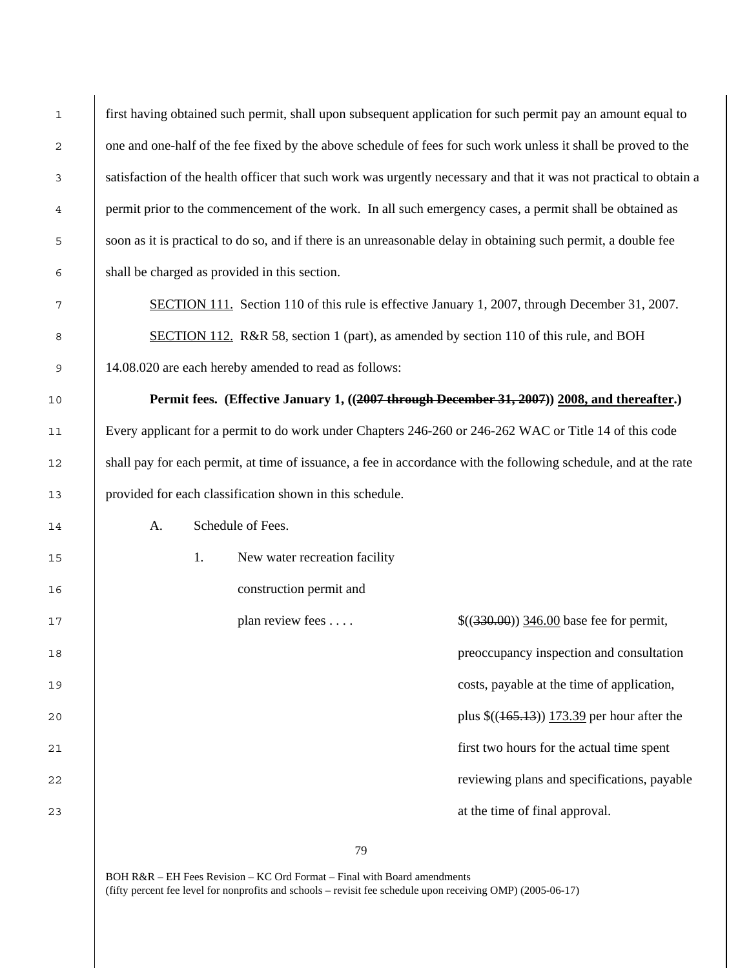| $\mathbf{1}$ |    |    |                                                          | first having obtained such permit, shall upon subsequent application for such permit pay an amount equal to        |
|--------------|----|----|----------------------------------------------------------|--------------------------------------------------------------------------------------------------------------------|
| 2            |    |    |                                                          | one and one-half of the fee fixed by the above schedule of fees for such work unless it shall be proved to the     |
| 3            |    |    |                                                          | satisfaction of the health officer that such work was urgently necessary and that it was not practical to obtain a |
| 4            |    |    |                                                          | permit prior to the commencement of the work. In all such emergency cases, a permit shall be obtained as           |
| 5            |    |    |                                                          | soon as it is practical to do so, and if there is an unreasonable delay in obtaining such permit, a double fee     |
| 6            |    |    | shall be charged as provided in this section.            |                                                                                                                    |
| 7            |    |    |                                                          | SECTION 111. Section 110 of this rule is effective January 1, 2007, through December 31, 2007.                     |
| 8            |    |    |                                                          | <b>SECTION 112.</b> R&R 58, section 1 (part), as amended by section 110 of this rule, and BOH                      |
| 9            |    |    | 14.08.020 are each hereby amended to read as follows:    |                                                                                                                    |
| 10           |    |    |                                                          | Permit fees. (Effective January 1, ((2007 through December 31, 2007)) 2008, and thereafter.)                       |
| 11           |    |    |                                                          | Every applicant for a permit to do work under Chapters 246-260 or 246-262 WAC or Title 14 of this code             |
| 12           |    |    |                                                          | shall pay for each permit, at time of issuance, a fee in accordance with the following schedule, and at the rate   |
| 13           |    |    | provided for each classification shown in this schedule. |                                                                                                                    |
| 14           | A. |    | Schedule of Fees.                                        |                                                                                                                    |
| 15           |    | 1. | New water recreation facility                            |                                                                                                                    |
| 16           |    |    | construction permit and                                  |                                                                                                                    |
| 17           |    |    | plan review fees                                         | $$((330.00))$ 346.00 base fee for permit,                                                                          |
| 18           |    |    |                                                          | preoccupancy inspection and consultation                                                                           |
| 19           |    |    |                                                          | costs, payable at the time of application,                                                                         |
| 20           |    |    |                                                          | plus $\frac{\left(165.13\right)}{2}$ 173.39 per hour after the                                                     |
| 21           |    |    |                                                          | first two hours for the actual time spent                                                                          |
| 22           |    |    |                                                          | reviewing plans and specifications, payable                                                                        |
| 23           |    |    |                                                          | at the time of final approval.                                                                                     |
|              |    |    |                                                          |                                                                                                                    |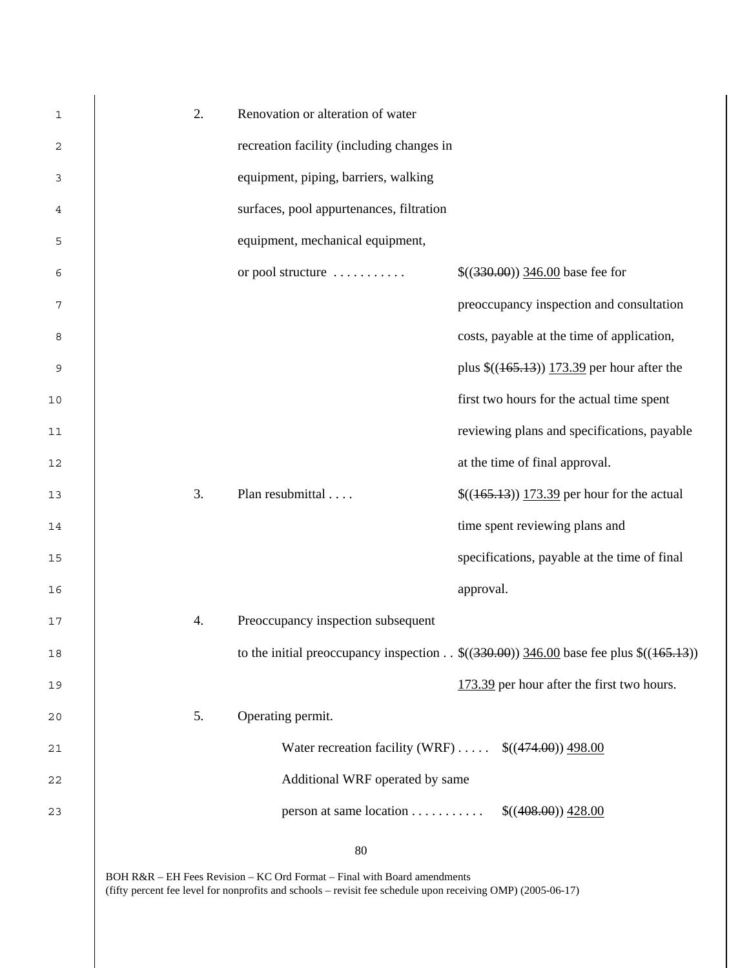| 1  | 2. | Renovation or alteration of water                           |                                                                                              |
|----|----|-------------------------------------------------------------|----------------------------------------------------------------------------------------------|
| 2  |    | recreation facility (including changes in                   |                                                                                              |
| 3  |    | equipment, piping, barriers, walking                        |                                                                                              |
| 4  |    | surfaces, pool appurtenances, filtration                    |                                                                                              |
| 5  |    | equipment, mechanical equipment,                            |                                                                                              |
| 6  |    | or pool structure                                           | $$(330.00)$ 346.00 base fee for                                                              |
| 7  |    |                                                             | preoccupancy inspection and consultation                                                     |
| 8  |    |                                                             | costs, payable at the time of application,                                                   |
|    |    |                                                             |                                                                                              |
| 9  |    |                                                             | plus $\frac{\left(\frac{165.13}{173.39}\right)}{173.39}$ per hour after the                  |
| 10 |    |                                                             | first two hours for the actual time spent                                                    |
| 11 |    |                                                             | reviewing plans and specifications, payable                                                  |
| 12 |    |                                                             | at the time of final approval.                                                               |
| 13 | 3. | Plan resubmittal                                            | $$((165.13))$ 173.39 per hour for the actual                                                 |
| 14 |    |                                                             | time spent reviewing plans and                                                               |
| 15 |    |                                                             | specifications, payable at the time of final                                                 |
| 16 |    |                                                             | approval.                                                                                    |
| 17 | 4. | Preoccupancy inspection subsequent                          |                                                                                              |
| 18 |    |                                                             | to the initial preoccupancy inspection . $\$((330.00)) \ 346.00$ base fee plus $$((165.13))$ |
| 19 |    |                                                             | 173.39 per hour after the first two hours.                                                   |
| 20 | 5. | Operating permit.                                           |                                                                                              |
| 21 |    | Water recreation facility (WRF) $\dots$ \$((474.00)) 498.00 |                                                                                              |
| 22 |    | Additional WRF operated by same                             |                                                                                              |
| 23 |    | person at same location                                     | \$(408.00) 428.00                                                                            |
|    |    | 80                                                          |                                                                                              |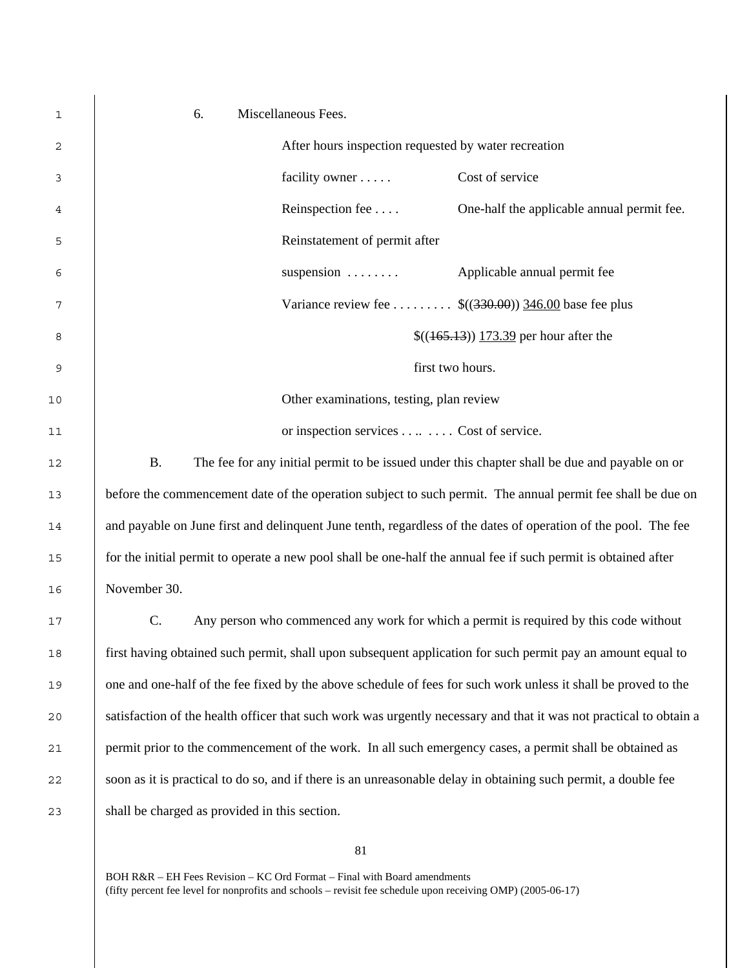| 1  | 6.                                                                                                             | Miscellaneous Fees.                      |                                                                                                                    |
|----|----------------------------------------------------------------------------------------------------------------|------------------------------------------|--------------------------------------------------------------------------------------------------------------------|
| 2  |                                                                                                                |                                          | After hours inspection requested by water recreation                                                               |
| 3  |                                                                                                                | facility owner                           | Cost of service                                                                                                    |
| 4  |                                                                                                                | Reinspection fee                         | One-half the applicable annual permit fee.                                                                         |
| 5  |                                                                                                                | Reinstatement of permit after            |                                                                                                                    |
| 6  |                                                                                                                | suspension                               | Applicable annual permit fee                                                                                       |
| 7  |                                                                                                                |                                          | Variance review fee $\$((330.00)) \ 346.00$ base fee plus                                                          |
| 8  |                                                                                                                |                                          | $\frac{\{(165.13)\}}{173.39}$ per hour after the                                                                   |
| 9  |                                                                                                                |                                          | first two hours.                                                                                                   |
| 10 |                                                                                                                | Other examinations, testing, plan review |                                                                                                                    |
| 11 |                                                                                                                | or inspection services Cost of service.  |                                                                                                                    |
| 12 | <b>B.</b>                                                                                                      |                                          | The fee for any initial permit to be issued under this chapter shall be due and payable on or                      |
| 13 |                                                                                                                |                                          | before the commencement date of the operation subject to such permit. The annual permit fee shall be due on        |
| 14 |                                                                                                                |                                          | and payable on June first and delinquent June tenth, regardless of the dates of operation of the pool. The fee     |
| 15 |                                                                                                                |                                          | for the initial permit to operate a new pool shall be one-half the annual fee if such permit is obtained after     |
| 16 | November 30.                                                                                                   |                                          |                                                                                                                    |
| 17 | C.                                                                                                             |                                          | Any person who commenced any work for which a permit is required by this code without                              |
| 18 |                                                                                                                |                                          | first having obtained such permit, shall upon subsequent application for such permit pay an amount equal to        |
| 19 |                                                                                                                |                                          | one and one-half of the fee fixed by the above schedule of fees for such work unless it shall be proved to the     |
| 20 |                                                                                                                |                                          | satisfaction of the health officer that such work was urgently necessary and that it was not practical to obtain a |
| 21 |                                                                                                                |                                          | permit prior to the commencement of the work. In all such emergency cases, a permit shall be obtained as           |
| 22 | soon as it is practical to do so, and if there is an unreasonable delay in obtaining such permit, a double fee |                                          |                                                                                                                    |
| 23 | shall be charged as provided in this section.                                                                  |                                          |                                                                                                                    |
|    |                                                                                                                |                                          |                                                                                                                    |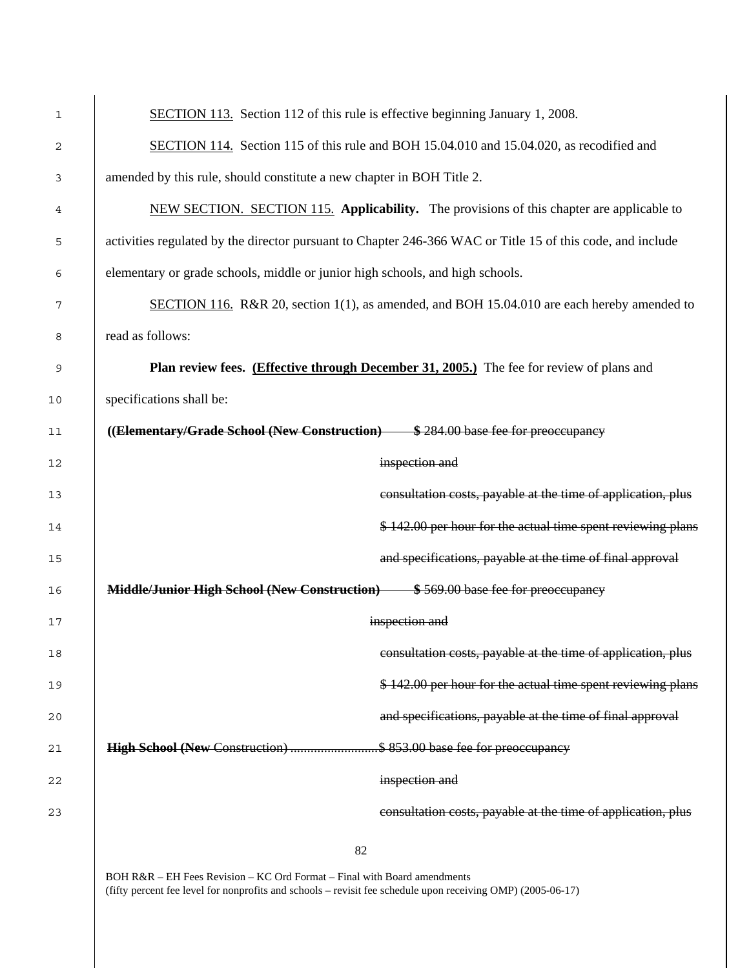| SECTION 113. Section 112 of this rule is effective beginning January 1, 2008.                              |  |  |
|------------------------------------------------------------------------------------------------------------|--|--|
| <b>SECTION 114.</b> Section 115 of this rule and BOH 15.04.010 and 15.04.020, as recodified and            |  |  |
| amended by this rule, should constitute a new chapter in BOH Title 2.                                      |  |  |
| NEW SECTION. SECTION 115. Applicability. The provisions of this chapter are applicable to                  |  |  |
| activities regulated by the director pursuant to Chapter 246-366 WAC or Title 15 of this code, and include |  |  |
| elementary or grade schools, middle or junior high schools, and high schools.                              |  |  |
| SECTION 116. R&R 20, section 1(1), as amended, and BOH 15.04.010 are each hereby amended to                |  |  |
| read as follows:                                                                                           |  |  |
| Plan review fees. (Effective through December 31, 2005.) The fee for review of plans and                   |  |  |
| specifications shall be:                                                                                   |  |  |
| ((Elementary/Grade School (New Construction) \$284.00 base fee for preoccupancy                            |  |  |
| inspection and                                                                                             |  |  |
| consultation costs, payable at the time of application, plus                                               |  |  |
| \$142.00 per hour for the actual time spent reviewing plans                                                |  |  |
| and specifications, payable at the time of final approval                                                  |  |  |
| <b>Middle/Junior High School (New Construction)</b> \$569.00 base fee for preoccupancy                     |  |  |
| inspection and                                                                                             |  |  |
| consultation costs, payable at the time of application, plus                                               |  |  |
| \$142.00 per hour for the actual time spent reviewing plans                                                |  |  |
| and specifications, payable at the time of final approval                                                  |  |  |
| High School (New Construction)  \$853.00 base fee for preoccupancy                                         |  |  |
| inspection and                                                                                             |  |  |
| consultation costs, payable at the time of application, plus                                               |  |  |
| 82                                                                                                         |  |  |
|                                                                                                            |  |  |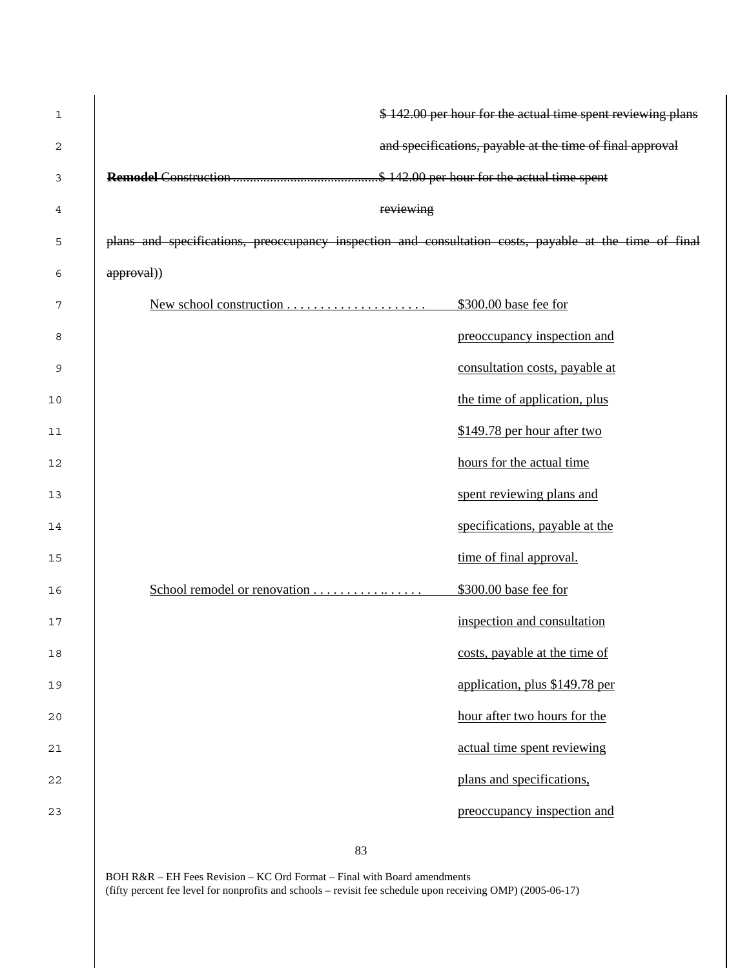| 1  |                         | \$142.00 per hour for the actual time spent reviewing plans                                            |
|----|-------------------------|--------------------------------------------------------------------------------------------------------|
| 2  |                         | and specifications, payable at the time of final approval                                              |
| 3  |                         |                                                                                                        |
| 4  |                         | reviewing                                                                                              |
| 5  |                         | plans and specifications, preoccupancy inspection and consultation costs, payable at the time of final |
| 6  | approval))              |                                                                                                        |
| 7  | New school construction | \$300.00 base fee for                                                                                  |
| 8  |                         | preoccupancy inspection and                                                                            |
| 9  |                         | consultation costs, payable at                                                                         |
| 10 |                         | the time of application, plus                                                                          |
| 11 |                         | \$149.78 per hour after two                                                                            |
| 12 |                         | hours for the actual time                                                                              |
| 13 |                         | spent reviewing plans and                                                                              |
| 14 |                         | specifications, payable at the                                                                         |
| 15 |                         | time of final approval.                                                                                |
| 16 |                         | \$300.00 base fee for                                                                                  |
| 17 |                         | inspection and consultation                                                                            |
| 18 |                         | costs, payable at the time of                                                                          |
| 19 |                         | application, plus \$149.78 per                                                                         |
| 20 |                         | hour after two hours for the                                                                           |
| 21 |                         | actual time spent reviewing                                                                            |
| 22 |                         | plans and specifications,                                                                              |
| 23 |                         | preoccupancy inspection and                                                                            |
|    |                         |                                                                                                        |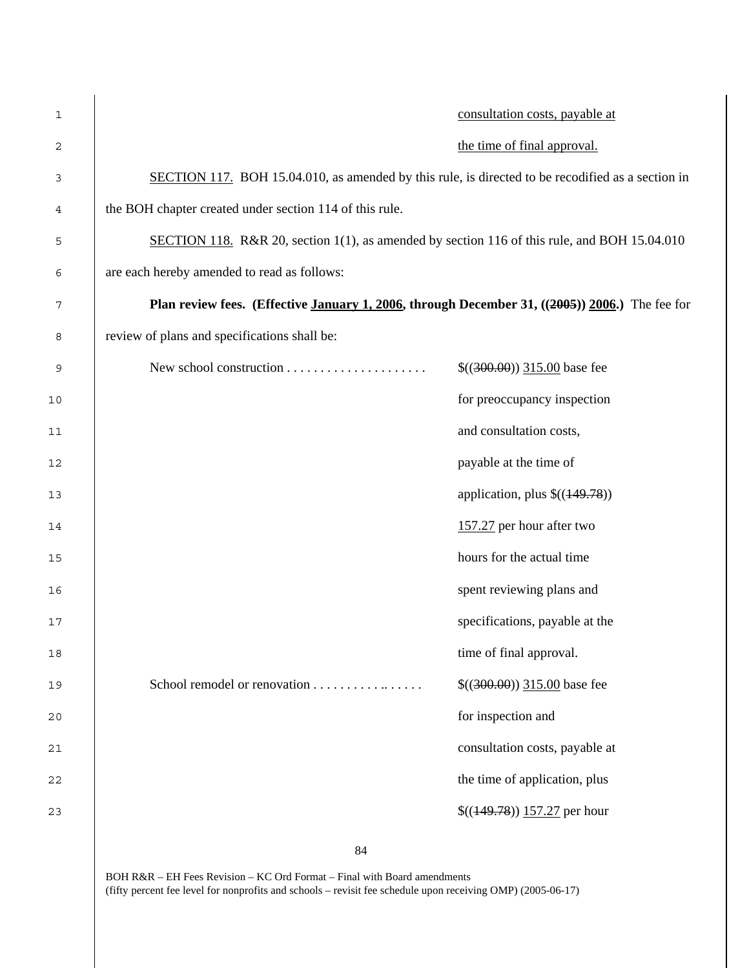| 1  |                                                                                                          | consultation costs, payable at   |
|----|----------------------------------------------------------------------------------------------------------|----------------------------------|
| 2  |                                                                                                          | the time of final approval.      |
| 3  | <b>SECTION 117.</b> BOH 15.04.010, as amended by this rule, is directed to be recodified as a section in |                                  |
| 4  | the BOH chapter created under section 114 of this rule.                                                  |                                  |
| 5  | SECTION 118. R&R 20, section 1(1), as amended by section 116 of this rule, and BOH 15.04.010             |                                  |
| 6  | are each hereby amended to read as follows:                                                              |                                  |
| 7  | Plan review fees. (Effective January 1, 2006, through December 31, $((2005))$ 2006.) The fee for         |                                  |
| 8  | review of plans and specifications shall be:                                                             |                                  |
| 9  |                                                                                                          | $$((300.00))$ 315.00 base fee    |
| 10 |                                                                                                          | for preoccupancy inspection      |
| 11 |                                                                                                          | and consultation costs,          |
| 12 |                                                                                                          | payable at the time of           |
| 13 |                                                                                                          | application, plus $\$((149.78))$ |
| 14 |                                                                                                          | 157.27 per hour after two        |
| 15 |                                                                                                          | hours for the actual time        |
| 16 |                                                                                                          | spent reviewing plans and        |
| 17 |                                                                                                          | specifications, payable at the   |
| 18 |                                                                                                          | time of final approval.          |
| 19 | School remodel or renovation                                                                             | $$(300.00) 315.00$ base fee      |
| 20 |                                                                                                          | for inspection and               |
| 21 |                                                                                                          | consultation costs, payable at   |
| 22 |                                                                                                          | the time of application, plus    |
| 23 |                                                                                                          | $$(149.78))$ 157.27 per hour     |
|    |                                                                                                          |                                  |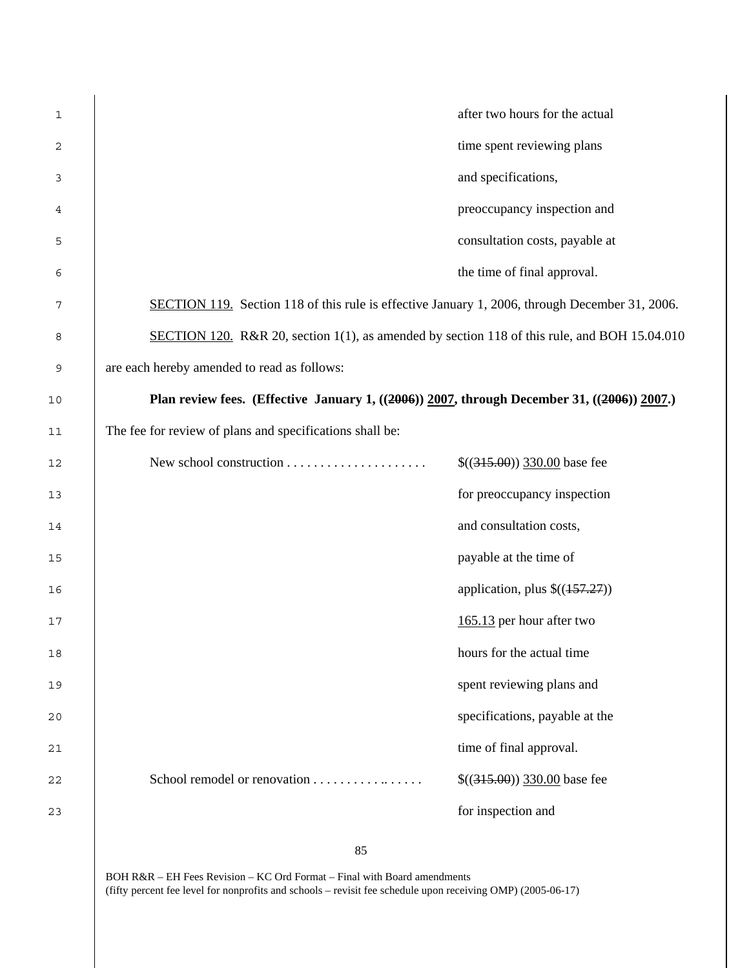| $\mathbf{1}$ | after two hours for the actual                                                                      |  |
|--------------|-----------------------------------------------------------------------------------------------------|--|
| 2            | time spent reviewing plans                                                                          |  |
| 3            | and specifications,                                                                                 |  |
| 4            | preoccupancy inspection and                                                                         |  |
| 5            | consultation costs, payable at                                                                      |  |
| 6            | the time of final approval.                                                                         |  |
| 7            | SECTION 119. Section 118 of this rule is effective January 1, 2006, through December 31, 2006.      |  |
| 8            | <b>SECTION 120.</b> R&R 20, section 1(1), as amended by section 118 of this rule, and BOH 15.04.010 |  |
| 9            | are each hereby amended to read as follows:                                                         |  |
| $10$         | Plan review fees. (Effective January 1, $((2006))$ 2007, through December 31, $((2006))$ 2007.)     |  |
| 11           | The fee for review of plans and specifications shall be:                                            |  |
| 12           | New school construction<br>$$((315.00))$ 330.00 base fee                                            |  |
| 13           | for preoccupancy inspection                                                                         |  |
| 14           | and consultation costs,                                                                             |  |
| 15           | payable at the time of                                                                              |  |
| 16           | application, plus $\$( (157.27))$                                                                   |  |
| 17           | 165.13 per hour after two                                                                           |  |
| 18           | hours for the actual time                                                                           |  |
| 19           | spent reviewing plans and                                                                           |  |
| 20           | specifications, payable at the                                                                      |  |
| 21           | time of final approval.                                                                             |  |
| 22           | School remodel or renovation<br>$$((315.00))$ 330.00 base fee                                       |  |
| 23           | for inspection and                                                                                  |  |
|              |                                                                                                     |  |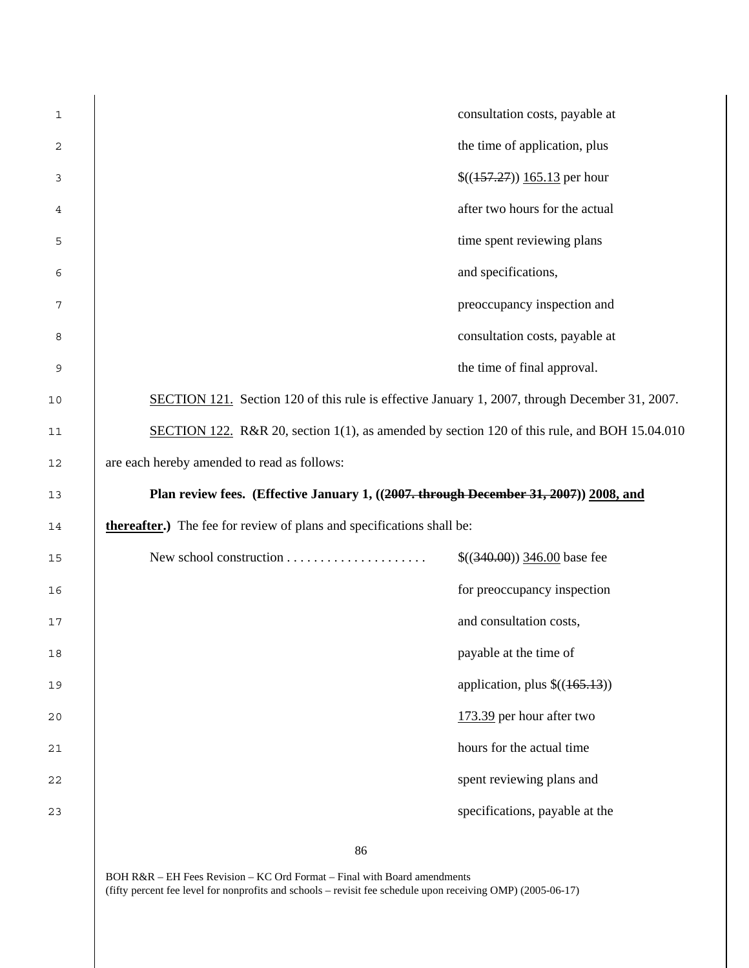| 1  |                                                                                                | consultation costs, payable at         |
|----|------------------------------------------------------------------------------------------------|----------------------------------------|
| 2  |                                                                                                | the time of application, plus          |
| 3  |                                                                                                | $\frac{\{(157.27)\}}{165.13}$ per hour |
| 4  |                                                                                                | after two hours for the actual         |
| 5  |                                                                                                | time spent reviewing plans             |
| 6  |                                                                                                | and specifications,                    |
| 7  |                                                                                                | preoccupancy inspection and            |
| 8  |                                                                                                | consultation costs, payable at         |
| 9  |                                                                                                | the time of final approval.            |
| 10 | SECTION 121. Section 120 of this rule is effective January 1, 2007, through December 31, 2007. |                                        |
| 11 | SECTION 122. R&R 20, section 1(1), as amended by section 120 of this rule, and BOH 15.04.010   |                                        |
| 12 | are each hereby amended to read as follows:                                                    |                                        |
| 13 | Plan review fees. (Effective January 1, ((2007. through December 31, 2007)) 2008, and          |                                        |
| 14 | <b>thereafter.</b> ) The fee for review of plans and specifications shall be:                  |                                        |
| 15 |                                                                                                | $$((340.00))$ 346.00 base fee          |
| 16 |                                                                                                | for preoccupancy inspection            |
| 17 |                                                                                                | and consultation costs,                |
| 18 |                                                                                                | payable at the time of                 |
| 19 |                                                                                                | application, plus $\$( (165.13))$      |
| 20 |                                                                                                | 173.39 per hour after two              |
| 21 |                                                                                                | hours for the actual time              |
| 22 |                                                                                                | spent reviewing plans and              |
| 23 |                                                                                                | specifications, payable at the         |
|    |                                                                                                |                                        |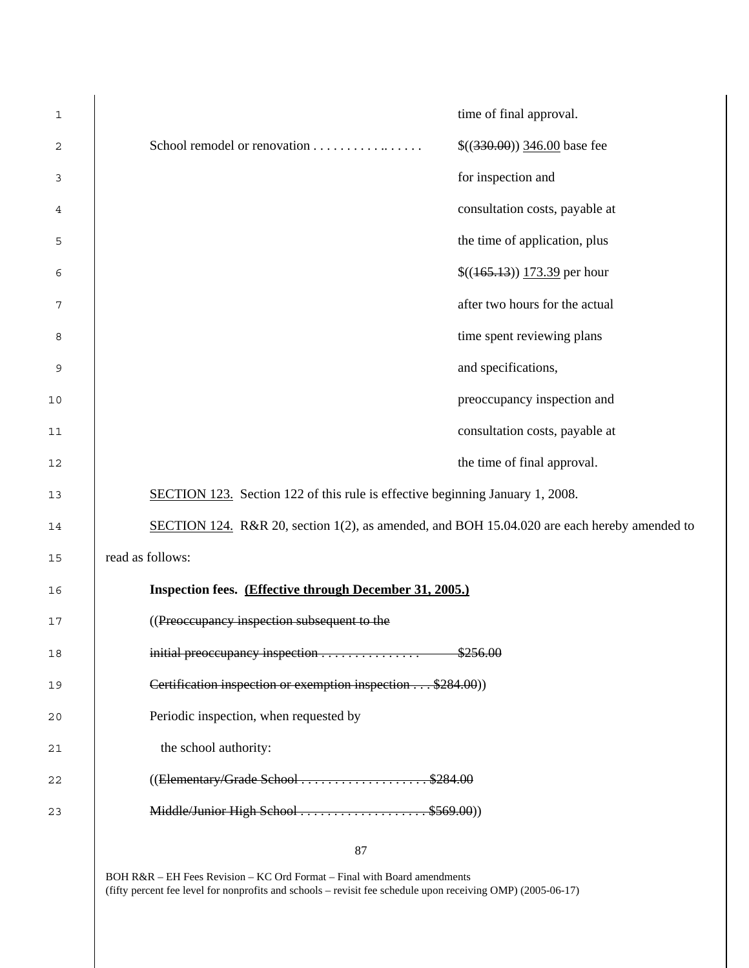| 1  |                                                                                             | time of final approval.        |
|----|---------------------------------------------------------------------------------------------|--------------------------------|
| 2  | School remodel or renovation                                                                | $$(330.00)$ 346.00 base fee    |
| 3  |                                                                                             | for inspection and             |
| 4  |                                                                                             | consultation costs, payable at |
| 5  |                                                                                             | the time of application, plus  |
| 6  |                                                                                             | $$(165.13) 173.39$ per hour    |
| 7  |                                                                                             | after two hours for the actual |
| 8  |                                                                                             | time spent reviewing plans     |
| 9  |                                                                                             | and specifications,            |
| 10 |                                                                                             | preoccupancy inspection and    |
| 11 |                                                                                             | consultation costs, payable at |
| 12 |                                                                                             | the time of final approval.    |
| 13 | SECTION 123. Section 122 of this rule is effective beginning January 1, 2008.               |                                |
| 14 | SECTION 124. R&R 20, section 1(2), as amended, and BOH 15.04.020 are each hereby amended to |                                |
| 15 | read as follows:                                                                            |                                |
| 16 | Inspection fees. (Effective through December 31, 2005.)                                     |                                |
| 17 | ((Preoccupancy inspection subsequent to the                                                 |                                |
| 18 | initial preoccupancy inspection                                                             | \$256.00                       |
| 19 | Certification inspection or exemption inspection \$284.00))                                 |                                |
| 20 | Periodic inspection, when requested by                                                      |                                |
| 21 | the school authority:                                                                       |                                |
| 22 | ((Elementary/Grade School \$284.00                                                          |                                |
| 23 | Middle/Junior High School \$569.00)                                                         |                                |
|    |                                                                                             |                                |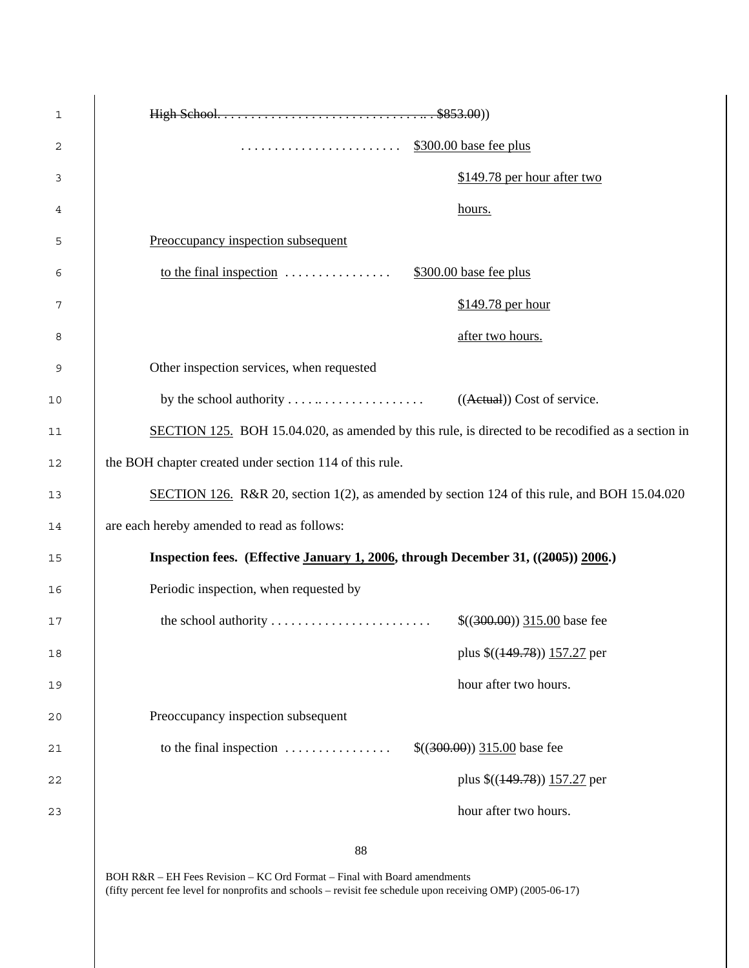| 1    | \$853.00)                                                                                         |
|------|---------------------------------------------------------------------------------------------------|
| 2    |                                                                                                   |
| 3    | \$149.78 per hour after two                                                                       |
| 4    | hours.                                                                                            |
| 5    | Preoccupancy inspection subsequent                                                                |
| 6    | to the final inspection $\dots \dots \dots \dots$<br>\$300.00 base fee plus                       |
| 7    | \$149.78 per hour                                                                                 |
| 8    | after two hours.                                                                                  |
| 9    | Other inspection services, when requested                                                         |
| 10   |                                                                                                   |
| 11   | SECTION 125. BOH 15.04.020, as amended by this rule, is directed to be recodified as a section in |
| 12   | the BOH chapter created under section 114 of this rule.                                           |
| 13   | SECTION 126. R&R 20, section 1(2), as amended by section 124 of this rule, and BOH 15.04.020      |
| 14   | are each hereby amended to read as follows:                                                       |
| 15   | Inspection fees. (Effective January 1, 2006, through December 31, ((2005)) 2006.)                 |
| 16   | Periodic inspection, when requested by                                                            |
| 17   |                                                                                                   |
| 18   | plus \$((149.78)) 157.27 per                                                                      |
| 19   | hour after two hours.                                                                             |
| $20$ | Preoccupancy inspection subsequent                                                                |
| 21   | to the final inspection $\dots \dots \dots \dots$<br>$$((300.00))$ 315.00 base fee                |
| 22   | plus $\frac{\left(149.78\right)}{157.27}$ per                                                     |
| 23   | hour after two hours.                                                                             |
|      |                                                                                                   |

l.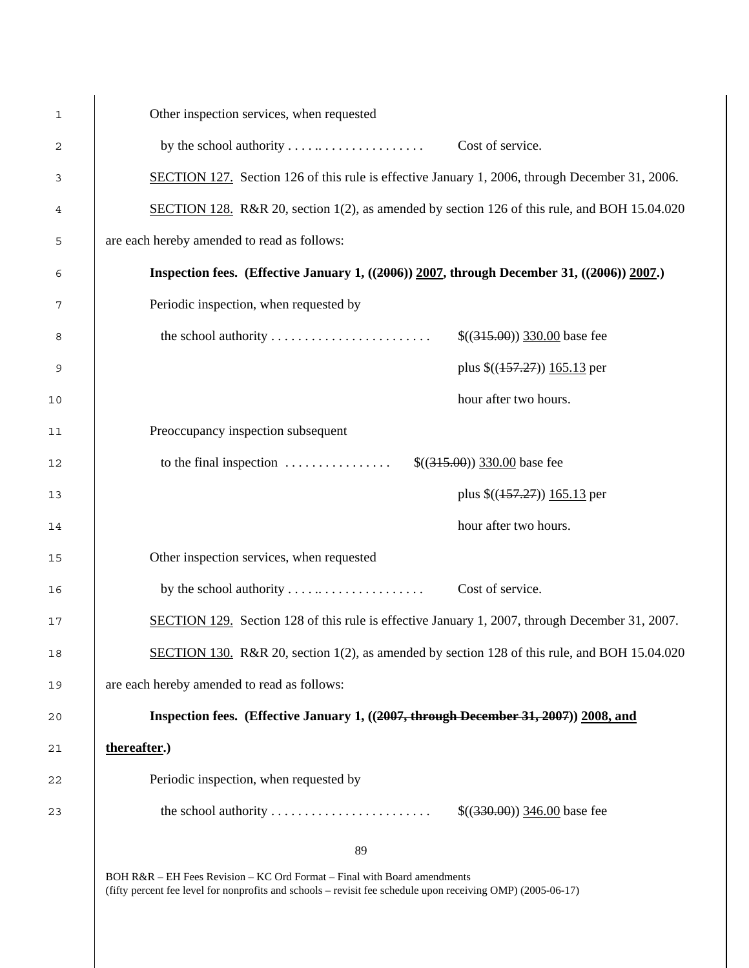| 1  | Other inspection services, when requested                                                                                                                                               |
|----|-----------------------------------------------------------------------------------------------------------------------------------------------------------------------------------------|
| 2  | Cost of service.<br>by the school authority $\dots \dots \dots \dots \dots \dots$                                                                                                       |
| 3  | SECTION 127. Section 126 of this rule is effective January 1, 2006, through December 31, 2006.                                                                                          |
| 4  | SECTION 128. R&R 20, section 1(2), as amended by section 126 of this rule, and BOH 15.04.020                                                                                            |
| 5  | are each hereby amended to read as follows:                                                                                                                                             |
| 6  | Inspection fees. (Effective January 1, $((2006))$ 2007, through December 31, $((2006))$ 2007.)                                                                                          |
| 7  | Periodic inspection, when requested by                                                                                                                                                  |
| 8  | $$(315.00)$ 330.00 base fee                                                                                                                                                             |
| 9  | plus $\frac{\left(\frac{157.27}{165.13}\right)}{165.13}$ per                                                                                                                            |
| 10 | hour after two hours.                                                                                                                                                                   |
| 11 | Preoccupancy inspection subsequent                                                                                                                                                      |
| 12 | to the final inspection $\dots \dots \dots \dots$<br>$\$((315.00))$ 330.00 base fee                                                                                                     |
| 13 | plus $\frac{\left(\frac{157.27}{165.13}\right)}{165.13}$ per                                                                                                                            |
| 14 | hour after two hours.                                                                                                                                                                   |
| 15 | Other inspection services, when requested                                                                                                                                               |
| 16 | by the school authority<br>Cost of service.                                                                                                                                             |
| 17 | SECTION 129. Section 128 of this rule is effective January 1, 2007, through December 31, 2007.                                                                                          |
| 18 | SECTION 130. R&R 20, section 1(2), as amended by section 128 of this rule, and BOH 15.04.020                                                                                            |
| 19 | are each hereby amended to read as follows:                                                                                                                                             |
| 20 | Inspection fees. (Effective January 1, ((2007, through December 31, 2007)) 2008, and                                                                                                    |
| 21 | thereafter.)                                                                                                                                                                            |
| 22 | Periodic inspection, when requested by                                                                                                                                                  |
| 23 | the school authority $\dots \dots \dots \dots \dots \dots \dots$<br>$\$((330.00))$ 346.00 base fee                                                                                      |
|    | 89                                                                                                                                                                                      |
|    | BOH R&R – EH Fees Revision – KC Ord Format – Final with Board amendments<br>(fifty percent fee level for nonprofits and schools – revisit fee schedule upon receiving OMP) (2005-06-17) |
|    |                                                                                                                                                                                         |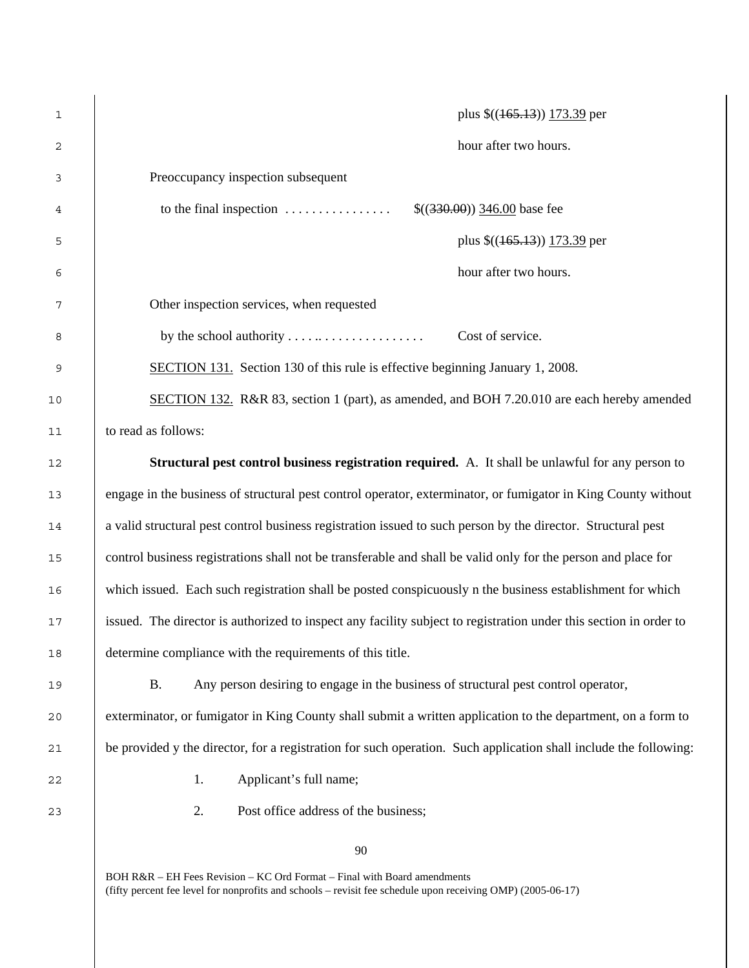| 1      | plus $\frac{\left(\frac{165.13}{173.39}\right)}{20}$ per                                                          |
|--------|-------------------------------------------------------------------------------------------------------------------|
| 2      | hour after two hours.                                                                                             |
| 3      | Preoccupancy inspection subsequent                                                                                |
| 4      | to the final inspection $\dots \dots \dots \dots$<br>$$(330.00)$ 346.00 base fee                                  |
| 5      | plus \$((165.13)) 173.39 per                                                                                      |
| 6      | hour after two hours.                                                                                             |
| 7      | Other inspection services, when requested                                                                         |
| 8      | by the school authority $\dots \dots \dots \dots \dots \dots$<br>Cost of service.                                 |
| 9      | <b>SECTION 131.</b> Section 130 of this rule is effective beginning January 1, 2008.                              |
| $10$   | SECTION 132. R&R 83, section 1 (part), as amended, and BOH 7.20.010 are each hereby amended                       |
| $11\,$ | to read as follows:                                                                                               |
| 12     | Structural pest control business registration required. A. It shall be unlawful for any person to                 |
| 13     | engage in the business of structural pest control operator, exterminator, or fumigator in King County without     |
| 14     | a valid structural pest control business registration issued to such person by the director. Structural pest      |
| 15     | control business registrations shall not be transferable and shall be valid only for the person and place for     |
| 16     | which issued. Each such registration shall be posted conspicuously n the business establishment for which         |
| 17     | issued. The director is authorized to inspect any facility subject to registration under this section in order to |
| $18\,$ | determine compliance with the requirements of this title.                                                         |
| 19     | Any person desiring to engage in the business of structural pest control operator,<br><b>B.</b>                   |
| 20     | exterminator, or fumigator in King County shall submit a written application to the department, on a form to      |
| 21     | be provided y the director, for a registration for such operation. Such application shall include the following:  |
| 22     | Applicant's full name;<br>1.                                                                                      |
| 23     | Post office address of the business;<br>2.                                                                        |
|        | 90                                                                                                                |
|        |                                                                                                                   |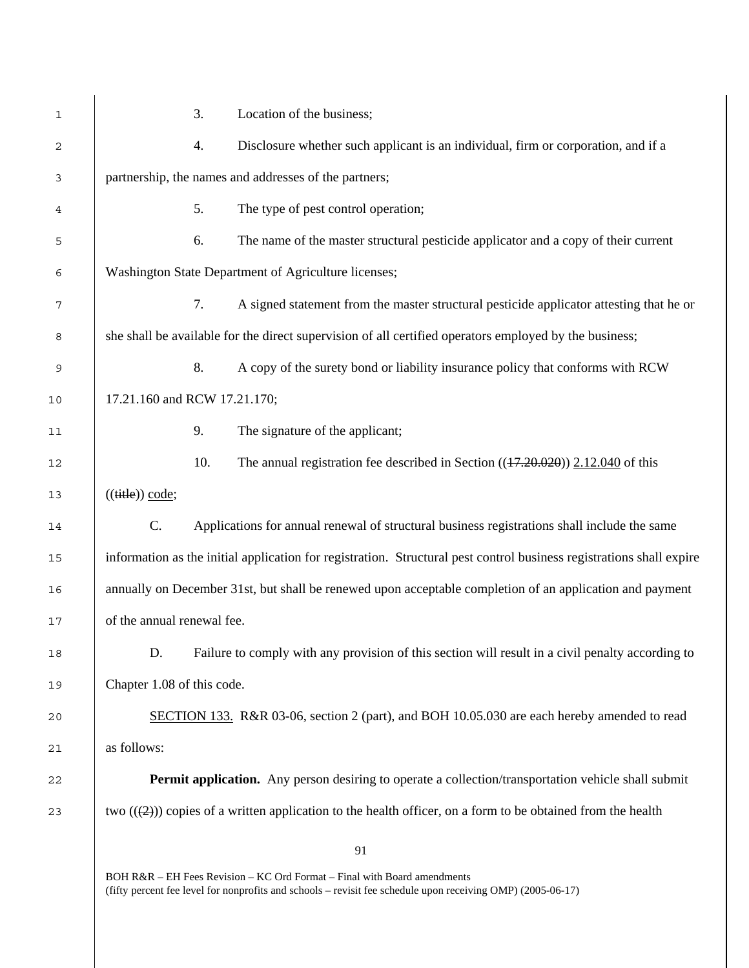| 1  | 3.<br>Location of the business;                                                                                                                                                         |
|----|-----------------------------------------------------------------------------------------------------------------------------------------------------------------------------------------|
| 2  | Disclosure whether such applicant is an individual, firm or corporation, and if a<br>4.                                                                                                 |
| 3  | partnership, the names and addresses of the partners;                                                                                                                                   |
| 4  | 5.<br>The type of pest control operation;                                                                                                                                               |
| 5  | 6.<br>The name of the master structural pesticide applicator and a copy of their current                                                                                                |
| 6  | Washington State Department of Agriculture licenses;                                                                                                                                    |
| 7  | 7.<br>A signed statement from the master structural pesticide applicator attesting that he or                                                                                           |
| 8  | she shall be available for the direct supervision of all certified operators employed by the business;                                                                                  |
| 9  | 8.<br>A copy of the surety bond or liability insurance policy that conforms with RCW                                                                                                    |
| 10 | 17.21.160 and RCW 17.21.170;                                                                                                                                                            |
| 11 | 9.<br>The signature of the applicant;                                                                                                                                                   |
| 12 | 10.<br>The annual registration fee described in Section $((17.20.020))$ 2.12.040 of this                                                                                                |
| 13 | $((\text{title})) \text{ code};$                                                                                                                                                        |
| 14 | C.<br>Applications for annual renewal of structural business registrations shall include the same                                                                                       |
| 15 | information as the initial application for registration. Structural pest control business registrations shall expire                                                                    |
| 16 | annually on December 31st, but shall be renewed upon acceptable completion of an application and payment                                                                                |
| 17 | of the annual renewal fee.                                                                                                                                                              |
| 18 | Failure to comply with any provision of this section will result in a civil penalty according to<br>D.                                                                                  |
| 19 | Chapter 1.08 of this code.                                                                                                                                                              |
| 20 | SECTION 133. R&R 03-06, section 2 (part), and BOH 10.05.030 are each hereby amended to read                                                                                             |
| 21 | as follows:                                                                                                                                                                             |
| 22 | <b>Permit application.</b> Any person desiring to operate a collection/transportation vehicle shall submit                                                                              |
| 23 | two $((2))$ copies of a written application to the health officer, on a form to be obtained from the health                                                                             |
|    | 91                                                                                                                                                                                      |
|    | BOH R&R – EH Fees Revision – KC Ord Format – Final with Board amendments<br>(fifty percent fee level for nonprofits and schools - revisit fee schedule upon receiving OMP) (2005-06-17) |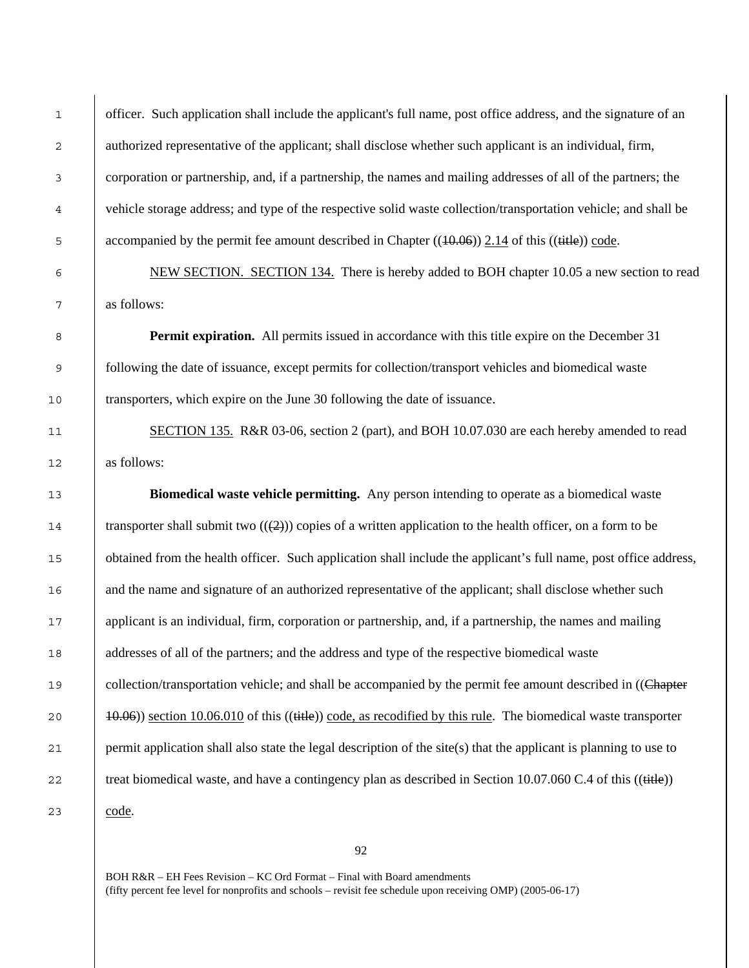1 officer. Such application shall include the applicant's full name, post office address, and the signature of an 2 authorized representative of the applicant; shall disclose whether such applicant is an individual, firm, 3 corporation or partnership, and, if a partnership, the names and mailing addresses of all of the partners; the 4 vehicle storage address; and type of the respective solid waste collection/transportation vehicle; and shall be 5 accompanied by the permit fee amount described in Chapter  $((10.06))$  2.14 of this  $((\text{title}))$  code.

6 NEW SECTION. SECTION 134. There is hereby added to BOH chapter 10.05 a new section to read 7 as follows:

8 **Permit expiration.** All permits issued in accordance with this title expire on the December 31 9 following the date of issuance, except permits for collection/transport vehicles and biomedical waste 10 transporters, which expire on the June 30 following the date of issuance.

11 SECTION 135. R&R 03-06, section 2 (part), and BOH 10.07.030 are each hereby amended to read 12 as follows:

13 **Biomedical waste vehicle permitting.** Any person intending to operate as a biomedical waste 14 transporter shall submit two  $((2))$  copies of a written application to the health officer, on a form to be 15 botained from the health officer. Such application shall include the applicant's full name, post office address, 16 and the name and signature of an authorized representative of the applicant; shall disclose whether such 17 applicant is an individual, firm, corporation or partnership, and, if a partnership, the names and mailing 18 ddresses of all of the partners; and the address and type of the respective biomedical waste 19 collection/transportation vehicle; and shall be accompanied by the permit fee amount described in ((Chapter 20  $\vert$  10.06)) section 10.06.010 of this ((title)) code, as recodified by this rule. The biomedical waste transporter 21 permit application shall also state the legal description of the site(s) that the applicant is planning to use to 22 treat biomedical waste, and have a contingency plan as described in Section 10.07.060 C.4 of this ((title)) 23 code.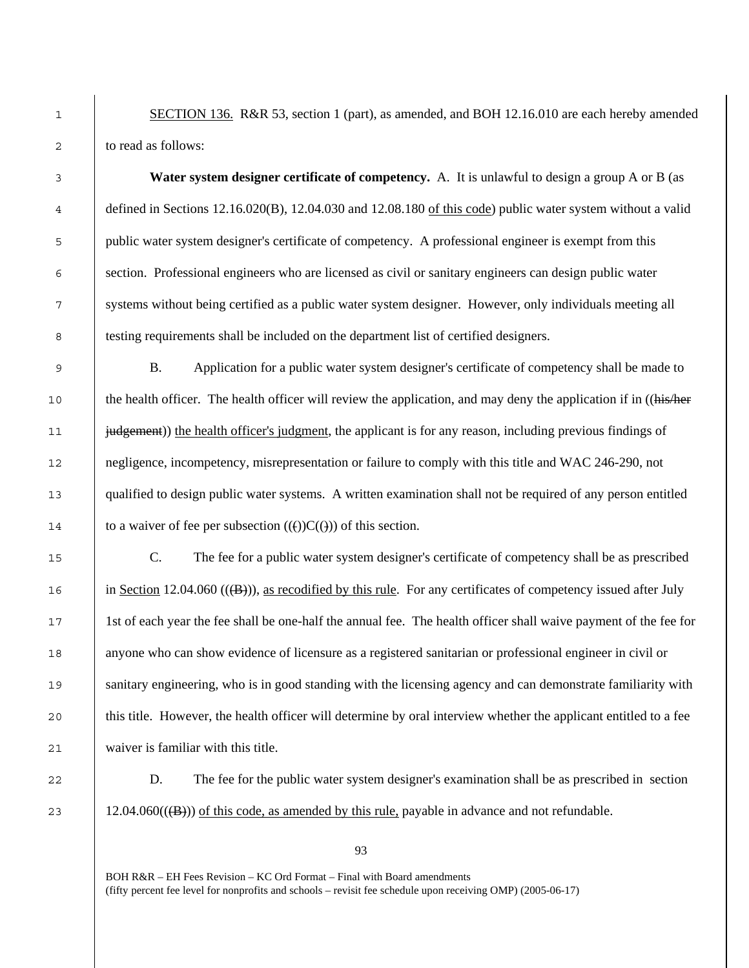1 SECTION 136. R&R 53, section 1 (part), as amended, and BOH 12.16.010 are each hereby amended 2 to read as follows:

**Water system designer certificate of competency.** A. It is unlawful to design a group A or B (as defined in Sections 12.16.020(B), 12.04.030 and 12.08.180 of this code) public water system without a valid public water system designer's certificate of competency. A professional engineer is exempt from this section. Professional engineers who are licensed as civil or sanitary engineers can design public water systems without being certified as a public water system designer. However, only individuals meeting all 8 testing requirements shall be included on the department list of certified designers.

9 B. Application for a public water system designer's certificate of competency shall be made to 10 the health officer. The health officer will review the application, and may deny the application if in ((his/her 11 **judgement**)) the health officer's judgment, the applicant is for any reason, including previous findings of 12 negligence, incompetency, misrepresentation or failure to comply with this title and WAC 246-290, not 13 qualified to design public water systems. A written examination shall not be required of any person entitled 14 to a waiver of fee per subsection  $((f))C((f))$  of this section.

15 C. The fee for a public water system designer's certificate of competency shall be as prescribed 16 in Section 12.04.060 (( $(\oplus)$ )), as recodified by this rule. For any certificates of competency issued after July 17 1st of each year the fee shall be one-half the annual fee. The health officer shall waive payment of the fee for 18 anyone who can show evidence of licensure as a registered sanitarian or professional engineer in civil or 19 sanitary engineering, who is in good standing with the licensing agency and can demonstrate familiarity with 20 this title. However, the health officer will determine by oral interview whether the applicant entitled to a fee 21 waiver is familiar with this title.

22 D. The fee for the public water system designer's examination shall be as prescribed in section 23 12.04.060 $((\text{B}))$  of this code, as amended by this rule, payable in advance and not refundable.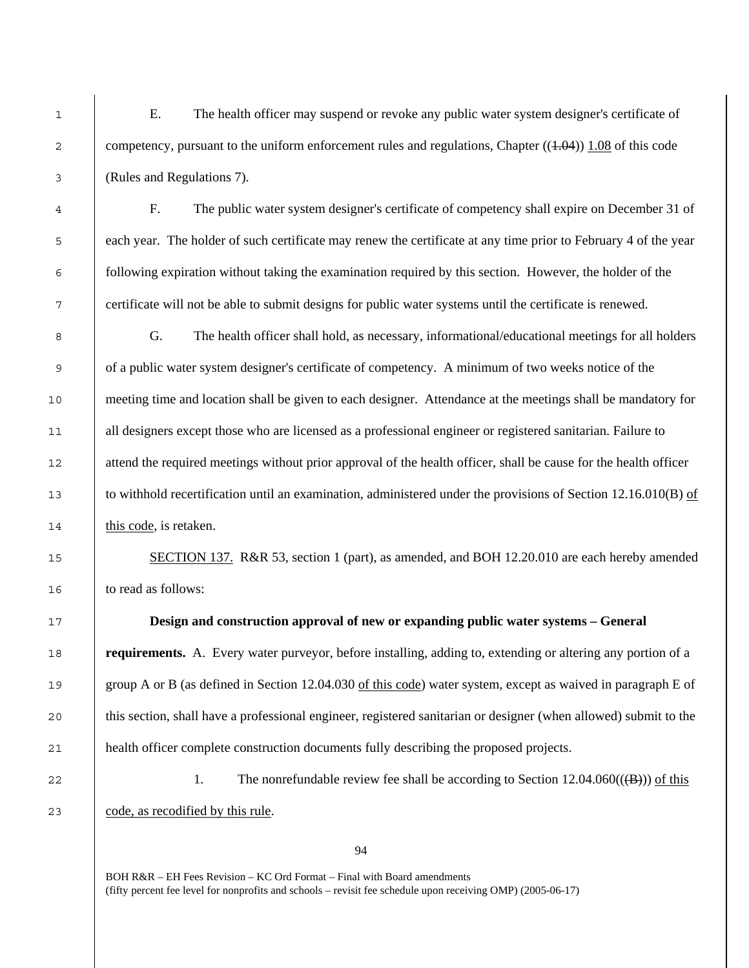E. The health officer may suspend or revoke any public water system designer's certificate of 2 competency, pursuant to the uniform enforcement rules and regulations, Chapter  $((1.04))$  1.08 of this code (Rules and Regulations 7).

F. The public water system designer's certificate of competency shall expire on December 31 of each year. The holder of such certificate may renew the certificate at any time prior to February 4 of the year following expiration without taking the examination required by this section. However, the holder of the certificate will not be able to submit designs for public water systems until the certificate is renewed.

G. The health officer shall hold, as necessary, informational/educational meetings for all holders of a public water system designer's certificate of competency. A minimum of two weeks notice of the meeting time and location shall be given to each designer. Attendance at the meetings shall be mandatory for all designers except those who are licensed as a professional engineer or registered sanitarian. Failure to 12 attend the required meetings without prior approval of the health officer, shall be cause for the health officer to withhold recertification until an examination, administered under the provisions of Section 12.16.010(B) of this code, is retaken.

15 SECTION 137. R&R 53, section 1 (part), as amended, and BOH 12.20.010 are each hereby amended to read as follows:

**Design and construction approval of new or expanding public water systems – General requirements.** A. Every water purveyor, before installing, adding to, extending or altering any portion of a group A or B (as defined in Section 12.04.030 of this code) water system, except as waived in paragraph E of this section, shall have a professional engineer, registered sanitarian or designer (when allowed) submit to the health officer complete construction documents fully describing the proposed projects.

22 1. The nonrefundable review fee shall be according to Section  $12.04.060((\text{(B)}))$  of this 23 code, as recodified by this rule.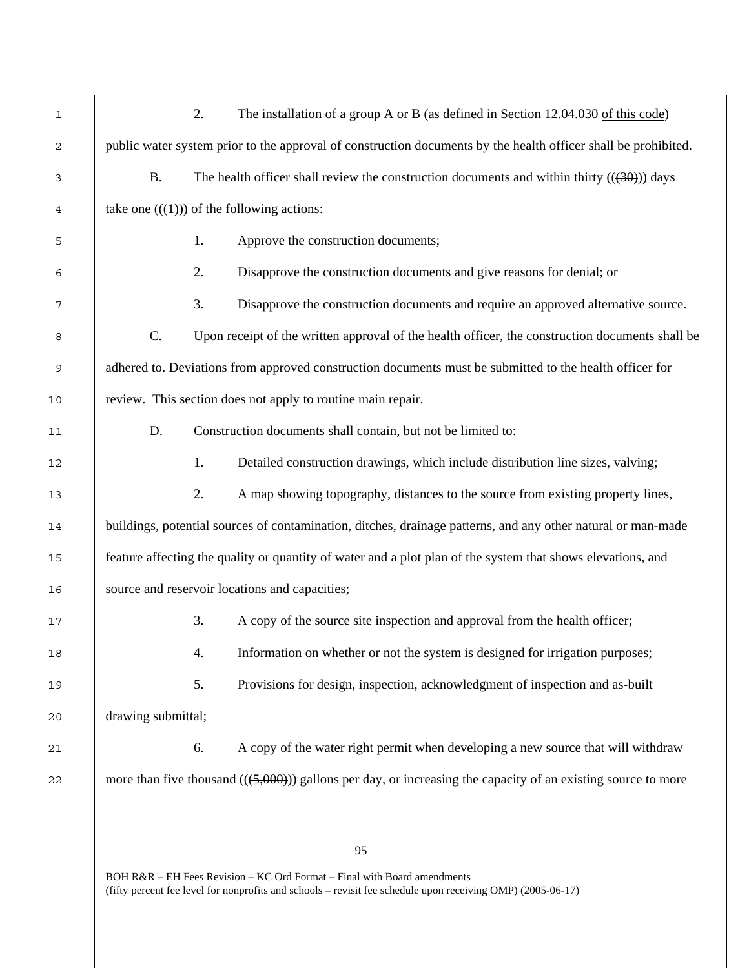| 1    |                    | 2. | The installation of a group A or B (as defined in Section 12.04.030 of this code)                                          |
|------|--------------------|----|----------------------------------------------------------------------------------------------------------------------------|
| 2    |                    |    | public water system prior to the approval of construction documents by the health officer shall be prohibited.             |
| 3    | <b>B.</b>          |    | The health officer shall review the construction documents and within thirty $((30))$ days                                 |
| 4    |                    |    | take one $((\text{(+)}))$ of the following actions:                                                                        |
| 5    |                    | 1. | Approve the construction documents;                                                                                        |
| 6    |                    | 2. | Disapprove the construction documents and give reasons for denial; or                                                      |
| 7    |                    | 3. | Disapprove the construction documents and require an approved alternative source.                                          |
| 8    | C.                 |    | Upon receipt of the written approval of the health officer, the construction documents shall be                            |
| 9    |                    |    | adhered to. Deviations from approved construction documents must be submitted to the health officer for                    |
| 10   |                    |    | review. This section does not apply to routine main repair.                                                                |
| 11   | D.                 |    | Construction documents shall contain, but not be limited to:                                                               |
| 12   |                    | 1. | Detailed construction drawings, which include distribution line sizes, valving;                                            |
| 13   |                    | 2. | A map showing topography, distances to the source from existing property lines,                                            |
| 14   |                    |    | buildings, potential sources of contamination, ditches, drainage patterns, and any other natural or man-made               |
| 15   |                    |    | feature affecting the quality or quantity of water and a plot plan of the system that shows elevations, and                |
| 16   |                    |    | source and reservoir locations and capacities;                                                                             |
| 17   |                    | 3. | A copy of the source site inspection and approval from the health officer;                                                 |
| $18$ |                    | 4. | Information on whether or not the system is designed for irrigation purposes;                                              |
| 19   |                    | 5. | Provisions for design, inspection, acknowledgment of inspection and as-built                                               |
| 20   | drawing submittal; |    |                                                                                                                            |
| 21   |                    | 6. | A copy of the water right permit when developing a new source that will withdraw                                           |
| 22   |                    |    | more than five thousand $((\left(5,000\right)))$ gallons per day, or increasing the capacity of an existing source to more |
|      |                    |    |                                                                                                                            |
|      |                    |    | 95                                                                                                                         |
|      |                    |    |                                                                                                                            |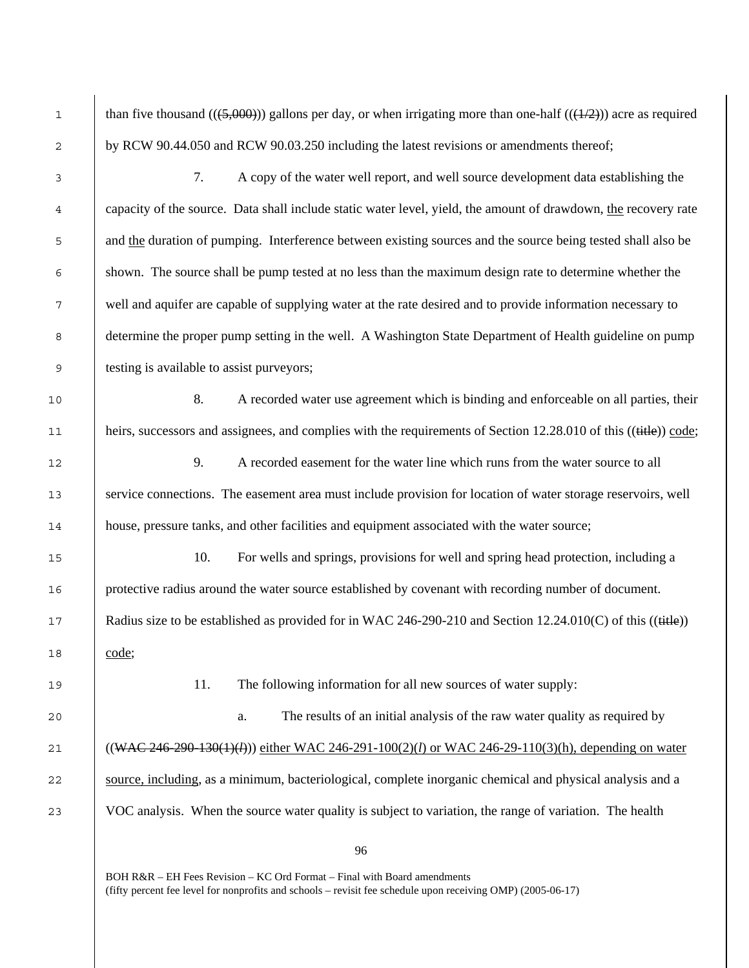| 1              | than five thousand (( $(5,000)$ )) gallons per day, or when irrigating more than one-half (( $(1/2)$ )) acre as required |
|----------------|--------------------------------------------------------------------------------------------------------------------------|
| 2              | by RCW 90.44.050 and RCW 90.03.250 including the latest revisions or amendments thereof;                                 |
| 3              | A copy of the water well report, and well source development data establishing the<br>7.                                 |
| $\overline{4}$ | capacity of the source. Data shall include static water level, yield, the amount of drawdown, the recovery rate          |
| 5              | and the duration of pumping. Interference between existing sources and the source being tested shall also be             |
| 6              | shown. The source shall be pump tested at no less than the maximum design rate to determine whether the                  |
| 7              | well and aquifer are capable of supplying water at the rate desired and to provide information necessary to              |
| 8              | determine the proper pump setting in the well. A Washington State Department of Health guideline on pump                 |
| 9              | testing is available to assist purveyors;                                                                                |
| 10             | 8.<br>A recorded water use agreement which is binding and enforceable on all parties, their                              |
| 11             | heirs, successors and assignees, and complies with the requirements of Section 12.28.010 of this ((title)) code;         |
| 12             | 9.<br>A recorded easement for the water line which runs from the water source to all                                     |
| 13             | service connections. The easement area must include provision for location of water storage reservoirs, well             |
| 14             | house, pressure tanks, and other facilities and equipment associated with the water source;                              |
| 15             | 10.<br>For wells and springs, provisions for well and spring head protection, including a                                |
| 16             | protective radius around the water source established by covenant with recording number of document.                     |
| 17             | Radius size to be established as provided for in WAC 246-290-210 and Section 12.24.010(C) of this ((title))              |
| 18             | code;                                                                                                                    |
| 19             | 11.<br>The following information for all new sources of water supply:                                                    |
| 20             | The results of an initial analysis of the raw water quality as required by<br>a.                                         |
| 21             | $((WAC 246 - 290 - 130(1)(l)))$ either WAC 246-291-100(2)(l) or WAC 246-29-110(3)(h), depending on water                 |
| 22             | source, including, as a minimum, bacteriological, complete inorganic chemical and physical analysis and a                |
| 23             | VOC analysis. When the source water quality is subject to variation, the range of variation. The health                  |
|                |                                                                                                                          |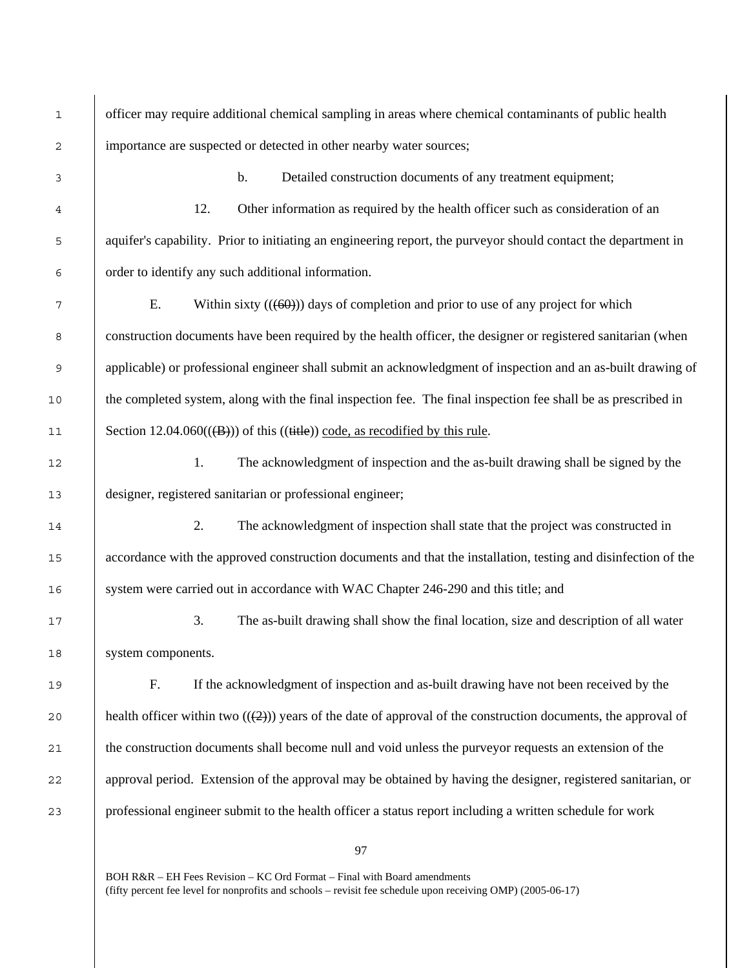1 officer may require additional chemical sampling in areas where chemical contaminants of public health 2 importance are suspected or detected in other nearby water sources;

3 b. Detailed construction documents of any treatment equipment;

4 12. Other information as required by the health officer such as consideration of an 5 aquifer's capability. Prior to initiating an engineering report, the purveyor should contact the department in 6 order to identify any such additional information.

7 E. Within sixty  $((60))$  days of completion and prior to use of any project for which 8 construction documents have been required by the health officer, the designer or registered sanitarian (when 9 applicable) or professional engineer shall submit an acknowledgment of inspection and an as-built drawing of 10 the completed system, along with the final inspection fee. The final inspection fee shall be as prescribed in 11 Section  $12.04.060((\text{(B}))$  of this  $((\text{title}))$  code, as recodified by this rule.

12 1. The acknowledgment of inspection and the as-built drawing shall be signed by the 13 designer, registered sanitarian or professional engineer;

14 2. The acknowledgment of inspection shall state that the project was constructed in 15 accordance with the approved construction documents and that the installation, testing and disinfection of the 16 system were carried out in accordance with WAC Chapter 246-290 and this title; and

17 3. The as-built drawing shall show the final location, size and description of all water 18 system components.

19 F. If the acknowledgment of inspection and as-built drawing have not been received by the 20 health officer within two  $((2))$  years of the date of approval of the construction documents, the approval of 21 the construction documents shall become null and void unless the purveyor requests an extension of the 22 approval period. Extension of the approval may be obtained by having the designer, registered sanitarian, or 23 professional engineer submit to the health officer a status report including a written schedule for work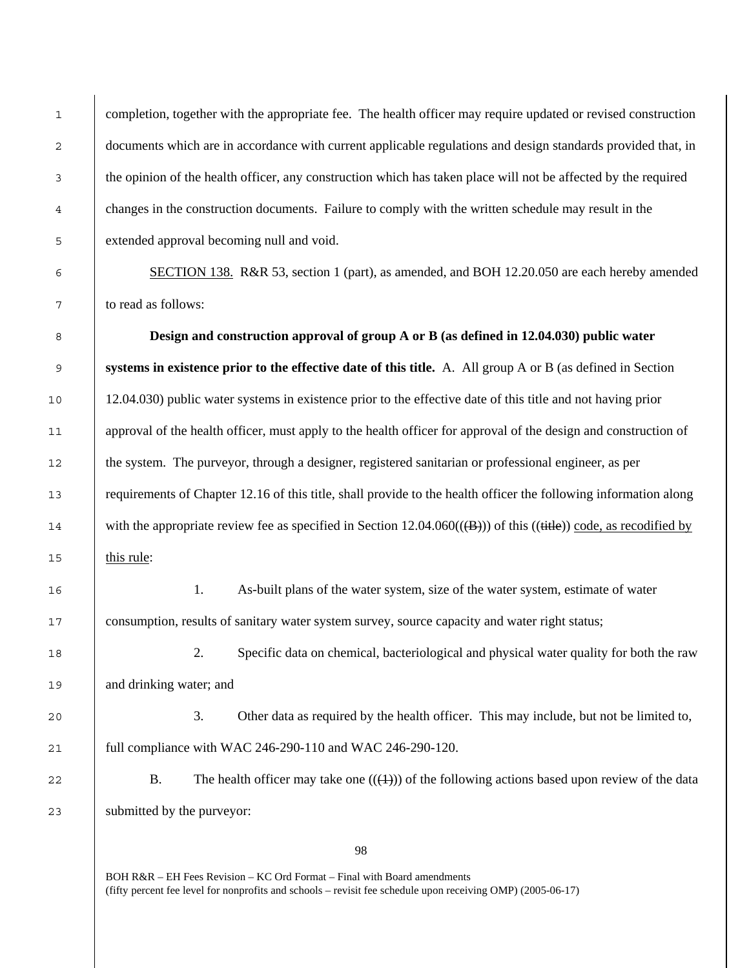1 completion, together with the appropriate fee. The health officer may require updated or revised construction 2 documents which are in accordance with current applicable regulations and design standards provided that, in <sup>3</sup> the opinion of the health officer, any construction which has taken place will not be affected by the required changes in the construction documents. Failure to comply with the written schedule may result in the extended approval becoming null and void.

SECTION 138. R&R 53, section 1 (part), as amended, and BOH 12.20.050 are each hereby amended to read as follows:

**Design and construction approval of group A or B (as defined in 12.04.030) public water systems in existence prior to the effective date of this title.** A. All group A or B (as defined in Section 12.04.030) public water systems in existence prior to the effective date of this title and not having prior 11 approval of the health officer, must apply to the health officer for approval of the design and construction of the system. The purveyor, through a designer, registered sanitarian or professional engineer, as per requirements of Chapter 12.16 of this title, shall provide to the health officer the following information along 14 with the appropriate review fee as specified in Section  $12.04.060(\textcirc{(B)})$  of this ((title)) code, as recodified by 15 | this rule:

1. As-built plans of the water system, size of the water system, estimate of water consumption, results of sanitary water system survey, source capacity and water right status;

2. Specific data on chemical, bacteriological and physical water quality for both the raw and drinking water; and

20 3. Other data as required by the health officer. This may include, but not be limited to, full compliance with WAC 246-290-110 and WAC 246-290-120.

22 B. The health officer may take one  $((+))$  of the following actions based upon review of the data submitted by the purveyor: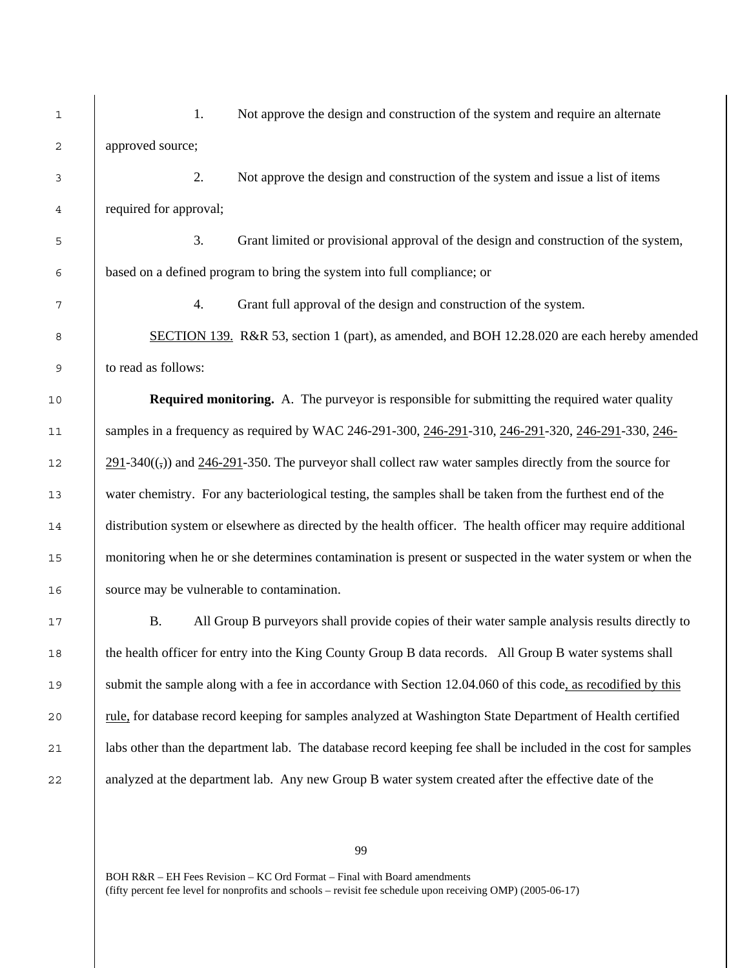| $\mathbf{1}$ | Not approve the design and construction of the system and require an alternate<br>1.                          |
|--------------|---------------------------------------------------------------------------------------------------------------|
| 2            | approved source;                                                                                              |
| 3            | 2.<br>Not approve the design and construction of the system and issue a list of items                         |
| 4            | required for approval;                                                                                        |
| 5            | 3.<br>Grant limited or provisional approval of the design and construction of the system,                     |
| 6            | based on a defined program to bring the system into full compliance; or                                       |
| 7            | 4.<br>Grant full approval of the design and construction of the system.                                       |
| 8            | SECTION 139. R&R 53, section 1 (part), as amended, and BOH 12.28.020 are each hereby amended                  |
| 9            | to read as follows:                                                                                           |
| $10$         | <b>Required monitoring.</b> A. The purveyor is responsible for submitting the required water quality          |
| $11\,$       | samples in a frequency as required by WAC 246-291-300, 246-291-310, 246-291-320, 246-291-330, 246-            |
| 12           | $291-340(5)$ and $246-291-350$ . The purveyor shall collect raw water samples directly from the source for    |
| 13           | water chemistry. For any bacteriological testing, the samples shall be taken from the furthest end of the     |
| 14           | distribution system or elsewhere as directed by the health officer. The health officer may require additional |
| 15           | monitoring when he or she determines contamination is present or suspected in the water system or when the    |
| 16           | source may be vulnerable to contamination.                                                                    |
| 17           | All Group B purveyors shall provide copies of their water sample analysis results directly to<br><b>B.</b>    |
| 18           | the health officer for entry into the King County Group B data records. All Group B water systems shall       |
| 19           | submit the sample along with a fee in accordance with Section 12.04.060 of this code, as recodified by this   |
| 20           | rule, for database record keeping for samples analyzed at Washington State Department of Health certified     |
| 21           | labs other than the department lab. The database record keeping fee shall be included in the cost for samples |
| 22           | analyzed at the department lab. Any new Group B water system created after the effective date of the          |
|              |                                                                                                               |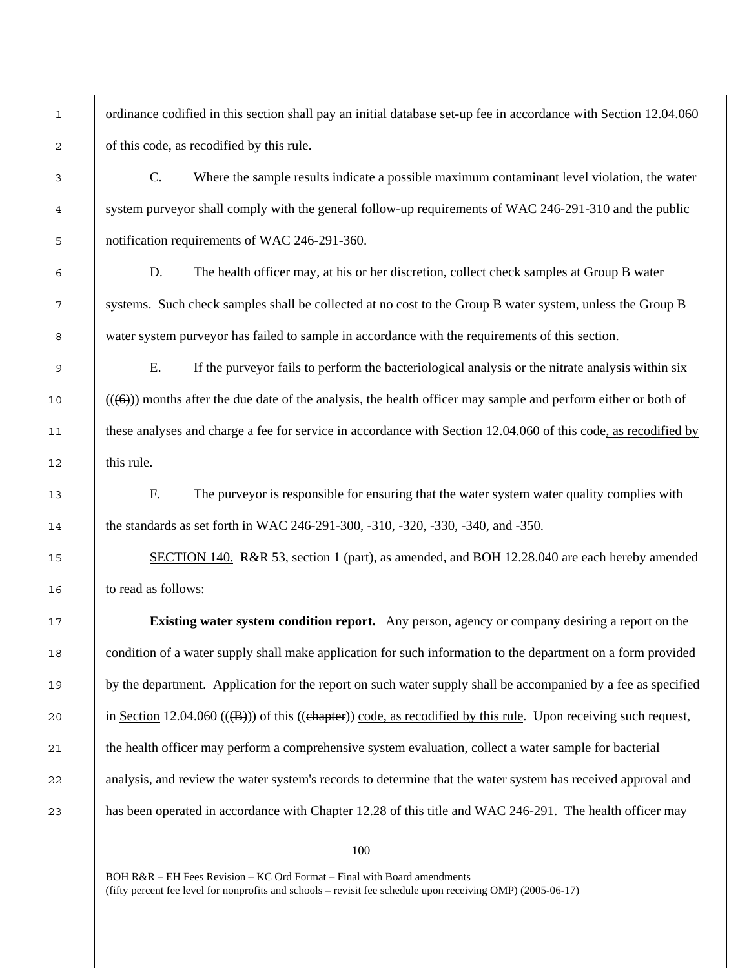1 ordinance codified in this section shall pay an initial database set-up fee in accordance with Section 12.04.060 2 of this code, as recodified by this rule.

C. Where the sample results indicate a possible maximum contaminant level violation, the water system purveyor shall comply with the general follow-up requirements of WAC 246-291-310 and the public notification requirements of WAC 246-291-360.

D. The health officer may, at his or her discretion, collect check samples at Group B water systems. Such check samples shall be collected at no cost to the Group B water system, unless the Group B water system purveyor has failed to sample in accordance with the requirements of this section.

E. If the purveyor fails to perform the bacteriological analysis or the nitrate analysis within six (((6))) months after the due date of the analysis, the health officer may sample and perform either or both of these analyses and charge a fee for service in accordance with Section 12.04.060 of this code, as recodified by this rule.

F. The purveyor is responsible for ensuring that the water system water quality complies with the standards as set forth in WAC 246-291-300, -310, -320, -330, -340, and -350.

15 SECTION 140. R&R 53, section 1 (part), as amended, and BOH 12.28.040 are each hereby amended to read as follows:

**Existing water system condition report.** Any person, agency or company desiring a report on the condition of a water supply shall make application for such information to the department on a form provided 19 by the department. Application for the report on such water supply shall be accompanied by a fee as specified 20 in Section 12.04.060 (( $(\overrightarrow{B})$ ) of this (( $\overrightarrow{e}$ )) code, as recodified by this rule. Upon receiving such request, 21 the health officer may perform a comprehensive system evaluation, collect a water sample for bacterial 22 analysis, and review the water system's records to determine that the water system has received approval and 23 has been operated in accordance with Chapter 12.28 of this title and WAC 246-291. The health officer may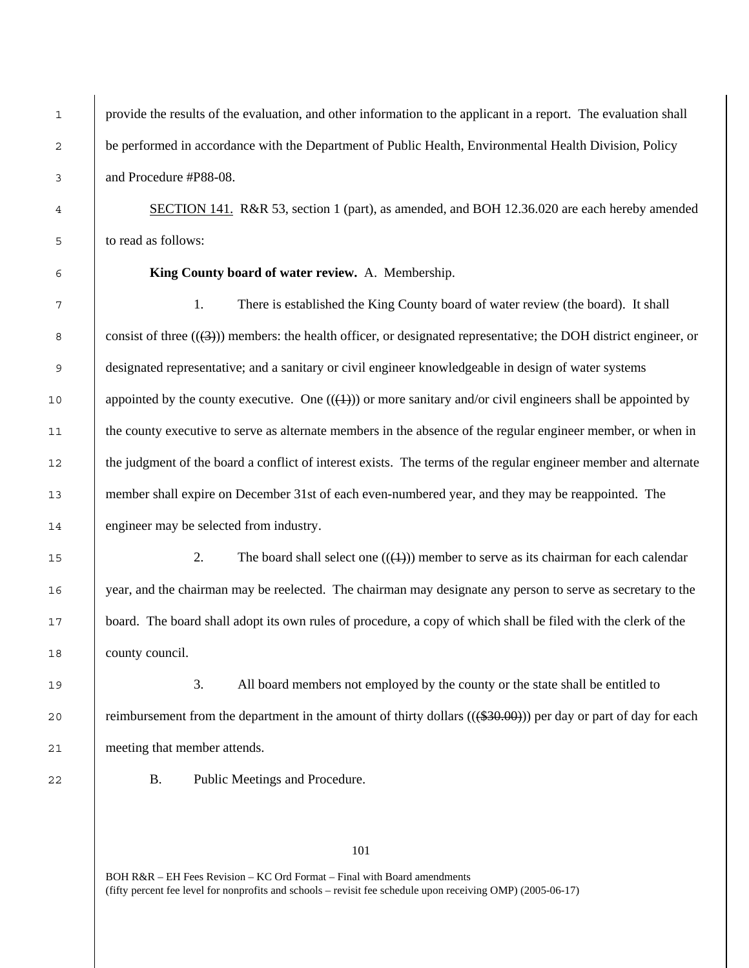1 provide the results of the evaluation, and other information to the applicant in a report. The evaluation shall 2 be performed in accordance with the Department of Public Health, Environmental Health Division, Policy 3 and Procedure #P88-08.

4 SECTION 141. R&R 53, section 1 (part), as amended, and BOH 12.36.020 are each hereby amended 5 to read as follows:

6 **King County board of water review.** A. Membership.

7 1. There is established the King County board of water review (the board). It shall 8 consist of three  $((3))$  members: the health officer, or designated representative; the DOH district engineer, or 9 designated representative; and a sanitary or civil engineer knowledgeable in design of water systems 10 appointed by the county executive. One  $((4))$  or more sanitary and/or civil engineers shall be appointed by 11 the county executive to serve as alternate members in the absence of the regular engineer member, or when in 12 the judgment of the board a conflict of interest exists. The terms of the regular engineer member and alternate 13 member shall expire on December 31st of each even-numbered year, and they may be reappointed. The 14 engineer may be selected from industry.

15 2. The board shall select one  $((+))$  member to serve as its chairman for each calendar 16 year, and the chairman may be reelected. The chairman may designate any person to serve as secretary to the 17 board. The board shall adopt its own rules of procedure, a copy of which shall be filed with the clerk of the 18 county council.

19 3. All board members not employed by the county or the state shall be entitled to 20 reimbursement from the department in the amount of thirty dollars (( $(\frac{\$30.00}{\$}$ )) per day or part of day for each 21 meeting that member attends.

22 B. Public Meetings and Procedure.

101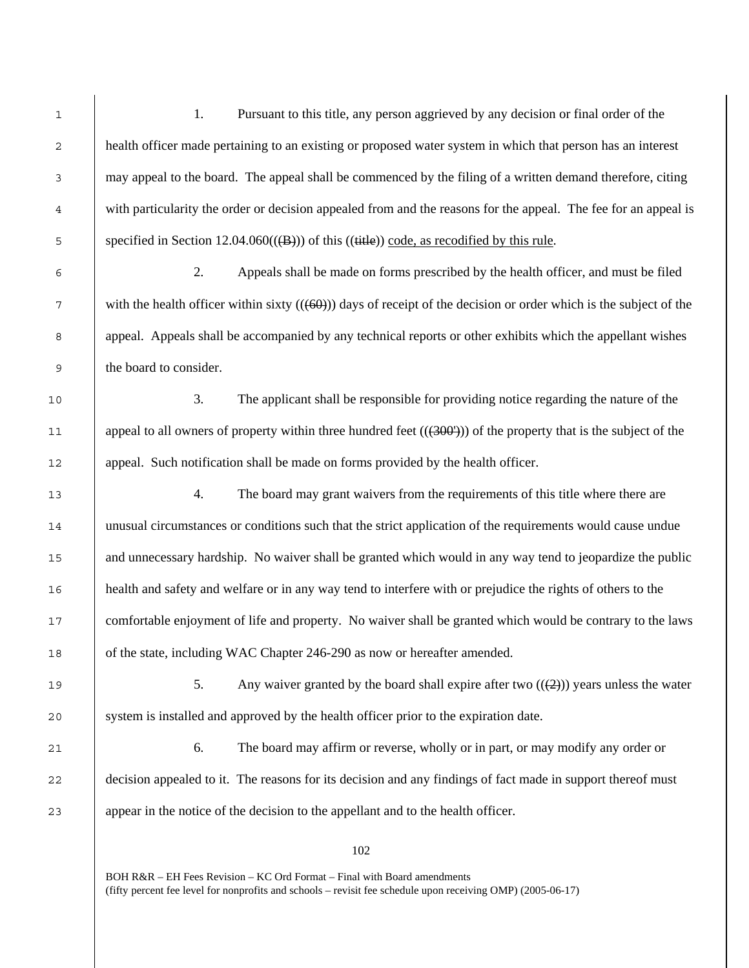| $\mathbf{1}$ | Pursuant to this title, any person aggrieved by any decision or final order of the<br>1.                           |
|--------------|--------------------------------------------------------------------------------------------------------------------|
| 2            | health officer made pertaining to an existing or proposed water system in which that person has an interest        |
| $\mathsf 3$  | may appeal to the board. The appeal shall be commenced by the filing of a written demand therefore, citing         |
| 4            | with particularity the order or decision appealed from and the reasons for the appeal. The fee for an appeal is    |
| 5            | specified in Section 12.04.060 $((\text{(B)}))$ of this $((\text{title}))$ code, as recodified by this rule.       |
| 6            | 2.<br>Appeals shall be made on forms prescribed by the health officer, and must be filed                           |
| 7            | with the health officer within sixty $((60))$ days of receipt of the decision or order which is the subject of the |
| 8            | appeal. Appeals shall be accompanied by any technical reports or other exhibits which the appellant wishes         |
| 9            | the board to consider.                                                                                             |
| 10           | 3.<br>The applicant shall be responsible for providing notice regarding the nature of the                          |
| 11           | appeal to all owners of property within three hundred feet $((3002))$ of the property that is the subject of the   |
| 12           | appeal. Such notification shall be made on forms provided by the health officer.                                   |
| 13           | 4.<br>The board may grant waivers from the requirements of this title where there are                              |
| 14           | unusual circumstances or conditions such that the strict application of the requirements would cause undue         |
| 15           | and unnecessary hardship. No waiver shall be granted which would in any way tend to jeopardize the public          |
| 16           | health and safety and welfare or in any way tend to interfere with or prejudice the rights of others to the        |
| 17           | comfortable enjoyment of life and property. No waiver shall be granted which would be contrary to the laws         |
| $18\,$       | of the state, including WAC Chapter 246-290 as now or hereafter amended.                                           |
| 19           | Any waiver granted by the board shall expire after two $((2))$ years unless the water<br>5.                        |
| 20           | system is installed and approved by the health officer prior to the expiration date.                               |
| $21$         | 6.<br>The board may affirm or reverse, wholly or in part, or may modify any order or                               |
| 22           | decision appealed to it. The reasons for its decision and any findings of fact made in support thereof must        |
| 23           | appear in the notice of the decision to the appellant and to the health officer.                                   |
|              | 102                                                                                                                |
|              |                                                                                                                    |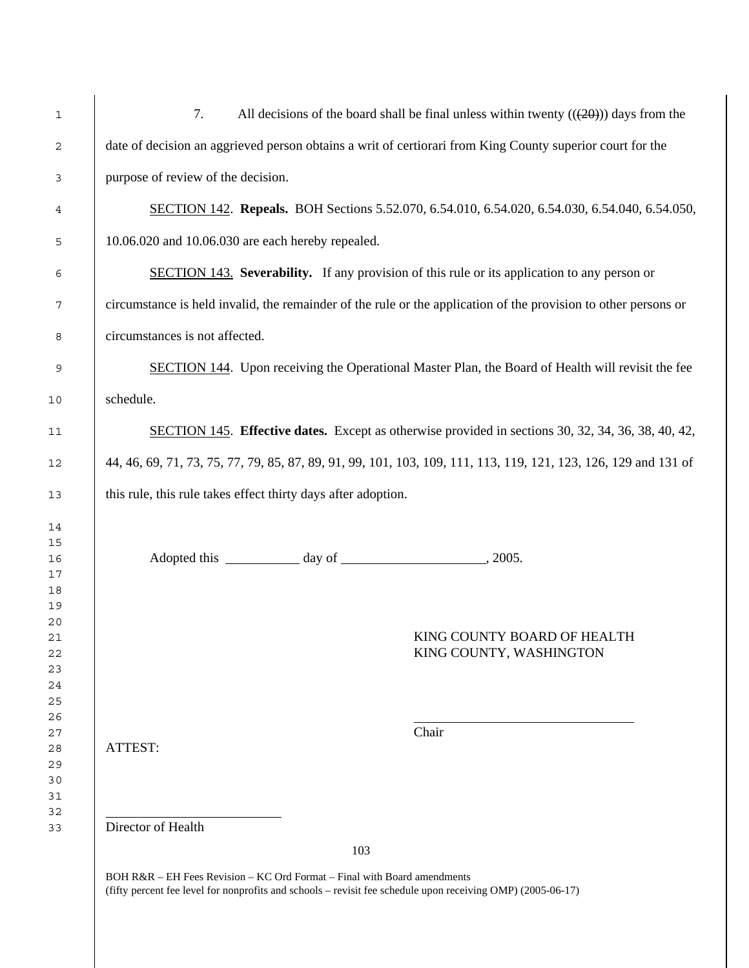| 7.                                                                                                       |                                                                                                                 |  | All decisions of the board shall be final unless within twenty $((20))$ days from the                           |
|----------------------------------------------------------------------------------------------------------|-----------------------------------------------------------------------------------------------------------------|--|-----------------------------------------------------------------------------------------------------------------|
|                                                                                                          |                                                                                                                 |  | date of decision an aggrieved person obtains a writ of certiorari from King County superior court for the       |
| purpose of review of the decision.                                                                       |                                                                                                                 |  |                                                                                                                 |
|                                                                                                          |                                                                                                                 |  | SECTION 142. Repeals. BOH Sections 5.52.070, 6.54.010, 6.54.020, 6.54.030, 6.54.040, 6.54.050,                  |
| 10.06.020 and 10.06.030 are each hereby repealed.                                                        |                                                                                                                 |  |                                                                                                                 |
|                                                                                                          |                                                                                                                 |  | <b>SECTION 143.</b> Severability. If any provision of this rule or its application to any person or             |
|                                                                                                          | circumstance is held invalid, the remainder of the rule or the application of the provision to other persons or |  |                                                                                                                 |
|                                                                                                          |                                                                                                                 |  |                                                                                                                 |
| circumstances is not affected.                                                                           |                                                                                                                 |  |                                                                                                                 |
| <b>SECTION 144.</b> Upon receiving the Operational Master Plan, the Board of Health will revisit the fee |                                                                                                                 |  |                                                                                                                 |
| schedule.                                                                                                |                                                                                                                 |  |                                                                                                                 |
|                                                                                                          |                                                                                                                 |  | SECTION 145. Effective dates. Except as otherwise provided in sections 30, 32, 34, 36, 38, 40, 42,              |
|                                                                                                          |                                                                                                                 |  | 44, 46, 69, 71, 73, 75, 77, 79, 85, 87, 89, 91, 99, 101, 103, 109, 111, 113, 119, 121, 123, 126, 129 and 131 of |
| this rule, this rule takes effect thirty days after adoption.                                            |                                                                                                                 |  |                                                                                                                 |
|                                                                                                          |                                                                                                                 |  |                                                                                                                 |
|                                                                                                          |                                                                                                                 |  |                                                                                                                 |
|                                                                                                          |                                                                                                                 |  |                                                                                                                 |
|                                                                                                          |                                                                                                                 |  |                                                                                                                 |
|                                                                                                          |                                                                                                                 |  | KING COUNTY BOARD OF HEALTH                                                                                     |
|                                                                                                          |                                                                                                                 |  | KING COUNTY, WASHINGTON                                                                                         |
|                                                                                                          |                                                                                                                 |  |                                                                                                                 |
|                                                                                                          |                                                                                                                 |  |                                                                                                                 |
|                                                                                                          |                                                                                                                 |  | Chair                                                                                                           |
| ATTEST:                                                                                                  |                                                                                                                 |  |                                                                                                                 |
|                                                                                                          |                                                                                                                 |  |                                                                                                                 |
| Director of Health                                                                                       |                                                                                                                 |  |                                                                                                                 |